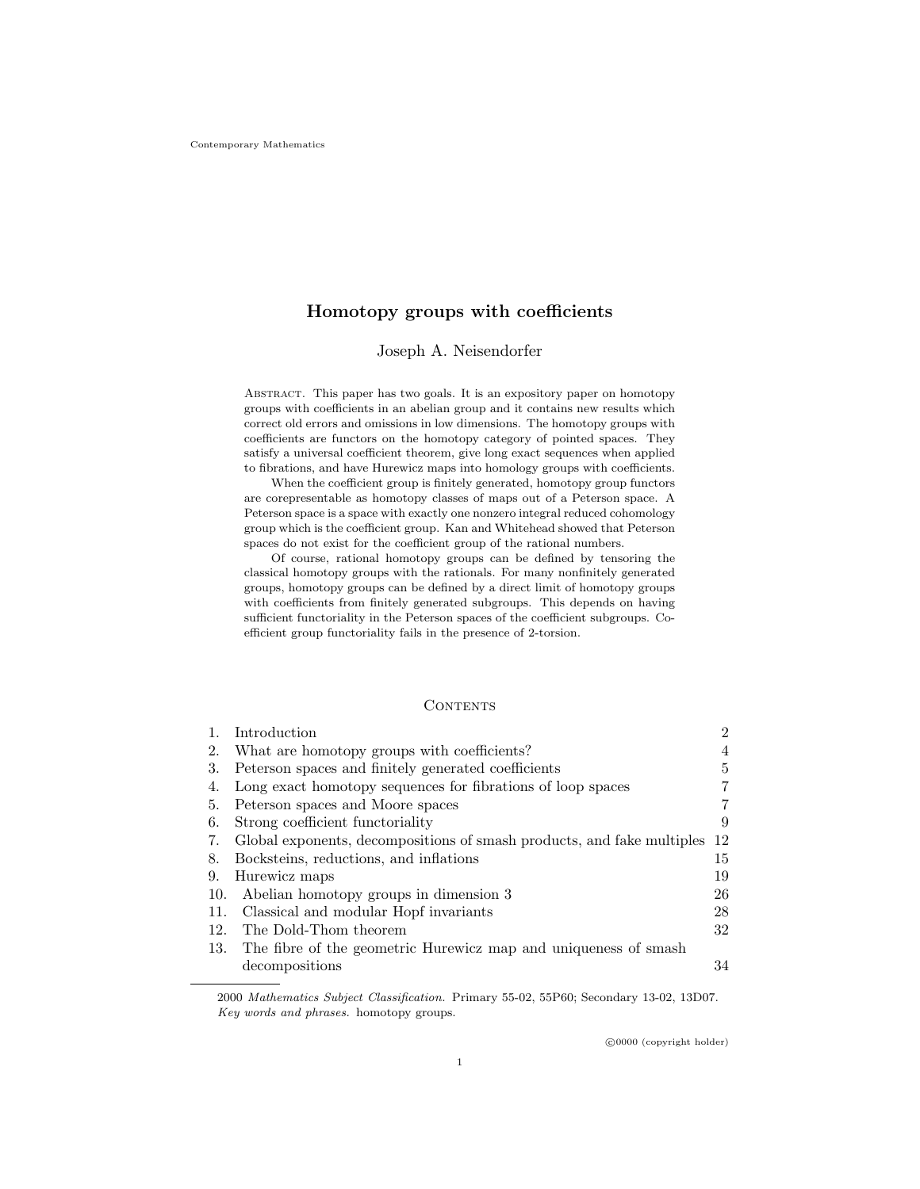# Homotopy groups with coefficients

## Joseph A. Neisendorfer

Abstract. This paper has two goals. It is an expository paper on homotopy groups with coefficients in an abelian group and it contains new results which correct old errors and omissions in low dimensions. The homotopy groups with coefficients are functors on the homotopy category of pointed spaces. They satisfy a universal coefficient theorem, give long exact sequences when applied to fibrations, and have Hurewicz maps into homology groups with coefficients.

When the coefficient group is finitely generated, homotopy group functors are corepresentable as homotopy classes of maps out of a Peterson space. A Peterson space is a space with exactly one nonzero integral reduced cohomology group which is the coefficient group. Kan and Whitehead showed that Peterson spaces do not exist for the coefficient group of the rational numbers.

Of course, rational homotopy groups can be defined by tensoring the classical homotopy groups with the rationals. For many nonfinitely generated groups, homotopy groups can be defined by a direct limit of homotopy groups with coefficients from finitely generated subgroups. This depends on having sufficient functoriality in the Peterson spaces of the coefficient subgroups. Coefficient group functoriality fails in the presence of 2-torsion.

## **CONTENTS**

|     | Introduction                                                           | $\overline{2}$ |
|-----|------------------------------------------------------------------------|----------------|
| 2.  | What are homotopy groups with coefficients?                            | 4              |
| 3.  | Peterson spaces and finitely generated coefficients                    | 5              |
| 4.  | Long exact homotopy sequences for fibrations of loop spaces            | 7              |
| 5.  | Peterson spaces and Moore spaces                                       | 7              |
| 6.  | Strong coefficient functoriality                                       | 9              |
| 7.  | Global exponents, decompositions of smash products, and fake multiples | 12             |
| 8.  | Bocksteins, reductions, and inflations                                 | 15             |
| 9.  | Hurewicz maps                                                          | 19             |
| 10. | Abelian homotopy groups in dimension 3                                 | 26             |
| 11. | Classical and modular Hopf invariants                                  | 28             |
| 12. | The Dold-Thom theorem                                                  | 32             |
| 13. | The fibre of the geometric Hurewicz map and uniqueness of smash        |                |
|     | decompositions                                                         | 34             |

2000 Mathematics Subject Classification. Primary 55-02, 55P60; Secondary 13-02, 13D07. Key words and phrases. homotopy groups.

c 0000 (copyright holder)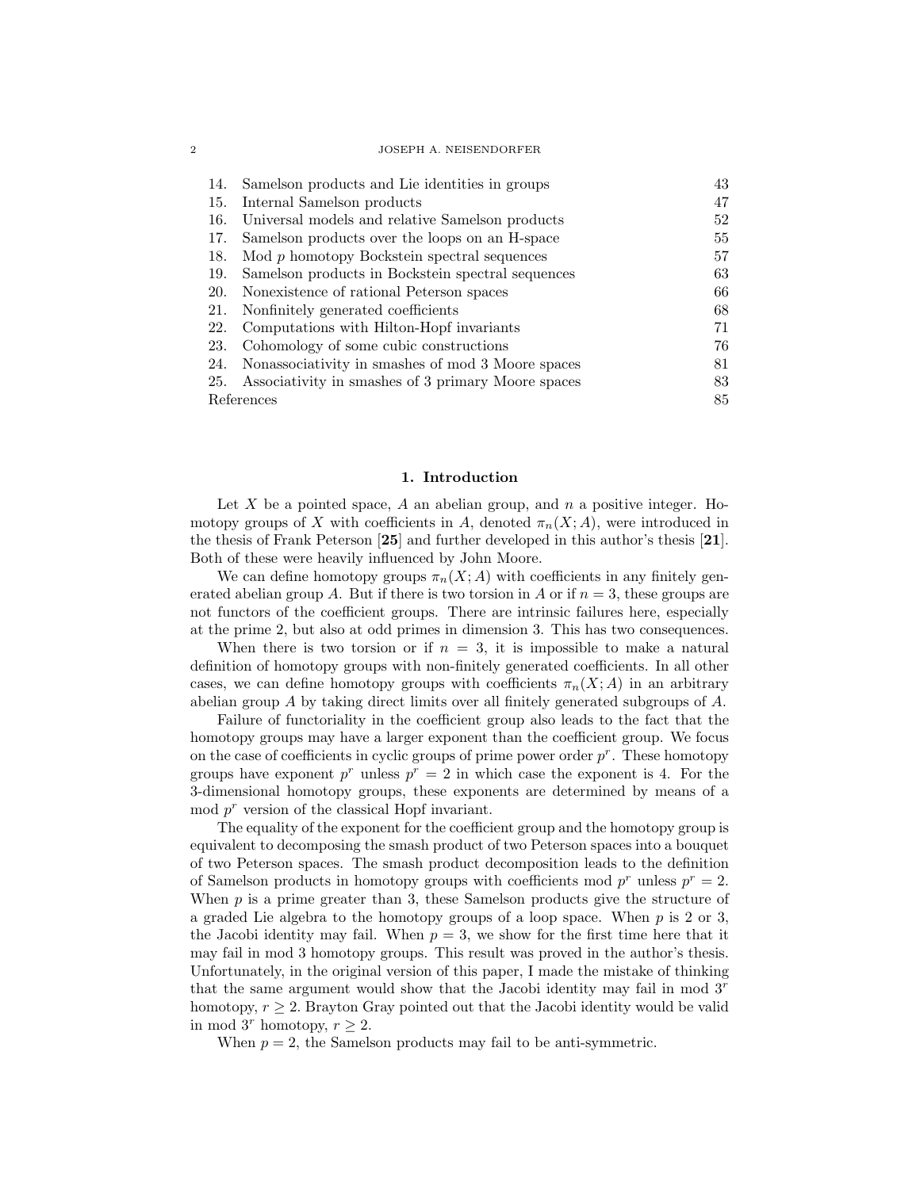| 14.        | Samelson products and Lie identities in groups        | 43 |  |
|------------|-------------------------------------------------------|----|--|
| 15.        | Internal Samelson products                            | 47 |  |
| 16.        | Universal models and relative Samelson products       | 52 |  |
| 17.        | Samelson products over the loops on an H-space        | 55 |  |
| 18.        | $\text{Mod } p$ homotopy Bockstein spectral sequences | 57 |  |
| 19.        | Samelson products in Bockstein spectral sequences     | 63 |  |
| 20.        | Nonexistence of rational Peterson spaces              | 66 |  |
| 21.        | Nonfinitely generated coefficients                    | 68 |  |
| 22.        | Computations with Hilton-Hopf invariants              | 71 |  |
| 23.        | Cohomology of some cubic constructions                | 76 |  |
| 24.        | Nonassociativity in smashes of mod 3 Moore spaces     | 81 |  |
| 25.        | Associativity in smashes of 3 primary Moore spaces    | 83 |  |
| References |                                                       |    |  |

#### 1. Introduction

Let X be a pointed space, A an abelian group, and  $n$  a positive integer. Homotopy groups of X with coefficients in A, denoted  $\pi_n(X; A)$ , were introduced in the thesis of Frank Peterson [25] and further developed in this author's thesis [21]. Both of these were heavily influenced by John Moore.

We can define homotopy groups  $\pi_n(X; A)$  with coefficients in any finitely generated abelian group A. But if there is two torsion in A or if  $n = 3$ , these groups are not functors of the coefficient groups. There are intrinsic failures here, especially at the prime 2, but also at odd primes in dimension 3. This has two consequences.

When there is two torsion or if  $n = 3$ , it is impossible to make a natural definition of homotopy groups with non-finitely generated coefficients. In all other cases, we can define homotopy groups with coefficients  $\pi_n(X; A)$  in an arbitrary abelian group A by taking direct limits over all finitely generated subgroups of A.

Failure of functoriality in the coefficient group also leads to the fact that the homotopy groups may have a larger exponent than the coefficient group. We focus on the case of coefficients in cyclic groups of prime power order  $p^r$ . These homotopy groups have exponent  $p^r$  unless  $p^r = 2$  in which case the exponent is 4. For the 3-dimensional homotopy groups, these exponents are determined by means of a  $\mod p^r$  version of the classical Hopf invariant.

The equality of the exponent for the coefficient group and the homotopy group is equivalent to decomposing the smash product of two Peterson spaces into a bouquet of two Peterson spaces. The smash product decomposition leads to the definition of Samelson products in homotopy groups with coefficients mod  $p^r$  unless  $p^r = 2$ . When  $p$  is a prime greater than 3, these Samelson products give the structure of a graded Lie algebra to the homotopy groups of a loop space. When  $p$  is 2 or 3, the Jacobi identity may fail. When  $p = 3$ , we show for the first time here that it may fail in mod 3 homotopy groups. This result was proved in the author's thesis. Unfortunately, in the original version of this paper, I made the mistake of thinking that the same argument would show that the Jacobi identity may fail in mod  $3<sup>r</sup>$ homotopy,  $r \geq 2$ . Brayton Gray pointed out that the Jacobi identity would be valid in mod 3<sup>r</sup> homotopy,  $r \geq 2$ .

When  $p = 2$ , the Samelson products may fail to be anti-symmetric.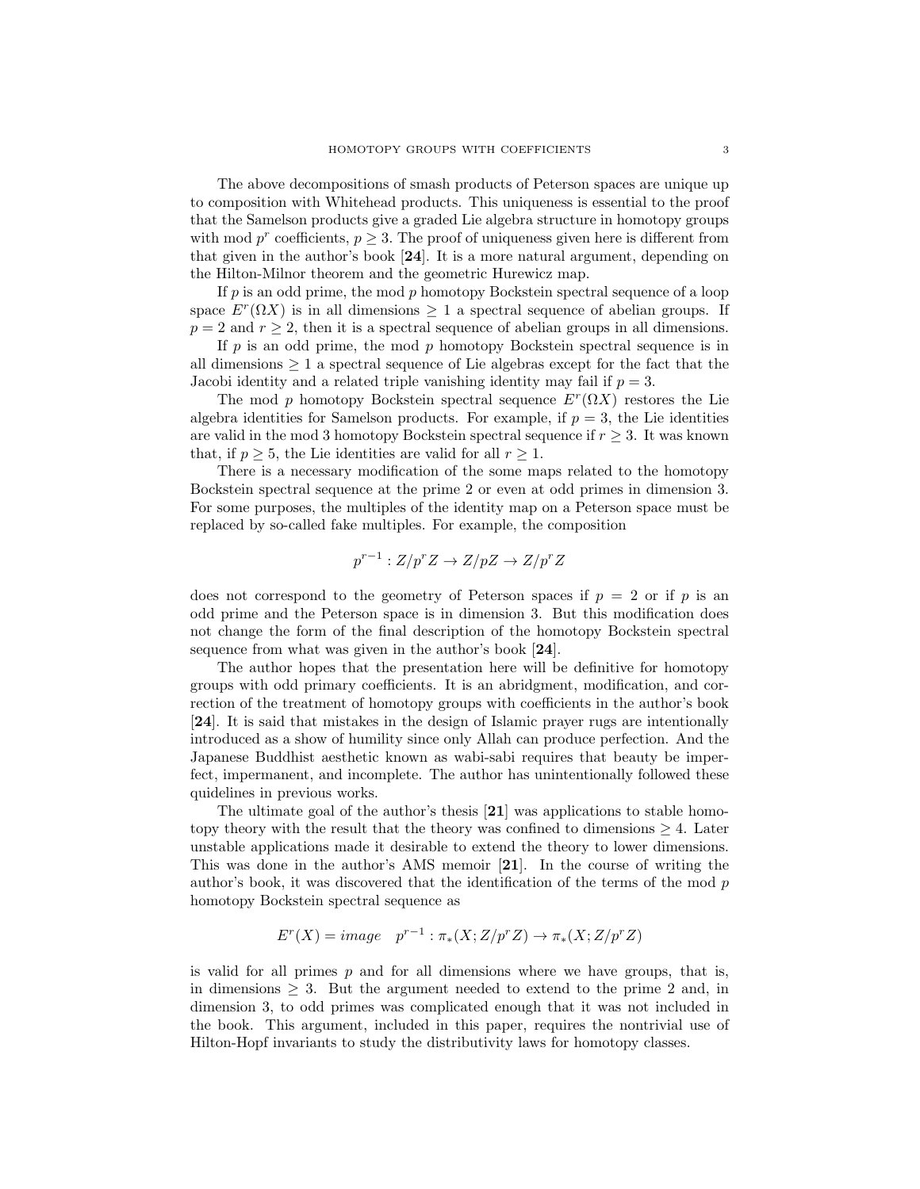The above decompositions of smash products of Peterson spaces are unique up to composition with Whitehead products. This uniqueness is essential to the proof that the Samelson products give a graded Lie algebra structure in homotopy groups with mod  $p^r$  coefficients,  $p \geq 3$ . The proof of uniqueness given here is different from that given in the author's book [24]. It is a more natural argument, depending on the Hilton-Milnor theorem and the geometric Hurewicz map.

If  $p$  is an odd prime, the mod  $p$  homotopy Bockstein spectral sequence of a loop space  $E^r(\Omega X)$  is in all dimensions  $\geq 1$  a spectral sequence of abelian groups. If  $p = 2$  and  $r \geq 2$ , then it is a spectral sequence of abelian groups in all dimensions.

If  $p$  is an odd prime, the mod  $p$  homotopy Bockstein spectral sequence is in all dimensions  $\geq 1$  a spectral sequence of Lie algebras except for the fact that the Jacobi identity and a related triple vanishing identity may fail if  $p = 3$ .

The mod p homotopy Bockstein spectral sequence  $E^r(\Omega X)$  restores the Lie algebra identities for Samelson products. For example, if  $p = 3$ , the Lie identities are valid in the mod 3 homotopy Bockstein spectral sequence if  $r \geq 3$ . It was known that, if  $p \geq 5$ , the Lie identities are valid for all  $r \geq 1$ .

There is a necessary modification of the some maps related to the homotopy Bockstein spectral sequence at the prime 2 or even at odd primes in dimension 3. For some purposes, the multiples of the identity map on a Peterson space must be replaced by so-called fake multiples. For example, the composition

$$
p^{r-1}: Z/p^r Z \to Z/pZ \to Z/p^r Z
$$

does not correspond to the geometry of Peterson spaces if  $p = 2$  or if p is an odd prime and the Peterson space is in dimension 3. But this modification does not change the form of the final description of the homotopy Bockstein spectral sequence from what was given in the author's book [24].

The author hopes that the presentation here will be definitive for homotopy groups with odd primary coefficients. It is an abridgment, modification, and correction of the treatment of homotopy groups with coefficients in the author's book [24]. It is said that mistakes in the design of Islamic prayer rugs are intentionally introduced as a show of humility since only Allah can produce perfection. And the Japanese Buddhist aesthetic known as wabi-sabi requires that beauty be imperfect, impermanent, and incomplete. The author has unintentionally followed these quidelines in previous works.

The ultimate goal of the author's thesis [21] was applications to stable homotopy theory with the result that the theory was confined to dimensions  $\geq 4$ . Later unstable applications made it desirable to extend the theory to lower dimensions. This was done in the author's AMS memoir [21]. In the course of writing the author's book, it was discovered that the identification of the terms of the mod  $p$ homotopy Bockstein spectral sequence as

$$
E^r(X) = image \quad p^{r-1} : \pi_*(X; Z/p^r Z) \to \pi_*(X; Z/p^r Z)
$$

is valid for all primes  $p$  and for all dimensions where we have groups, that is, in dimensions  $\geq$  3. But the argument needed to extend to the prime 2 and, in dimension 3, to odd primes was complicated enough that it was not included in the book. This argument, included in this paper, requires the nontrivial use of Hilton-Hopf invariants to study the distributivity laws for homotopy classes.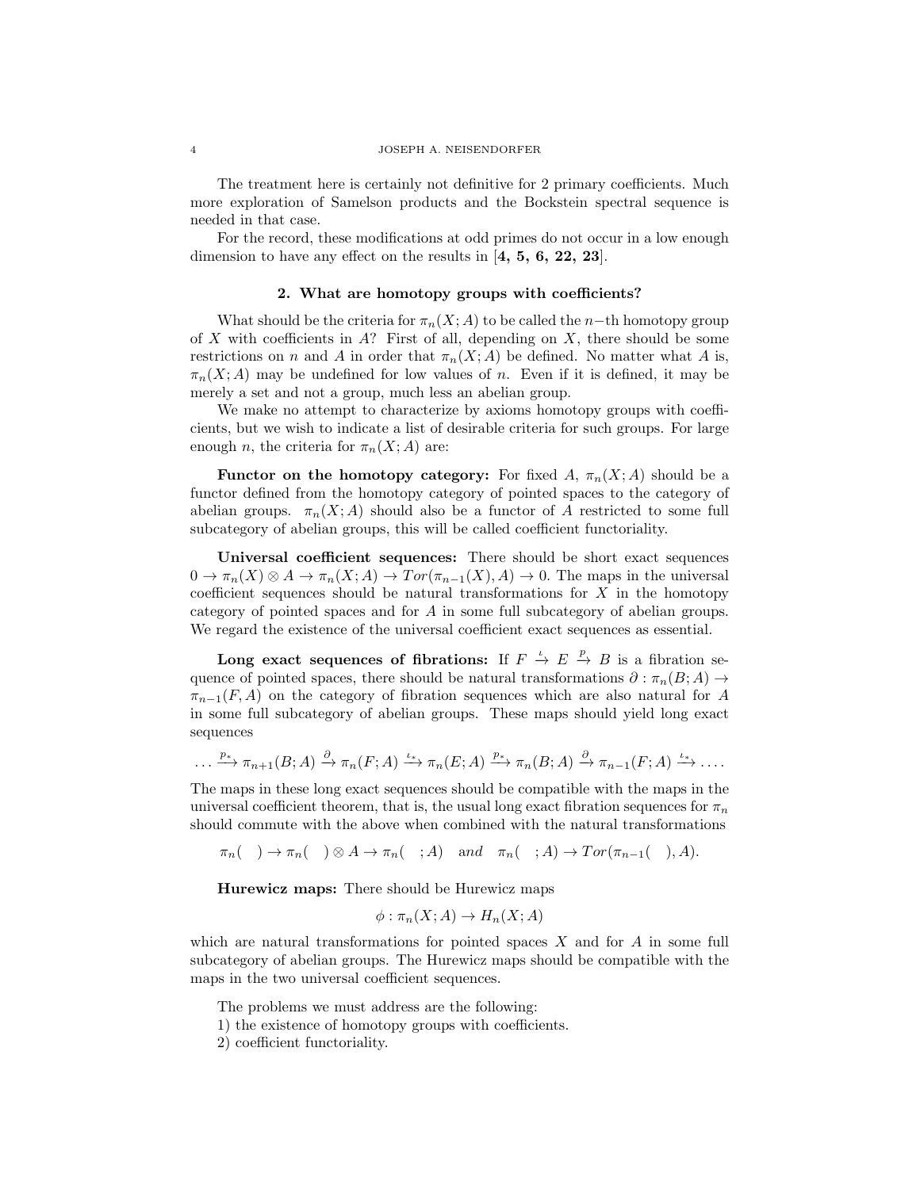The treatment here is certainly not definitive for 2 primary coefficients. Much more exploration of Samelson products and the Bockstein spectral sequence is needed in that case.

For the record, these modifications at odd primes do not occur in a low enough dimension to have any effect on the results in [4, 5, 6, 22, 23].

## 2. What are homotopy groups with coefficients?

What should be the criteria for  $\pi_n(X; A)$  to be called the n−th homotopy group of  $X$  with coefficients in  $A$ ? First of all, depending on  $X$ , there should be some restrictions on n and A in order that  $\pi_n(X; A)$  be defined. No matter what A is,  $\pi_n(X; A)$  may be undefined for low values of n. Even if it is defined, it may be merely a set and not a group, much less an abelian group.

We make no attempt to characterize by axioms homotopy groups with coefficients, but we wish to indicate a list of desirable criteria for such groups. For large enough *n*, the criteria for  $\pi_n(X; A)$  are:

**Functor on the homotopy category:** For fixed A,  $\pi_n(X; A)$  should be a functor defined from the homotopy category of pointed spaces to the category of abelian groups.  $\pi_n(X; A)$  should also be a functor of A restricted to some full subcategory of abelian groups, this will be called coefficient functoriality.

Universal coefficient sequences: There should be short exact sequences  $0 \to \pi_n(X) \otimes A \to \pi_n(X;A) \to Tor(\pi_{n-1}(X),A) \to 0.$  The maps in the universal coefficient sequences should be natural transformations for  $X$  in the homotopy category of pointed spaces and for A in some full subcategory of abelian groups. We regard the existence of the universal coefficient exact sequences as essential.

Long exact sequences of fibrations: If  $F \stackrel{\iota}{\to} E \stackrel{p}{\to} B$  is a fibration sequence of pointed spaces, there should be natural transformations  $\partial : \pi_n(B; A) \to$  $\pi_{n-1}(F, A)$  on the category of fibration sequences which are also natural for A in some full subcategory of abelian groups. These maps should yield long exact sequences

$$
\ldots \xrightarrow{p_*} \pi_{n+1}(B;A) \xrightarrow{\partial} \pi_n(F;A) \xrightarrow{\iota_*} \pi_n(E;A) \xrightarrow{p_*} \pi_n(B;A) \xrightarrow{\partial} \pi_{n-1}(F;A) \xrightarrow{\iota_*} \ldots
$$

The maps in these long exact sequences should be compatible with the maps in the universal coefficient theorem, that is, the usual long exact fibration sequences for  $\pi_n$ should commute with the above when combined with the natural transformations

 $\pi_n$ ( ) →  $\pi_n$ ( ) ⊗ A →  $\pi_n$ ( ; A) and  $\pi_n$ ( ; A) →  $Tor(\pi_{n-1}$ ( ), A).

Hurewicz maps: There should be Hurewicz maps

$$
\phi : \pi_n(X; A) \to H_n(X; A)
$$

which are natural transformations for pointed spaces  $X$  and for  $A$  in some full subcategory of abelian groups. The Hurewicz maps should be compatible with the maps in the two universal coefficient sequences.

The problems we must address are the following:

1) the existence of homotopy groups with coefficients.

2) coefficient functoriality.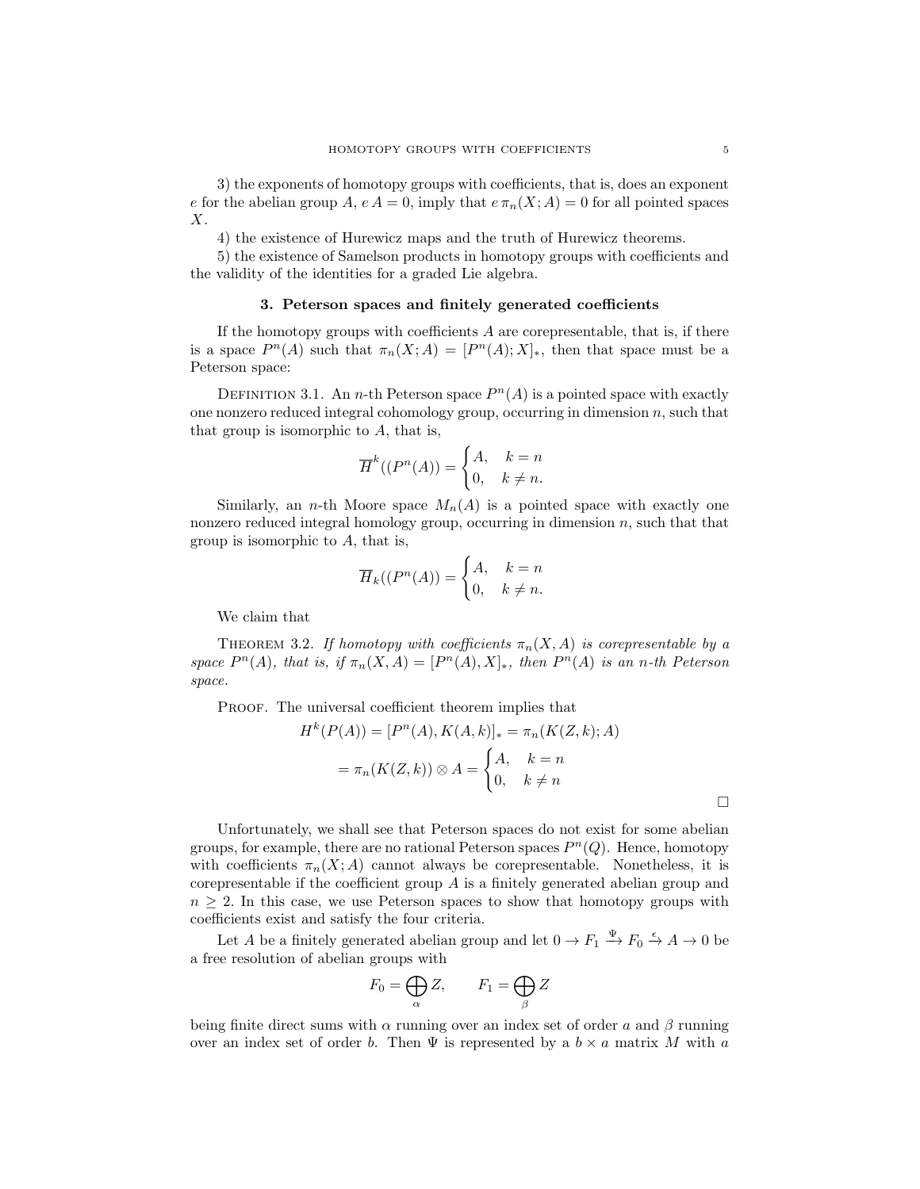3) the exponents of homotopy groups with coefficients, that is, does an exponent e for the abelian group A,  $e A = 0$ , imply that  $e \pi_n(X; A) = 0$  for all pointed spaces X.

4) the existence of Hurewicz maps and the truth of Hurewicz theorems.

5) the existence of Samelson products in homotopy groups with coefficients and the validity of the identities for a graded Lie algebra.

### 3. Peterson spaces and finitely generated coefficients

If the homotopy groups with coefficients  $A$  are corepresentable, that is, if there is a space  $P^{n}(A)$  such that  $\pi_{n}(X; A) = [P^{n}(A); X]_{*}$ , then that space must be a Peterson space:

DEFINITION 3.1. An *n*-th Peterson space  $P<sup>n</sup>(A)$  is a pointed space with exactly one nonzero reduced integral cohomology group, occurring in dimension  $n$ , such that that group is isomorphic to  $A$ , that is,

$$
\overline{H}^k((P^n(A)) = \begin{cases} A, & k = n \\ 0, & k \neq n. \end{cases}
$$

Similarly, an *n*-th Moore space  $M_n(A)$  is a pointed space with exactly one nonzero reduced integral homology group, occurring in dimension  $n$ , such that that group is isomorphic to A, that is,

$$
\overline{H}_k((P^n(A)) = \begin{cases} A, & k = n \\ 0, & k \neq n. \end{cases}
$$

We claim that

THEOREM 3.2. If homotopy with coefficients  $\pi_n(X, A)$  is corepresentable by a space  $P^{n}(A)$ , that is, if  $\pi_n(X, A) = [P^{n}(A), X]_{*}$ , then  $P^{n}(A)$  is an n-th Peterson space.

PROOF. The universal coefficient theorem implies that

$$
H^k(P(A)) = [P^n(A), K(A, k)]_* = \pi_n(K(Z, k); A)
$$

$$
= \pi_n(K(Z, k)) \otimes A = \begin{cases} A, & k = n \\ 0, & k \neq n \end{cases}
$$

Unfortunately, we shall see that Peterson spaces do not exist for some abelian groups, for example, there are no rational Peterson spaces  $P<sup>n</sup>(Q)$ . Hence, homotopy with coefficients  $\pi_n(X; A)$  cannot always be corepresentable. Nonetheless, it is corepresentable if the coefficient group  $A$  is a finitely generated abelian group and  $n \geq 2$ . In this case, we use Peterson spaces to show that homotopy groups with coefficients exist and satisfy the four criteria.

Let A be a finitely generated abelian group and let  $0 \to F_1 \xrightarrow{\Psi} F_0 \xrightarrow{\epsilon} A \to 0$  be a free resolution of abelian groups with

$$
F_0 = \bigoplus_{\alpha} Z, \qquad F_1 = \bigoplus_{\beta} Z
$$

being finite direct sums with  $\alpha$  running over an index set of order a and  $\beta$  running over an index set of order b. Then  $\Psi$  is represented by a  $b \times a$  matrix M with a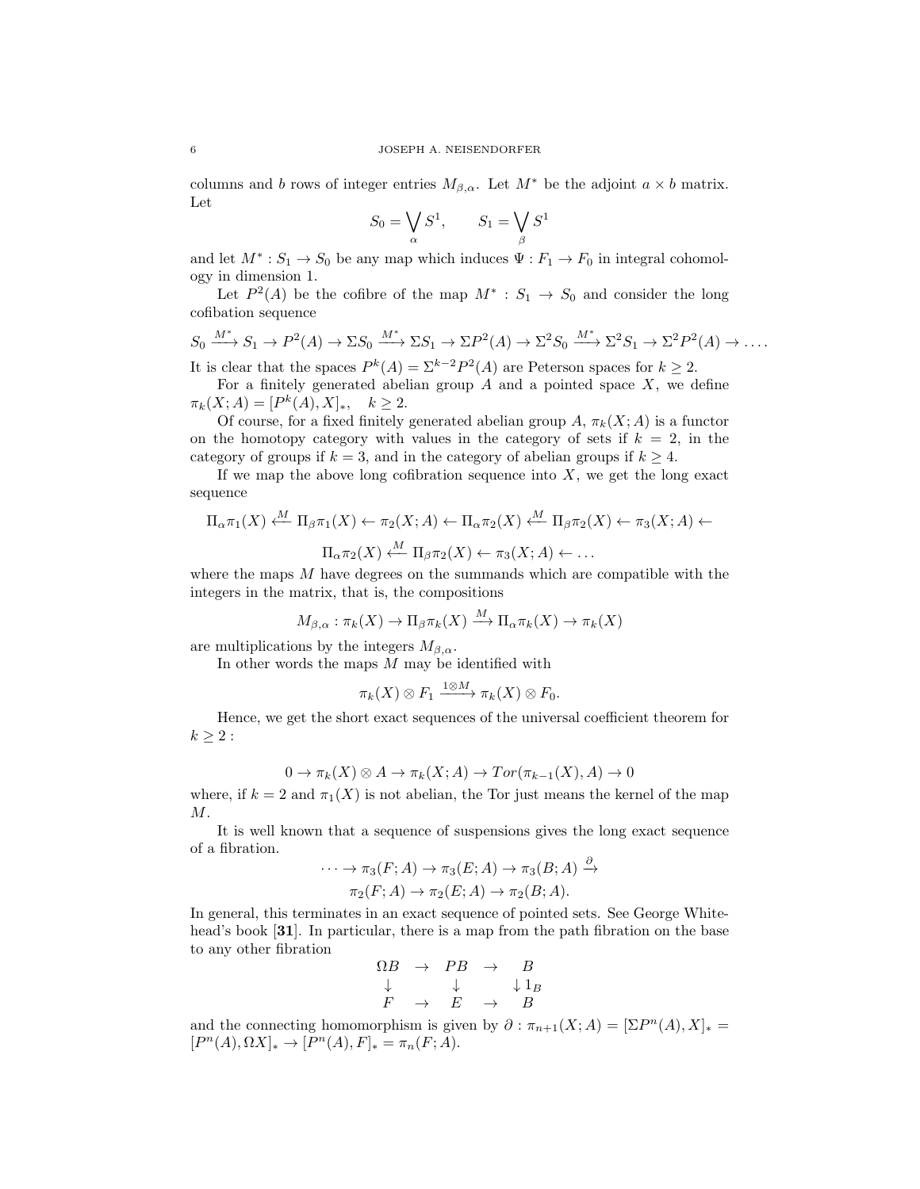columns and b rows of integer entries  $M_{\beta,\alpha}$ . Let  $M^*$  be the adjoint  $a \times b$  matrix. Let

$$
S_0 = \bigvee_{\alpha} S^1, \qquad S_1 = \bigvee_{\beta} S^1
$$

and let  $M^*: S_1 \to S_0$  be any map which induces  $\Psi: F_1 \to F_0$  in integral cohomology in dimension 1.

Let  $P^2(A)$  be the cofibre of the map  $M^* : S_1 \to S_0$  and consider the long cofibation sequence

$$
S_0 \xrightarrow{M^*} S_1 \to P^2(A) \to \Sigma S_0 \xrightarrow{M^*} \Sigma S_1 \to \Sigma P^2(A) \to \Sigma^2 S_0 \xrightarrow{M^*} \Sigma^2 S_1 \to \Sigma^2 P^2(A) \to \dots
$$

It is clear that the spaces  $P^{k}(A) = \sum_{k=0}^{k-2} P^{2}(A)$  are Peterson spaces for  $k \geq 2$ .

For a finitely generated abelian group  $A$  and a pointed space  $X$ , we define  $\pi_k(X; A) = [P^k(A), X]_*, \quad k \ge 2.$ 

Of course, for a fixed finitely generated abelian group  $A$ ,  $\pi_k(X; A)$  is a functor on the homotopy category with values in the category of sets if  $k = 2$ , in the category of groups if  $k = 3$ , and in the category of abelian groups if  $k \geq 4$ .

If we map the above long cofibration sequence into  $X$ , we get the long exact sequence

$$
\Pi_{\alpha}\pi_1(X) \stackrel{M}{\longleftarrow} \Pi_{\beta}\pi_1(X) \leftarrow \pi_2(X;A) \leftarrow \Pi_{\alpha}\pi_2(X) \stackrel{M}{\longleftarrow} \Pi_{\beta}\pi_2(X) \leftarrow \pi_3(X;A) \leftarrow
$$

$$
\Pi_{\alpha}\pi_2(X) \stackrel{M}{\longleftarrow} \Pi_{\beta}\pi_2(X) \leftarrow \pi_3(X;A) \leftarrow \dots
$$

where the maps  $M$  have degrees on the summands which are compatible with the integers in the matrix, that is, the compositions

$$
M_{\beta,\alpha}: \pi_k(X) \to \Pi_\beta \pi_k(X) \xrightarrow{M} \Pi_\alpha \pi_k(X) \to \pi_k(X)
$$

are multiplications by the integers  $M_{\beta,\alpha}$ .

In other words the maps  $M$  may be identified with

$$
\pi_k(X)\otimes F_1 \xrightarrow{1\otimes M} \pi_k(X)\otimes F_0.
$$

Hence, we get the short exact sequences of the universal coefficient theorem for  $k \geq 2$ :

$$
0 \to \pi_k(X) \otimes A \to \pi_k(X; A) \to Tor(\pi_{k-1}(X), A) \to 0
$$

where, if  $k = 2$  and  $\pi_1(X)$  is not abelian, the Tor just means the kernel of the map  $M$ .

It is well known that a sequence of suspensions gives the long exact sequence of a fibration. ∂

$$
\cdots \to \pi_3(F;A) \to \pi_3(E;A) \to \pi_3(B;A) \xrightarrow{\partial}
$$
  

$$
\pi_2(F;A) \to \pi_2(E;A) \to \pi_2(B;A).
$$

In general, this terminates in an exact sequence of pointed sets. See George Whitehead's book [31]. In particular, there is a map from the path fibration on the base to any other fibration

$$
\begin{array}{cccc}\n\Omega B & \rightarrow & PB & \rightarrow & B \\
\downarrow & & \downarrow & & \downarrow 1_B \\
F & \rightarrow & E & \rightarrow & B\n\end{array}
$$

and the connecting homomorphism is given by  $\partial : \pi_{n+1}(X;A) = [\Sigma P^n(A), X]_* =$  $[P<sup>n</sup>(A), \Omega X]_{*} \to [P<sup>n</sup>(A), F]_{*} = \pi_{n}(F; A).$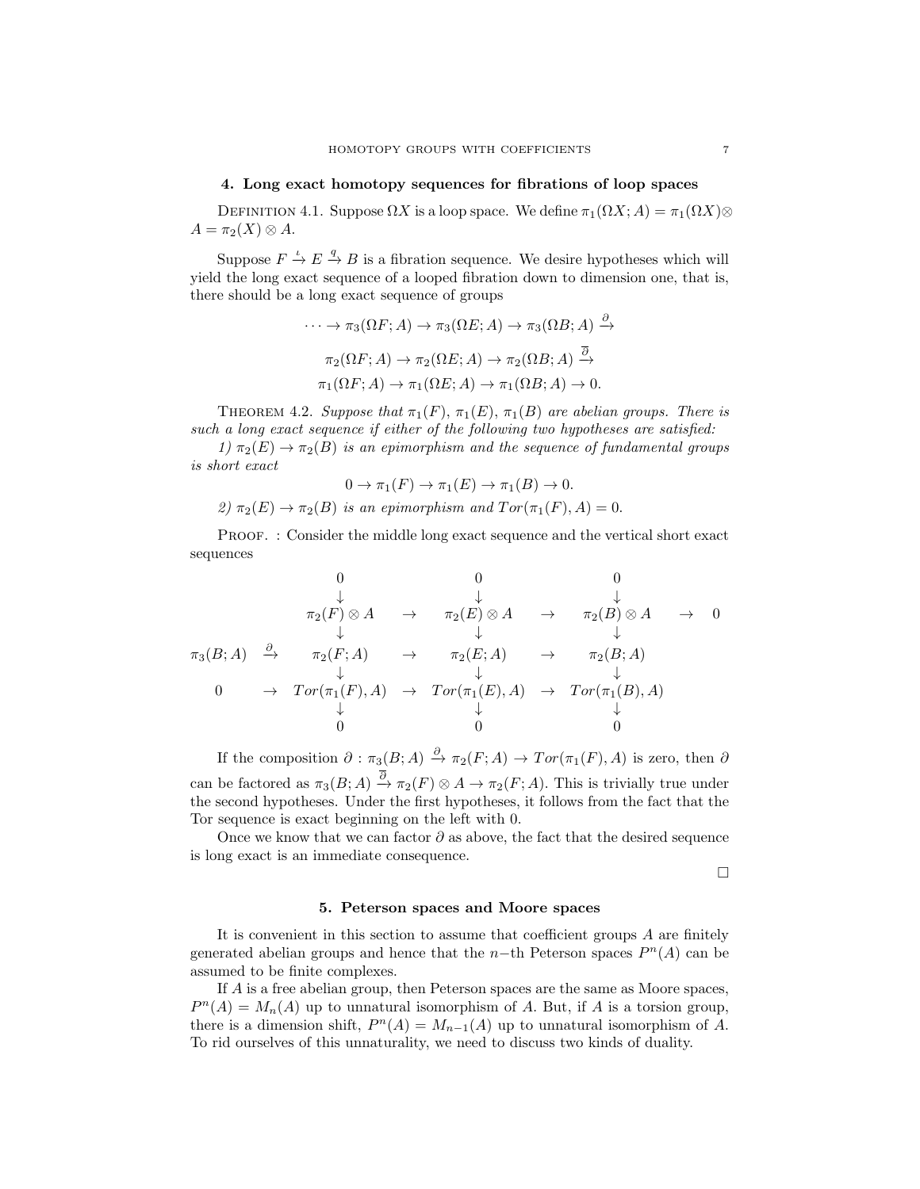## 4. Long exact homotopy sequences for fibrations of loop spaces

DEFINITION 4.1. Suppose  $\Omega X$  is a loop space. We define  $\pi_1(\Omega X; A) = \pi_1(\Omega X) \otimes$  $A = \pi_2(X) \otimes A$ .

Suppose  $F \stackrel{\iota}{\to} E \stackrel{q}{\to} B$  is a fibration sequence. We desire hypotheses which will yield the long exact sequence of a looped fibration down to dimension one, that is, there should be a long exact sequence of groups

$$
\cdots \to \pi_3(\Omega F; A) \to \pi_3(\Omega E; A) \to \pi_3(\Omega B; A) \xrightarrow{\partial}
$$

$$
\pi_2(\Omega F; A) \to \pi_2(\Omega E; A) \to \pi_2(\Omega B; A) \xrightarrow{\overline{\partial}}
$$

$$
\pi_1(\Omega F; A) \to \pi_1(\Omega E; A) \to \pi_1(\Omega B; A) \to 0.
$$

THEOREM 4.2. Suppose that  $\pi_1(F)$ ,  $\pi_1(E)$ ,  $\pi_1(B)$  are abelian groups. There is such a long exact sequence if either of the following two hypotheses are satisfied:

1)  $\pi_2(E) \to \pi_2(B)$  is an epimorphism and the sequence of fundamental groups is short exact  $\overline{(E)}$   $\rightarrow$   $\overline{E}$   $\rightarrow$   $\overline{E}$   $\rightarrow$   $\overline{E}$   $\rightarrow$   $\overline{E}$ 

$$
0 \to \pi_1(F) \to \pi_1(E) \to \pi_1(B) \to 0.
$$
  
\n
$$
\text{2) } \pi_2(E) \to \pi_2(B) \text{ is an epimorphism and } Tor(\pi_1(F), A) = 0.
$$

PROOF. : Consider the middle long exact sequence and the vertical short exact sequences

$$
\begin{array}{ccccccc}\n & & & & 0 & & 0 & & 0 \\
& & & \downarrow & & \downarrow & & \downarrow \\
& & \pi_2(F) \otimes A & \to & \pi_2(E) \otimes A & \to & \pi_2(B) \otimes A & \to & 0 \\
& & & \downarrow & & \downarrow & & \downarrow \\
& & & \pi_3(B; A) & \xrightarrow{\partial} & \pi_2(F; A) & \to & \pi_2(E; A) & \to & \pi_2(B; A) \\
& & & \downarrow & & \downarrow & & \downarrow \\
0 & \to & Tor(\pi_1(F), A) & \to & Tor(\pi_1(E), A) & \to & Tor(\pi_1(B), A) \\
& & & \downarrow & & \downarrow & & \downarrow \\
& & & 0 & & 0 & & 0\n\end{array}
$$

If the composition  $\partial : \pi_3(B; A) \stackrel{\partial}{\to} \pi_2(F; A) \to Tor(\pi_1(F), A)$  is zero, then  $\partial$ can be factored as  $\pi_3(B; A) \stackrel{\partial}{\to} \pi_2(F) \otimes A \to \pi_2(F; A)$ . This is trivially true under the second hypotheses. Under the first hypotheses, it follows from the fact that the Tor sequence is exact beginning on the left with 0.

Once we know that we can factor  $\partial$  as above, the fact that the desired sequence is long exact is an immediate consequence.

 $\Box$ 

### 5. Peterson spaces and Moore spaces

It is convenient in this section to assume that coefficient groups A are finitely generated abelian groups and hence that the n-th Peterson spaces  $P<sup>n</sup>(A)$  can be assumed to be finite complexes.

If A is a free abelian group, then Peterson spaces are the same as Moore spaces,  $P^{n}(A) = M_{n}(A)$  up to unnatural isomorphism of A. But, if A is a torsion group, there is a dimension shift,  $P^{n}(A) = M_{n-1}(A)$  up to unnatural isomorphism of A. To rid ourselves of this unnaturality, we need to discuss two kinds of duality.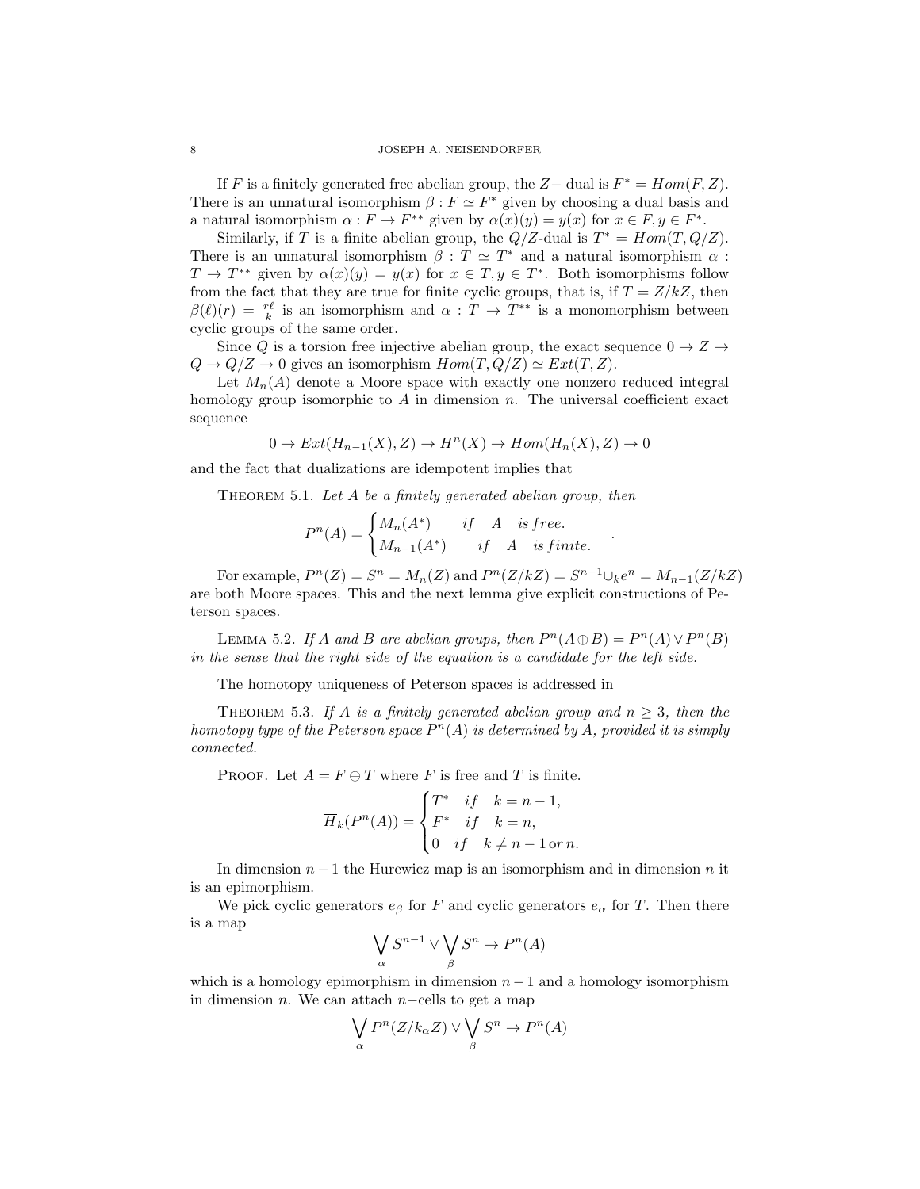If F is a finitely generated free abelian group, the  $Z-$  dual is  $F^* = Hom(F, Z)$ . There is an unnatural isomorphism  $\beta : F \simeq F^*$  given by choosing a dual basis and a natural isomorphism  $\alpha : F \to F^{**}$  given by  $\alpha(x)(y) = y(x)$  for  $x \in F, y \in F^*$ .

Similarly, if T is a finite abelian group, the  $Q/Z$ -dual is  $T^* = Hom(T, Q/Z)$ . There is an unnatural isomorphism  $\beta : T \simeq T^*$  and a natural isomorphism  $\alpha$ :  $T \to T^{**}$  given by  $\alpha(x)(y) = y(x)$  for  $x \in T, y \in T^*$ . Both isomorphisms follow from the fact that they are true for finite cyclic groups, that is, if  $T = Z/kZ$ , then  $\beta(\ell)(r) = \frac{r\ell}{k}$  is an isomorphism and  $\alpha : T \to T^{**}$  is a monomorphism between cyclic groups of the same order.

Since Q is a torsion free injective abelian group, the exact sequence  $0 \to Z \to$  $Q \to Q/Z \to 0$  gives an isomorphism  $Hom(T, Q/Z) \simeq Ext(T, Z)$ .

Let  $M_n(A)$  denote a Moore space with exactly one nonzero reduced integral homology group isomorphic to  $A$  in dimension  $n$ . The universal coefficient exact sequence

 $0 \to Ext(H_{n-1}(X), Z) \to H^n(X) \to Hom(H_n(X), Z) \to 0$ 

and the fact that dualizations are idempotent implies that

THEOREM 5.1. Let  $A$  be a finitely generated abelian group, then

$$
P^{n}(A) = \begin{cases} M_n(A^*) & \text{if } A \text{ is free.} \\ M_{n-1}(A^*) & \text{if } A \text{ is finite.} \end{cases}
$$

For example,  $P^{n}(Z) = S^{n} = M_{n}(Z)$  and  $P^{n}(Z/kZ) = S^{n-1} \cup_{k} e^{n} = M_{n-1}(Z/kZ)$ are both Moore spaces. This and the next lemma give explicit constructions of Peterson spaces.

.

LEMMA 5.2. If A and B are abelian groups, then  $P^n(A \oplus B) = P^n(A) \vee P^n(B)$ in the sense that the right side of the equation is a candidate for the left side.

The homotopy uniqueness of Peterson spaces is addressed in

THEOREM 5.3. If A is a finitely generated abelian group and  $n > 3$ , then the homotopy type of the Peterson space  $P^{n}(A)$  is determined by A, provided it is simply connected.

PROOF. Let  $A = F \oplus T$  where F is free and T is finite.

$$
\overline{H}_k(P^n(A)) = \begin{cases}\nT^* & \text{if} \quad k = n - 1, \\
F^* & \text{if} \quad k = n, \\
0 & \text{if} \quad k \neq n - 1 \text{ or } n.\n\end{cases}
$$

In dimension  $n-1$  the Hurewicz map is an isomorphism and in dimension n it is an epimorphism.

We pick cyclic generators  $e_{\beta}$  for F and cyclic generators  $e_{\alpha}$  for T. Then there is a map

$$
\bigvee_{\alpha} S^{n-1} \vee \bigvee_{\beta} S^n \to P^n(A)
$$

which is a homology epimorphism in dimension  $n-1$  and a homology isomorphism in dimension *n*. We can attach  $n$ −cells to get a map

$$
\bigvee_{\alpha} P^{n}(Z/k_{\alpha}Z) \vee \bigvee_{\beta} S^{n} \to P^{n}(A)
$$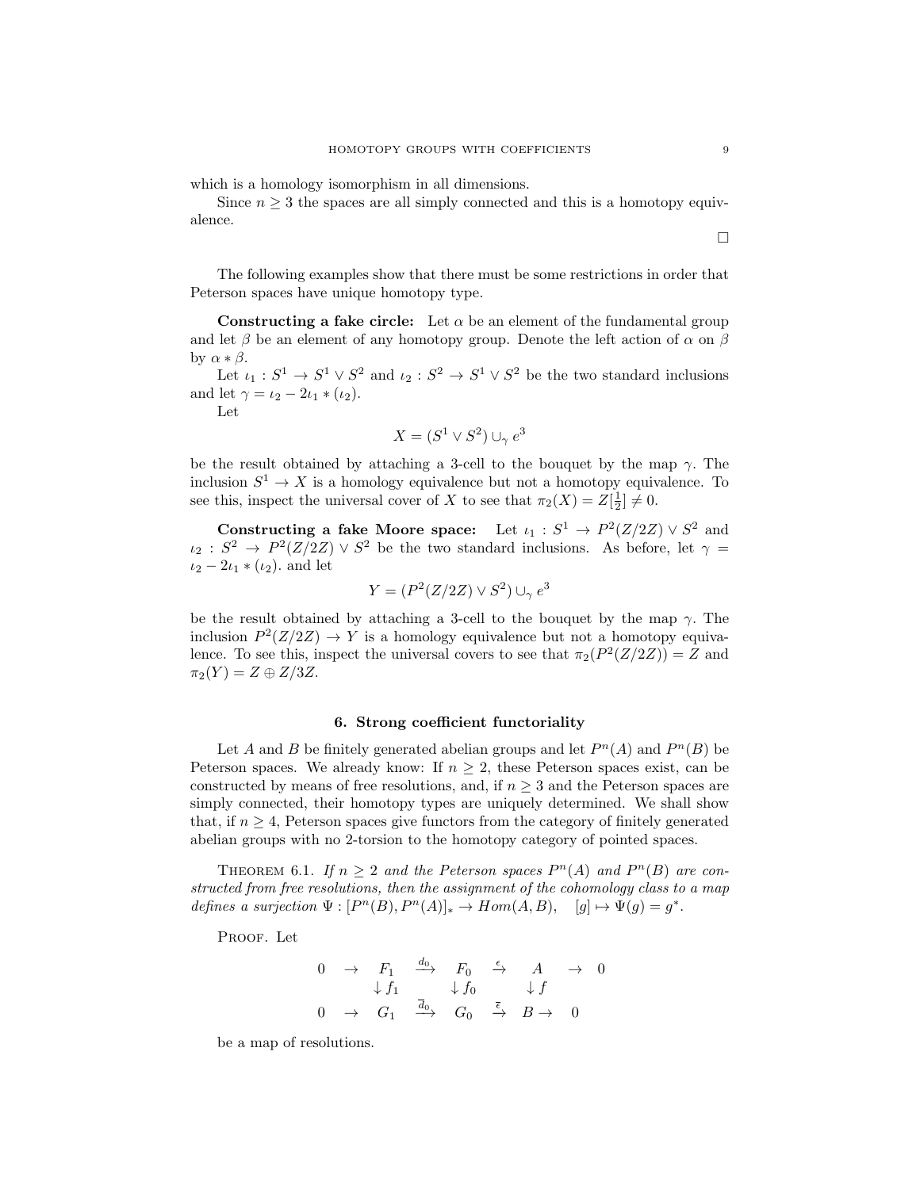which is a homology isomorphism in all dimensions.

Since  $n \geq 3$  the spaces are all simply connected and this is a homotopy equivalence.

The following examples show that there must be some restrictions in order that Peterson spaces have unique homotopy type.

Constructing a fake circle: Let  $\alpha$  be an element of the fundamental group and let  $\beta$  be an element of any homotopy group. Denote the left action of  $\alpha$  on  $\beta$ by  $\alpha * \beta$ .

Let  $\iota_1: S^1 \to S^1 \vee S^2$  and  $\iota_2: S^2 \to S^1 \vee S^2$  be the two standard inclusions and let  $\gamma = \iota_2 - 2\iota_1 * (\iota_2)$ .

Let

$$
X = (S^1 \vee S^2) \cup_{\gamma} e^3
$$

be the result obtained by attaching a 3-cell to the bouquet by the map  $\gamma$ . The inclusion  $S^1 \to X$  is a homology equivalence but not a homotopy equivalence. To see this, inspect the universal cover of X to see that  $\pi_2(X) = Z[\frac{1}{2}] \neq 0$ .

Constructing a fake Moore space: Let  $\iota_1 : S^1 \to P^2(Z/2Z) \vee S^2$  and  $\iota_2: S^2 \to P^2(Z/2Z) \vee S^2$  be the two standard inclusions. As before, let  $\gamma =$  $i_2 - 2i_1 * (i_2)$  and let

$$
Y = (P^2(Z/2Z) \vee S^2) \cup_{\gamma} e^3
$$

be the result obtained by attaching a 3-cell to the bouquet by the map  $\gamma$ . The inclusion  $P^2(Z/2Z) \rightarrow Y$  is a homology equivalence but not a homotopy equivalence. To see this, inspect the universal covers to see that  $\pi_2(P^2(Z/2Z)) = Z$  and  $\pi_2(Y) = Z \oplus Z/3Z$ .

### 6. Strong coefficient functoriality

Let A and B be finitely generated abelian groups and let  $P<sup>n</sup>(A)$  and  $P<sup>n</sup>(B)$  be Peterson spaces. We already know: If  $n \geq 2$ , these Peterson spaces exist, can be constructed by means of free resolutions, and, if  $n \geq 3$  and the Peterson spaces are simply connected, their homotopy types are uniquely determined. We shall show that, if  $n \geq 4$ , Peterson spaces give functors from the category of finitely generated abelian groups with no 2-torsion to the homotopy category of pointed spaces.

THEOREM 6.1. If  $n \geq 2$  and the Peterson spaces  $P^{n}(A)$  and  $P^{n}(B)$  are constructed from free resolutions, then the assignment of the cohomology class to a map defines a surjection  $\Psi : [P^n(B), P^n(A)]_* \to Hom(A, B), \quad [g] \mapsto \Psi(g) = g^*$ .

PROOF. Let

$$
\begin{array}{ccccccc}\n0 & \rightarrow & F_1 & \xrightarrow{d_0} & F_0 & \xrightarrow{\epsilon} & A & \rightarrow & 0 \\
& \downarrow f_1 & & \downarrow f_0 & & \downarrow f \\
0 & \rightarrow & G_1 & \xrightarrow{\overline{d}_0} & G_0 & \xrightarrow{\overline{\epsilon}} & B \rightarrow & 0\n\end{array}
$$

be a map of resolutions.

 $\Box$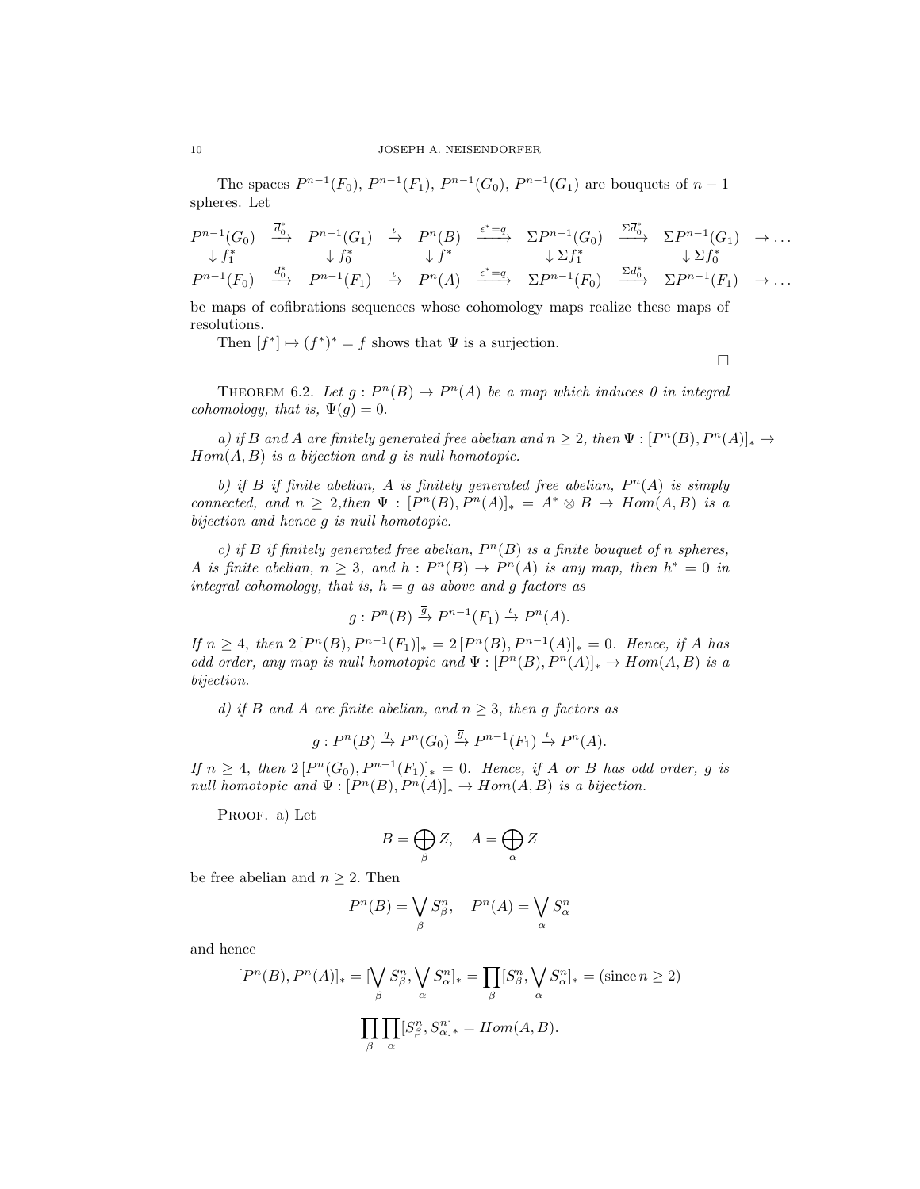The spaces  $P^{n-1}(F_0), P^{n-1}(F_1), P^{n-1}(G_0), P^{n-1}(G_1)$  are bouquets of  $n-1$ spheres. Let

$$
P^{n-1}(G_0) \xrightarrow{\overrightarrow{d}_0^*} P^{n-1}(G_1) \xrightarrow{\iota} P^n(B) \xrightarrow{\overrightarrow{\epsilon}^*=\underline{q}} \Sigma P^{n-1}(G_0) \xrightarrow{\Sigma \overrightarrow{d}_0^*} \Sigma P^{n-1}(G_1) \rightarrow \dots
$$
  
\n $\downarrow f_1^* \qquad \qquad \downarrow f_0^* \qquad \qquad \downarrow f^* \qquad \qquad \downarrow \Sigma f_1^* \qquad \qquad \downarrow \Sigma f_0^* \qquad \qquad \downarrow \Sigma f_0^* \qquad \qquad \dots$   
\n $P^{n-1}(F_0) \xrightarrow{d_0^*} P^{n-1}(F_1) \xrightarrow{\iota} P^n(A) \xrightarrow{\epsilon^*=\underline{q}} \Sigma P^{n-1}(F_0) \xrightarrow{\Sigma d_0^*} \Sigma P^{n-1}(F_1) \rightarrow \dots$ 

be maps of cofibrations sequences whose cohomology maps realize these maps of resolutions.

Then  $[f^*] \mapsto (f^*)^* = f$  shows that  $\Psi$  is a surjection.

$$
\Box
$$

THEOREM 6.2. Let  $g: P^{n}(B) \to P^{n}(A)$  be a map which induces 0 in integral cohomology, that is,  $\Psi(g) = 0$ .

a) if B and A are finitely generated free abelian and  $n \geq 2$ , then  $\Psi : [P^n(B), P^n(A)]_* \to$  $Hom(A, B)$  is a bijection and g is null homotopic.

b) if B if finite abelian, A is finitely generated free abelian,  $P^{n}(A)$  is simply connected, and  $n \geq 2$ , then  $\Psi : [P^n(B), P^n(A)]_* = A^* \otimes B \to Hom(A, B)$  is a bijection and hence g is null homotopic.

c) if B if finitely generated free abelian,  $P^n(B)$  is a finite bouquet of n spheres, A is finite abelian,  $n \geq 3$ , and  $h : P<sup>n</sup>(B) \to P<sup>n</sup>(A)$  is any map, then  $h^* = 0$  in integral cohomology, that is,  $h = g$  as above and g factors as

$$
g: P^{n}(B) \xrightarrow{\overline{g}} P^{n-1}(F_1) \xrightarrow{\iota} P^{n}(A).
$$

If  $n \geq 4$ , then  $2[P<sup>n</sup>(B), P<sup>n-1</sup>(F<sub>1</sub>)]<sub>*</sub> = 2[P<sup>n</sup>(B), P<sup>n-1</sup>(A)]<sub>*</sub> = 0$ . Hence, if A has odd order, any map is null homotopic and  $\Psi : [P^n(B), P^n(A)]_* \to Hom(A, B)$  is a bijection.

d) if B and A are finite abelian, and  $n \geq 3$ , then g factors as

$$
g: P^{n}(B) \xrightarrow{q} P^{n}(G_0) \xrightarrow{\overline{g}} P^{n-1}(F_1) \xrightarrow{\iota} P^{n}(A).
$$

If  $n \geq 4$ , then  $2[P<sup>n</sup>(G<sub>0</sub>), P<sup>n-1</sup>(F<sub>1</sub>)]<sub>*</sub> = 0$ . Hence, if A or B has odd order, g is null homotopic and  $\Psi : [P^n(B), P^n(A)]_* \to Hom(A, B)$  is a bijection.

PROOF. a) Let

$$
B = \bigoplus_{\beta} Z, \quad A = \bigoplus_{\alpha} Z
$$

be free abelian and  $n \geq 2$ . Then

$$
P^{n}(B) = \bigvee_{\beta} S^{n}_{\beta}, \quad P^{n}(A) = \bigvee_{\alpha} S^{n}_{\alpha}
$$

and hence

$$
[P^n(B), P^n(A)]_* = [\bigvee_{\beta} S_{\beta}^n, \bigvee_{\alpha} S_{\alpha}^n]_* = \prod_{\beta} [S_{\beta}^n, \bigvee_{\alpha} S_{\alpha}^n]_* = (\text{since } n \ge 2)
$$

$$
\prod_{\beta} \prod_{\alpha} [S_{\beta}^n, S_{\alpha}^n]_* = Hom(A, B).
$$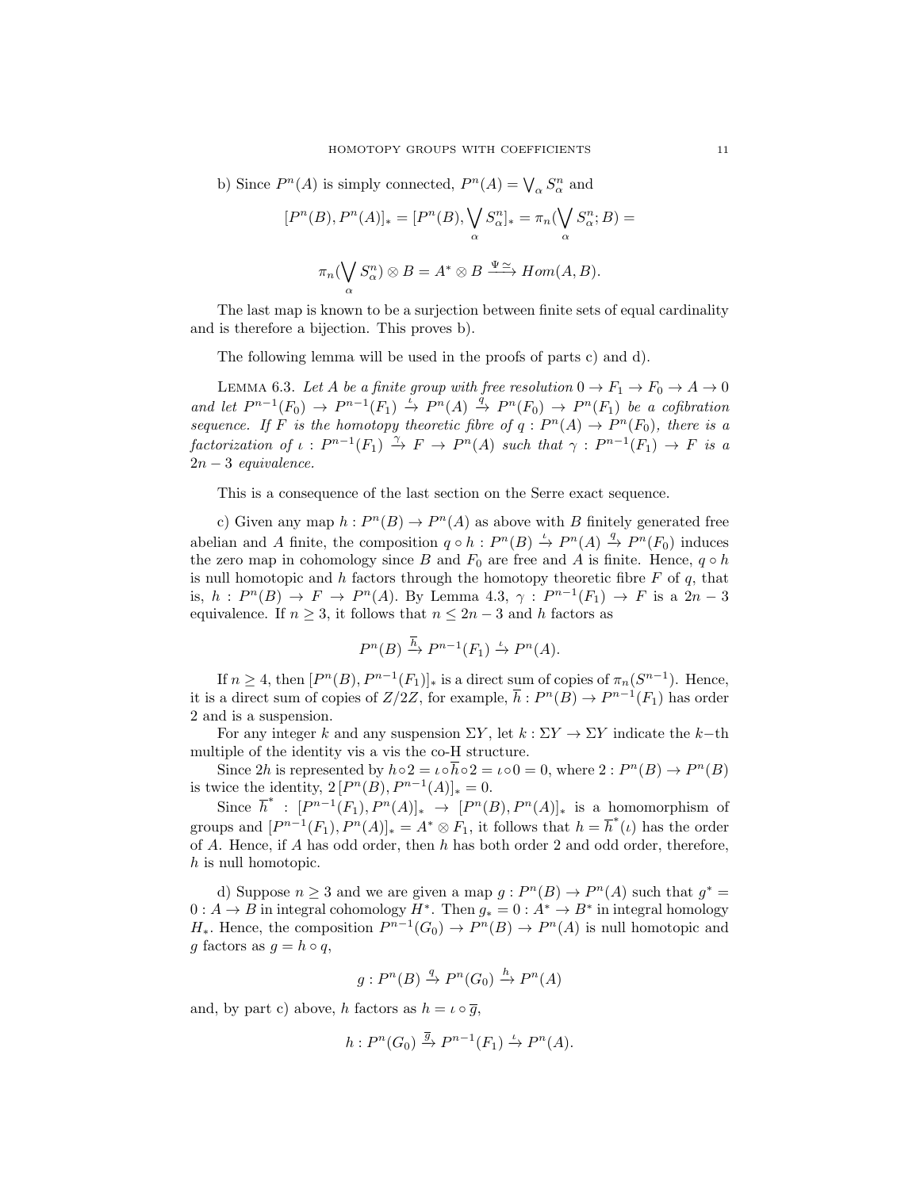b) Since  $P^{n}(A)$  is simply connected,  $P^{n}(A) = \bigvee_{\alpha} S_{\alpha}^{n}$  and

$$
[P^n(B), P^n(A)]_* = [P^n(B), \bigvee_{\alpha} S_{\alpha}^n]_* = \pi_n(\bigvee_{\alpha} S_{\alpha}^n; B) =
$$

$$
\pi_n(\bigvee_{\alpha} S_{\alpha}^n) \otimes B = A^* \otimes B \xrightarrow{\Psi \cong} Hom(A, B).
$$

The last map is known to be a surjection between finite sets of equal cardinality and is therefore a bijection. This proves b).

The following lemma will be used in the proofs of parts c) and d).

LEMMA 6.3. Let A be a finite group with free resolution  $0 \to F_1 \to F_0 \to A \to 0$ and let  $P^{n-1}(F_0) \to P^{n-1}(F_1) \stackrel{i}{\to} P^n(A) \stackrel{q}{\to} P^n(F_0) \to P^n(F_1)$  be a cofibration sequence. If F is the homotopy theoretic fibre of  $q: P^{n}(A) \to P^{n}(F_0)$ , there is a factorization of  $\iota : P^{n-1}(F_1) \stackrel{\gamma}{\to} F \to P^n(A)$  such that  $\gamma : P^{n-1}(F_1) \to F$  is a  $2n-3$  equivalence.

This is a consequence of the last section on the Serre exact sequence.

c) Given any map  $h: P^{n}(B) \to P^{n}(A)$  as above with B finitely generated free abelian and A finite, the composition  $q \circ h : P^n(B) \stackrel{\iota}{\to} P^n(A) \stackrel{q}{\to} P^n(F_0)$  induces the zero map in cohomology since B and  $F_0$  are free and A is finite. Hence,  $q \circ h$ is null homotopic and h factors through the homotopy theoretic fibre  $F$  of  $q$ , that is,  $h: P^n(B) \to F \to P^n(A)$ . By Lemma 4.3,  $\gamma: P^{n-1}(F_1) \to F$  is a  $2n-3$ equivalence. If  $n \geq 3$ , it follows that  $n \leq 2n-3$  and h factors as

$$
P^n(B) \xrightarrow{h} P^{n-1}(F_1) \xrightarrow{\iota} P^n(A).
$$

If  $n \geq 4$ , then  $[P<sup>n</sup>(B), P<sup>n-1</sup>(F<sub>1</sub>)]_{*}$  is a direct sum of copies of  $\pi_n(S^{n-1})$ . Hence, it is a direct sum of copies of  $Z/2Z$ , for example,  $\overline{h}: P^n(B) \to P^{n-1}(F_1)$  has order 2 and is a suspension.

For any integer k and any suspension  $\Sigma Y$ , let  $k : \Sigma Y \to \Sigma Y$  indicate the k-th multiple of the identity vis a vis the co-H structure.

Since 2h is represented by  $h \circ 2 = \iota \circ \overline{h} \circ 2 = \iota \circ 0 = 0$ , where  $2 : P^{n}(B) \to P^{n}(B)$ is twice the identity,  $2[P^{n}(B), P^{n-1}(A)]_{*} = 0.$ 

Since  $\overline{h}^* : [P^{n-1}(F_1), P^n(A)]_* \rightarrow [P^n(B), P^n(A)]_*$  is a homomorphism of groups and  $[P^{n-1}(F_1), P^n(A)]_*=A^* \otimes F_1$ , it follows that  $h = \overline{h}^*(\iota)$  has the order of A. Hence, if A has odd order, then h has both order 2 and odd order, therefore, h is null homotopic.

d) Suppose  $n \geq 3$  and we are given a map  $g: P<sup>n</sup>(B) \to P<sup>n</sup>(A)$  such that  $g^* =$  $0: A \to B$  in integral cohomology  $H^*$ . Then  $g_* = 0: A^* \to B^*$  in integral homology  $H_*$ . Hence, the composition  $P^{n-1}(G_0) \to P^n(B) \to P^n(A)$  is null homotopic and g factors as  $g = h \circ q$ ,

$$
g: P^n(B) \stackrel{q}{\to} P^n(G_0) \stackrel{h}{\to} P^n(A)
$$

and, by part c) above, h factors as  $h = \iota \circ \overline{g}$ ,

$$
h: P^{n}(G_0) \xrightarrow{\overline{g}} P^{n-1}(F_1) \xrightarrow{\iota} P^{n}(A).
$$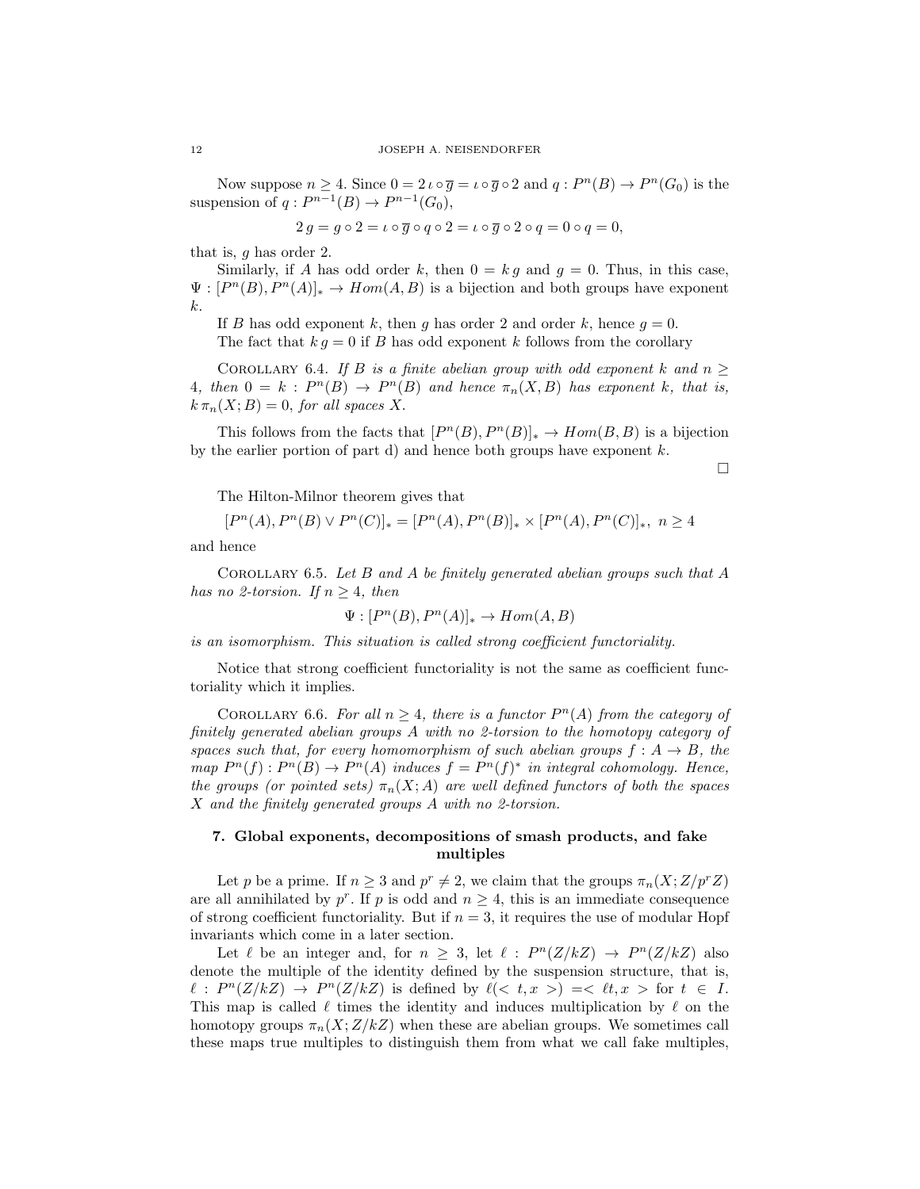Now suppose  $n \geq 4$ . Since  $0 = 2 \iota \circ \overline{g} = \iota \circ \overline{g} \circ 2$  and  $q : P^n(B) \to P^n(G_0)$  is the suspension of  $q: P^{n-1}(B) \to P^{n-1}(G_0)$ ,

$$
2 g = g \circ 2 = \iota \circ \overline{g} \circ q \circ 2 = \iota \circ \overline{g} \circ 2 \circ q = 0 \circ q = 0,
$$

that is, g has order 2.

Similarly, if A has odd order k, then  $0 = k g$  and  $g = 0$ . Thus, in this case,  $\Psi : [P^n(B), P^n(A)]_* \to Hom(A, B)$  is a bijection and both groups have exponent k.

If B has odd exponent k, then q has order 2 and order k, hence  $q = 0$ . The fact that  $k q = 0$  if B has odd exponent k follows from the corollary

COROLLARY 6.4. If B is a finite abelian group with odd exponent k and  $n \geq$ 4, then  $0 = k : P^{n}(B) \to P^{n}(B)$  and hence  $\pi_n(X, B)$  has exponent k, that is,  $k \pi_n(X; B) = 0$ , for all spaces X.

This follows from the facts that  $[P<sup>n</sup>(B), P<sup>n</sup>(B)]_* \to Hom(B, B)$  is a bijection by the earlier portion of part d) and hence both groups have exponent  $k$ .

 $\Box$ 

The Hilton-Milnor theorem gives that

 $[P^{n}(A), P^{n}(B) \vee P^{n}(C)]_{*} = [P^{n}(A), P^{n}(B)]_{*} \times [P^{n}(A), P^{n}(C)]_{*}, n \ge 4$ 

and hence

COROLLARY 6.5. Let B and A be finitely generated abelian groups such that A has no 2-torsion. If  $n \geq 4$ , then

$$
\Psi : [P^n(B), P^n(A)]_* \to Hom(A, B)
$$

is an isomorphism. This situation is called strong coefficient functoriality.

Notice that strong coefficient functoriality is not the same as coefficient functoriality which it implies.

COROLLARY 6.6. For all  $n \geq 4$ , there is a functor  $P^{n}(A)$  from the category of finitely generated abelian groups A with no 2-torsion to the homotopy category of spaces such that, for every homomorphism of such abelian groups  $f : A \rightarrow B$ , the map  $P^{n}(f): P^{n}(B) \to P^{n}(A)$  induces  $f = P^{n}(f)^{*}$  in integral cohomology. Hence, the groups (or pointed sets)  $\pi_n(X; A)$  are well defined functors of both the spaces X and the finitely generated groups A with no 2-torsion.

## 7. Global exponents, decompositions of smash products, and fake multiples

Let p be a prime. If  $n \geq 3$  and  $p^r \neq 2$ , we claim that the groups  $\pi_n(X; Z/p^r Z)$ are all annihilated by  $p^r$ . If p is odd and  $n \geq 4$ , this is an immediate consequence of strong coefficient functoriality. But if  $n = 3$ , it requires the use of modular Hopf invariants which come in a later section.

Let  $\ell$  be an integer and, for  $n \geq 3$ , let  $\ell : P^n(Z/kZ) \to P^n(Z/kZ)$  also denote the multiple of the identity defined by the suspension structure, that is,  $\ell : P^n(Z/kZ) \to P^n(Z/kZ)$  is defined by  $\ell(< t, x>) = \ell t, x >$  for  $t \in I$ . This map is called  $\ell$  times the identity and induces multiplication by  $\ell$  on the homotopy groups  $\pi_n(X;Z/kZ)$  when these are abelian groups. We sometimes call these maps true multiples to distinguish them from what we call fake multiples,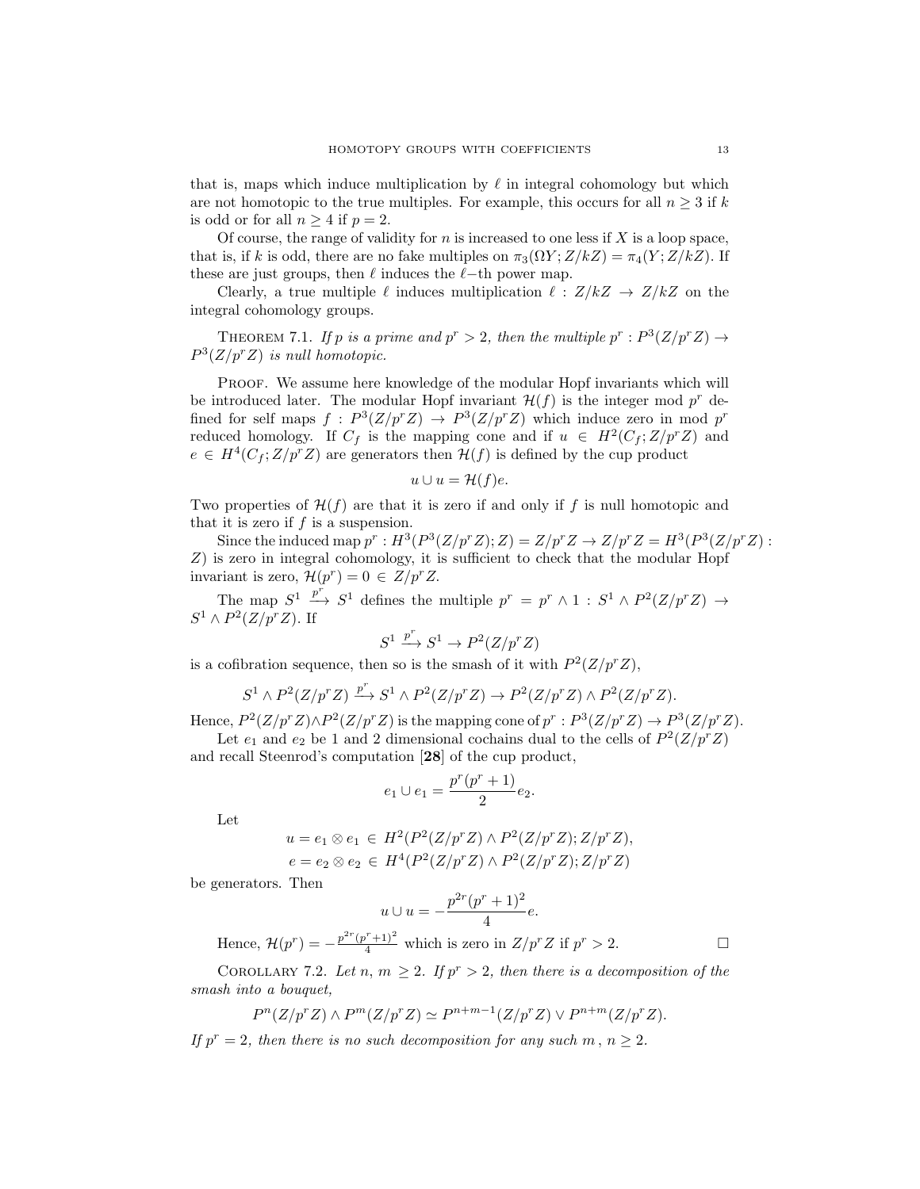that is, maps which induce multiplication by  $\ell$  in integral cohomology but which are not homotopic to the true multiples. For example, this occurs for all  $n \geq 3$  if k is odd or for all  $n \geq 4$  if  $p = 2$ .

Of course, the range of validity for  $n$  is increased to one less if  $X$  is a loop space, that is, if k is odd, there are no fake multiples on  $\pi_3(\Omega Y; Z/kZ) = \pi_4(Y; Z/kZ)$ . If these are just groups, then  $\ell$  induces the  $\ell$ −th power map.

Clearly, a true multiple  $\ell$  induces multiplication  $\ell : Z/kZ \rightarrow Z/kZ$  on the integral cohomology groups.

THEOREM 7.1. If p is a prime and  $p^r > 2$ , then the multiple  $p^r : P^3(Z/p^r Z) \rightarrow$  $P^3(Z/p^rZ)$  is null homotopic.

Proof. We assume here knowledge of the modular Hopf invariants which will be introduced later. The modular Hopf invariant  $\mathcal{H}(f)$  is the integer mod  $p^r$  defined for self maps  $f: P^3(Z/p^r Z) \to P^3(Z/p^r Z)$  which induce zero in mod  $p^r$ reduced homology. If  $C_f$  is the mapping cone and if  $u \in H^2(C_f; Z/p^r Z)$  and  $e \in H^4(C_f; Z/p^r Z)$  are generators then  $\mathcal{H}(f)$  is defined by the cup product

$$
u \cup u = \mathcal{H}(f)e.
$$

Two properties of  $\mathcal{H}(f)$  are that it is zero if and only if f is null homotopic and that it is zero if  $f$  is a suspension.

Since the induced map  $p^r : H^3(P^3(Z/p^rZ); Z) = Z/p^rZ \rightarrow Z/p^rZ = H^3(P^3(Z/p^rZ): Z$ Z) is zero in integral cohomology, it is sufficient to check that the modular Hopf invariant is zero,  $\mathcal{H}(p^r) = 0 \in Z/p^r Z$ .

The map  $S^1 \stackrel{p^r}{\longrightarrow} S^1$  defines the multiple  $p^r = p^r \wedge 1 : S^1 \wedge P^2(Z/p^r Z) \rightarrow$  $S^1 \wedge P^2(Z/p^r Z)$ . If

$$
S^1 \xrightarrow{p^r} S^1 \to P^2(Z/p^r Z)
$$

is a cofibration sequence, then so is the smash of it with  $P^2(Z/p^rZ)$ ,

$$
S^1\wedge P^2(Z/p^rZ)\xrightarrow{p^r}S^1\wedge P^2(Z/p^rZ)\to P^2(Z/p^rZ)\wedge P^2(Z/p^rZ).
$$

Hence,  $P^2(Z/p^rZ)\wedge P^2(Z/p^rZ)$  is the mapping cone of  $p^r: P^3(Z/p^rZ)\rightarrow P^3(Z/p^rZ)$ . Let  $e_1$  and  $e_2$  be 1 and 2 dimensional cochains dual to the cells of  $P^2(Z/p^rZ)$ 

and recall Steenrod's computation [28] of the cup product,

$$
e_1 \cup e_1 = \frac{p^r(p^r + 1)}{2}e_2.
$$

Let

$$
u = e_1 \otimes e_1 \in H^2(P^2(Z/p^r Z) \wedge P^2(Z/p^r Z); Z/p^r Z),
$$
  

$$
e = e_2 \otimes e_2 \in H^4(P^2(Z/p^r Z) \wedge P^2(Z/p^r Z); Z/p^r Z)
$$

be generators. Then

$$
u \cup u = -\frac{p^{2r}(p^r+1)^2}{4}e.
$$
  
Hence,  $\mathcal{H}(p^r) = -\frac{p^{2r}(p^r+1)^2}{4}$  which is zero in  $Z/p^rZ$  if  $p^r > 2$ .

COROLLARY 7.2. Let n,  $m \geq 2$ . If  $p^r > 2$ , then there is a decomposition of the smash into a bouquet,

$$
P^{n}(Z/p^{r}Z) \wedge P^{m}(Z/p^{r}Z) \simeq P^{n+m-1}(Z/p^{r}Z) \vee P^{n+m}(Z/p^{r}Z).
$$

If  $p^r = 2$ , then there is no such decomposition for any such m,  $n \geq 2$ .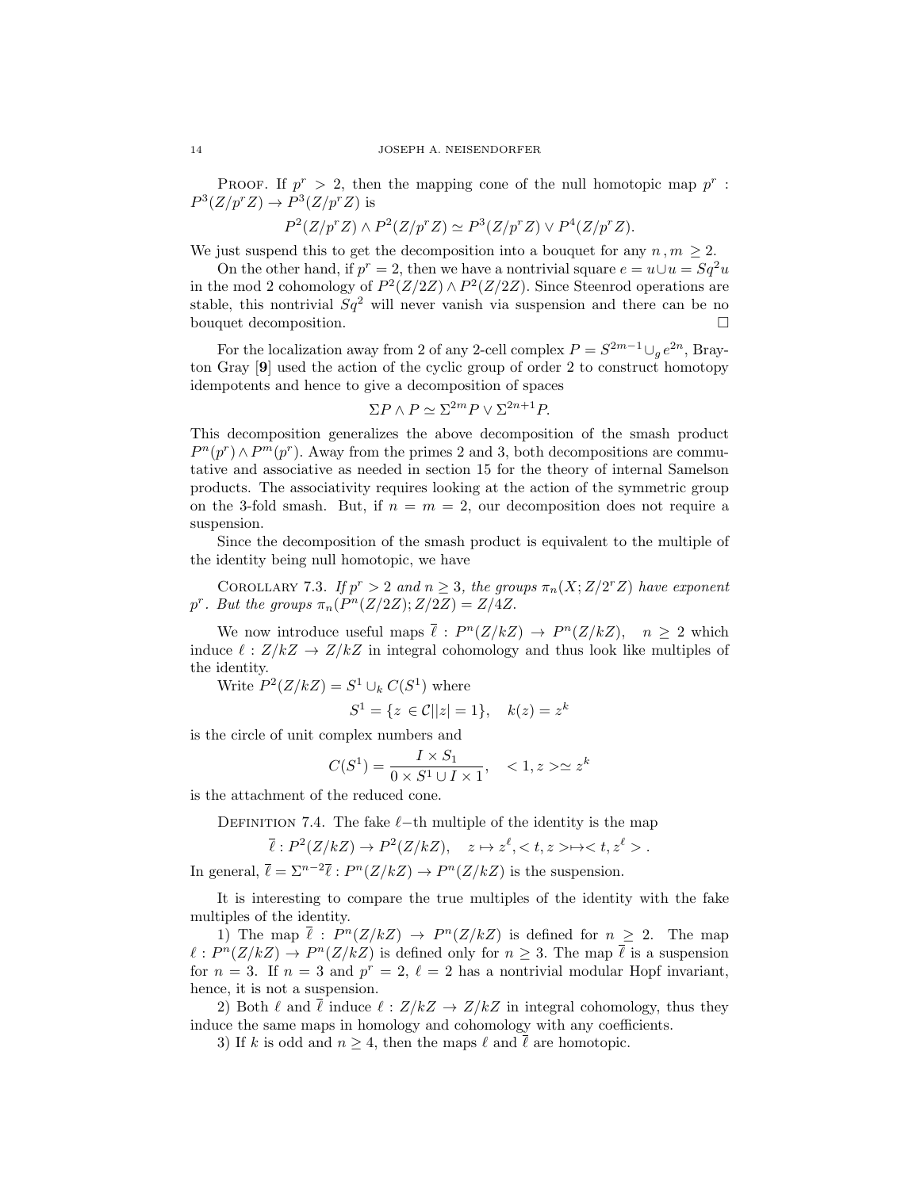PROOF. If  $p^r > 2$ , then the mapping cone of the null homotopic map  $p^r$ :  $P^3(Z/p^rZ) \to P^3(Z/p^rZ)$  is

$$
P^2(Z/p^rZ) \wedge P^2(Z/p^rZ) \simeq P^3(Z/p^rZ) \vee P^4(Z/p^rZ).
$$

We just suspend this to get the decomposition into a bouquet for any  $n, m \geq 2$ .

On the other hand, if  $p^r = 2$ , then we have a nontrivial square  $e = u \cup u = Sq^2u$ in the mod 2 cohomology of  $P^2(Z/2Z) \wedge P^2(Z/2Z)$ . Since Steenrod operations are stable, this nontrivial  $Sq^2$  will never vanish via suspension and there can be no bouquet decomposition.

For the localization away from 2 of any 2-cell complex  $P = S^{2m-1} \cup_{g} e^{2n}$ , Brayton Gray [9] used the action of the cyclic group of order 2 to construct homotopy idempotents and hence to give a decomposition of spaces

$$
\Sigma P \wedge P \simeq \Sigma^{2m} P \vee \Sigma^{2n+1} P.
$$

This decomposition generalizes the above decomposition of the smash product  $P^{n}(p^{r}) \wedge P^{m}(p^{r})$ . Away from the primes 2 and 3, both decompositions are commutative and associative as needed in section 15 for the theory of internal Samelson products. The associativity requires looking at the action of the symmetric group on the 3-fold smash. But, if  $n = m = 2$ , our decomposition does not require a suspension.

Since the decomposition of the smash product is equivalent to the multiple of the identity being null homotopic, we have

COROLLARY 7.3. If  $p^r > 2$  and  $n \geq 3$ , the groups  $\pi_n(X; Z/2^r Z)$  have exponent p<sup>r</sup>. But the groups  $\pi_n(P^n(Z/2Z);Z/2Z) = Z/4Z$ .

We now introduce useful maps  $\bar{\ell}: P^n(Z/kZ) \to P^n(Z/kZ), \quad n \geq 2$  which induce  $\ell : Z/kZ \to Z/kZ$  in integral cohomology and thus look like multiples of the identity.

Write  $P^2(Z/kZ) = S^1 \cup_k C(S^1)$  where

$$
S^1 = \{ z \in \mathcal{C} | |z| = 1 \}, \quad k(z) = z^k
$$

is the circle of unit complex numbers and

$$
C(S1) = \frac{I \times S_1}{0 \times S^1 \cup I \times 1}, \quad \langle 1, z \rangle \simeq z^k
$$

is the attachment of the reduced cone.

DEFINITION 7.4. The fake  $\ell$ −th multiple of the identity is the map

$$
\overline{\ell}: P^2(Z/kZ) \to P^2(Z/kZ), \quad z \mapsto z^{\ell},  \mapsto .
$$

In general,  $\bar{\ell} = \sum^{n-2} \bar{\ell} : P^n(Z/kZ) \to P^n(Z/kZ)$  is the suspension.

It is interesting to compare the true multiples of the identity with the fake multiples of the identity.

1) The map  $\overline{\ell}: P^{n}(Z/kZ) \rightarrow P^{n}(Z/kZ)$  is defined for  $n \geq 2$ . The map  $\ell : P^n(Z/kZ) \to P^n(Z/kZ)$  is defined only for  $n \geq 3$ . The map  $\overline{\ell}$  is a suspension for  $n = 3$ . If  $n = 3$  and  $p^r = 2$ ,  $\ell = 2$  has a nontrivial modular Hopf invariant, hence, it is not a suspension.

2) Both  $\ell$  and  $\overline{\ell}$  induce  $\ell : Z/kZ \to Z/kZ$  in integral cohomology, thus they induce the same maps in homology and cohomology with any coefficients.

3) If k is odd and  $n \geq 4$ , then the maps  $\ell$  and  $\overline{\ell}$  are homotopic.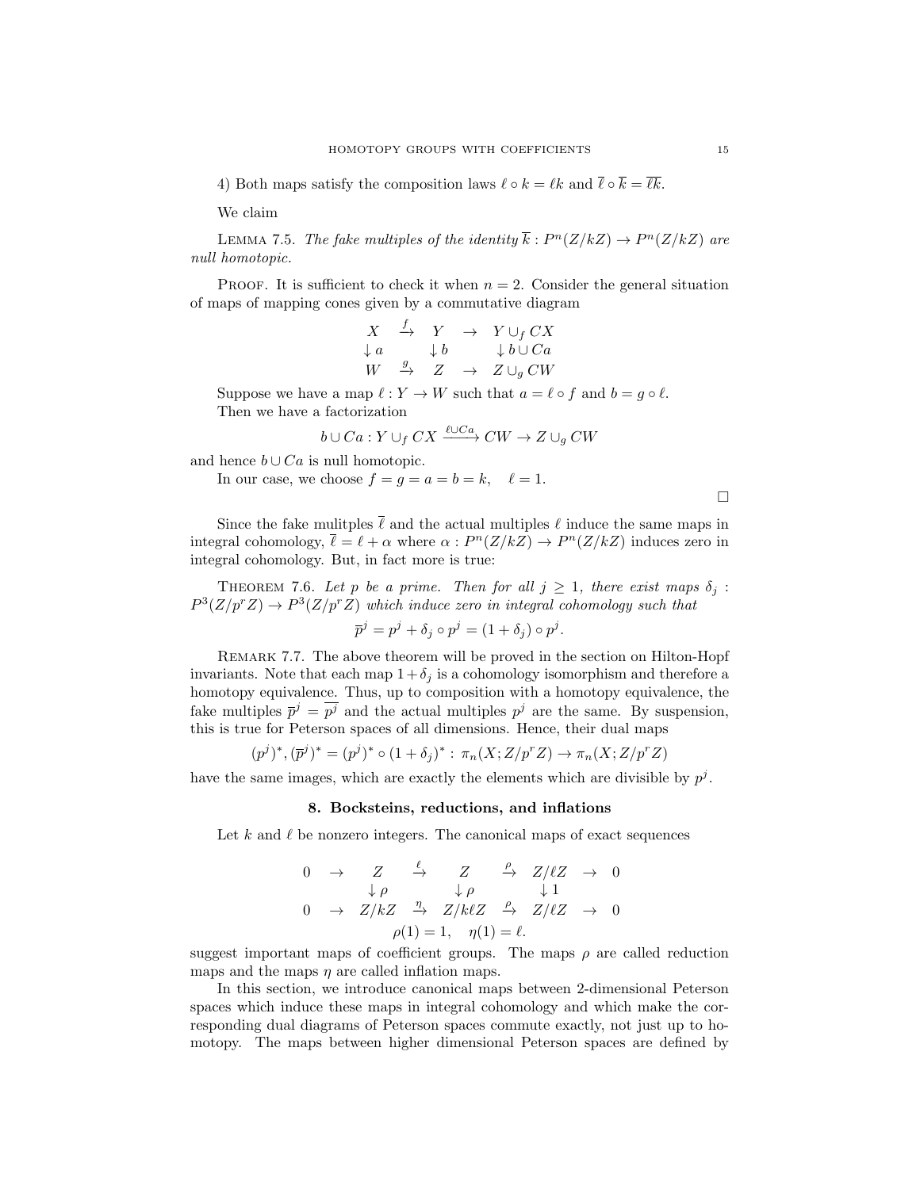4) Both maps satisfy the composition laws  $\ell \circ k = \ell k$  and  $\bar{\ell} \circ \bar{k} = \bar{\ell} \bar{k}$ .

We claim

LEMMA 7.5. The fake multiples of the identity  $\bar{k}: P^{n}(Z/kZ) \to P^{n}(Z/kZ)$  are null homotopic.

PROOF. It is sufficient to check it when  $n = 2$ . Consider the general situation of maps of mapping cones given by a commutative diagram

$$
\begin{array}{ccccc}\nX & \xrightarrow{f} & Y & \rightarrow & Y \cup_{f} CX \\
\downarrow{a} & & \downarrow{b} & & \downarrow{b} \cup Ca \\
W & \xrightarrow{g} & Z & \rightarrow & Z \cup_{g} CW\n\end{array}
$$

Suppose we have a map  $\ell : Y \to W$  such that  $a = \ell \circ f$  and  $b = g \circ \ell$ . Then we have a factorization

$$
b \cup Ca: Y \cup_f CX \xrightarrow{\ell \cup Ca} CW \rightarrow Z \cup_g CW
$$

and hence  $b \cup Ca$  is null homotopic.

In our case, we choose  $f = g = a = b = k$ ,  $\ell = 1$ .

 $\Box$ 

Since the fake mulitples  $\bar{\ell}$  and the actual multiples  $\ell$  induce the same maps in integral cohomology,  $\bar{\ell} = \ell + \alpha$  where  $\alpha : P^n(Z/kZ) \to P^n(Z/kZ)$  induces zero in integral cohomology. But, in fact more is true:

THEOREM 7.6. Let p be a prime. Then for all  $j \geq 1$ , there exist maps  $\delta_i$ :  $P^3(Z/p^rZ) \to P^3(Z/p^rZ)$  which induce zero in integral cohomology such that

$$
\overline{p}^j = p^j + \delta_j \circ p^j = (1 + \delta_j) \circ p^j.
$$

Remark 7.7. The above theorem will be proved in the section on Hilton-Hopf invariants. Note that each map  $1+\delta_j$  is a cohomology isomorphism and therefore a homotopy equivalence. Thus, up to composition with a homotopy equivalence, the fake multiples  $\bar{p}^j = \bar{p}^j$  and the actual multiples  $p^j$  are the same. By suspension, this is true for Peterson spaces of all dimensions. Hence, their dual maps

$$
(p^{j})^{*}, (\bar{p}^{j})^{*} = (p^{j})^{*} \circ (1 + \delta_{j})^{*} : \pi_{n}(X; Z/p^{r}Z) \to \pi_{n}(X; Z/p^{r}Z)
$$

have the same images, which are exactly the elements which are divisible by  $p<sup>j</sup>$ .

#### 8. Bocksteins, reductions, and inflations

Let k and  $\ell$  be nonzero integers. The canonical maps of exact sequences

$$
\begin{array}{ccccccc}\n0 & \rightarrow & Z & \xrightarrow{\ell} & Z & \xrightarrow{\rho} & Z/\ell Z & \rightarrow & 0 \\
& \downarrow \rho & & \downarrow \rho & & \downarrow 1 & \\
0 & \rightarrow & Z/kZ & \xrightarrow{\eta} & Z/k\ell Z & \xrightarrow{\rho} & Z/\ell Z & \rightarrow & 0 \\
& & & & \rho(1) = 1, & \eta(1) = \ell.\n\end{array}
$$

suggest important maps of coefficient groups. The maps  $\rho$  are called reduction maps and the maps  $\eta$  are called inflation maps.

In this section, we introduce canonical maps between 2-dimensional Peterson spaces which induce these maps in integral cohomology and which make the corresponding dual diagrams of Peterson spaces commute exactly, not just up to homotopy. The maps between higher dimensional Peterson spaces are defined by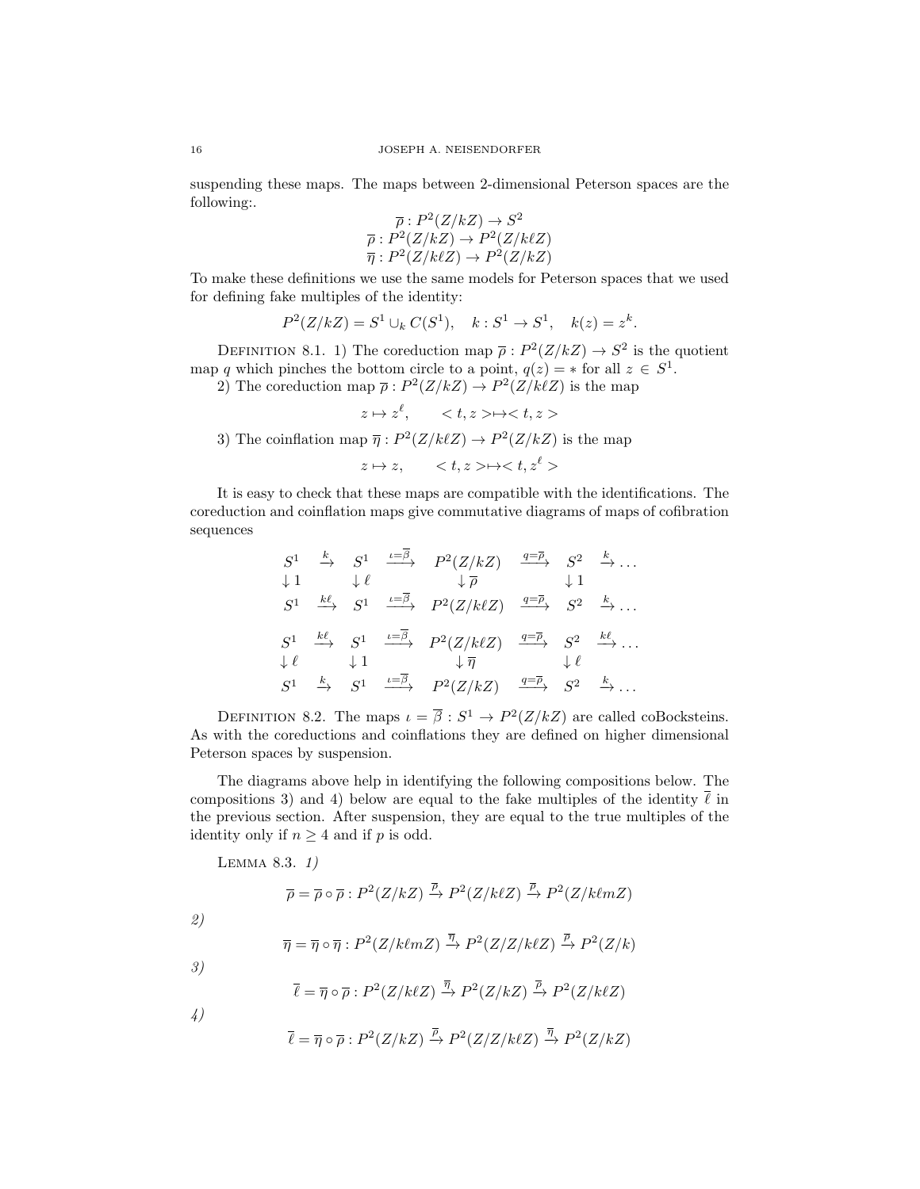suspending these maps. The maps between 2-dimensional Peterson spaces are the following:.

$$
\overline{\rho}: P^2(Z/kZ) \to S^2
$$
  

$$
\overline{\rho}: P^2(Z/kZ) \to P^2(Z/k\ell Z)
$$
  

$$
\overline{\eta}: P^2(Z/k\ell Z) \to P^2(Z/kZ)
$$

To make these definitions we use the same models for Peterson spaces that we used for defining fake multiples of the identity:

$$
P^2(Z/kZ) = S^1 \cup_k C(S^1), \quad k: S^1 \to S^1, \quad k(z) = z^k.
$$

DEFINITION 8.1. 1) The coreduction map  $\bar{\rho}: P^2(Z/kZ) \to S^2$  is the quotient map q which pinches the bottom circle to a point,  $q(z) = *$  for all  $z \in S^1$ .

2) The coreduction map  $\overline{\rho}: P^2(Z/kZ) \to P^2(Z/k\ell Z)$  is the map

$$
z \mapsto z^{\ell}, \qquad \langle t, z \rangle \mapsto \langle t, z \rangle
$$

3) The coinflation map  $\overline{\eta}: P^2(Z/k\ell Z) \to P^2(Z/kZ)$  is the map

 $z \mapsto z$ ,  $\langle t, z \rangle \mapsto \langle t, z^{\ell} \rangle$ 

It is easy to check that these maps are compatible with the identifications. The coreduction and coinflation maps give commutative diagrams of maps of cofibration sequences

$$
S^{1} \xrightarrow{k} S^{1} \xrightarrow{\iota = \beta} P^{2}(Z/kZ) \xrightarrow{q = \overline{\rho}} S^{2} \xrightarrow{k} ...
$$
  
\n
$$
S^{1} \xrightarrow{k\ell} S^{1} \xrightarrow{\iota = \overline{\beta}} P^{2}(Z/k\ell Z) \xrightarrow{q = \overline{\rho}} S^{2} \xrightarrow{k} ...
$$
  
\n
$$
S^{1} \xrightarrow{k\ell} S^{1} \xrightarrow{\iota = \overline{\beta}} P^{2}(Z/k\ell Z) \xrightarrow{q = \overline{\rho}} S^{2} \xrightarrow{k\ell} ...
$$
  
\n
$$
\downarrow \ell \qquad \downarrow 1 \qquad \downarrow \overline{\eta} \qquad \downarrow \ell
$$
  
\n
$$
S^{1} \xrightarrow{k} S^{1} \xrightarrow{\iota = \overline{\beta}} P^{2}(Z/kZ) \xrightarrow{q = \overline{\rho}} S^{2} \xrightarrow{k\ell} ...
$$

DEFINITION 8.2. The maps  $\iota = \bar{\beta}: S^1 \to P^2(Z/kZ)$  are called coBocksteins. As with the coreductions and coinflations they are defined on higher dimensional Peterson spaces by suspension.

The diagrams above help in identifying the following compositions below. The compositions 3) and 4) below are equal to the fake multiples of the identity  $\ell$  in the previous section. After suspension, they are equal to the true multiples of the identity only if  $n \geq 4$  and if p is odd.

Lemma 8.3. 1)

$$
\overline{\rho} = \overline{\rho} \circ \overline{\rho} : P^2(Z/kZ) \xrightarrow{\overline{\rho}} P^2(Z/k\ell Z) \xrightarrow{\overline{\rho}} P^2(Z/k\ell m Z)
$$
  
\n2)  
\n
$$
\overline{\eta} = \overline{\eta} \circ \overline{\eta} : P^2(Z/k\ell m Z) \xrightarrow{\overline{\eta}} P^2(Z/Z/k\ell Z) \xrightarrow{\overline{\rho}} P^2(Z/k)
$$
  
\n3)  
\n
$$
\overline{\ell} = \overline{\eta} \circ \overline{\rho} : P^2(Z/k\ell Z) \xrightarrow{\overline{\eta}} P^2(Z/kZ) \xrightarrow{\overline{\rho}} P^2(Z/k\ell Z)
$$
  
\n4)  
\n
$$
\overline{\ell} = \overline{\eta} \circ \overline{\rho} : P^2(Z/kZ) \xrightarrow{\overline{\rho}} P^2(Z/Z/k\ell Z) \xrightarrow{\overline{\eta}} P^2(Z/kZ)
$$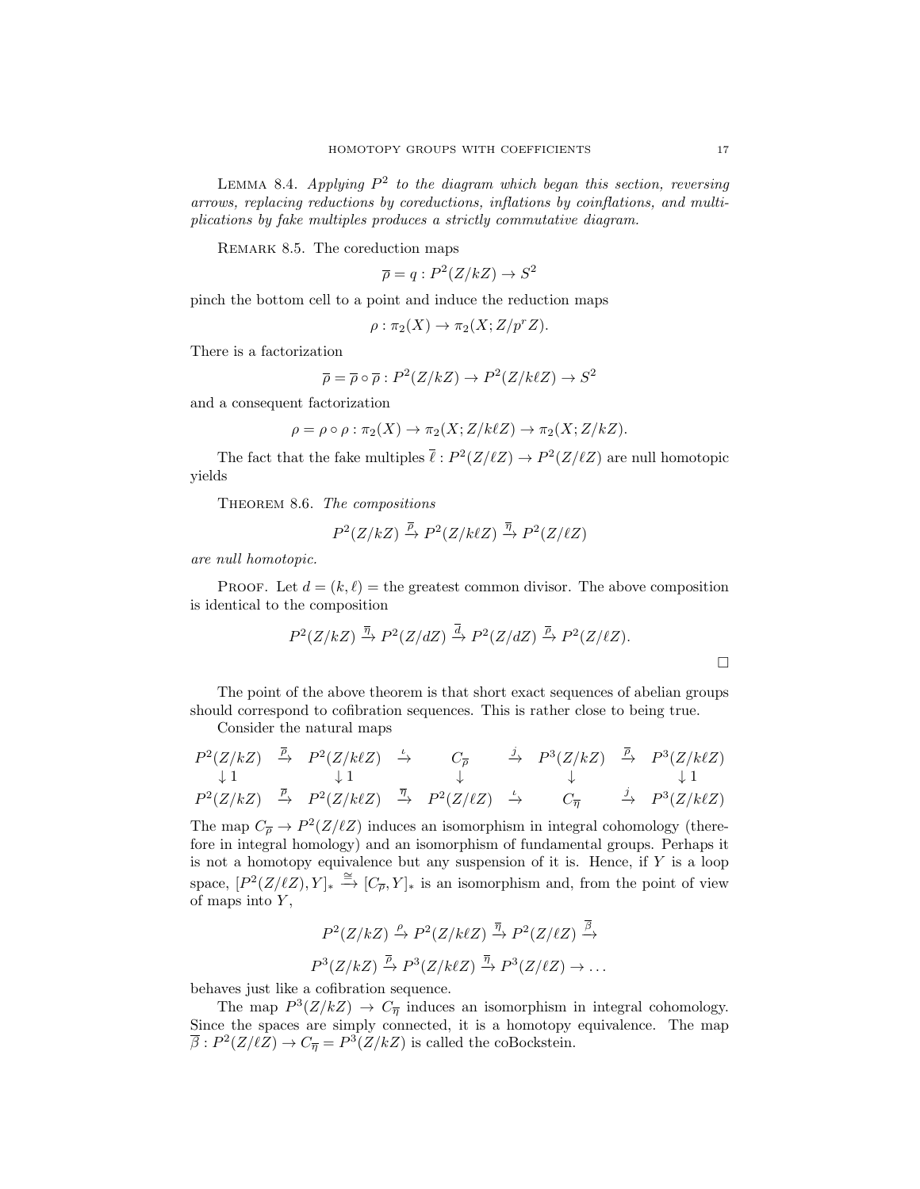LEMMA 8.4. Applying  $P^2$  to the diagram which began this section, reversing arrows, replacing reductions by coreductions, inflations by coinflations, and multiplications by fake multiples produces a strictly commutative diagram.

REMARK 8.5. The coreduction maps

$$
\overline{\rho} = q : P^2(Z/kZ) \to S^2
$$

pinch the bottom cell to a point and induce the reduction maps

$$
\rho : \pi_2(X) \to \pi_2(X; Z/p^r Z).
$$

There is a factorization

$$
\overline{\rho} = \overline{\rho} \circ \overline{\rho} : P^2(Z/kZ) \to P^2(Z/k\ell Z) \to S^2
$$

and a consequent factorization

$$
\rho = \rho \circ \rho : \pi_2(X) \to \pi_2(X; Z/k\ell Z) \to \pi_2(X; Z/kZ).
$$

The fact that the fake multiples  $\bar{\ell}: P^2(Z/\ell Z) \to P^2(Z/\ell Z)$  are null homotopic yields

THEOREM 8.6. The compositions

$$
P^2(Z/kZ) \xrightarrow{\overline{\rho}} P^2(Z/k\ell Z) \xrightarrow{\overline{\eta}} P^2(Z/\ell Z)
$$

are null homotopic.

PROOF. Let  $d = (k, \ell)$  = the greatest common divisor. The above composition is identical to the composition

$$
P^2(Z/kZ) \xrightarrow{\overline{\eta}} P^2(Z/dZ) \xrightarrow{\overline{d}} P^2(Z/dZ) \xrightarrow{\overline{\rho}} P^2(Z/\ell Z).
$$

The point of the above theorem is that short exact sequences of abelian groups should correspond to cofibration sequences. This is rather close to being true.

Consider the natural maps

$$
\begin{array}{ccccccccc}\nP^{2}(Z/kZ) & \stackrel{\overline{\rho}}{\rightarrow} & P^{2}(Z/k\ell Z) & \stackrel{\iota}{\rightarrow} & C_{\overline{\rho}} & \stackrel{j}{\rightarrow} & P^{3}(Z/kZ) & \stackrel{\overline{\rho}}{\rightarrow} & P^{3}(Z/k\ell Z) \\
\downarrow 1 & & \downarrow 1 & & \downarrow & & \downarrow & & \downarrow 1 \\
P^{2}(Z/kZ) & \stackrel{\overline{\rho}}{\rightarrow} & P^{2}(Z/k\ell Z) & \stackrel{\overline{\eta}}{\rightarrow} & P^{2}(Z/\ell Z) & \stackrel{\iota}{\rightarrow} & C_{\overline{\eta}} & \stackrel{j}{\rightarrow} & P^{3}(Z/k\ell Z)\n\end{array}
$$

The map  $C_{\overline{\rho}} \to P^2(Z/\ell Z)$  induces an isomorphism in integral cohomology (therefore in integral homology) and an isomorphism of fundamental groups. Perhaps it is not a homotopy equivalence but any suspension of it is. Hence, if  $Y$  is a loop space,  $[P^2(Z/\ell Z), Y]_* \stackrel{\cong}{\longrightarrow} [C_{\overline{\rho}}, Y]_*$  is an isomorphism and, from the point of view of maps into  $Y$ ,

$$
P^2(Z/kZ) \xrightarrow{\rho} P^2(Z/k\ell Z) \xrightarrow{\overline{\eta}} P^2(Z/\ell Z) \xrightarrow{\overline{\beta}} P^3(Z/kZ) \xrightarrow{\overline{\rho}} P^3(Z/\ell Z) \to \dots
$$

behaves just like a cofibration sequence.

The map  $P^3(Z/kZ) \rightarrow C_{\overline{\eta}}$  induces an isomorphism in integral cohomology. Since the spaces are simply connected, it is a homotopy equivalence. The map  $\overline{\beta}: P^2(Z/\ell Z) \to C_{\overline{\eta}} = P^3(Z/kZ)$  is called the coBockstein.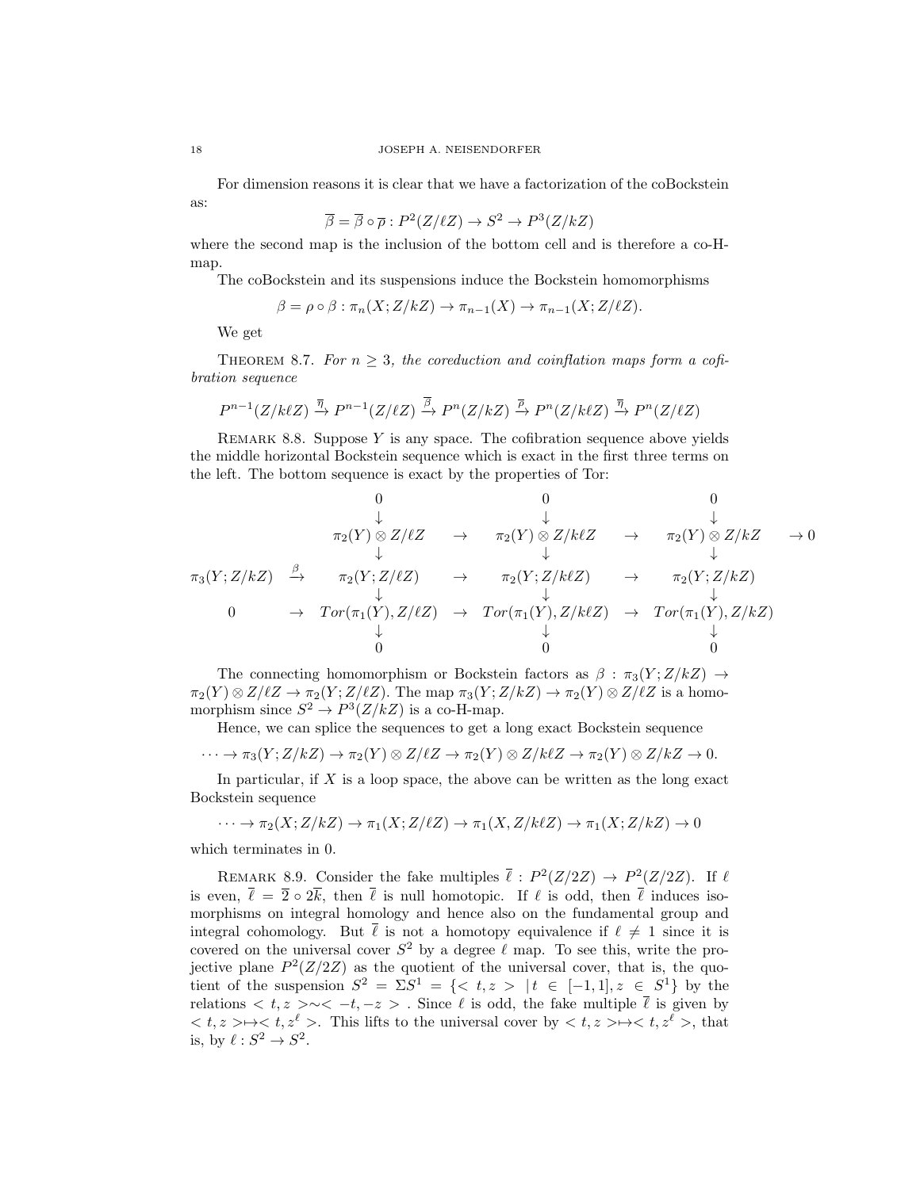For dimension reasons it is clear that we have a factorization of the coBockstein as:

$$
\overline{\beta} = \overline{\beta} \circ \overline{\rho} : P^2(Z/\ell Z) \to S^2 \to P^3(Z/kZ)
$$

where the second map is the inclusion of the bottom cell and is therefore a co-Hmap.

The coBockstein and its suspensions induce the Bockstein homomorphisms

$$
\beta = \rho \circ \beta : \pi_n(X; Z/kZ) \to \pi_{n-1}(X) \to \pi_{n-1}(X; Z/\ell Z).
$$

We get

THEOREM 8.7. For  $n \geq 3$ , the coreduction and coinflation maps form a cofibration sequence

$$
P^{n-1}(Z/k\ell Z) \xrightarrow{\overline{\eta}} P^{n-1}(Z/\ell Z) \xrightarrow{\overline{\beta}} P^n(Z/kZ) \xrightarrow{\overline{\rho}} P^n(Z/k\ell Z) \xrightarrow{\overline{\eta}} P^n(Z/\ell Z)
$$

REMARK 8.8. Suppose Y is any space. The cofibration sequence above yields the middle horizontal Bockstein sequence which is exact in the first three terms on the left. The bottom sequence is exact by the properties of Tor:

0 0 0 ↓ ↓ ↓ π2(Y ) ⊗ Z/`Z → π2(Y ) ⊗ Z/k`Z → π2(Y ) ⊗ Z/kZ → 0 ↓ ↓ ↓ π3(Y ;Z/kZ) β −→ π2(Y ;Z/`Z) → π2(Y ;Z/k`Z) → π2(Y ;Z/kZ) ↓ ↓ ↓ 0 → T or(π1(Y ), Z/`Z) → T or(π1(Y ), Z/k`Z) → T or(π1(Y ), Z/kZ) ↓ ↓ ↓ 0 0 0

The connecting homomorphism or Bockstein factors as  $\beta : \pi_3(Y; Z/kZ) \rightarrow$  $\pi_2(Y) \otimes Z/\ell Z \to \pi_2(Y;Z/\ell Z)$ . The map  $\pi_3(Y;Z/kZ) \to \pi_2(Y) \otimes Z/\ell Z$  is a homomorphism since  $S^2 \to P^3(Z/kZ)$  is a co-H-map.

Hence, we can splice the sequences to get a long exact Bockstein sequence

$$
\cdots \to \pi_3(Y; Z/kZ) \to \pi_2(Y) \otimes Z/\ell Z \to \pi_2(Y) \otimes Z/k\ell Z \to \pi_2(Y) \otimes Z/kZ \to 0.
$$

In particular, if  $X$  is a loop space, the above can be written as the long exact Bockstein sequence

 $\cdots \rightarrow \pi_2(X; Z/kZ) \rightarrow \pi_1(X; Z/\ell Z) \rightarrow \pi_1(X, Z/k\ell Z) \rightarrow \pi_1(X; Z/kZ) \rightarrow 0$ 

which terminates in 0.

REMARK 8.9. Consider the fake multiples  $\bar{\ell}: P^2(Z/2Z) \to P^2(Z/2Z)$ . If  $\ell$ is even,  $\bar{\ell} = \bar{2} \circ 2\bar{k}$ , then  $\bar{\ell}$  is null homotopic. If  $\ell$  is odd, then  $\bar{\ell}$  induces isomorphisms on integral homology and hence also on the fundamental group and integral cohomology. But  $\bar{\ell}$  is not a homotopy equivalence if  $\ell \neq 1$  since it is covered on the universal cover  $S^2$  by a degree  $\ell$  map. To see this, write the projective plane  $P^2(Z/2Z)$  as the quotient of the universal cover, that is, the quotient of the suspension  $S^2 = \Sigma S^1 = \{ \langle t, z \rangle | t \in [-1,1], z \in S^1 \}$  by the relations  $\langle t, z \rangle \sim \langle -t, -z \rangle$ . Since  $\ell$  is odd, the fake multiple  $\bar{\ell}$  is given by  $\langle t, z \rangle \mapsto \langle t, z^{\ell} \rangle$ . This lifts to the universal cover by  $\langle t, z \rangle \mapsto \langle t, z^{\ell} \rangle$ , that is, by  $\ell : S^2 \to S^2$ .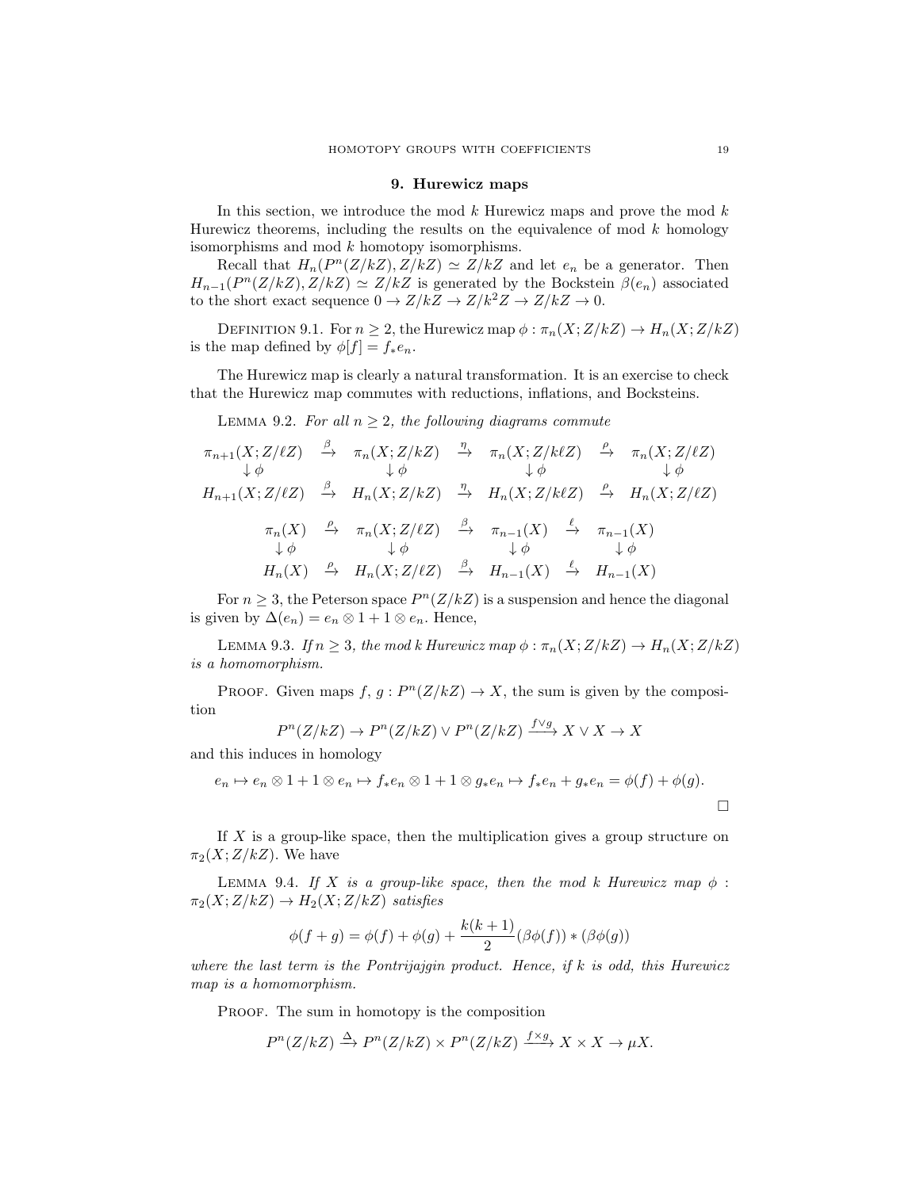#### 9. Hurewicz maps

In this section, we introduce the mod  $k$  Hurewicz maps and prove the mod  $k$ Hurewicz theorems, including the results on the equivalence of mod  $k$  homology isomorphisms and mod k homotopy isomorphisms.

Recall that  $H_n(P^n(Z/kZ), Z/kZ) \simeq Z/kZ$  and let  $e_n$  be a generator. Then  $H_{n-1}(P^{n}(Z/kZ), Z/kZ) \simeq Z/kZ$  is generated by the Bockstein  $\beta(e_n)$  associated to the short exact sequence  $0\to Z/kZ\to Z/k^2Z\to Z/kZ\to 0.$ 

DEFINITION 9.1. For  $n \geq 2$ , the Hurewicz map  $\phi : \pi_n(X; Z/kZ) \to H_n(X; Z/kZ)$ is the map defined by  $\phi[f] = f_* e_n$ .

The Hurewicz map is clearly a natural transformation. It is an exercise to check that the Hurewicz map commutes with reductions, inflations, and Bocksteins.

LEMMA 9.2. For all  $n \geq 2$ , the following diagrams commute

$$
\pi_{n+1}(X; Z/\ell Z) \xrightarrow{\beta} \pi_n(X; Z/kZ) \xrightarrow{\eta} \pi_n(X; Z/k\ell Z) \xrightarrow{\rho} \pi_n(X; Z/\ell Z)
$$
  
\n
$$
\downarrow \phi \qquad \qquad \downarrow \phi \qquad \qquad \downarrow \phi \qquad \qquad \downarrow \phi
$$
  
\n
$$
H_{n+1}(X; Z/\ell Z) \xrightarrow{\beta} H_n(X; Z/kZ) \xrightarrow{\eta} H_n(X; Z/k\ell Z) \xrightarrow{\rho} H_n(X; Z/\ell Z)
$$
  
\n
$$
\pi_n(X) \xrightarrow{\rho} \pi_n(X; Z/\ell Z) \xrightarrow{\beta} \pi_{n-1}(X) \xrightarrow{\ell} \pi_{n-1}(X)
$$
  
\n
$$
\downarrow \phi \qquad \qquad \downarrow \phi \qquad \qquad \downarrow \phi
$$
  
\n
$$
H_n(X) \xrightarrow{\rho} H_n(X; Z/\ell Z) \xrightarrow{\beta} H_{n-1}(X) \xrightarrow{\ell} H_{n-1}(X)
$$

For  $n \geq 3$ , the Peterson space  $P^{n}(Z/kZ)$  is a suspension and hence the diagonal is given by  $\Delta(e_n) = e_n \otimes 1 + 1 \otimes e_n$ . Hence,

LEMMA 9.3. If  $n \geq 3$ , the mod k Hurewicz map  $\phi : \pi_n(X; Z/kZ) \to H_n(X; Z/kZ)$ is a homomorphism.

PROOF. Given maps  $f, g: P^{n}(Z/kZ) \rightarrow X$ , the sum is given by the composition

$$
P^{n}(Z/kZ) \to P^{n}(Z/kZ) \vee P^{n}(Z/kZ) \xrightarrow{f \vee g} X \vee X \to X
$$

and this induces in homology

$$
e_n \mapsto e_n \otimes 1 + 1 \otimes e_n \mapsto f_*e_n \otimes 1 + 1 \otimes g_*e_n \mapsto f_*e_n + g_*e_n = \phi(f) + \phi(g).
$$

If X is a group-like space, then the multiplication gives a group structure on  $\pi_2(X; Z/kZ)$ . We have

LEMMA 9.4. If X is a group-like space, then the mod k Hurewicz map  $\phi$ :  $\pi_2(X;Z/kZ) \to H_2(X;Z/kZ)$  satisfies

$$
\phi(f + g) = \phi(f) + \phi(g) + \frac{k(k+1)}{2}(\beta\phi(f)) * (\beta\phi(g))
$$

where the last term is the Pontrijajgin product. Hence, if  $k$  is odd, this Hurewicz map is a homomorphism.

PROOF. The sum in homotopy is the composition

$$
P^{n}(Z/kZ) \xrightarrow{\Delta} P^{n}(Z/kZ) \times P^{n}(Z/kZ) \xrightarrow{f \times g} X \times X \to \mu X.
$$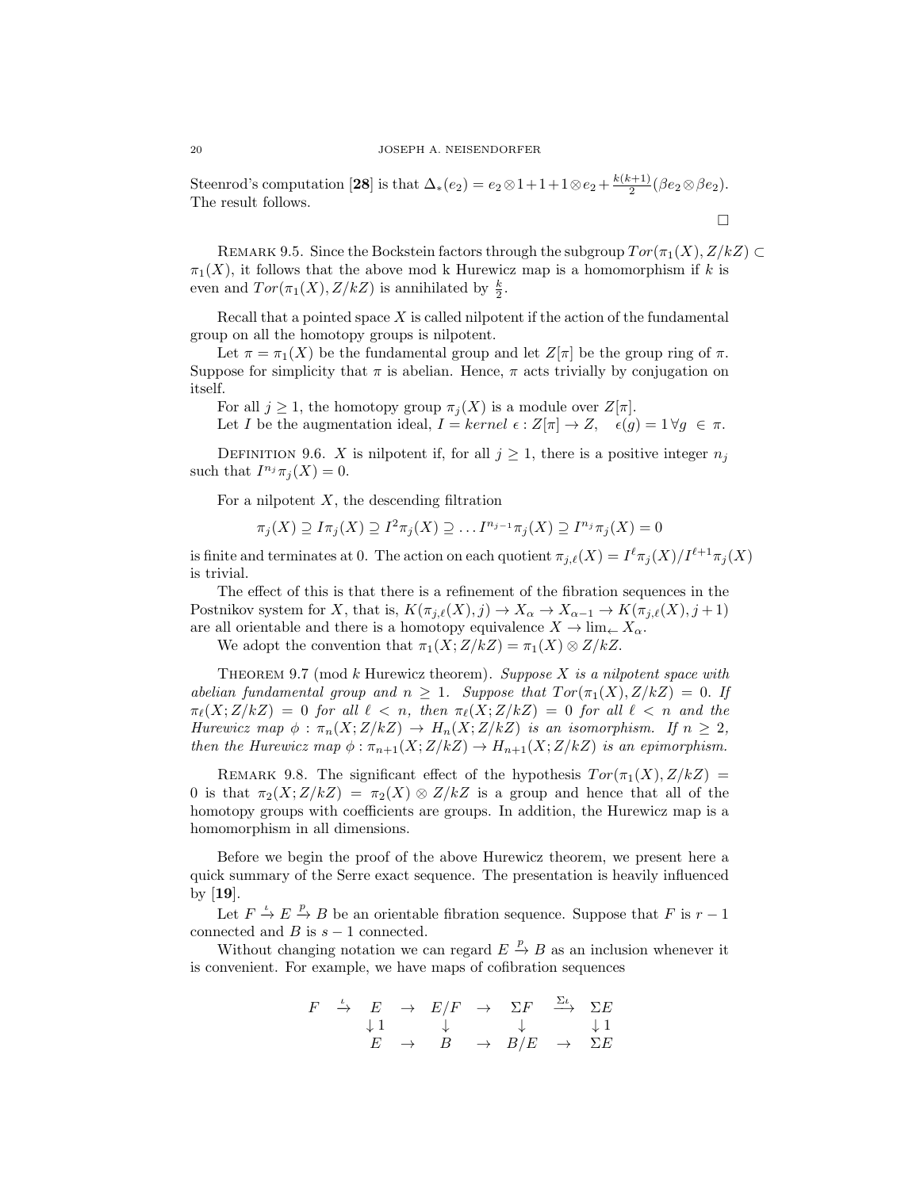Steenrod's computation [28] is that  $\Delta_*(e_2) = e_2 \otimes 1 + 1 + 1 \otimes e_2 + \frac{k(k+1)}{2}$  $\frac{(n+1)}{2}(\beta e_2\otimes \beta e_2).$ The result follows.

REMARK 9.5. Since the Bockstein factors through the subgroup  $Tor(\pi_1(X), Z/kZ) \subset$  $\pi_1(X)$ , it follows that the above mod k Hurewicz map is a homomorphism if k is even and  $Tor(\pi_1(X), Z/kZ)$  is annihilated by  $\frac{k}{2}$ .

 $\Box$ 

Recall that a pointed space  $X$  is called nilpotent if the action of the fundamental group on all the homotopy groups is nilpotent.

Let  $\pi = \pi_1(X)$  be the fundamental group and let  $Z[\pi]$  be the group ring of  $\pi$ . Suppose for simplicity that  $\pi$  is abelian. Hence,  $\pi$  acts trivially by conjugation on itself.

For all  $j \geq 1$ , the homotopy group  $\pi_i(X)$  is a module over  $Z[\pi]$ .

Let I be the augmentation ideal,  $I = kernel \epsilon : Z[\pi] \to Z$ ,  $\epsilon(g) = 1 \forall g \in \pi$ .

DEFINITION 9.6. X is nilpotent if, for all  $j \geq 1$ , there is a positive integer  $n_j$ such that  $I^{n_j}\pi_j(X) = 0$ .

For a nilpotent  $X$ , the descending filtration

$$
\pi_j(X) \supseteq \overline{I} \pi_j(X) \supseteq \overline{I}^2 \pi_j(X) \supseteq \dots \overline{I}^{n_{j-1}} \pi_j(X) \supseteq \overline{I}^{n_j} \pi_j(X) = 0
$$

is finite and terminates at 0. The action on each quotient  $\pi_{j,\ell}(X) = I^{\ell} \pi_j(X)/I^{\ell+1}\pi_j(X)$ is trivial.

The effect of this is that there is a refinement of the fibration sequences in the Postnikov system for X, that is,  $K(\pi_{j,\ell}(X), j) \to X_\alpha \to X_{\alpha-1} \to K(\pi_{j,\ell}(X), j + 1)$ are all orientable and there is a homotopy equivalence  $X \to \lim_{\leftarrow} X_{\alpha}$ .

We adopt the convention that  $\pi_1(X;Z/kZ) = \pi_1(X) \otimes Z/kZ$ .

THEOREM 9.7 (mod  $k$  Hurewicz theorem). Suppose  $X$  is a nilpotent space with abelian fundamental group and  $n \geq 1$ . Suppose that  $Tor(\pi_1(X), Z/kZ) = 0$ . If  $\pi_{\ell}(X;Z/kZ) = 0$  for all  $\ell < n$ , then  $\pi_{\ell}(X;Z/kZ) = 0$  for all  $\ell < n$  and the Hurewicz map  $\phi : \pi_n(X; Z/kZ) \to H_n(X; Z/kZ)$  is an isomorphism. If  $n \geq 2$ , then the Hurewicz map  $\phi : \pi_{n+1}(X;Z/kZ) \to H_{n+1}(X;Z/kZ)$  is an epimorphism.

REMARK 9.8. The significant effect of the hypothesis  $Tor(\pi_1(X), Z/kZ)$  = 0 is that  $\pi_2(X;Z/kZ) = \pi_2(X) \otimes Z/kZ$  is a group and hence that all of the homotopy groups with coefficients are groups. In addition, the Hurewicz map is a homomorphism in all dimensions.

Before we begin the proof of the above Hurewicz theorem, we present here a quick summary of the Serre exact sequence. The presentation is heavily influenced by [19].

Let  $F \stackrel{\iota}{\to} E \stackrel{p}{\to} B$  be an orientable fibration sequence. Suppose that F is  $r-1$ connected and B is  $s - 1$  connected.

Without changing notation we can regard  $E \stackrel{p}{\to} B$  as an inclusion whenever it is convenient. For example, we have maps of cofibration sequences

$$
\begin{array}{ccccccc}\nF & \xrightarrow{\iota} & E & \rightarrow & E/F & \rightarrow & \Sigma F & \xrightarrow{\Sigma \iota} & \Sigma E \\
\downarrow 1 & & \downarrow & & \downarrow & & \downarrow 1 \\
E & \rightarrow & B & \rightarrow & B/E & \rightarrow & \Sigma E\n\end{array}
$$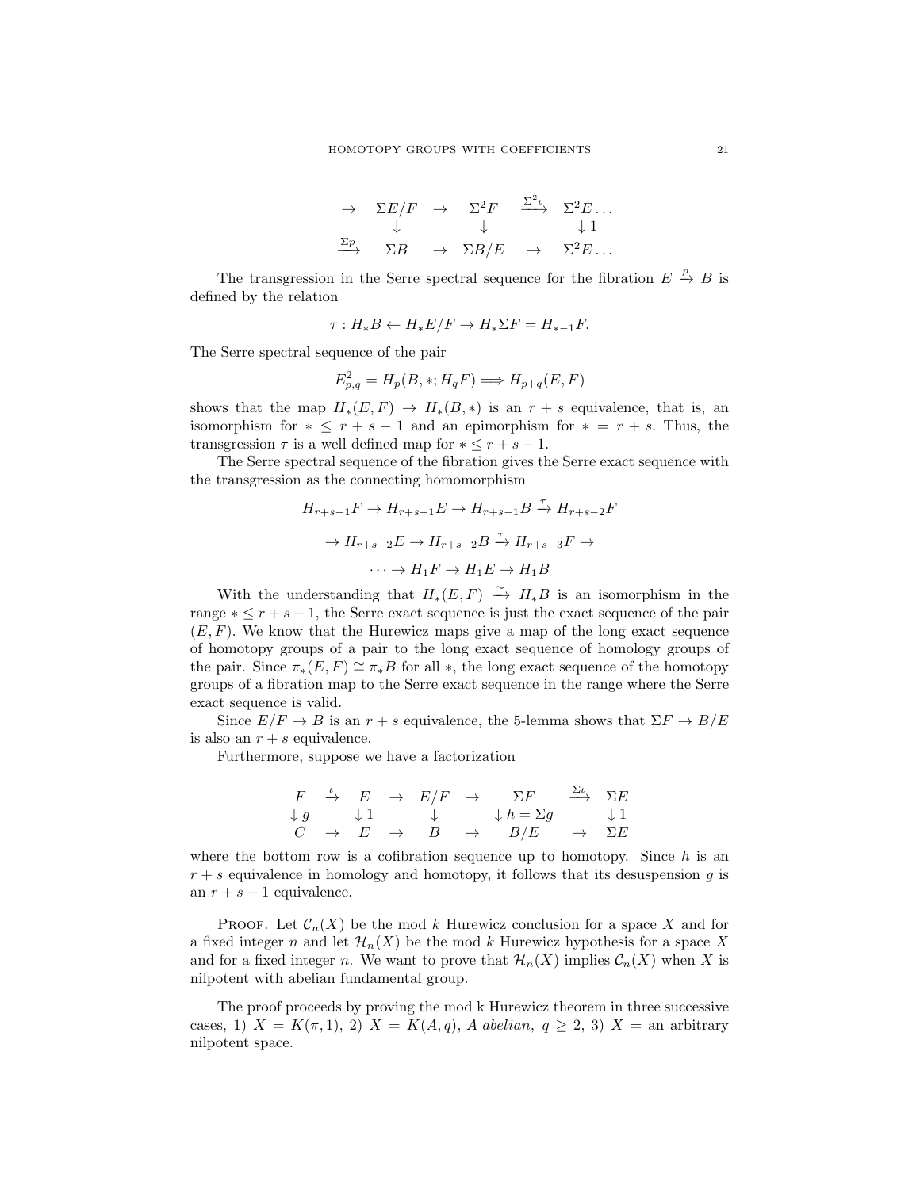$$
\rightarrow \sum E/F \rightarrow \sum^{2}F \xrightarrow{\sum^{2}L} \sum^{2}E \dots
$$
  

$$
\xrightarrow{\sum p} \sum B \rightarrow \sum B/E \rightarrow \sum^{2}E \dots
$$

The transgression in the Serre spectral sequence for the fibration  $E \stackrel{p}{\to} B$  is defined by the relation

$$
\tau: H_*B \leftarrow H_*E/F \rightarrow H_*\Sigma F = H_{*-1}F.
$$

The Serre spectral sequence of the pair

$$
E_{p,q}^2 = H_p(B, *, H_qF) \Longrightarrow H_{p+q}(E, F)
$$

shows that the map  $H_*(E, F) \to H_*(B, *)$  is an  $r + s$  equivalence, that is, an isomorphism for  $* \leq r + s - 1$  and an epimorphism for  $* = r + s$ . Thus, the transgression  $\tau$  is a well defined map for  $*\leq r+s-1$ .

The Serre spectral sequence of the fibration gives the Serre exact sequence with the transgression as the connecting homomorphism

$$
H_{r+s-1}F \to H_{r+s-1}E \to H_{r+s-1}B \xrightarrow{\tau} H_{r+s-2}F
$$

$$
\to H_{r+s-2}E \to H_{r+s-2}B \xrightarrow{\tau} H_{r+s-3}F \to
$$

$$
\cdots \to H_1F \to H_1E \to H_1B
$$

With the understanding that  $H_*(E, F) \stackrel{\simeq}{\to} H_*B$  is an isomorphism in the range  $* \leq r + s - 1$ , the Serre exact sequence is just the exact sequence of the pair  $(E, F)$ . We know that the Hurewicz maps give a map of the long exact sequence of homotopy groups of a pair to the long exact sequence of homology groups of the pair. Since  $\pi_*(E, F) \cong \pi_*B$  for all  $*$ , the long exact sequence of the homotopy groups of a fibration map to the Serre exact sequence in the range where the Serre exact sequence is valid.

Since  $E/F \to B$  is an  $r + s$  equivalence, the 5-lemma shows that  $\Sigma F \to B/E$ is also an  $r + s$  equivalence.

Furthermore, suppose we have a factorization

|  |  |                                 | $F \xrightarrow{\iota} E \rightarrow E/F \rightarrow \Sigma F \xrightarrow{\Sigma \iota} \Sigma E$ |  |
|--|--|---------------------------------|----------------------------------------------------------------------------------------------------|--|
|  |  |                                 | $\downarrow g$ $\downarrow 1$ $\downarrow$ $\downarrow h = \Sigma g$ $\downarrow 1$                |  |
|  |  | $C \rightarrow E \rightarrow B$ | $\rightarrow$ $B/E$ $\rightarrow$ $\Sigma E$                                                       |  |

where the bottom row is a cofibration sequence up to homotopy. Since  $h$  is an  $r + s$  equivalence in homology and homotopy, it follows that its desuspension g is an  $r + s - 1$  equivalence.

PROOF. Let  $C_n(X)$  be the mod k Hurewicz conclusion for a space X and for a fixed integer n and let  $\mathcal{H}_n(X)$  be the mod k Hurewicz hypothesis for a space X and for a fixed integer n. We want to prove that  $\mathcal{H}_n(X)$  implies  $\mathcal{C}_n(X)$  when X is nilpotent with abelian fundamental group.

The proof proceeds by proving the mod k Hurewicz theorem in three successive cases, 1)  $X = K(\pi, 1), 2$   $X = K(A, q), A$  abelian,  $q \geq 2, 3$   $X =$  an arbitrary nilpotent space.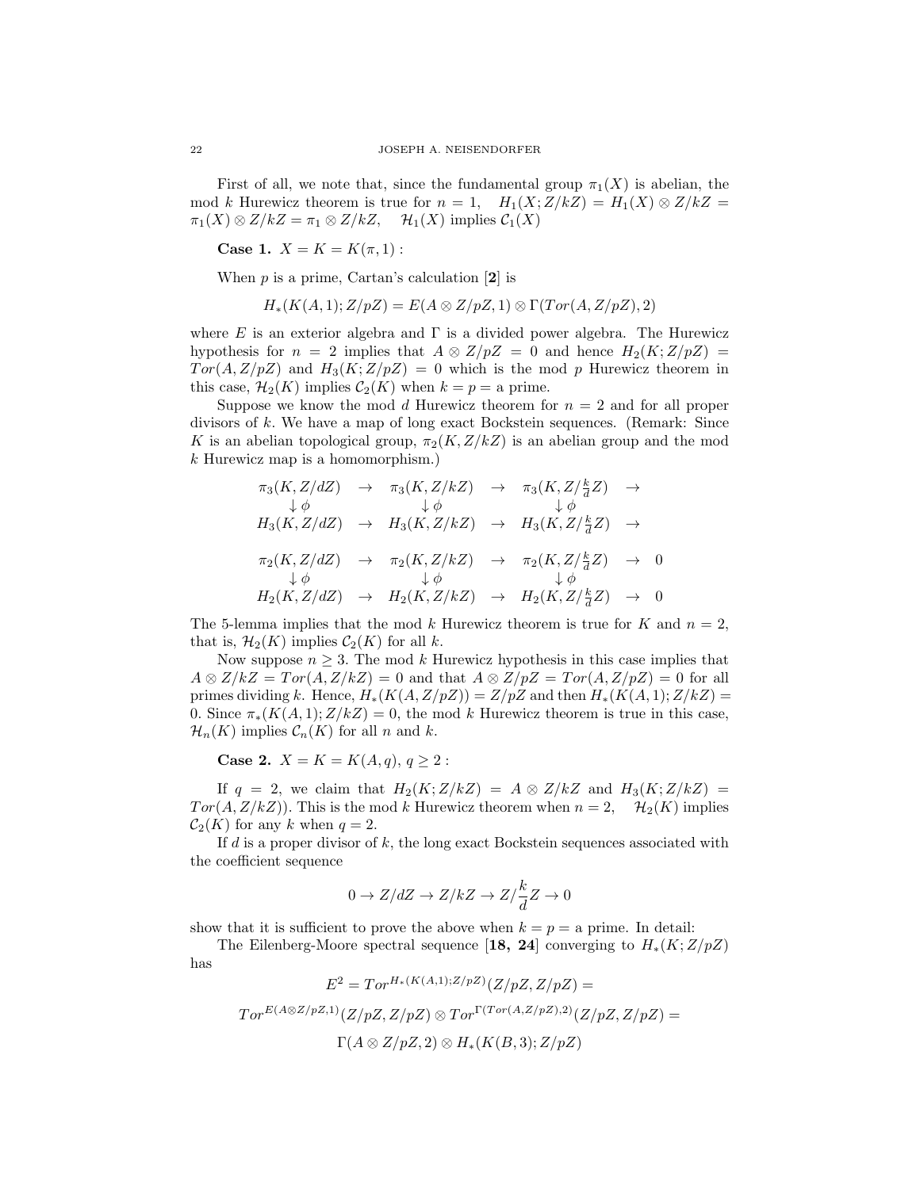First of all, we note that, since the fundamental group  $\pi_1(X)$  is abelian, the mod k Hurewicz theorem is true for  $n = 1$ ,  $H_1(X; Z/kZ) = H_1(X) \otimes Z/kZ =$  $\pi_1(X) \otimes Z/kZ = \pi_1 \otimes Z/kZ$ ,  $\mathcal{H}_1(X)$  implies  $\mathcal{C}_1(X)$ 

Case 1.  $X = K = K(\pi, 1)$ :

When  $p$  is a prime, Cartan's calculation  $[2]$  is

$$
H_*(K(A,1); Z/pZ) = E(A \otimes Z/pZ, 1) \otimes \Gamma(Tor(A, Z/pZ), 2)
$$

where  $E$  is an exterior algebra and  $\Gamma$  is a divided power algebra. The Hurewicz hypothesis for  $n = 2$  implies that  $A \otimes Z/pZ = 0$  and hence  $H_2(K;Z/pZ) =$  $Tor(A, Z/pZ)$  and  $H_3(K;Z/pZ) = 0$  which is the mod p Hurewicz theorem in this case,  $\mathcal{H}_2(K)$  implies  $\mathcal{C}_2(K)$  when  $k = p = a$  prime.

Suppose we know the mod d Hurewicz theorem for  $n = 2$  and for all proper divisors of k. We have a map of long exact Bockstein sequences. (Remark: Since K is an abelian topological group,  $\pi_2(K, Z/kZ)$  is an abelian group and the mod k Hurewicz map is a homomorphism.)

$$
\pi_3(K, Z/dZ) \rightarrow \pi_3(K, Z/kZ) \rightarrow \pi_3(K, Z/\frac{k}{d}Z) \rightarrow
$$
  
\n
$$
\downarrow \phi \qquad \qquad \downarrow \phi \qquad \qquad \downarrow \phi
$$
  
\n
$$
H_3(K, Z/dZ) \rightarrow H_3(K, Z/kZ) \rightarrow H_3(K, Z/\frac{k}{d}Z) \rightarrow
$$
  
\n
$$
\pi_2(K, Z/dZ) \rightarrow \pi_2(K, Z/kZ) \rightarrow \pi_2(K, Z/\frac{k}{d}Z) \rightarrow 0
$$
  
\n
$$
\downarrow \phi \qquad \qquad \downarrow \phi \qquad \qquad \downarrow \phi
$$
  
\n
$$
H_2(K, Z/dZ) \rightarrow H_2(K, Z/kZ) \rightarrow H_2(K, Z/\frac{k}{d}Z) \rightarrow 0
$$

The 5-lemma implies that the mod k Hurewicz theorem is true for K and  $n = 2$ , that is,  $\mathcal{H}_2(K)$  implies  $\mathcal{C}_2(K)$  for all k.

Now suppose  $n \geq 3$ . The mod k Hurewicz hypothesis in this case implies that  $A \otimes Z/kZ = Tor(A, Z/kZ) = 0$  and that  $A \otimes Z/pZ = Tor(A, Z/pZ) = 0$  for all primes dividing k. Hence,  $H_*(K(A, Z/pZ)) = Z/pZ$  and then  $H_*(K(A, 1); Z/kZ) =$ 0. Since  $\pi_*(K(A,1);Z/kZ) = 0$ , the mod k Hurewicz theorem is true in this case,  $\mathcal{H}_n(K)$  implies  $\mathcal{C}_n(K)$  for all n and k.

**Case 2.**  $X = K = K(A, q), q \ge 2$ :

If  $q = 2$ , we claim that  $H_2(K; Z/kZ) = A \otimes Z/kZ$  and  $H_3(K; Z/kZ) =$  $Tor(A, Z/kZ)$ . This is the mod k Hurewicz theorem when  $n = 2$ ,  $\mathcal{H}_2(K)$  implies  $C_2(K)$  for any k when  $q=2$ .

If  $d$  is a proper divisor of  $k$ , the long exact Bockstein sequences associated with the coefficient sequence

$$
0 \to Z/dZ \to Z/kZ \to Z/\frac{k}{d}Z \to 0
$$

show that it is sufficient to prove the above when  $k = p = a$  prime. In detail:

The Eilenberg-Moore spectral sequence [18, 24] converging to  $H_*(K;Z/pZ)$ has

$$
E^2 = Tor^{H_*(K(A,1);Z/pZ)}(Z/pZ, Z/pZ) =
$$
  
 
$$
Tor^{E(A \otimes Z/pZ,1)}(Z/pZ, Z/pZ) \otimes Tor^{\Gamma(Tor(A,Z/pZ),2)}(Z/pZ, Z/pZ) =
$$
  
 
$$
\Gamma(A \otimes Z/pZ, 2) \otimes H_*(K(B,3); Z/pZ)
$$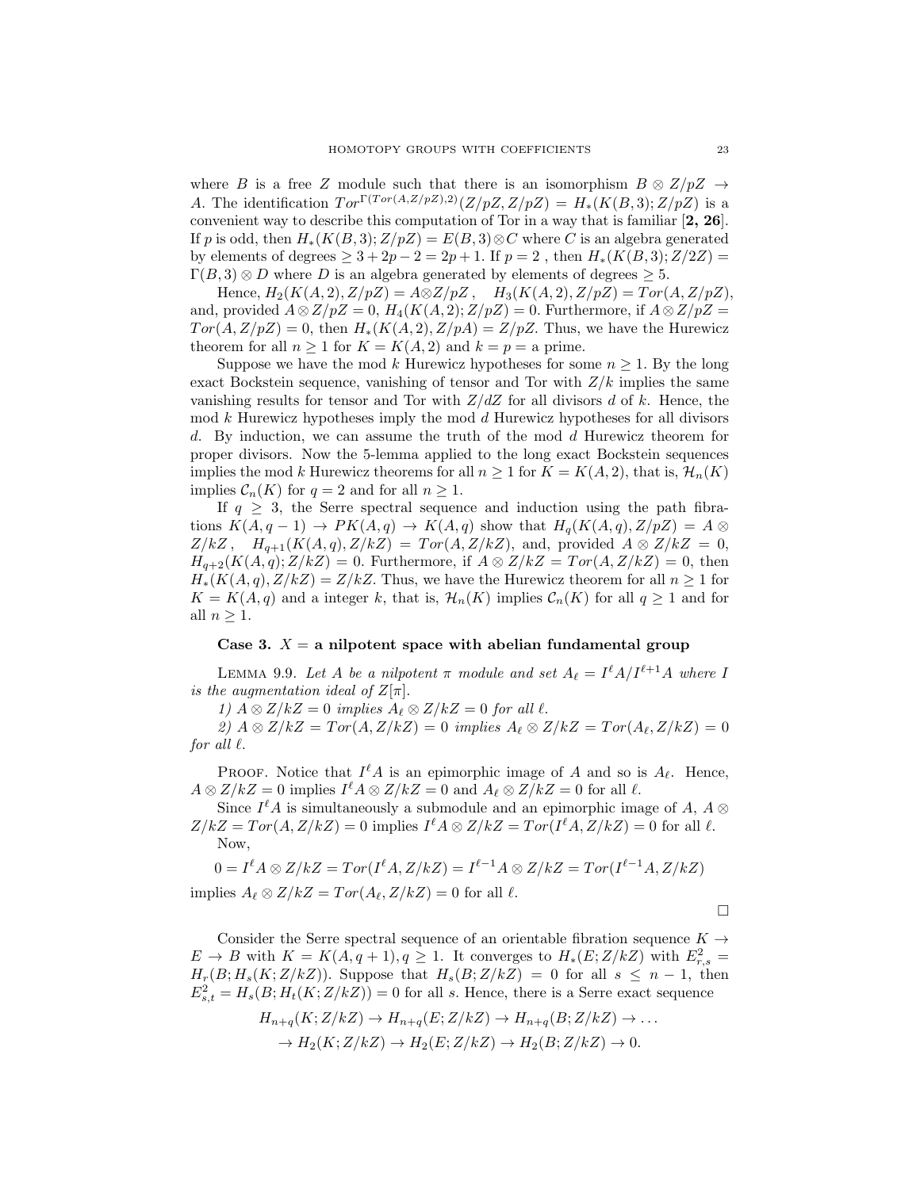where B is a free Z module such that there is an isomorphism  $B \otimes Z/pZ \rightarrow$ A. The identification  $Tor^{\Gamma(Tor(A,Z/pZ),2)}(Z/pZ, Z/pZ) = H_*(K(B,3);Z/pZ)$  is a convenient way to describe this computation of Tor in a way that is familiar [2, 26]. If p is odd, then  $H_*(K(B, 3); Z/pZ) = E(B, 3) \otimes C$  where C is an algebra generated by elements of degrees  $\geq 3 + 2p - 2 = 2p + 1$ . If  $p = 2$ , then  $H_*(K(B, 3); Z/2Z) =$  $\Gamma(B, 3) \otimes D$  where D is an algebra generated by elements of degrees  $\geq 5$ .

Hence,  $H_2(K(A, 2), Z/pZ) = A \otimes Z/pZ$ ,  $H_3(K(A, 2), Z/pZ) = Tor(A, Z/pZ)$ , and, provided  $A \otimes Z/pZ = 0$ ,  $H_4(K(A, 2); Z/pZ) = 0$ . Furthermore, if  $A \otimes Z/pZ = 0$  $Tor(A, Z/pZ) = 0$ , then  $H_*(K(A, 2), Z/pA) = Z/pZ$ . Thus, we have the Hurewicz theorem for all  $n \geq 1$  for  $K = K(A, 2)$  and  $k = p = a$  prime.

Suppose we have the mod k Hurewicz hypotheses for some  $n \geq 1$ . By the long exact Bockstein sequence, vanishing of tensor and Tor with  $Z/k$  implies the same vanishing results for tensor and Tor with  $Z/dZ$  for all divisors d of k. Hence, the  $\mod k$  Hurewicz hypotheses imply the mod d Hurewicz hypotheses for all divisors d. By induction, we can assume the truth of the mod d Hurewicz theorem for proper divisors. Now the 5-lemma applied to the long exact Bockstein sequences implies the mod k Hurewicz theorems for all  $n \geq 1$  for  $K = K(A, 2)$ , that is,  $\mathcal{H}_n(K)$ implies  $C_n(K)$  for  $q = 2$  and for all  $n \geq 1$ .

If  $q \geq 3$ , the Serre spectral sequence and induction using the path fibrations  $K(A, q - 1) \rightarrow PK(A, q) \rightarrow K(A, q)$  show that  $H_q(K(A, q), Z/pZ) = A \otimes$  $Z/kZ$ ,  $H_{q+1}(K(A,q), Z/kZ) = Tor(A, Z/kZ)$ , and, provided  $A \otimes Z/kZ = 0$ ,  $H_{q+2}(K(A,q);Z/kZ) = 0.$  Furthermore, if  $A \otimes Z/kZ = Tor(A, Z/kZ) = 0$ , then  $H_*(K(A,q), Z/kZ) = Z/kZ$ . Thus, we have the Hurewicz theorem for all  $n \geq 1$  for  $K = K(A, q)$  and a integer k, that is,  $\mathcal{H}_n(K)$  implies  $\mathcal{C}_n(K)$  for all  $q \geq 1$  and for all  $n \geq 1$ .

## Case 3.  $X = a$  nilpotent space with abelian fundamental group

LEMMA 9.9. Let A be a nilpotent  $\pi$  module and set  $A_{\ell} = I^{\ell}A/I^{\ell+1}A$  where I is the augmentation ideal of  $Z[\pi]$ .

1)  $A \otimes Z/kZ = 0$  implies  $A_\ell \otimes Z/kZ = 0$  for all  $\ell$ .

2)  $A \otimes Z/kZ = Tor(A, Z/kZ) = 0$  implies  $A_\ell \otimes Z/kZ = Tor(A_\ell, Z/kZ) = 0$ for all  $\ell$ .

PROOF. Notice that  $I^{\ell}A$  is an epimorphic image of A and so is  $A_{\ell}$ . Hence,  $A \otimes Z/kZ = 0$  implies  $I^{\ell} A \otimes Z/kZ = 0$  and  $A_{\ell} \otimes Z/kZ = 0$  for all  $\ell$ .

Since  $I^{\ell}A$  is simultaneously a submodule and an epimorphic image of A,  $A \otimes$  $Z/kZ = Tor(A, Z/kZ) = 0$  implies  $I^{\ell} A \otimes Z/kZ = Tor(I^{\ell} A, Z/kZ) = 0$  for all  $\ell$ . Now,

$$
0 = I^{\ell} A \otimes Z/kZ = Tor(I^{\ell} A, Z/kZ) = I^{\ell-1} A \otimes Z/kZ = Tor(I^{\ell-1} A, Z/kZ)
$$
  
implies  $A_{\ell} \otimes Z/kZ = Tor(A_{\ell}, Z/kZ) = 0$  for all  $\ell$ .

 $\Box$ 

Consider the Serre spectral sequence of an orientable fibration sequence  $K \rightarrow$  $E \to B$  with  $K = K(A, q + 1), q \ge 1$ . It converges to  $H_*(E; Z/kZ)$  with  $E_{r,s}^2 =$  $H_r(B; H_s(K; Z/kZ)).$  Suppose that  $H_s(B; Z/kZ) = 0$  for all  $s \leq n-1$ , then  $E_{s,t}^2 = H_s(B; H_t(K; Z/kZ)) = 0$  for all s. Hence, there is a Serre exact sequence

$$
H_{n+q}(K; Z/kZ) \to H_{n+q}(E; Z/kZ) \to H_{n+q}(B; Z/kZ) \to \dots
$$
  

$$
\to H_2(K; Z/kZ) \to H_2(E; Z/kZ) \to H_2(B; Z/kZ) \to 0.
$$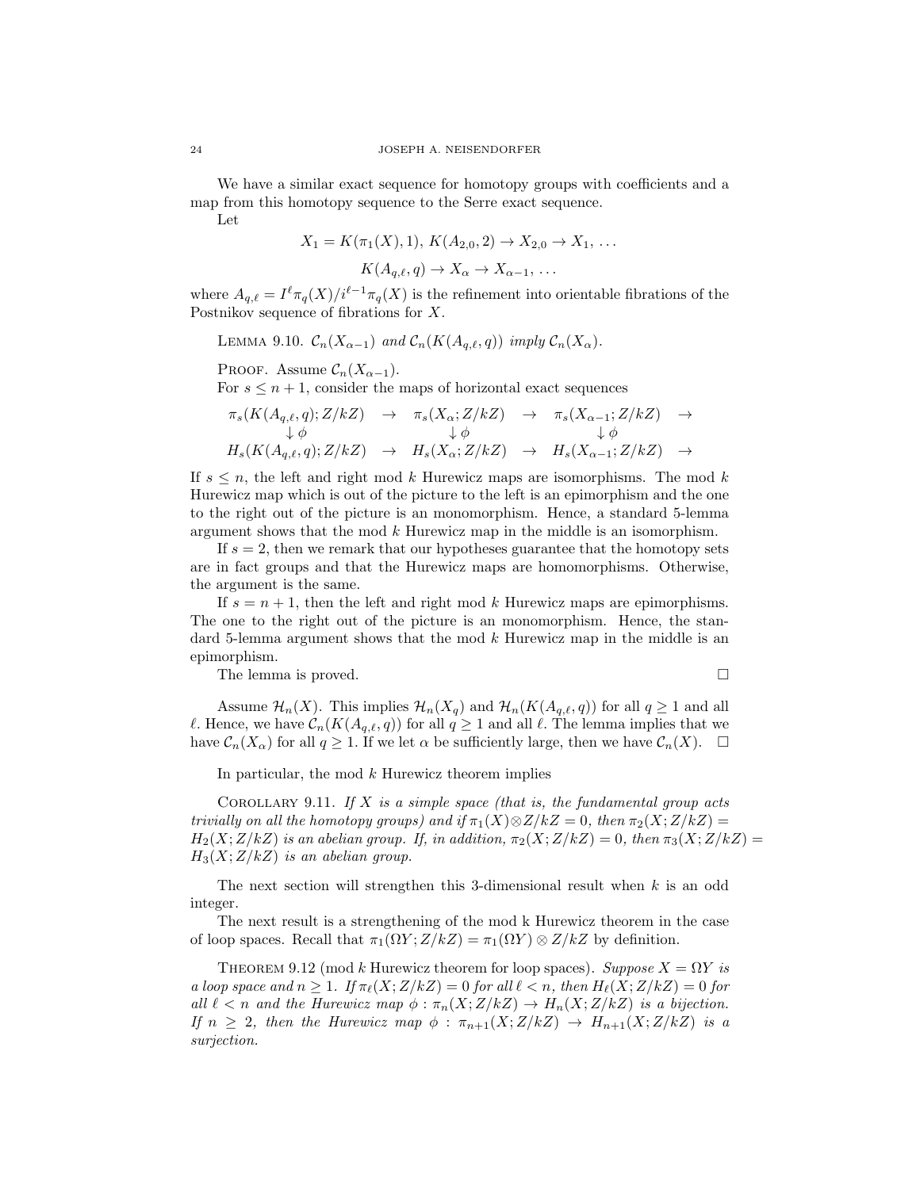We have a similar exact sequence for homotopy groups with coefficients and a map from this homotopy sequence to the Serre exact sequence.

Let

$$
X_1 = K(\pi_1(X), 1), K(A_{2,0}, 2) \to X_{2,0} \to X_1, \ldots
$$

 $K(A_{a,\ell}, q) \to X_{\alpha} \to X_{\alpha-1}, \ldots$ 

where  $A_{q,\ell} = I^{\ell} \pi_q(X)/i^{\ell-1} \pi_q(X)$  is the refinement into orientable fibrations of the Postnikov sequence of fibrations for X.

LEMMA 9.10.  $\mathcal{C}_n(X_{\alpha-1})$  and  $\mathcal{C}_n(K(A_{a,\ell}, q))$  imply  $\mathcal{C}_n(X_{\alpha})$ .

PROOF. Assume 
$$
\mathcal{C}_n(X_{\alpha-1})
$$
.

For  $s \leq n+1$ , consider the maps of horizontal exact sequences

$$
\begin{array}{rcl}\n\pi_s(K(A_{q,\ell},q);Z/kZ) & \to & \pi_s(X_{\alpha};Z/kZ) & \to & \pi_s(X_{\alpha-1};Z/kZ) & \to \\
\downarrow \phi & & \downarrow \phi & & \downarrow \phi \\
H_s(K(A_{q,\ell},q);Z/kZ) & \to & H_s(X_{\alpha};Z/kZ) & \to & H_s(X_{\alpha-1};Z/kZ) & \to\n\end{array}
$$

If  $s \leq n$ , the left and right mod k Hurewicz maps are isomorphisms. The mod k Hurewicz map which is out of the picture to the left is an epimorphism and the one to the right out of the picture is an monomorphism. Hence, a standard 5-lemma argument shows that the mod k Hurewicz map in the middle is an isomorphism.

If  $s = 2$ , then we remark that our hypotheses guarantee that the homotopy sets are in fact groups and that the Hurewicz maps are homomorphisms. Otherwise, the argument is the same.

If  $s = n + 1$ , then the left and right mod k Hurewicz maps are epimorphisms. The one to the right out of the picture is an monomorphism. Hence, the standard 5-lemma argument shows that the mod k Hurewicz map in the middle is an epimorphism.

The lemma is proved.

$$
\qquad \qquad \Box
$$

Assume  $\mathcal{H}_n(X)$ . This implies  $\mathcal{H}_n(X_q)$  and  $\mathcal{H}_n(K(A_{q,\ell}, q))$  for all  $q \geq 1$  and all  $\ell$ . Hence, we have  $\mathcal{C}_n(K(A_{q,\ell}, q))$  for all  $q \geq 1$  and all  $\ell$ . The lemma implies that we have  $C_n(X_\alpha)$  for all  $q \geq 1$ . If we let  $\alpha$  be sufficiently large, then we have  $C_n(X)$ .  $\Box$ 

In particular, the mod  $k$  Hurewicz theorem implies

COROLLARY 9.11. If X is a simple space (that is, the fundamental group acts trivially on all the homotopy groups) and if  $\pi_1(X)\otimes Z/kZ = 0$ , then  $\pi_2(X;Z/kZ) =$  $H_2(X;Z/kZ)$  is an abelian group. If, in addition,  $\pi_2(X;Z/kZ) = 0$ , then  $\pi_3(X;Z/kZ) = 0$  $H_3(X;Z/kZ)$  is an abelian group.

The next section will strengthen this 3-dimensional result when k is an odd integer.

The next result is a strengthening of the mod k Hurewicz theorem in the case of loop spaces. Recall that  $\pi_1(\Omega Y; Z/kZ) = \pi_1(\Omega Y) \otimes Z/kZ$  by definition.

THEOREM 9.12 (mod k Hurewicz theorem for loop spaces). Suppose  $X = \Omega Y$  is a loop space and  $n \geq 1$ . If  $\pi_{\ell}(X;Z/kZ) = 0$  for all  $\ell < n$ , then  $H_{\ell}(X;Z/kZ) = 0$  for all  $\ell < n$  and the Hurewicz map  $\phi : \pi_n(X; Z/kZ) \to H_n(X; Z/kZ)$  is a bijection. If  $n \geq 2$ , then the Hurewicz map  $\phi : \pi_{n+1}(X; Z/kZ) \rightarrow H_{n+1}(X; Z/kZ)$  is a surjection.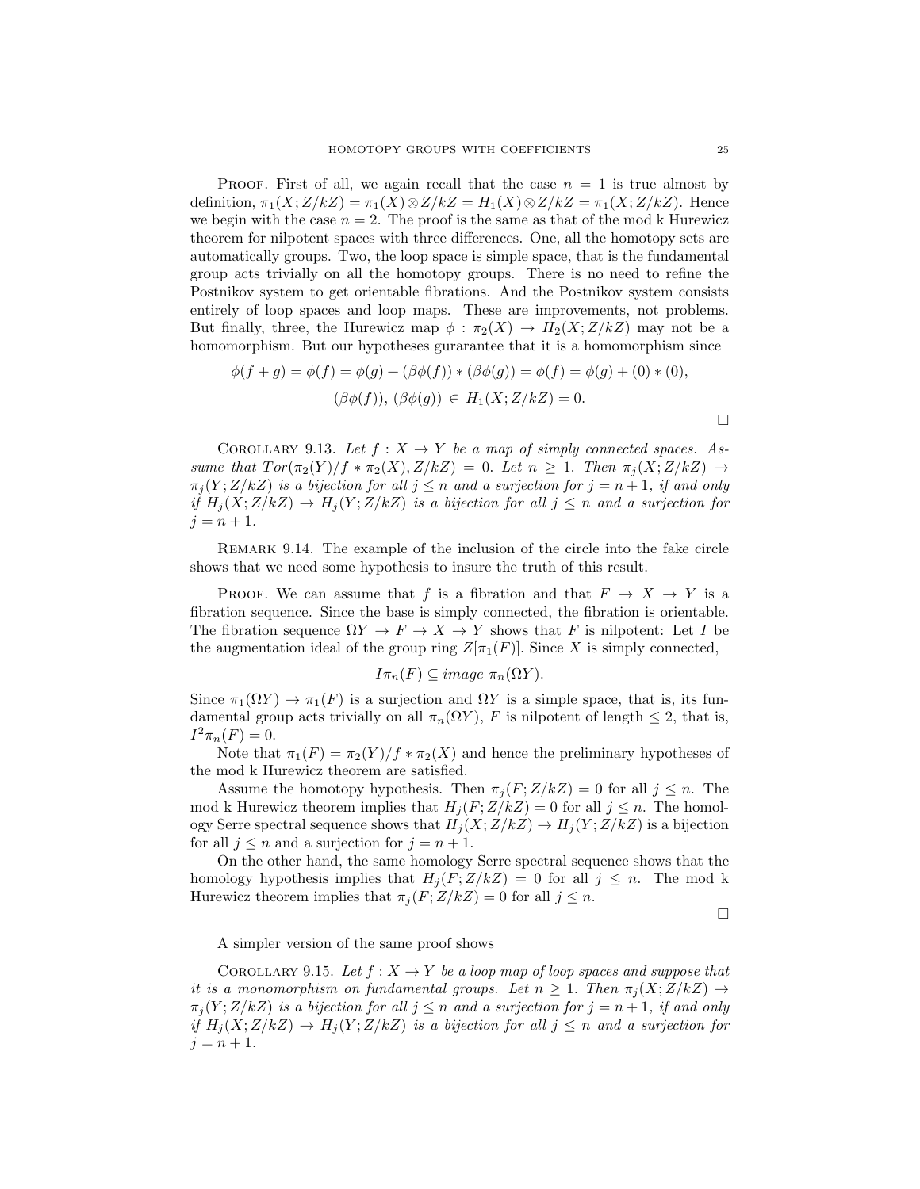**PROOF.** First of all, we again recall that the case  $n = 1$  is true almost by definition,  $\pi_1(X;Z/kZ) = \pi_1(X) \otimes Z/kZ = H_1(X) \otimes Z/kZ = \pi_1(X;Z/kZ)$ . Hence we begin with the case  $n = 2$ . The proof is the same as that of the mod k Hurewicz theorem for nilpotent spaces with three differences. One, all the homotopy sets are automatically groups. Two, the loop space is simple space, that is the fundamental group acts trivially on all the homotopy groups. There is no need to refine the Postnikov system to get orientable fibrations. And the Postnikov system consists entirely of loop spaces and loop maps. These are improvements, not problems. But finally, three, the Hurewicz map  $\phi : \pi_2(X) \to H_2(X; Z/kZ)$  may not be a homomorphism. But our hypotheses gurarantee that it is a homomorphism since

$$
\phi(f+g) = \phi(f) = \phi(g) + (\beta \phi(f)) * (\beta \phi(g)) = \phi(f) = \phi(g) + (0) * (0),
$$
  

$$
(\beta \phi(f)), (\beta \phi(g)) \in H_1(X; Z/kZ) = 0.
$$

COROLLARY 9.13. Let  $f: X \to Y$  be a map of simply connected spaces. Assume that  $Tor(\pi_2(Y)/f * \pi_2(X), Z/kZ) = 0$ . Let  $n \geq 1$ . Then  $\pi_i(X; Z/kZ) \rightarrow$  $\pi_j(Y;Z/kZ)$  is a bijection for all  $j\leq n$  and a surjection for  $j=n+1$ , if and only if  $H_j(X;Z/kZ) \to H_j(Y;Z/kZ)$  is a bijection for all  $j \leq n$  and a surjection for  $j = n + 1.$ 

Remark 9.14. The example of the inclusion of the circle into the fake circle shows that we need some hypothesis to insure the truth of this result.

PROOF. We can assume that f is a fibration and that  $F \to X \to Y$  is a fibration sequence. Since the base is simply connected, the fibration is orientable. The fibration sequence  $\Omega Y \to F \to X \to Y$  shows that F is nilpotent: Let I be the augmentation ideal of the group ring  $Z[\pi_1(F)]$ . Since X is simply connected,

$$
I\pi_n(F) \subseteq image \pi_n(\Omega Y).
$$

Since  $\pi_1(\Omega Y) \to \pi_1(F)$  is a surjection and  $\Omega Y$  is a simple space, that is, its fundamental group acts trivially on all  $\pi_n(\Omega Y)$ , F is nilpotent of length  $\leq 2$ , that is,  $I^{2}\pi_{n}(F) = 0.$ 

Note that  $\pi_1(F) = \pi_2(Y)/f * \pi_2(X)$  and hence the preliminary hypotheses of the mod k Hurewicz theorem are satisfied.

Assume the homotopy hypothesis. Then  $\pi_i(F;Z/kZ) = 0$  for all  $j \leq n$ . The mod k Hurewicz theorem implies that  $H_i(F;Z/kZ) = 0$  for all  $j \leq n$ . The homology Serre spectral sequence shows that  $H_j(X;Z/kZ) \to H_j(Y;Z/kZ)$  is a bijection for all  $j \leq n$  and a surjection for  $j = n + 1$ .

On the other hand, the same homology Serre spectral sequence shows that the homology hypothesis implies that  $H_j(F;Z/kZ) = 0$  for all  $j \leq n$ . The mod k Hurewicz theorem implies that  $\pi_j(F;Z/kZ) = 0$  for all  $j \leq n$ .

 $\Box$ 

A simpler version of the same proof shows

COROLLARY 9.15. Let  $f: X \to Y$  be a loop map of loop spaces and suppose that it is a monomorphism on fundamental groups. Let  $n \geq 1$ . Then  $\pi_i(X; Z/kZ) \rightarrow$  $\pi_j(Y;Z/kZ)$  is a bijection for all  $j\leq n$  and a surjection for  $j=n+1$ , if and only if  $H_i(X;Z/kZ) \to H_i(Y;Z/kZ)$  is a bijection for all  $j \leq n$  and a surjection for  $j = n + 1.$ 

 $\Box$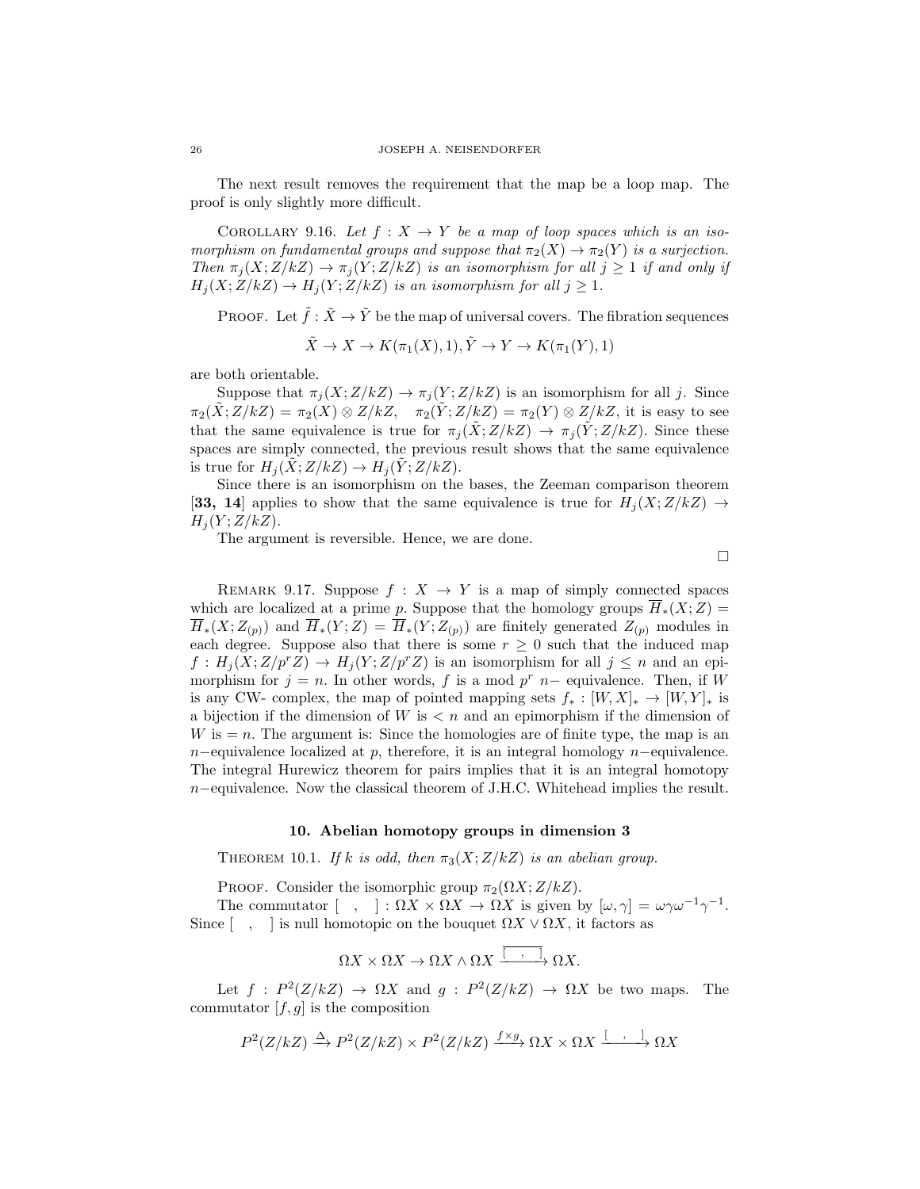The next result removes the requirement that the map be a loop map. The proof is only slightly more difficult.

COROLLARY 9.16. Let  $f: X \to Y$  be a map of loop spaces which is an isomorphism on fundamental groups and suppose that  $\pi_2(X) \to \pi_2(Y)$  is a surjection. Then  $\pi_j(X;Z/kZ) \to \pi_j(Y;Z/kZ)$  is an isomorphism for all  $j \geq 1$  if and only if  $H_j(X;Z/kZ) \to H_j(Y;Z/kZ)$  is an isomorphism for all  $j \geq 1$ .

PROOF. Let  $\tilde{f} : \tilde{X} \to \tilde{Y}$  be the map of universal covers. The fibration sequences

$$
\tilde{X} \to X \to K(\pi_1(X), 1), \tilde{Y} \to Y \to K(\pi_1(Y), 1)
$$

are both orientable.

Suppose that  $\pi_j(X;Z/kZ) \to \pi_j(Y;Z/kZ)$  is an isomorphism for all j. Since  $\pi_2(\tilde{X};Z/kZ) = \pi_2(X) \otimes Z/kZ$ ,  $\pi_2(\tilde{Y};Z/kZ) = \pi_2(Y) \otimes Z/kZ$ , it is easy to see that the same equivalence is true for  $\pi_i(\tilde{X};Z/kZ) \to \pi_i(\tilde{Y};Z/kZ)$ . Since these spaces are simply connected, the previous result shows that the same equivalence is true for  $H_j(X;Z/kZ) \to H_j(Y;Z/kZ)$ .

Since there is an isomorphism on the bases, the Zeeman comparison theorem [33, 14] applies to show that the same equivalence is true for  $H_i(X;Z/kZ) \rightarrow$  $H_i(Y;Z/kZ)$ .

The argument is reversible. Hence, we are done.

 $\Box$ 

REMARK 9.17. Suppose  $f: X \rightarrow Y$  is a map of simply connected spaces which are localized at a prime p. Suppose that the homology groups  $\overline{H}_*(X;Z) =$  $\overline{H}_*(X;Z_{(p)})$  and  $\overline{H}_*(Y;Z)=\overline{H}_*(Y;Z_{(p)})$  are finitely generated  $Z_{(p)}$  modules in each degree. Suppose also that there is some  $r \geq 0$  such that the induced map  $f: H_i(X;Z/p^rZ) \to H_i(Y;Z/p^rZ)$  is an isomorphism for all  $j \leq n$  and an epimorphism for  $j = n$ . In other words, f is a mod p<sup>r</sup> n– equivalence. Then, if W is any CW- complex, the map of pointed mapping sets  $f_* : [W, X]_* \to [W, Y]_*$  is a bijection if the dimension of  $W$  is  $\lt n$  and an epimorphism if the dimension of  $W$  is  $= n$ . The argument is: Since the homologies are of finite type, the map is an n−equivalence localized at p, therefore, it is an integral homology n−equivalence. The integral Hurewicz theorem for pairs implies that it is an integral homotopy n−equivalence. Now the classical theorem of J.H.C. Whitehead implies the result.

## 10. Abelian homotopy groups in dimension 3

THEOREM 10.1. If k is odd, then  $\pi_3(X;Z/kZ)$  is an abelian group.

PROOF. Consider the isomorphic group  $\pi_2(\Omega X; Z/kZ)$ .

The commutator  $[ , ] : \Omega X \times \Omega X \to \Omega X$  is given by  $[\omega, \gamma] = \omega \gamma \omega^{-1} \gamma^{-1}$ . Since  $\lceil$ ,  $\rceil$  is null homotopic on the bouquet  $\Omega X \vee \Omega X$ , it factors as

$$
\Omega X \times \Omega X \to \Omega X \wedge \Omega X \xrightarrow{\overline{\left[ \begin{array}{c} \cdot \end{array} \right]}} \Omega X.
$$

Let  $f: P^2(Z/kZ) \to \Omega X$  and  $g: P^2(Z/kZ) \to \Omega X$  be two maps. The commutator  $[f, g]$  is the composition

$$
P^2(Z/kZ) \xrightarrow{\Delta} P^2(Z/kZ) \times P^2(Z/kZ) \xrightarrow{f \times g} \Omega X \times \Omega X \xrightarrow{[ , , ]}
$$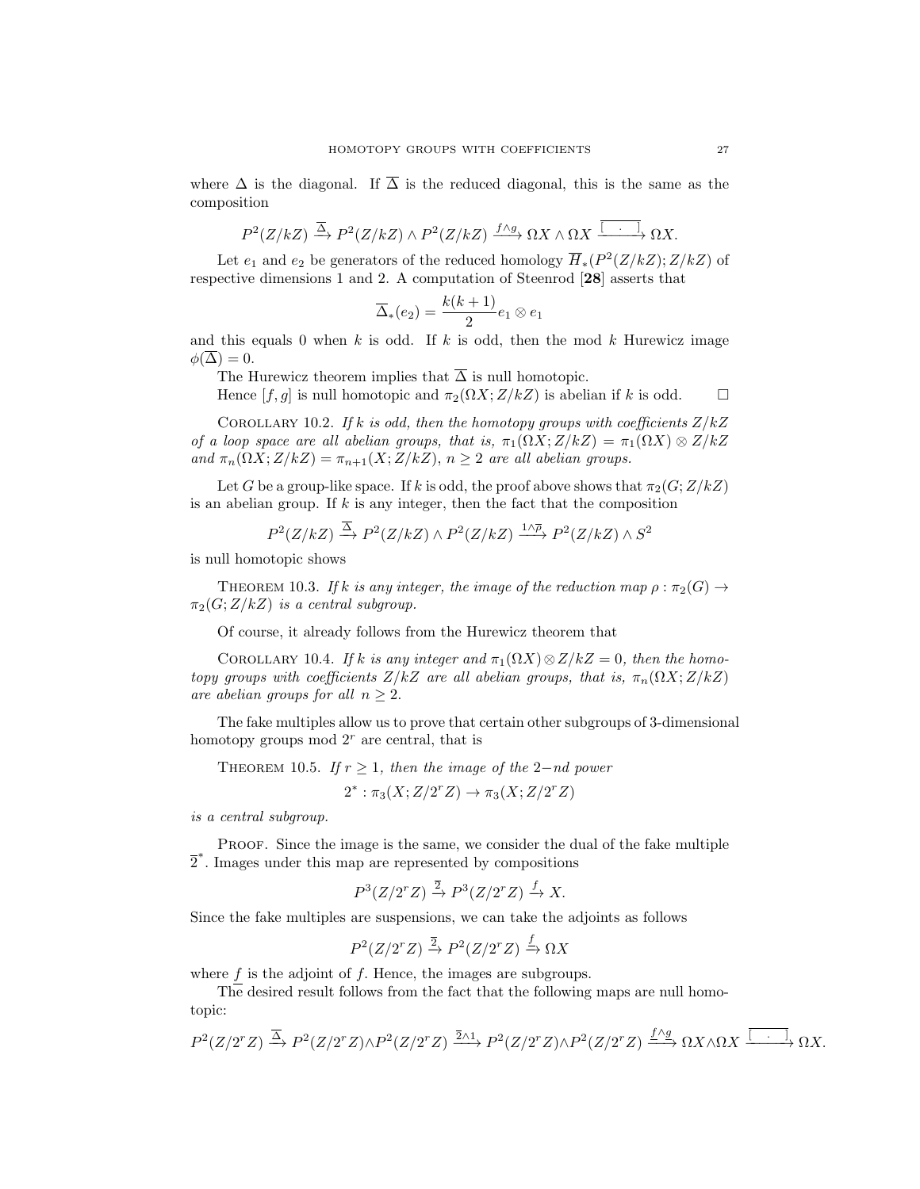where  $\Delta$  is the diagonal. If  $\overline{\Delta}$  is the reduced diagonal, this is the same as the composition

$$
P^2(Z/kZ) \xrightarrow{\overline{\Delta}} P^2(Z/kZ) \wedge P^2(Z/kZ) \xrightarrow{f \wedge g} \Omega X \wedge \Omega X \xrightarrow{\overline{[...]} } \Omega X.
$$

Let  $e_1$  and  $e_2$  be generators of the reduced homology  $\overline{H}_*(P^2(Z/kZ); Z/kZ)$  of respective dimensions 1 and 2. A computation of Steenrod [28] asserts that

$$
\overline{\Delta}_*(e_2)=\frac{k(k+1)}{2}e_1\otimes e_1
$$

and this equals 0 when k is odd. If k is odd, then the mod k Hurewicz image  $\phi(\overline{\Delta})=0.$ 

The Hurewicz theorem implies that  $\overline{\Delta}$  is null homotopic.

Hence  $[f, g]$  is null homotopic and  $\pi_2(\Omega X; Z/kZ)$  is abelian if k is odd.  $\square$ 

COROLLARY 10.2. If k is odd, then the homotopy groups with coefficients  $Z/kZ$ of a loop space are all abelian groups, that is,  $\pi_1(\Omega X; Z/kZ) = \pi_1(\Omega X) \otimes Z/kZ$ and  $\pi_n(\Omega X; Z/kZ) = \pi_{n+1}(X; Z/kZ), n \geq 2$  are all abelian groups.

Let G be a group-like space. If k is odd, the proof above shows that  $\pi_2(G;Z/kZ)$ is an abelian group. If  $k$  is any integer, then the fact that the composition

$$
P^2(Z/kZ) \xrightarrow{\overline{\Delta}} P^2(Z/kZ) \wedge P^2(Z/kZ) \xrightarrow{1 \wedge \overline{\rho}} P^2(Z/kZ) \wedge S^2
$$

is null homotopic shows

THEOREM 10.3. If k is any integer, the image of the reduction map  $\rho : \pi_2(G) \rightarrow$  $\pi_2(G; Z/kZ)$  is a central subgroup.

Of course, it already follows from the Hurewicz theorem that

COROLLARY 10.4. If k is any integer and  $\pi_1(\Omega X)\otimes Z/kZ = 0$ , then the homotopy groups with coefficients  $Z/kZ$  are all abelian groups, that is,  $\pi_n(\Omega X; Z/kZ)$ are abelian groups for all  $n \geq 2$ .

The fake multiples allow us to prove that certain other subgroups of 3-dimensional homotopy groups mod  $2<sup>r</sup>$  are central, that is

THEOREM 10.5. If  $r \geq 1$ , then the image of the 2-nd power

$$
2^* : \pi_3(X; Z/2^r Z) \to \pi_3(X; Z/2^r Z)
$$

is a central subgroup.

Proof. Since the image is the same, we consider the dual of the fake multiple 2 ∗ . Images under this map are represented by compositions

$$
P^3(Z/2^rZ) \xrightarrow{\overline{2}} P^3(Z/2^rZ) \xrightarrow{f} X.
$$

Since the fake multiples are suspensions, we can take the adjoints as follows

$$
P^2(Z/2^rZ) \xrightarrow{\overline{2}} P^2(Z/2^rZ) \xrightarrow{f} \Omega X
$$

where  $f$  is the adjoint of  $f$ . Hence, the images are subgroups.

The desired result follows from the fact that the following maps are null homotopic:

$$
P^2(Z/2^rZ) \xrightarrow{\overline{\Delta}} P^2(Z/2^rZ) \wedge P^2(Z/2^rZ) \xrightarrow{\overline{2}\wedge 1} P^2(Z/2^rZ) \wedge P^2(Z/2^rZ) \xrightarrow{\underline{f\wedge \underline{g}}}\Omega X \wedge \Omega X \xrightarrow{\overline{[ \ \cdot \ \cdot \ ]}} \Omega X.
$$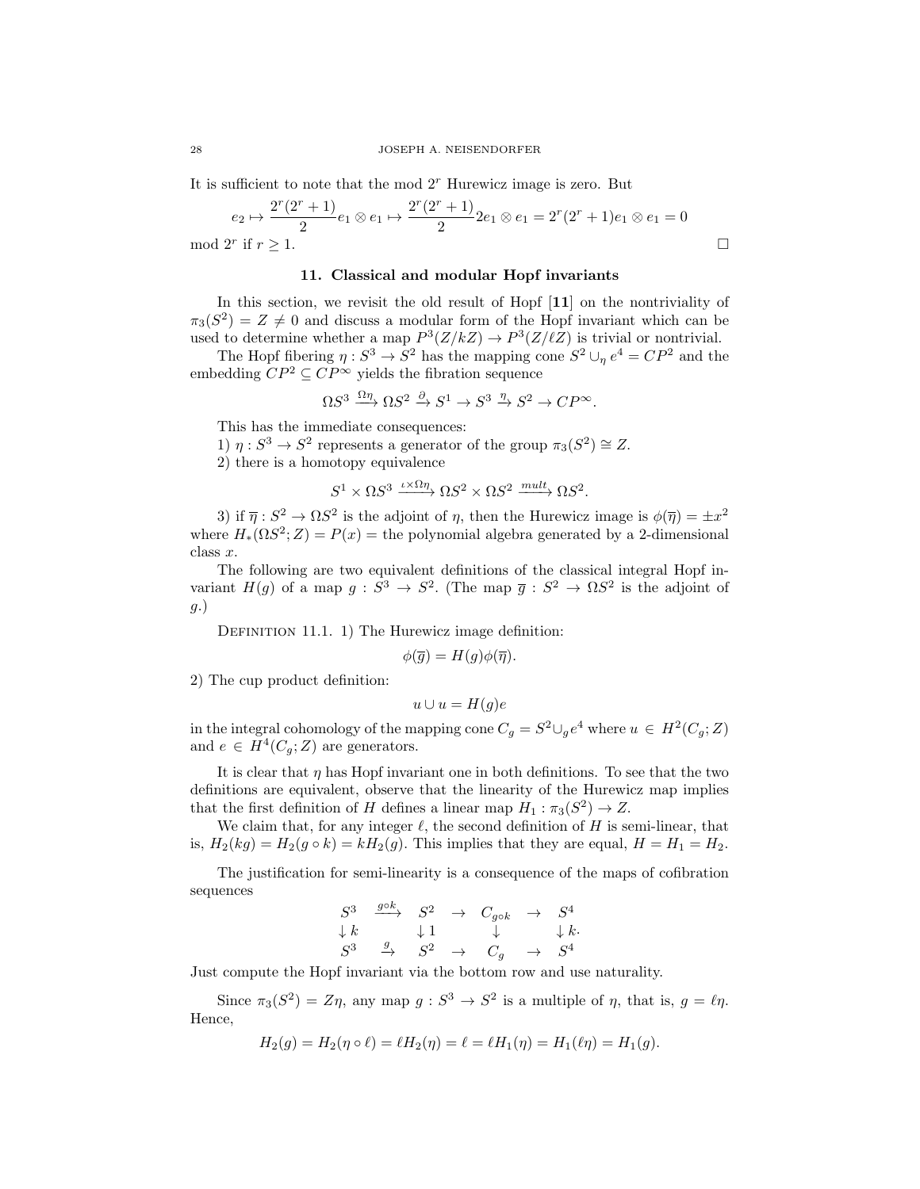It is sufficient to note that the mod  $2<sup>r</sup>$  Hurewicz image is zero. But

$$
e_2 \mapsto \frac{2^r (2^r + 1)}{2} e_1 \otimes e_1 \mapsto \frac{2^r (2^r + 1)}{2} 2 e_1 \otimes e_1 = 2^r (2^r + 1) e_1 \otimes e_1 = 0
$$
  
1 2<sup>r</sup> if  $r \ge 1$ .

mod

#### 11. Classical and modular Hopf invariants

In this section, we revisit the old result of Hopf [11] on the nontriviality of  $\pi_3(S^2) = Z \neq 0$  and discuss a modular form of the Hopf invariant which can be used to determine whether a map  $P^3(Z/kZ) \to P^3(Z/\ell Z)$  is trivial or nontrivial.

The Hopf fibering  $\eta: S^3 \to S^2$  has the mapping cone  $S^2 \cup_{\eta} e^4 = CP^2$  and the embedding  $\mathbb{CP}^2 \subseteq \mathbb{CP}^\infty$  yields the fibration sequence

$$
\Omega S^3 \xrightarrow{\Omega \eta} \Omega S^2 \xrightarrow{\partial} S^1 \to S^3 \xrightarrow{\eta} S^2 \to CP^{\infty}.
$$

This has the immediate consequences:

1)  $\eta: S^3 \to S^2$  represents a generator of the group  $\pi_3(S^2) \cong Z$ .

2) there is a homotopy equivalence

$$
S^1 \times \Omega S^3 \xrightarrow{\iota \times \Omega \eta} \Omega S^2 \times \Omega S^2 \xrightarrow{mult} \Omega S^2.
$$

3) if  $\bar{\eta}: S^2 \to \Omega S^2$  is the adjoint of  $\eta$ , then the Hurewicz image is  $\phi(\bar{\eta}) = \pm x^2$ where  $H_*(\Omega S^2; Z) = P(x)$  = the polynomial algebra generated by a 2-dimensional class x.

The following are two equivalent definitions of the classical integral Hopf invariant  $H(g)$  of a map  $g: S^3 \to S^2$ . (The map  $\overline{g}: S^2 \to \Omega S^2$  is the adjoint of g.)

DEFINITION 11.1. 1) The Hurewicz image definition:

$$
\phi(\overline{g}) = H(g)\phi(\overline{\eta}).
$$

2) The cup product definition:

 $u \cup u = H(q)e$ 

in the integral cohomology of the mapping cone  $C_g = S^2 \cup_g e^4$  where  $u \in H^2(C_g; Z)$ and  $e \in H^4(C_g; Z)$  are generators.

It is clear that  $\eta$  has Hopf invariant one in both definitions. To see that the two definitions are equivalent, observe that the linearity of the Hurewicz map implies that the first definition of H defines a linear map  $H_1 : \pi_3(S^2) \to Z$ .

We claim that, for any integer  $\ell$ , the second definition of H is semi-linear, that is,  $H_2(kg) = H_2(g \circ k) = kH_2(g)$ . This implies that they are equal,  $H = H_1 = H_2$ .

The justification for semi-linearity is a consequence of the maps of cofibration sequences

$$
\begin{array}{ccc}\nS^3 & \xrightarrow{g \circ k} & S^2 & \to & C_{g \circ k} & \to & S^4 \\
\downarrow k & & \downarrow 1 & & \downarrow & & \downarrow k. \\
S^3 & \xrightarrow{g} & S^2 & \to & C_g & \to & S^4\n\end{array}
$$

Just compute the Hopf invariant via the bottom row and use naturality.

Since  $\pi_3(S^2) = Z\eta$ , any map  $g : S^3 \to S^2$  is a multiple of  $\eta$ , that is,  $g = \ell\eta$ . Hence,

$$
H_2(g) = H_2(\eta \circ \ell) = \ell H_2(\eta) = \ell = \ell H_1(\eta) = H_1(\ell \eta) = H_1(g).
$$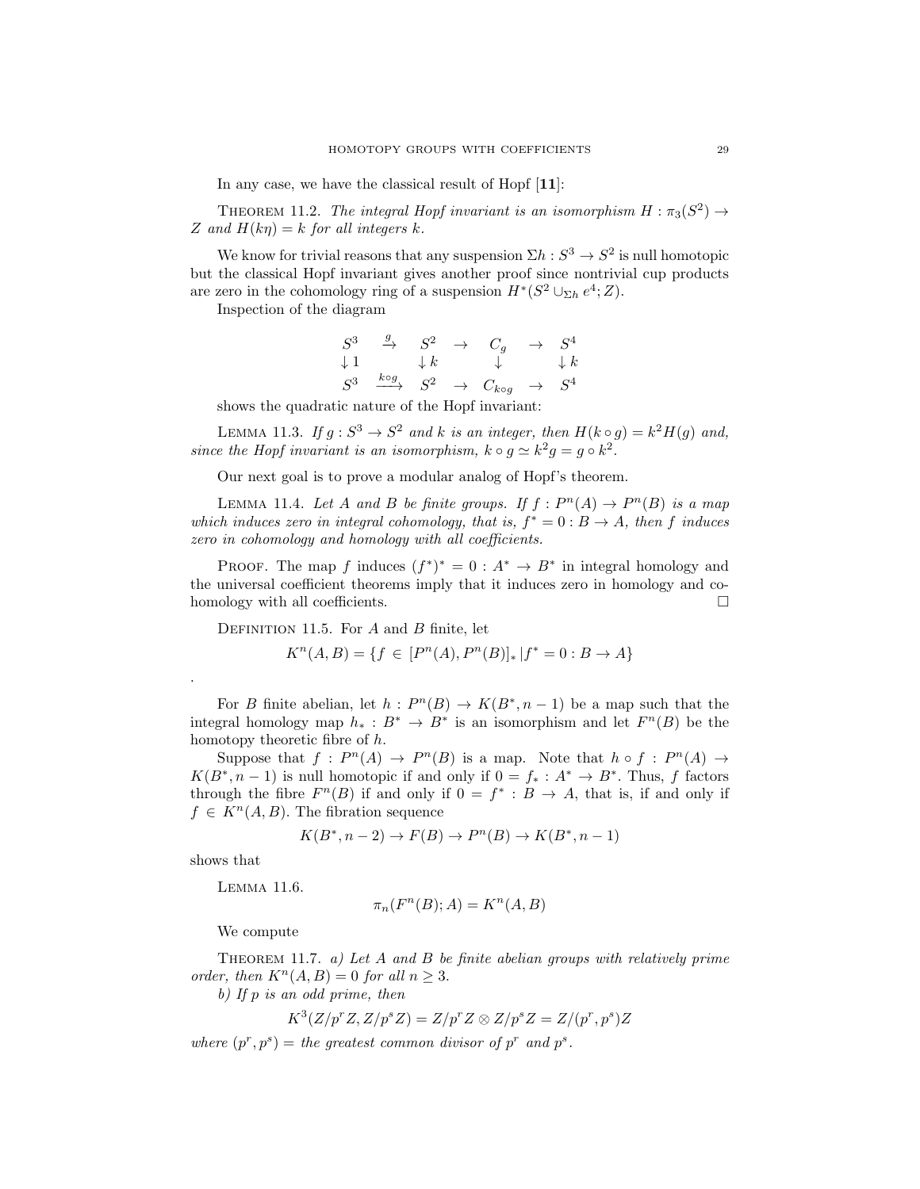In any case, we have the classical result of Hopf [11]:

THEOREM 11.2. The integral Hopf invariant is an isomorphism  $H : \pi_3(S^2) \to$ Z and  $H(k\eta) = k$  for all integers k.

We know for trivial reasons that any suspension  $\Sigma h : S^3 \to S^2$  is null homotopic but the classical Hopf invariant gives another proof since nontrivial cup products are zero in the cohomology ring of a suspension  $H^*(S^2 \cup_{\Sigma h} e^4; Z)$ .

Inspection of the diagram

$$
\begin{array}{ccccccc}\nS^3 & \xrightarrow{g} & S^2 & \rightarrow & C_g & \rightarrow & S^4 \\
\downarrow{1} & & \downarrow{k} & & \downarrow & & \downarrow{k} \\
S^3 & \xrightarrow{k \circ g} & S^2 & \rightarrow & C_{k \circ g} & \rightarrow & S^4\n\end{array}
$$

shows the quadratic nature of the Hopf invariant:

LEMMA 11.3. If  $g: S^3 \to S^2$  and k is an integer, then  $H(k \circ g) = k^2 H(g)$  and, since the Hopf invariant is an isomorphism,  $k \circ g \simeq k^2 g = g \circ k^2$ .

Our next goal is to prove a modular analog of Hopf's theorem.

LEMMA 11.4. Let A and B be finite groups. If  $f: P^{n}(A) \to P^{n}(B)$  is a map which induces zero in integral cohomology, that is,  $f^* = 0 : B \to A$ , then f induces zero in cohomology and homology with all coefficients.

PROOF. The map f induces  $(f^*)^* = 0 : A^* \to B^*$  in integral homology and the universal coefficient theorems imply that it induces zero in homology and cohomology with all coefficients.

DEFINITION 11.5. For  $A$  and  $B$  finite, let

$$
K^{n}(A,B) = \{ f \in [P^{n}(A), P^{n}(B)]_{*} | f^{*} = 0 : B \to A \}
$$

For B finite abelian, let  $h: P^{n}(B) \to K(B^*, n-1)$  be a map such that the integral homology map  $h_* : B^* \to B^*$  is an isomorphism and let  $F^n(B)$  be the homotopy theoretic fibre of h.

Suppose that  $f: P^n(A) \to P^n(B)$  is a map. Note that  $h \circ f: P^n(A) \to$  $K(B^*, n-1)$  is null homotopic if and only if  $0 = f_* : A^* \to B^*$ . Thus, f factors through the fibre  $F^n(B)$  if and only if  $0 = f^* : B \to A$ , that is, if and only if  $f \in K^n(A, B)$ . The fibration sequence

$$
K(B^*, n-2) \to F(B) \to P^n(B) \to K(B^*, n-1)
$$

shows that

.

Lemma 11.6.

$$
\pi_n(F^n(B); A) = K^n(A, B)
$$

We compute

THEOREM 11.7. a) Let A and B be finite abelian groups with relatively prime order, then  $K^n(A, B) = 0$  for all  $n > 3$ .

b) If p is an odd prime, then

$$
K^3(Z/p^rZ, Z/p^sZ) = Z/p^rZ \otimes Z/p^sZ = Z/(p^r, p^s)Z
$$

where  $(p^r, p^s) =$  the greatest common divisor of  $p^r$  and  $p^s$ .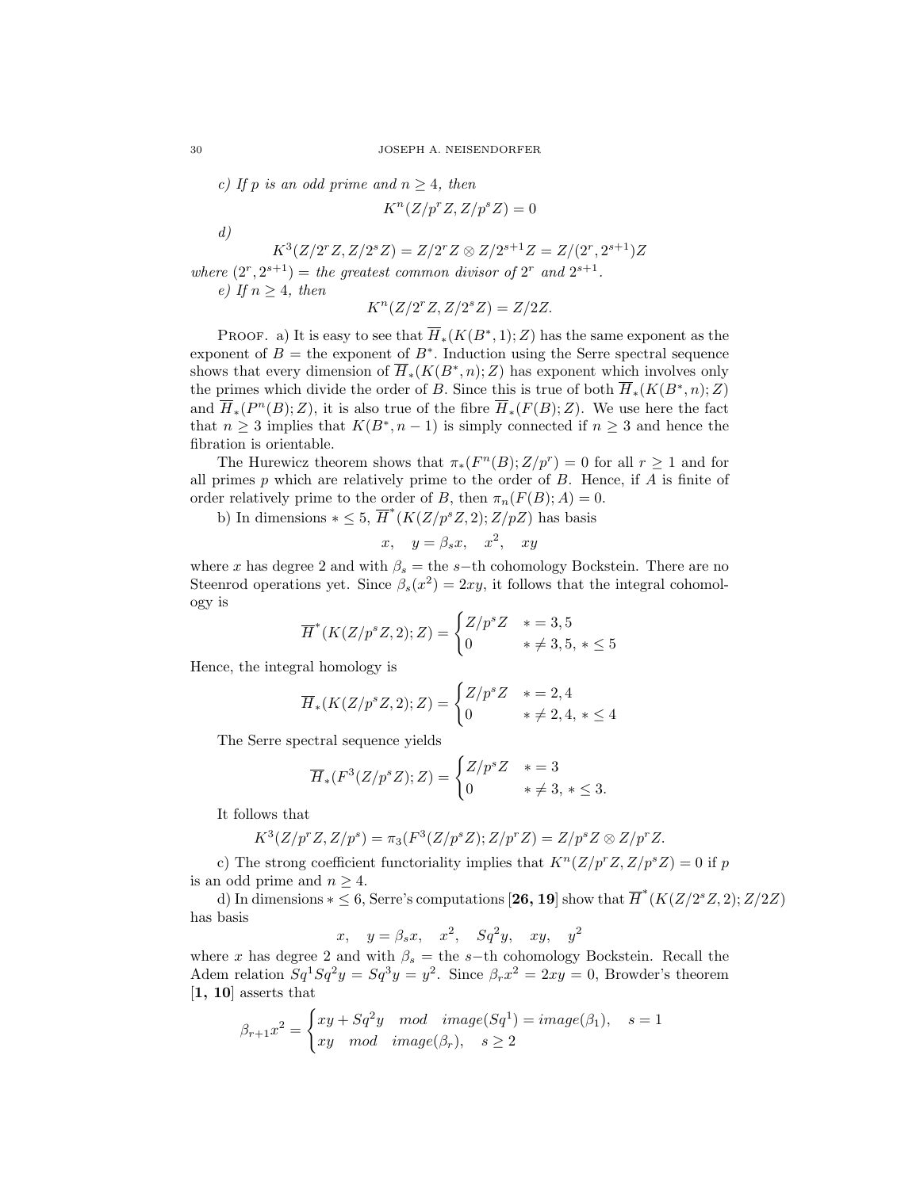c) If p is an odd prime and  $n \geq 4$ , then

$$
K^n(Z/p^rZ, Z/p^sZ) = 0
$$

d)

 $K^3(Z/2^rZ, Z/2^sZ) = Z/2^rZ \otimes Z/2^{s+1}Z = Z/(2^r, 2^{s+1})Z$ 

where  $(2^r, 2^{s+1})$  = the greatest common divisor of  $2^r$  and  $2^{s+1}$ . e) If  $n \geq 4$ , then

$$
K^n(Z/2^rZ, Z/2^sZ) = Z/2Z.
$$

PROOF. a) It is easy to see that  $\overline{H}_*(K(B^*,1); Z)$  has the same exponent as the exponent of  $B =$  the exponent of  $B^*$ . Induction using the Serre spectral sequence shows that every dimension of  $\overline{H}_*(K(B^*, n); Z)$  has exponent which involves only the primes which divide the order of B. Since this is true of both  $\overline{H}_*(K(B^*, n); Z)$ and  $\overline{H}_*(P^n(B);Z)$ , it is also true of the fibre  $\overline{H}_*(F(B);Z)$ . We use here the fact that  $n \geq 3$  implies that  $K(B^*, n-1)$  is simply connected if  $n \geq 3$  and hence the fibration is orientable.

The Hurewicz theorem shows that  $\pi_*(F^n(B); Z/p^r) = 0$  for all  $r \geq 1$  and for all primes  $p$  which are relatively prime to the order of  $B$ . Hence, if  $A$  is finite of order relatively prime to the order of B, then  $\pi_n(F(B); A) = 0$ .

b) In dimensions  $*\leq 5$ ,  $\overline{H}^*(K(Z/p^sZ, 2); Z/pZ)$  has basis

$$
x, \quad y = \beta_s x, \quad x^2, \quad xy
$$

where x has degree 2 and with  $\beta_s =$  the s−th cohomology Bockstein. There are no Steenrod operations yet. Since  $\beta_s(x^2) = 2xy$ , it follows that the integral cohomology is

$$
\overline{H}^*(K(Z/p^sZ, 2); Z) = \begin{cases} Z/p^s Z & * = 3, 5\\ 0 & * \neq 3, 5, * \le 5 \end{cases}
$$

Hence, the integral homology is

$$
\overline{H}_*(K(Z/p^s Z, 2); Z) = \begin{cases} Z/p^s Z & * = 2, 4\\ 0 & * \neq 2, 4, * \le 4 \end{cases}
$$

The Serre spectral sequence yields

$$
\overline{H}_*(F^3(Z/p^sZ);Z) = \begin{cases} Z/p^sZ & * = 3\\ 0 & * \neq 3, * \le 3. \end{cases}
$$

It follows that

$$
K^{3}(Z/p^{r}Z, Z/p^{s}) = \pi_{3}(F^{3}(Z/p^{s}Z); Z/p^{r}Z) = Z/p^{s}Z \otimes Z/p^{r}Z.
$$

c) The strong coefficient functoriality implies that  $K^{n}(Z/p^{r}Z, Z/p^{s}Z) = 0$  if p is an odd prime and  $n \geq 4$ .

d) In dimensions  $*\leq 6$ , Serre's computations [26, 19] show that  $\overline{H}^*(K(Z/2^sZ,2);Z/2Z)$ has basis

$$
x, \quad y = \beta_s x, \quad x^2, \quad Sq^2y, \quad xy, \quad y^2
$$

where x has degree 2 and with  $\beta_s =$  the s−th cohomology Bockstein. Recall the Adem relation  $Sq^1 Sq^2 y = Sq^3 y = y^2$ . Since  $\beta_r x^2 = 2xy = 0$ , Browder's theorem [1, 10] asserts that

$$
\beta_{r+1}x^2 = \begin{cases} xy + Sq^2y \mod{image(Sq^1)} = image(\beta_1), & s = 1 \\ xy \mod{image(\beta_r)}, & s \ge 2 \end{cases}
$$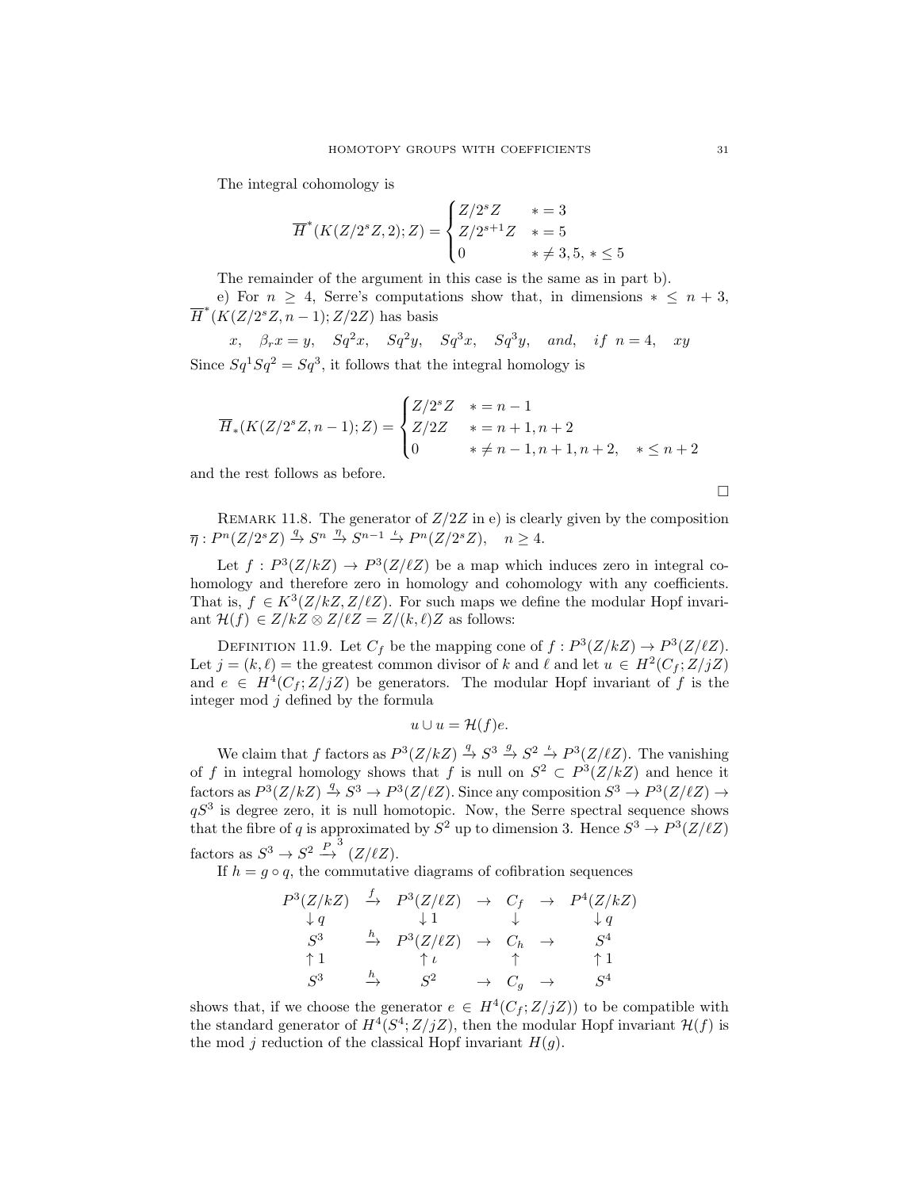The integral cohomology is

$$
\overline{H}^*(K(Z/2^sZ, 2); Z) = \begin{cases} Z/2^sZ & * = 3\\ Z/2^{s+1}Z & * = 5\\ 0 & * \neq 3, 5, * \le 5 \end{cases}
$$

The remainder of the argument in this case is the same as in part b).

e) For  $n \geq 4$ , Serre's computations show that, in dimensions  $* \leq n+3$ ,  $\overline{H}^*(\overline{K}(Z/2^sZ,\overline{n-1});Z/2Z)$  has basis

x,  $\beta_r x = y$ ,  $Sq^2 x$ ,  $Sq^2 y$ ,  $Sq^3 x$ ,  $Sq^3 y$ , and, if  $n = 4$ , xy Since  $Sq^1 Sq^2 = Sq^3$ , it follows that the integral homology is

$$
\overline{H}_*(K(Z/2^sZ, n-1); Z) = \begin{cases} Z/2^sZ & * = n-1 \\ Z/2Z & * = n+1, n+2 \\ 0 & * \neq n-1, n+1, n+2, * \leq n+2 \end{cases}
$$

and the rest follows as before.

 $\Box$ 

REMARK 11.8. The generator of  $Z/2Z$  in e) is clearly given by the composition  $\overline{\eta}: P^{n}(Z/2^{s}Z) \stackrel{q}{\rightarrow} S^{n} \stackrel{\eta}{\rightarrow} S^{n-1} \stackrel{\iota}{\rightarrow} P^{n}(Z/2^{s}Z), \quad n \geq 4.$ 

Let  $f: P^3(Z/kZ) \to P^3(Z/\ell Z)$  be a map which induces zero in integral cohomology and therefore zero in homology and cohomology with any coefficients. That is,  $f \in K^3(Z/kZ, Z/\ell Z)$ . For such maps we define the modular Hopf invariant  $\mathcal{H}(f) \in Z/kZ \otimes Z/\ell Z = Z/(k, \ell)Z$  as follows:

DEFINITION 11.9. Let  $C_f$  be the mapping cone of  $f: P^3(Z/kZ) \to P^3(Z/\ell Z)$ . Let  $j = (k, \ell)$  = the greatest common divisor of k and  $\ell$  and let  $u \in H^2(C_f; Z/jZ)$ and  $e \in H^4(C_f; Z/jZ)$  be generators. The modular Hopf invariant of f is the integer mod  $j$  defined by the formula

$$
u \cup u = \mathcal{H}(f)e.
$$

We claim that f factors as  $P^3(Z/kZ) \stackrel{q}{\to} S^3 \stackrel{g}{\to} S^2 \stackrel{\iota}{\to} P^3(Z/\ell Z)$ . The vanishing of f in integral homology shows that f is null on  $S^2 \subset P^3(Z/kZ)$  and hence it factors as  $P^3(Z/kZ) \stackrel{q}{\to} S^3 \to P^3(Z/\ell Z)$ . Since any composition  $S^3 \to P^3(Z/\ell Z) \to$  $qS<sup>3</sup>$  is degree zero, it is null homotopic. Now, the Serre spectral sequence shows that the fibre of q is approximated by  $S^2$  up to dimension 3. Hence  $S^3 \to P^3(Z/\ell Z)$ factors as  $S^3 \to S^2 \stackrel{P}{\to}^3 (Z/\ell Z)$ .

If  $h = g \circ q$ , the commutative diagrams of cofibration sequences

$$
\begin{array}{ccccccc}\nP^3(Z/kZ) & \xrightarrow{f} & P^3(Z/\ell Z) & \rightarrow & C_f & \rightarrow & P^4(Z/kZ) \\
\downarrow q & & \downarrow 1 & & \downarrow q & & \downarrow q \\
S^3 & & \xrightarrow{h} & P^3(Z/\ell Z) & \rightarrow & C_h & \rightarrow & S^4 \\
\uparrow 1 & & \uparrow \iota & & \uparrow & & \uparrow 1 \\
S^3 & & \xrightarrow{h} & S^2 & \rightarrow & C_g & \rightarrow & S^4\n\end{array}
$$

shows that, if we choose the generator  $e \in H^4(C_f; Z/jZ)$  to be compatible with the standard generator of  $H^4(S^4; Z/jZ)$ , then the modular Hopf invariant  $\mathcal{H}(f)$  is the mod j reduction of the classical Hopf invariant  $H(q)$ .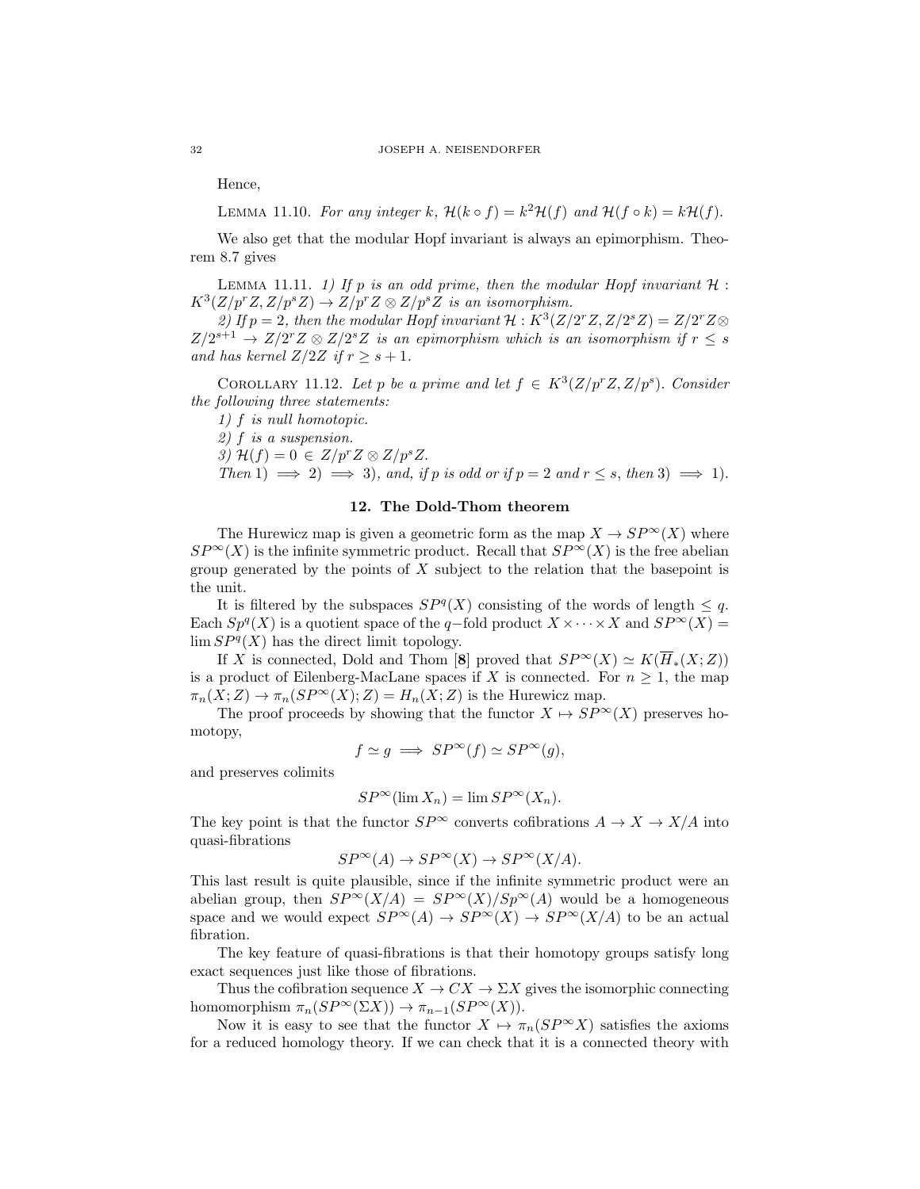Hence,

LEMMA 11.10. For any integer k,  $\mathcal{H}(k \circ f) = k^2 \mathcal{H}(f)$  and  $\mathcal{H}(f \circ k) = k \mathcal{H}(f)$ .

We also get that the modular Hopf invariant is always an epimorphism. Theorem 8.7 gives

LEMMA 11.11. 1) If p is an odd prime, then the modular Hopf invariant  $H$ :  $K^3(Z/p^rZ, Z/p^sZ) \to Z/p^rZ \otimes Z/p^sZ$  is an isomorphism.

2) If  $p = 2$ , then the modular Hopf invariant  $\mathcal{H}: K^3(Z/2^rZ, Z/2^sZ) = Z/2^rZ \otimes$  $Z/2^{s+1} \rightarrow Z/2^{r}Z \otimes Z/2^{s}Z$  is an epimorphism which is an isomorphism if  $r \leq s$ and has kernel  $Z/2Z$  if  $r \geq s+1$ .

COROLLARY 11.12. Let p be a prime and let  $f \in K^3(Z/p^rZ, Z/p^s)$ . Consider the following three statements:

1) f is null homotopic.

2) f is a suspension.

3)  $\mathcal{H}(f) = 0 \in Z/p^r Z \otimes Z/p^s Z$ .

Then 1)  $\implies$  2)  $\implies$  3), and, if p is odd or if  $p = 2$  and  $r \leq s$ , then 3)  $\implies$  1).

## 12. The Dold-Thom theorem

The Hurewicz map is given a geometric form as the map  $X \to SP^{\infty}(X)$  where  $SP^{\infty}(X)$  is the infinite symmetric product. Recall that  $SP^{\infty}(X)$  is the free abelian group generated by the points of  $X$  subject to the relation that the basepoint is the unit.

It is filtered by the subspaces  $SP<sup>q</sup>(X)$  consisting of the words of length  $\leq q$ . Each  $Sp^{q}(X)$  is a quotient space of the q-fold product  $X \times \cdots \times X$  and  $SP^{\infty}(X) =$  $\lim SP<sup>q</sup>(X)$  has the direct limit topology.

If X is connected, Dold and Thom [8] proved that  $SP^{\infty}(X) \simeq K(\overline{H}_*(X;Z))$ is a product of Eilenberg-MacLane spaces if X is connected. For  $n \geq 1$ , the map  $\pi_n(X;Z) \to \pi_n(SP^\infty(X);Z) = H_n(X;Z)$  is the Hurewicz map.

The proof proceeds by showing that the functor  $X \mapsto SP^{\infty}(X)$  preserves homotopy,

$$
f \simeq g \implies SP^{\infty}(f) \simeq SP^{\infty}(g),
$$

and preserves colimits

$$
SP^{\infty}(\lim X_n) = \lim SP^{\infty}(X_n).
$$

The key point is that the functor  $SP^{\infty}$  converts cofibrations  $A \to X \to X/A$  into quasi-fibrations

$$
SP^{\infty}(A) \to SP^{\infty}(X) \to SP^{\infty}(X/A).
$$

This last result is quite plausible, since if the infinite symmetric product were an abelian group, then  $SP^{\infty}(X/A) = SP^{\infty}(X)/Sp^{\infty}(A)$  would be a homogeneous space and we would expect  $SP^{\infty}(A) \to SP^{\infty}(X) \to SP^{\infty}(X/A)$  to be an actual fibration.

The key feature of quasi-fibrations is that their homotopy groups satisfy long exact sequences just like those of fibrations.

Thus the cofibration sequence  $X \to CX \to \Sigma X$  gives the isomorphic connecting homomorphism  $\pi_n(SP^{\infty}(\Sigma X)) \to \pi_{n-1}(SP^{\infty}(X)).$ 

Now it is easy to see that the functor  $X \mapsto \pi_n(SP^{\infty}X)$  satisfies the axioms for a reduced homology theory. If we can check that it is a connected theory with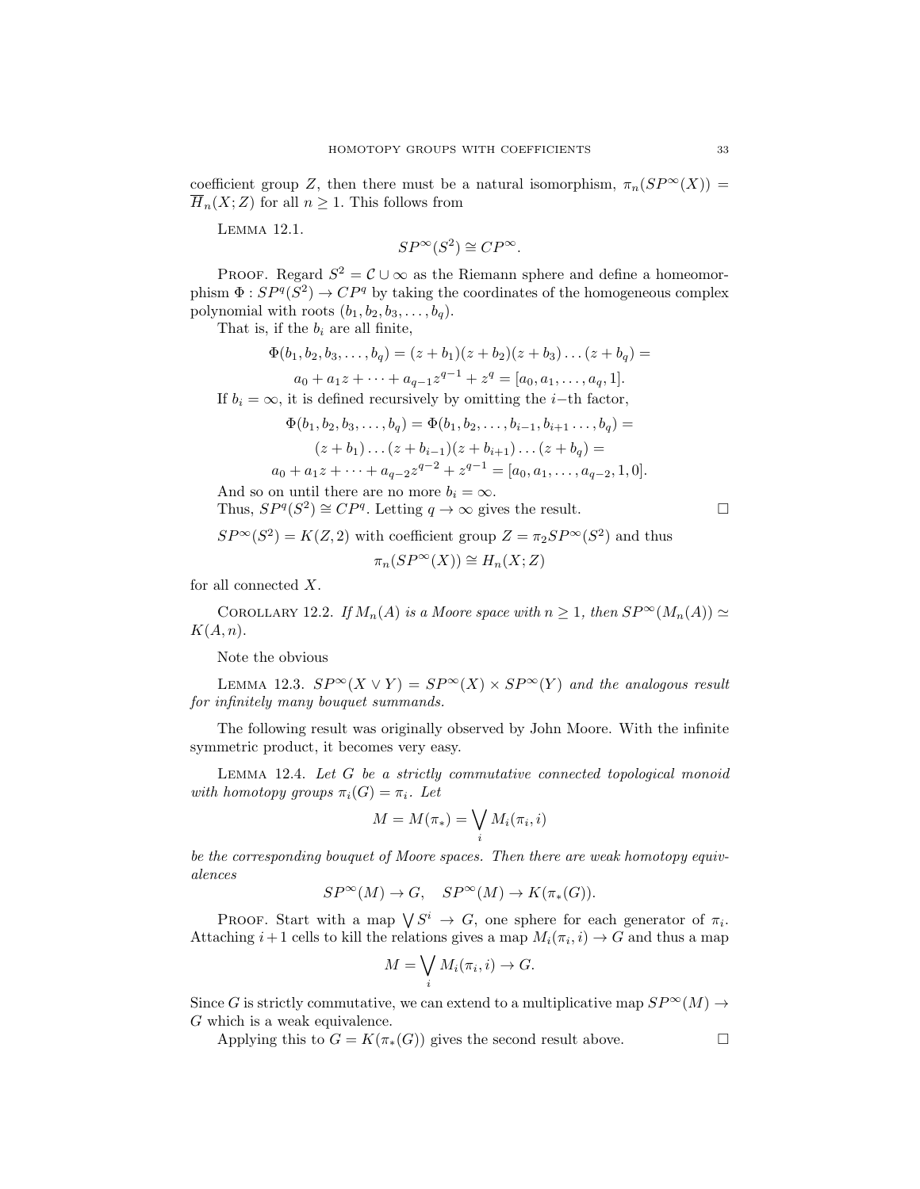coefficient group Z, then there must be a natural isomorphism,  $\pi_n(SP^{\infty}(X)) =$  $\overline{H}_n(X;Z)$  for all  $n\geq 1$ . This follows from

Lemma 12.1.

$$
SP^{\infty}(S^2) \cong CP^{\infty}.
$$

PROOF. Regard  $S^2 = \mathcal{C} \cup \infty$  as the Riemann sphere and define a homeomorphism  $\Phi: SP^q(S^2) \to CP^q$  by taking the coordinates of the homogeneous complex polynomial with roots  $(b_1, b_2, b_3, \ldots, b_q)$ .

That is, if the  $b_i$  are all finite,

$$
\Phi(b_1, b_2, b_3, \dots, b_q) = (z + b_1)(z + b_2)(z + b_3) \dots (z + b_q) =
$$
  

$$
a_0 + a_1 z + \dots + a_{q-1} z^{q-1} + z^q = [a_0, a_1, \dots, a_q, 1].
$$

If  $b_i = \infty$ , it is defined recursively by omitting the *i*-th factor,

$$
\Phi(b_1, b_2, b_3, \dots, b_q) = \Phi(b_1, b_2, \dots, b_{i-1}, b_{i+1}, \dots, b_q) =
$$
  

$$
(z + b_1) \dots (z + b_{i-1})(z + b_{i+1}) \dots (z + b_q) =
$$
  

$$
a_0 + a_1 z + \dots + a_{q-2} z^{q-2} + z^{q-1} = [a_0, a_1, \dots, a_{q-2}, 1, 0].
$$

And so on until there are no more  $b_i = \infty$ .

Thus,  $SP<sup>q</sup>(S<sup>2</sup>) \cong CP<sup>q</sup>$ . Letting  $q \to \infty$  gives the result.

$$
\Box
$$

 $SP^{\infty}(S^2) = K(Z, 2)$  with coefficient group  $Z = \pi_2 SP^{\infty}(S^2)$  and thus

$$
\pi_n(SP^\infty(X)) \cong H_n(X;Z)
$$

for all connected  $X$ .

COROLLARY 12.2. If  $M_n(A)$  is a Moore space with  $n \geq 1$ , then  $SP^{\infty}(M_n(A)) \simeq$  $K(A, n)$ .

Note the obvious

LEMMA 12.3.  $SP^{\infty}(X \vee Y) = SP^{\infty}(X) \times SP^{\infty}(Y)$  and the analogous result for infinitely many bouquet summands.

The following result was originally observed by John Moore. With the infinite symmetric product, it becomes very easy.

Lemma 12.4. Let G be a strictly commutative connected topological monoid with homotopy groups  $\pi_i(G) = \pi_i$ . Let

$$
M=M(\pi_*)=\bigvee_i M_i(\pi_i,i)
$$

be the corresponding bouquet of Moore spaces. Then there are weak homotopy equivalences

$$
SP^\infty(M)\to G,\quad SP^\infty(M)\to K(\pi_*(G)).
$$

PROOF. Start with a map  $\bigvee S^i \to G$ , one sphere for each generator of  $\pi_i$ . Attaching  $i+1$  cells to kill the relations gives a map  $M_i(\pi_i, i) \to G$  and thus a map

$$
M = \bigvee_i M_i(\pi_i, i) \to G.
$$

Since G is strictly commutative, we can extend to a multiplicative map  $SP^{\infty}(M) \rightarrow$ G which is a weak equivalence.

Applying this to  $G = K(\pi_*(G))$  gives the second result above.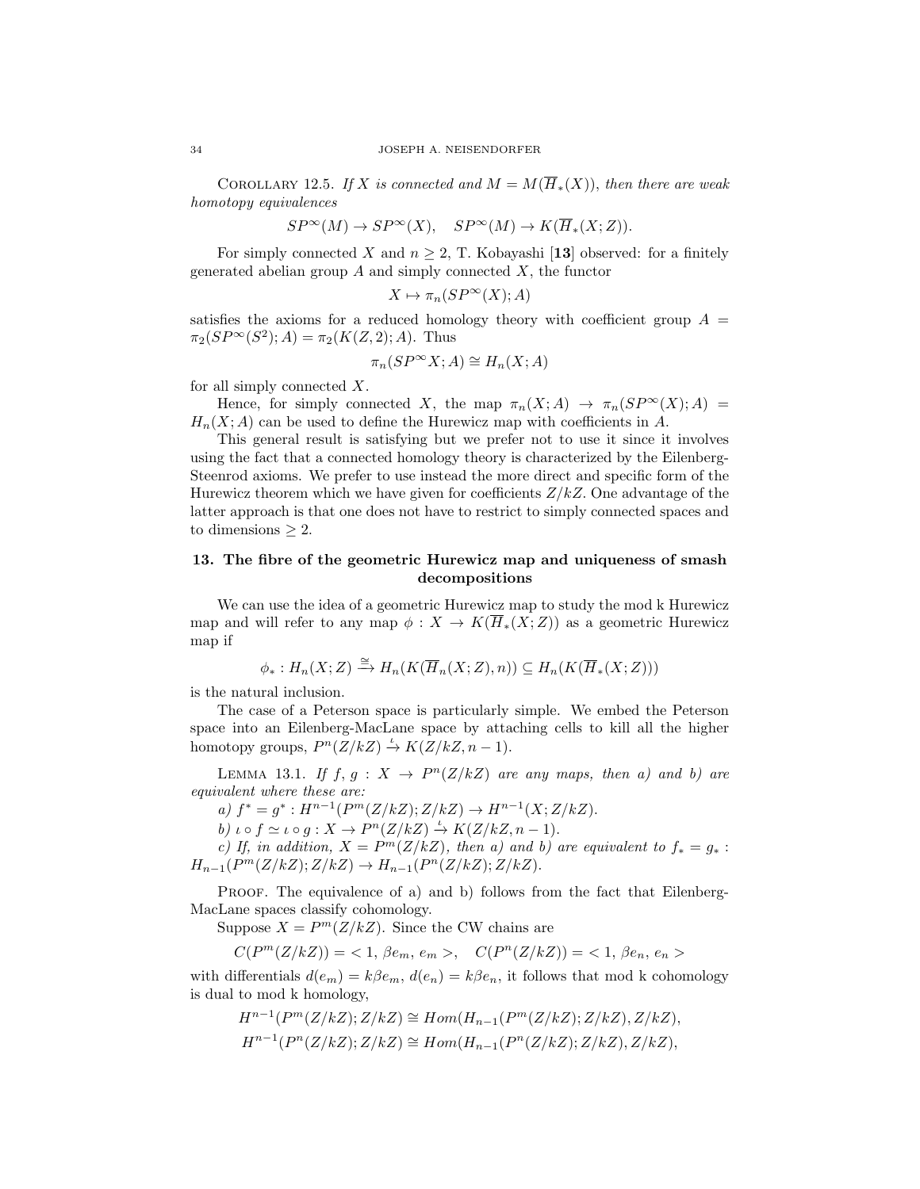COROLLARY 12.5. If X is connected and  $M = M(\overline{H}_*(X))$ , then there are weak homotopy equivalences

$$
SP^{\infty}(M) \to SP^{\infty}(X), \quad SP^{\infty}(M) \to K(\overline{H}_*(X;Z)).
$$

For simply connected X and  $n \geq 2$ , T. Kobayashi [13] observed: for a finitely generated abelian group  $A$  and simply connected  $X$ , the functor

$$
X \mapsto \pi_n(SP^\infty(X); A)
$$

satisfies the axioms for a reduced homology theory with coefficient group  $A =$  $\pi_2(SP^{\infty}(S^2); A) = \pi_2(K(Z, 2); A)$ . Thus

$$
\pi_n(SP^\infty X; A) \cong H_n(X; A)
$$

for all simply connected  $X$ .

Hence, for simply connected X, the map  $\pi_n(X; A) \to \pi_n(SP^\infty(X); A) =$  $H_n(X; A)$  can be used to define the Hurewicz map with coefficients in A.

This general result is satisfying but we prefer not to use it since it involves using the fact that a connected homology theory is characterized by the Eilenberg-Steenrod axioms. We prefer to use instead the more direct and specific form of the Hurewicz theorem which we have given for coefficients  $Z/kZ$ . One advantage of the latter approach is that one does not have to restrict to simply connected spaces and to dimensions  $\geq 2$ .

## 13. The fibre of the geometric Hurewicz map and uniqueness of smash decompositions

We can use the idea of a geometric Hurewicz map to study the mod k Hurewicz map and will refer to any map  $\phi: X \to K(\overline{H}_*(X;Z))$  as a geometric Hurewicz map if

$$
\phi_*: H_n(X; Z) \xrightarrow{\cong} H_n(K(\overline{H}_n(X; Z), n)) \subseteq H_n(K(\overline{H}_*(X; Z)))
$$

is the natural inclusion.

The case of a Peterson space is particularly simple. We embed the Peterson space into an Eilenberg-MacLane space by attaching cells to kill all the higher homotopy groups,  $P^{n}(Z/kZ) \stackrel{\iota}{\rightarrow} K(Z/kZ, n-1)$ .

LEMMA 13.1. If  $f, g: X \to P^{n}(Z/kZ)$  are any maps, then a) and b) are equivalent where these are:

a)  $f^* = g^* : H^{n-1}(P^m(Z/kZ); Z/kZ) \to H^{n-1}(X; Z/kZ).$ 

b)  $\iota \circ f \simeq \iota \circ g : X \to P^n(Z/kZ) \stackrel{\iota}{\to} K(Z/kZ, n-1).$ 

c) If, in addition,  $X = P^m(Z/kZ)$ , then a) and b) are equivalent to  $f_* = g_*$ :  $H_{n-1}(P^m(Z/kZ); Z/kZ) \to H_{n-1}(P^n(Z/kZ); Z/kZ).$ 

PROOF. The equivalence of a) and b) follows from the fact that Eilenberg-MacLane spaces classify cohomology.

Suppose  $X = P^m(Z/kZ)$ . Since the CW chains are

 $C(P^m(Z/kZ)) = 1, \, \beta e_m, \, e_m > 0, \quad C(P^n(Z/kZ)) = 1, \, \beta e_n, \, e_n > 0$ 

with differentials  $d(e_m) = k\beta e_m, d(e_n) = k\beta e_n$ , it follows that mod k cohomology is dual to mod k homology,

$$
H^{n-1}(P^m(Z/kZ); Z/kZ) \cong Hom(H_{n-1}(P^m(Z/kZ); Z/kZ), Z/kZ),
$$
  

$$
H^{n-1}(P^n(Z/kZ); Z/kZ) \cong Hom(H_{n-1}(P^n(Z/kZ); Z/kZ), Z/kZ),
$$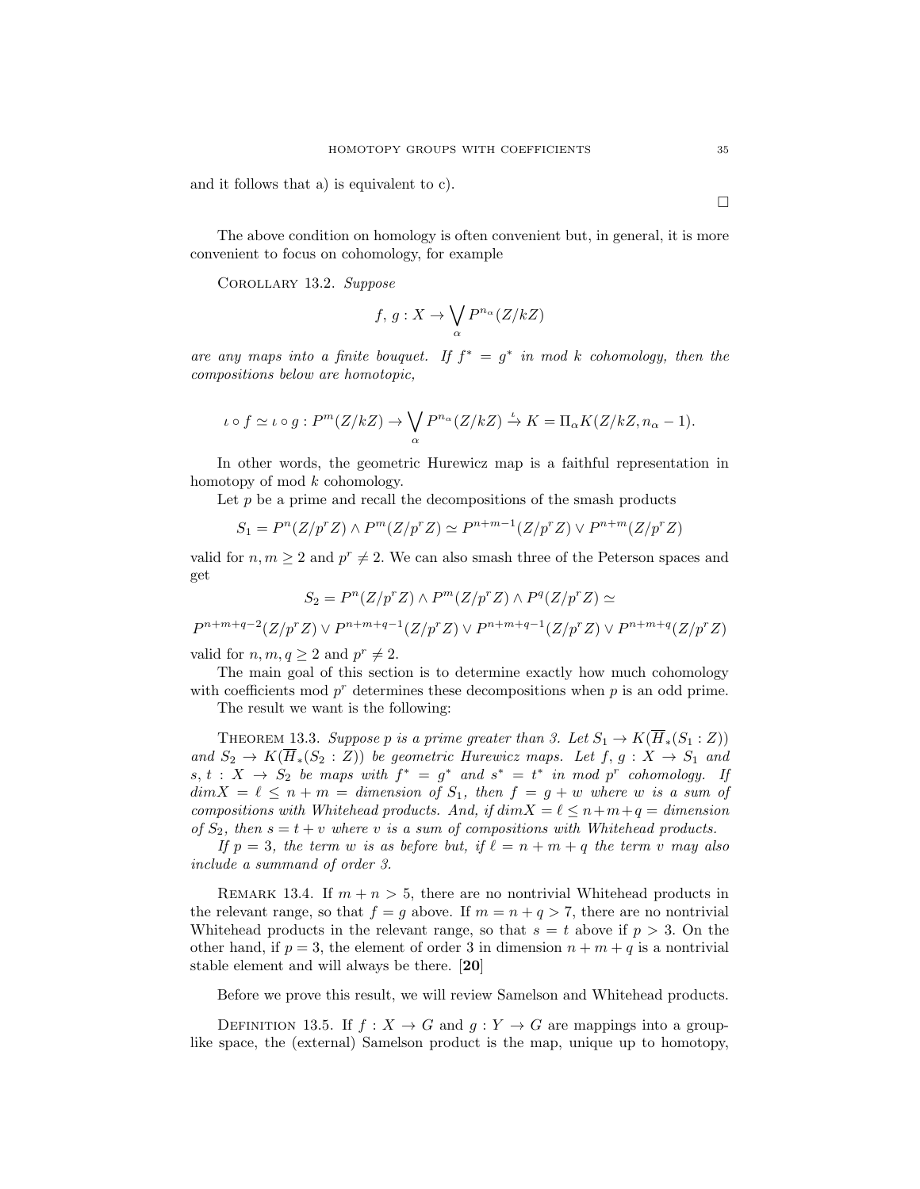and it follows that a) is equivalent to c).

The above condition on homology is often convenient but, in general, it is more convenient to focus on cohomology, for example

Corollary 13.2. Suppose

$$
f, g: X \to \bigvee_{\alpha} P^{n_{\alpha}}(Z/kZ)
$$

are any maps into a finite bouquet. If  $f^* = g^*$  in mod k cohomology, then the compositions below are homotopic,

$$
\iota \circ f \simeq \iota \circ g : P^m(Z/kZ) \to \bigvee_{\alpha} P^{n_{\alpha}}(Z/kZ) \xrightarrow{\iota} K = \Pi_{\alpha} K(Z/kZ, n_{\alpha} - 1).
$$

In other words, the geometric Hurewicz map is a faithful representation in homotopy of mod k cohomology.

Let  $p$  be a prime and recall the decompositions of the smash products

$$
S_1 = P^n(Z/p^r Z) \wedge P^m(Z/p^r Z) \simeq P^{n+m-1}(Z/p^r Z) \vee P^{n+m}(Z/p^r Z)
$$

valid for  $n, m \geq 2$  and  $p^r \neq 2$ . We can also smash three of the Peterson spaces and get

$$
S_2 = P^n(Z/p^r Z) \wedge P^m(Z/p^r Z) \wedge P^q(Z/p^r Z) \simeq
$$

 $P^{n+m+q-2}(Z/p^r Z) \vee P^{n+m+q-1}(Z/p^r Z) \vee P^{n+m+q-1}(Z/p^r Z) \vee P^{n+m+q}(Z/p^r Z)$ 

valid for  $n, m, q \geq 2$  and  $p^r \neq 2$ .

The main goal of this section is to determine exactly how much cohomology with coefficients mod  $p^r$  determines these decompositions when  $p$  is an odd prime.

The result we want is the following:

THEOREM 13.3. Suppose p is a prime greater than 3. Let  $S_1 \to K(\overline{H}_*(S_1 : Z))$ and  $S_2 \to K(\overline{H}_*(S_2 : Z))$  be geometric Hurewicz maps. Let  $f, g: X \to S_1$  and  $s, t: X \rightarrow S_2$  be maps with  $f^* = g^*$  and  $s^* = t^*$  in mod p<sup>r</sup> cohomology. If  $dim X = \ell \leq n + m = dimension of S_1$ , then  $f = g + w$  where w is a sum of compositions with Whitehead products. And, if  $dim X = \ell \leq n+m+q = dimension$ of  $S_2$ , then  $s = t + v$  where v is a sum of compositions with Whitehead products.

If  $p = 3$ , the term w is as before but, if  $\ell = n + m + q$  the term v may also include a summand of order 3.

REMARK 13.4. If  $m + n > 5$ , there are no nontrivial Whitehead products in the relevant range, so that  $f = g$  above. If  $m = n + q > 7$ , there are no nontrivial Whitehead products in the relevant range, so that  $s = t$  above if  $p > 3$ . On the other hand, if  $p = 3$ , the element of order 3 in dimension  $n + m + q$  is a nontrivial stable element and will always be there. [20]

Before we prove this result, we will review Samelson and Whitehead products.

DEFINITION 13.5. If  $f: X \to G$  and  $g: Y \to G$  are mappings into a grouplike space, the (external) Samelson product is the map, unique up to homotopy,

 $\Box$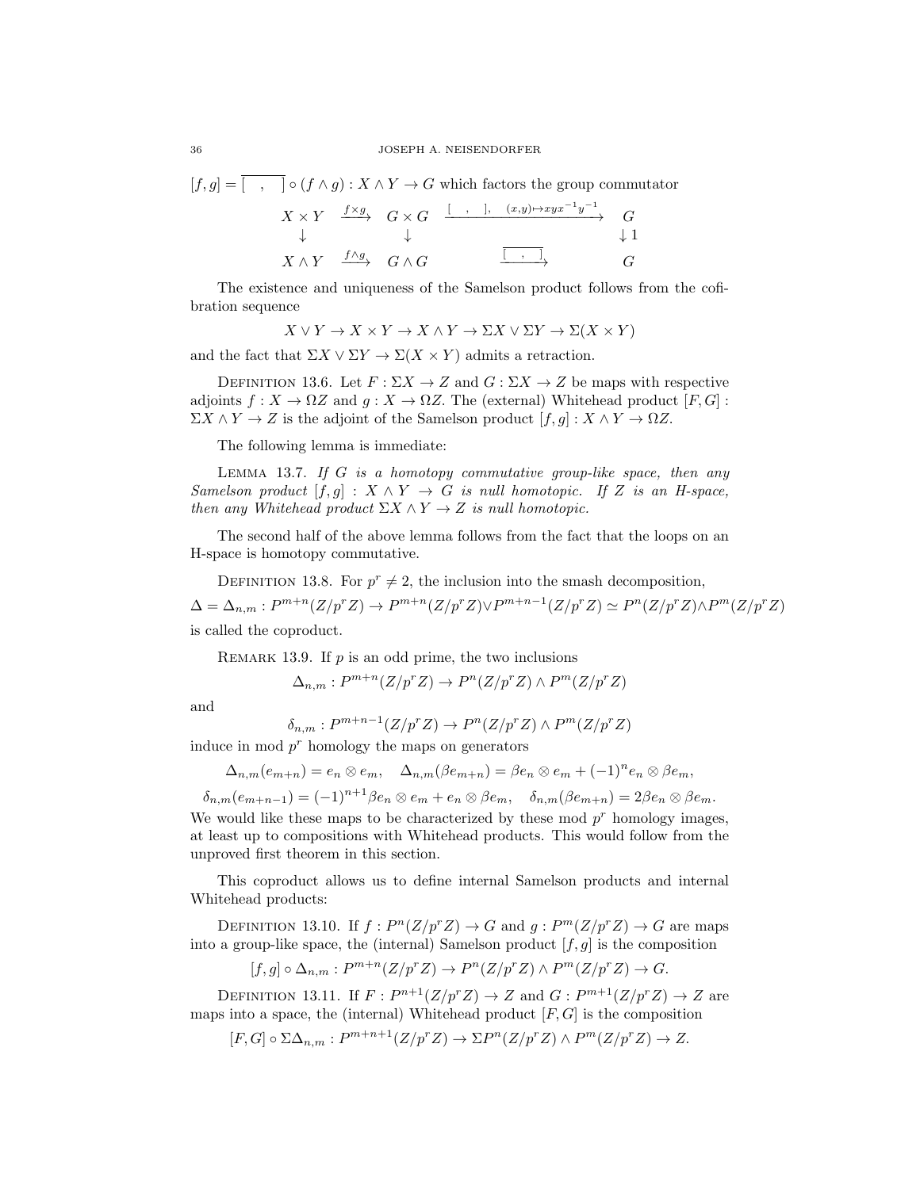$$
[f,g] = \overline{[ , ]} \circ (f \wedge g) : X \wedge Y \to G \text{ which factors the group commutator}
$$

$$
X \times Y \xrightarrow{f \times g} G \times G \xrightarrow{[ , ]} \overline{(x,y) \mapsto xyx^{-1}y^{-1}} G
$$

$$
\downarrow \qquad \qquad \downarrow 1
$$

$$
X \wedge Y \xrightarrow{f \wedge g} G \wedge G \xrightarrow{\overline{[ , ]}} G
$$

The existence and uniqueness of the Samelson product follows from the cofibration sequence

$$
X \lor Y \to X \times Y \to X \land Y \to \Sigma X \lor \Sigma Y \to \Sigma (X \times Y)
$$

and the fact that  $\Sigma X \vee \Sigma Y \to \Sigma (X \times Y)$  admits a retraction.

DEFINITION 13.6. Let  $F : \Sigma X \to Z$  and  $G : \Sigma X \to Z$  be maps with respective adjoints  $f: X \to \Omega Z$  and  $q: X \to \Omega Z$ . The (external) Whitehead product  $[F, G]$ :  $\Sigma X \wedge Y \to Z$  is the adjoint of the Samelson product  $[f, g] : X \wedge Y \to \Omega Z$ .

The following lemma is immediate:

LEMMA 13.7. If  $G$  is a homotopy commutative group-like space, then any Samelson product  $[f, g] : X \wedge Y \to G$  is null homotopic. If Z is an H-space, then any Whitehead product  $\Sigma X \wedge Y \rightarrow Z$  is null homotopic.

The second half of the above lemma follows from the fact that the loops on an H-space is homotopy commutative.

DEFINITION 13.8. For  $p^r \neq 2$ , the inclusion into the smash decomposition,  $\Delta = \Delta_{n,m}: P^{m+n}(Z/p^r Z) \to P^{m+n}(Z/p^r Z) \vee P^{m+n-1}(Z/p^r Z) \simeq P^n(Z/p^r Z) \wedge P^m(Z/p^r Z)$ is called the coproduct.

REMARK 13.9. If  $p$  is an odd prime, the two inclusions

$$
\Delta_{n,m}: P^{m+n}(Z/p^r Z) \to P^n(Z/p^r Z) \wedge P^m(Z/p^r Z)
$$

and

$$
\delta_{n,m}: P^{m+n-1}(Z/p^r Z) \to P^n(Z/p^r Z) \wedge P^m(Z/p^r Z)
$$

induce in mod  $p<sup>r</sup>$  homology the maps on generators

$$
\Delta_{n,m}(e_{m+n})=e_n\otimes e_m, \quad \Delta_{n,m}(\beta e_{m+n})=\beta e_n\otimes e_m + (-1)^n e_n\otimes \beta e_m,
$$

 $\delta_{n,m}(e_{m+n-1}) = (-1)^{n+1} \beta e_n \otimes e_m + e_n \otimes \beta e_m$ ,  $\delta_{n,m}(\beta e_{m+n}) = 2 \beta e_n \otimes \beta e_m$ . We would like these maps to be characterized by these mod  $p<sup>r</sup>$  homology images, at least up to compositions with Whitehead products. This would follow from the unproved first theorem in this section.

This coproduct allows us to define internal Samelson products and internal Whitehead products:

DEFINITION 13.10. If  $f: P^{n}(Z/p^{r}Z) \to G$  and  $g: P^{m}(Z/p^{r}Z) \to G$  are maps into a group-like space, the (internal) Samelson product  $[f, g]$  is the composition

$$
[f,g] \circ \Delta_{n,m} : P^{m+n}(Z/p^r Z) \to P^n(Z/p^r Z) \wedge P^m(Z/p^r Z) \to G.
$$

DEFINITION 13.11. If  $F: P^{n+1}(Z/p^r Z) \to Z$  and  $G: P^{m+1}(Z/p^r Z) \to Z$  are maps into a space, the (internal) Whitehead product  $[F, G]$  is the composition

$$
[F,G] \circ \Sigma \Delta_{n,m} : P^{m+n+1}(Z/p^r Z) \to \Sigma P^n(Z/p^r Z) \wedge P^m(Z/p^r Z) \to Z.
$$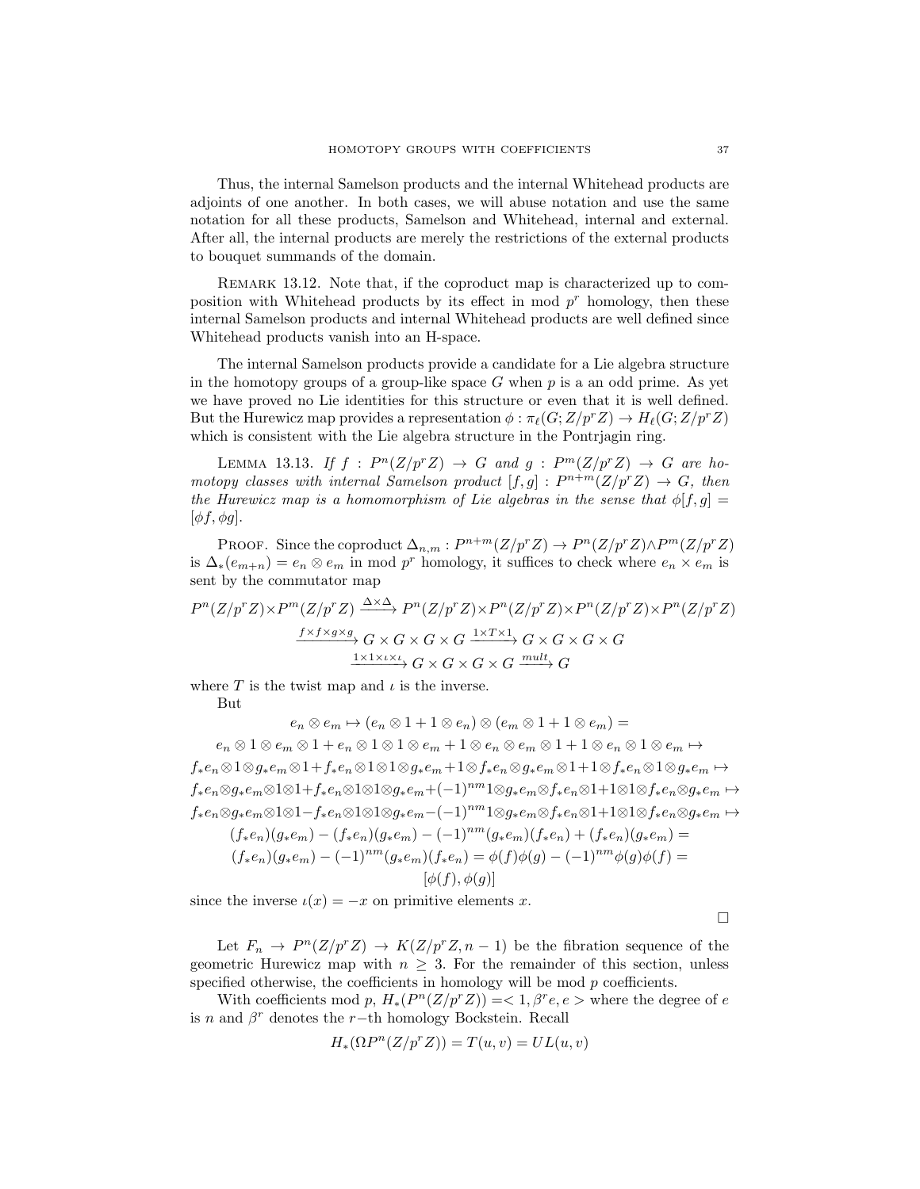Thus, the internal Samelson products and the internal Whitehead products are adjoints of one another. In both cases, we will abuse notation and use the same notation for all these products, Samelson and Whitehead, internal and external. After all, the internal products are merely the restrictions of the external products to bouquet summands of the domain.

REMARK 13.12. Note that, if the coproduct map is characterized up to composition with Whitehead products by its effect in mod  $p<sup>r</sup>$  homology, then these internal Samelson products and internal Whitehead products are well defined since Whitehead products vanish into an H-space.

The internal Samelson products provide a candidate for a Lie algebra structure in the homotopy groups of a group-like space  $G$  when  $p$  is a an odd prime. As yet we have proved no Lie identities for this structure or even that it is well defined. But the Hurewicz map provides a representation  $\phi : \pi_{\ell}(G;Z/p^{r}Z) \to H_{\ell}(G;Z/p^{r}Z)$ which is consistent with the Lie algebra structure in the Pontrjagin ring.

LEMMA 13.13. If  $f : P^n(Z/p^r Z) \to G$  and  $g : P^m(Z/p^r Z) \to G$  are homotopy classes with internal Samelson product  $[f,g] : P^{n+m}(Z/p^r Z) \to G$ , then the Hurewicz map is a homomorphism of Lie algebras in the sense that  $\phi[f,g]$  =  $[\phi f, \phi g]$ .

PROOF. Since the coproduct  $\Delta_{n,m}: P^{n+m}(Z/p^r Z) \to P^n(Z/p^r Z) \wedge P^m(Z/p^r Z)$ is  $\Delta_*(e_{m+n}) = e_n \otimes e_m$  in mod p<sup>r</sup> homology, it suffices to check where  $e_n \times e_m$  is sent by the commutator map

$$
P^{n}(Z/p^{r}Z) \times P^{m}(Z/p^{r}Z) \xrightarrow{\Delta \times \Delta} P^{n}(Z/p^{r}Z) \times P^{n}(Z/p^{r}Z) \times P^{n}(Z/p^{r}Z) \times P^{n}(Z/p^{r}Z)
$$

$$
\xrightarrow{f \times f \times g \times g} G \times G \times G \times G \xrightarrow{1 \times T \times 1} G \times G \times G \times G
$$

$$
\xrightarrow{1 \times 1 \times \iota \times \iota} G \times G \times G \times G \xrightarrow{mult} G
$$

where T is the twist map and  $\iota$  is the inverse.

But

 $e_n \otimes e_m \mapsto (e_n \otimes 1 + 1 \otimes e_n) \otimes (e_m \otimes 1 + 1 \otimes e_m) =$  $e_n \otimes 1 \otimes e_m \otimes 1 + e_n \otimes 1 \otimes 1 \otimes e_m + 1 \otimes e_n \otimes e_m \otimes 1 + 1 \otimes e_n \otimes 1 \otimes e_m \mapsto$ f∗en⊗1⊗g∗e<sup>m</sup> ⊗1+f∗en⊗1⊗1⊗g∗e<sup>m</sup> +1⊗f∗en⊗g∗e<sup>m</sup> ⊗1+1⊗f∗en⊗1⊗g∗e<sup>m</sup> 7→ f∗en⊗g∗em⊗1⊗1+f∗en⊗1⊗1⊗g∗em+(−1)<sup>nm</sup>1⊗g∗em⊗f∗en⊗1+1⊗1⊗f∗en⊗g∗em → f∗en⊗g∗em⊗1⊗1−f∗en⊗1⊗1⊗g∗em−(−1)nm1⊗g∗em⊗f∗en⊗1+1⊗1⊗f∗en⊗g∗e<sup>m</sup> 7→  $(f_*e_n)(g_*e_m) - (f_*e_n)(g_*e_m) - (-1)^{nm}(g_*e_m)(f_*e_n) + (f_*e_n)(g_*e_m) =$  $(f_*e_n)(g_*e_m) - (-1)^{nm}(g_*e_m)(f_*e_n) = \phi(f)\phi(g) - (-1)^{nm}\phi(g)\phi(f) =$  $[\phi(f), \phi(g)]$ 

since the inverse  $\iota(x) = -x$  on primitive elements x.

 $\Box$ 

Let  $F_n \to P^n(Z/p^r Z) \to K(Z/p^r Z, n-1)$  be the fibration sequence of the geometric Hurewicz map with  $n \geq 3$ . For the remainder of this section, unless specified otherwise, the coefficients in homology will be mod  $p$  coefficients.

With coefficients mod p,  $H_*(P^n(Z/p^rZ)) = 1, \beta^r e, e >$  where the degree of e is n and  $\beta^r$  denotes the r-th homology Bockstein. Recall

$$
H_*(\Omega P^n(Z/p^r Z)) = T(u, v) = UL(u, v)
$$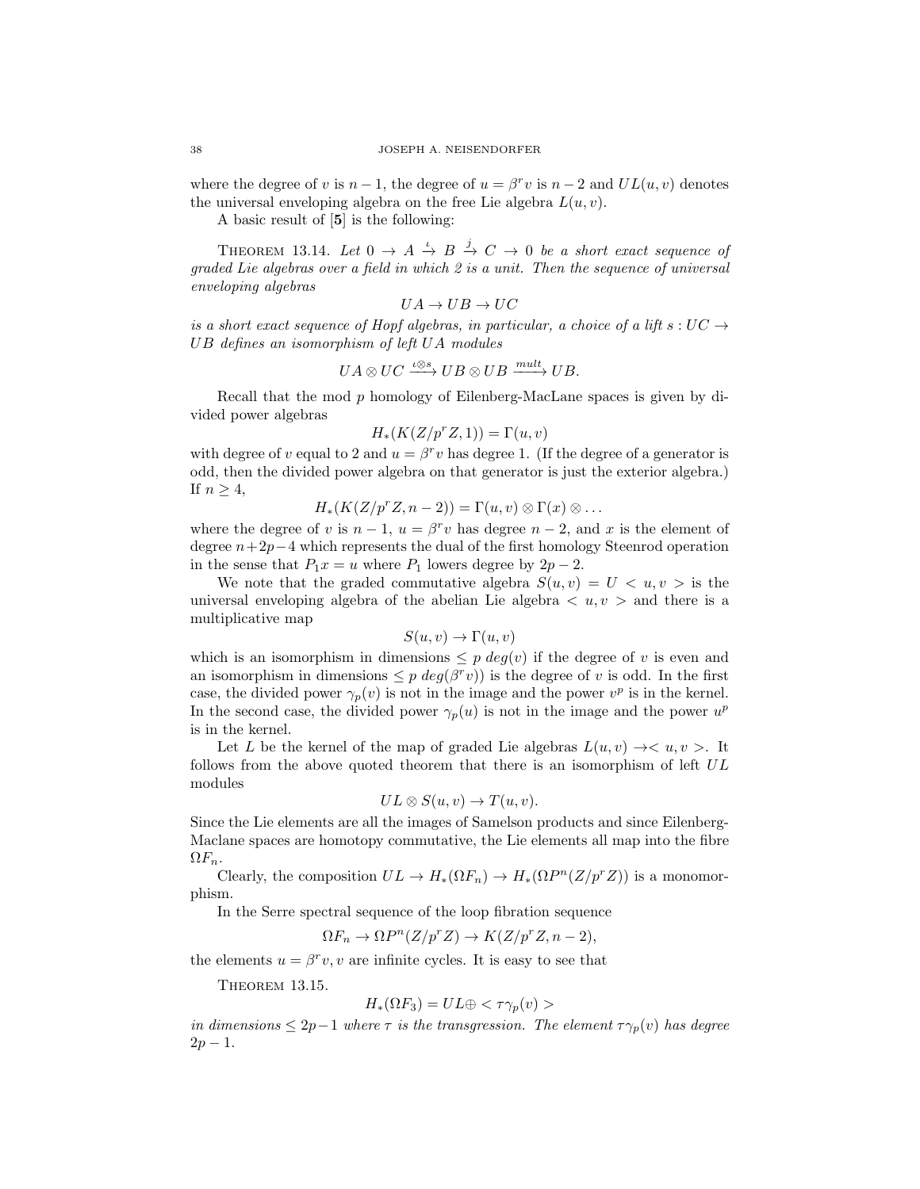where the degree of v is  $n-1$ , the degree of  $u = \beta^r v$  is  $n-2$  and  $UL(u, v)$  denotes the universal enveloping algebra on the free Lie algebra  $L(u, v)$ .

A basic result of [5] is the following:

THEOREM 13.14. Let  $0 \rightarrow A \stackrel{\iota}{\rightarrow} B \stackrel{j}{\rightarrow} C \rightarrow 0$  be a short exact sequence of graded Lie algebras over a field in which 2 is a unit. Then the sequence of universal enveloping algebras

$$
UA\rightarrow UB\rightarrow UC
$$

is a short exact sequence of Hopf algebras, in particular, a choice of a lift s:  $UC \rightarrow$ UB defines an isomorphism of left UA modules

$$
UA \otimes UC \xrightarrow{\iota \otimes s} UB \otimes UB \xrightarrow{mult} UB.
$$

Recall that the mod p homology of Eilenberg-MacLane spaces is given by divided power algebras

$$
H_*(K(Z/p^r Z, 1)) = \Gamma(u, v)
$$

with degree of v equal to 2 and  $u = \beta^{r} v$  has degree 1. (If the degree of a generator is odd, then the divided power algebra on that generator is just the exterior algebra.) If  $n \geq 4$ ,

$$
H_*(K(Z/p^rZ, n-2)) = \Gamma(u, v) \otimes \Gamma(x) \otimes \dots
$$

where the degree of v is  $n-1$ ,  $u = \beta^r v$  has degree  $n-2$ , and x is the element of degree  $n+2p-4$  which represents the dual of the first homology Steenrod operation in the sense that  $P_1x = u$  where  $P_1$  lowers degree by  $2p - 2$ .

We note that the graded commutative algebra  $S(u, v) = U \langle u, v \rangle$  is the universal enveloping algebra of the abelian Lie algebra  $\langle u, v \rangle$  and there is a multiplicative map

$$
S(u, v) \to \Gamma(u, v)
$$

which is an isomorphism in dimensions  $\leq p \deg(v)$  if the degree of v is even and an isomorphism in dimensions  $\leq p \deg(\beta^r v)$  is the degree of v is odd. In the first case, the divided power  $\gamma_p(v)$  is not in the image and the power  $v^p$  is in the kernel. In the second case, the divided power  $\gamma_p(u)$  is not in the image and the power  $u^p$ is in the kernel.

Let L be the kernel of the map of graded Lie algebras  $L(u, v) \rightarrow < u, v >$ . It follows from the above quoted theorem that there is an isomorphism of left UL modules

$$
UL \otimes S(u, v) \to T(u, v).
$$

Since the Lie elements are all the images of Samelson products and since Eilenberg-Maclane spaces are homotopy commutative, the Lie elements all map into the fibre  $\Omega F_n$ .

Clearly, the composition  $UL \to H_*(\Omega F_n) \to H_*(\Omega P^n(Z/p^rZ))$  is a monomorphism.

In the Serre spectral sequence of the loop fibration sequence

$$
\Omega F_n \to \Omega P^n(Z/p^r Z) \to K(Z/p^r Z, n-2),
$$

the elements  $u = \beta^r v$ , v are infinite cycles. It is easy to see that

THEOREM 13.15.

$$
H_*(\Omega F_3) = UL \oplus \langle \tau \gamma_p(v) \rangle
$$

in dimensions  $\leq 2p-1$  where  $\tau$  is the transgression. The element  $\tau_{\gamma_p}(v)$  has degree  $2p - 1$ .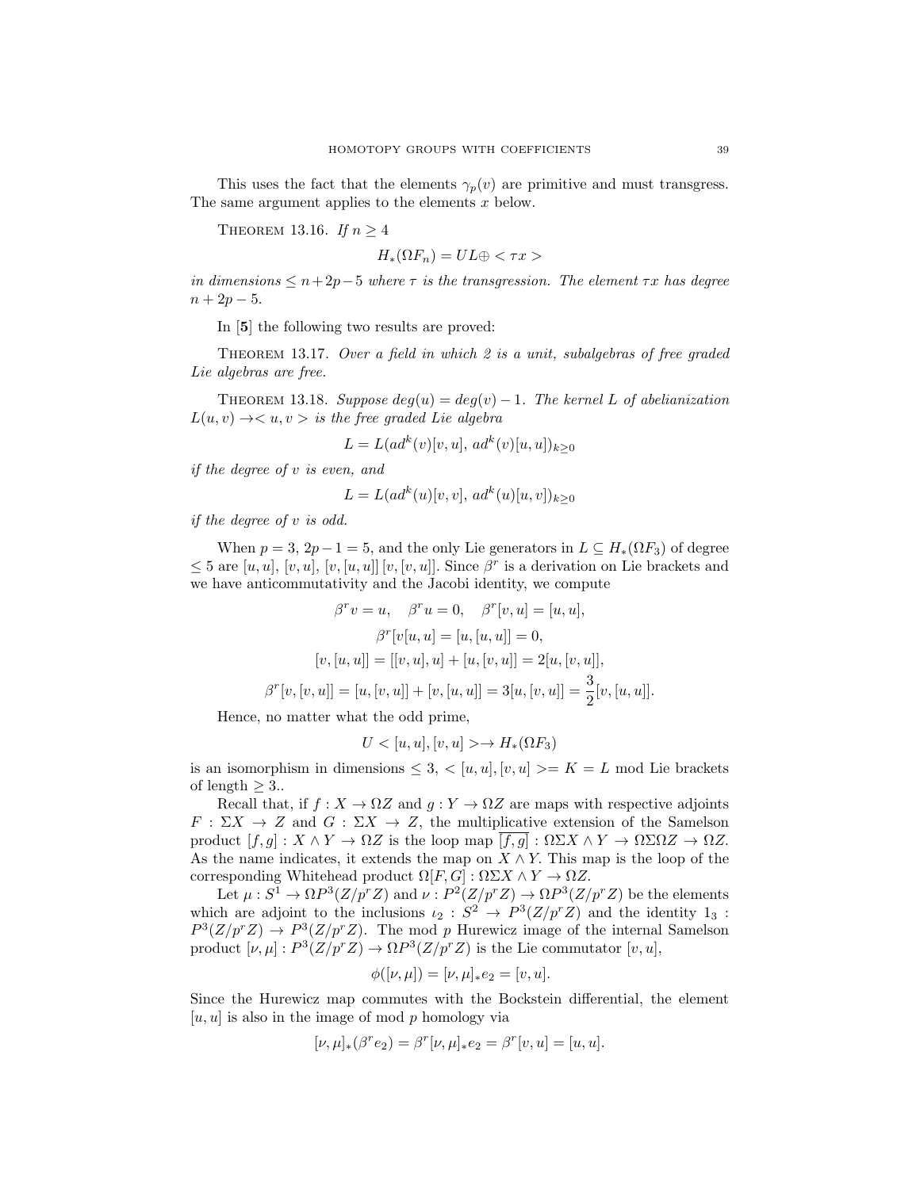This uses the fact that the elements  $\gamma_p(v)$  are primitive and must transgress. The same argument applies to the elements  $x$  below.

THEOREM 13.16. If  $n \geq 4$ 

 $H_*(\Omega F_n) = UL \oplus \langle \tau x \rangle$ 

in dimensions  $\leq n+2p-5$  where  $\tau$  is the transgression. The element  $\tau x$  has degree  $n + 2p - 5.$ 

In [5] the following two results are proved:

THEOREM 13.17. Over a field in which  $2$  is a unit, subalgebras of free graded Lie algebras are free.

THEOREM 13.18. Suppose  $deq(u) = deq(v) - 1$ . The kernel L of abelianization  $L(u, v) \rightarrow < u, v >$  is the free graded Lie algebra

$$
L = L(ad^k(v)[v, u], ad^k(v)[u, u])_{k \ge 0}
$$

if the degree of v is even, and

$$
L = L(ad^k(u)[v, v], ad^k(u)[u, v])_{k \ge 0}
$$

if the degree of v is odd.

When  $p = 3$ ,  $2p - 1 = 5$ , and the only Lie generators in  $L \subseteq H_*(\Omega F_3)$  of degree  $\leq 5$  are  $[u, u], [v, u], [v, [u, u]] [v, [v, u]].$  Since  $\beta^r$  is a derivation on Lie brackets and we have anticommutativity and the Jacobi identity, we compute

$$
\beta^r v = u, \quad \beta^r u = 0, \quad \beta^r [v, u] = [u, u],
$$

$$
\beta^r [v[u, u] = [u, [u, u]] = 0,
$$

$$
[v, [u, u]] = [[v, u], u] + [u, [v, u]] = 2[u, [v, u]],
$$

$$
\beta^r [v, [v, u]] = [u, [v, u]] + [v, [u, u]] = 3[u, [v, u]] = \frac{3}{2}[v, [u, u]].
$$

Hence, no matter what the odd prime,

$$
U < [u, u], [v, u] > \to H_*(\Omega F_3)
$$

is an isomorphism in dimensions  $\leq 3, \leq [u, u], [v, u] \geq K = L$  mod Lie brackets of length  $\geq 3$ .

Recall that, if  $f : X \to \Omega Z$  and  $g : Y \to \Omega Z$  are maps with respective adjoints  $F: \Sigma X \to Z$  and  $G: \Sigma X \to Z$ , the multiplicative extension of the Samelson product  $[f, g] : X \wedge Y \to \Omega Z$  is the loop map  $[f, g] : \Omega \Sigma X \wedge Y \to \Omega \Sigma \Omega Z \to \Omega Z$ . As the name indicates, it extends the map on  $X \wedge Y$ . This map is the loop of the corresponding Whitehead product  $\Omega[F,G] : \Omega \Sigma X \wedge Y \to \Omega Z$ .

Let  $\mu: S^1 \to \Omega P^3(Z/p^r Z)$  and  $\nu: P^2(Z/p^r Z) \to \Omega P^3(Z/p^r Z)$  be the elements which are adjoint to the inclusions  $\iota_2 : S^2 \to P^3(Z/p^r Z)$  and the identity  $1_3$ :  $P^3(Z/p^rZ) \rightarrow P^3(Z/p^rZ)$ . The mod p Hurewicz image of the internal Samelson product  $[\nu, \mu] : P^3(Z/p^r Z) \to \Omega P^3(Z/p^r Z)$  is the Lie commutator  $[v, u]$ ,

$$
\phi([\nu, \mu]) = [\nu, \mu]_* e_2 = [v, u].
$$

Since the Hurewicz map commutes with the Bockstein differential, the element  $[u, u]$  is also in the image of mod p homology via

$$
[\nu, \mu]_*(\beta^r e_2) = \beta^r [\nu, \mu]_* e_2 = \beta^r [v, u] = [u, u].
$$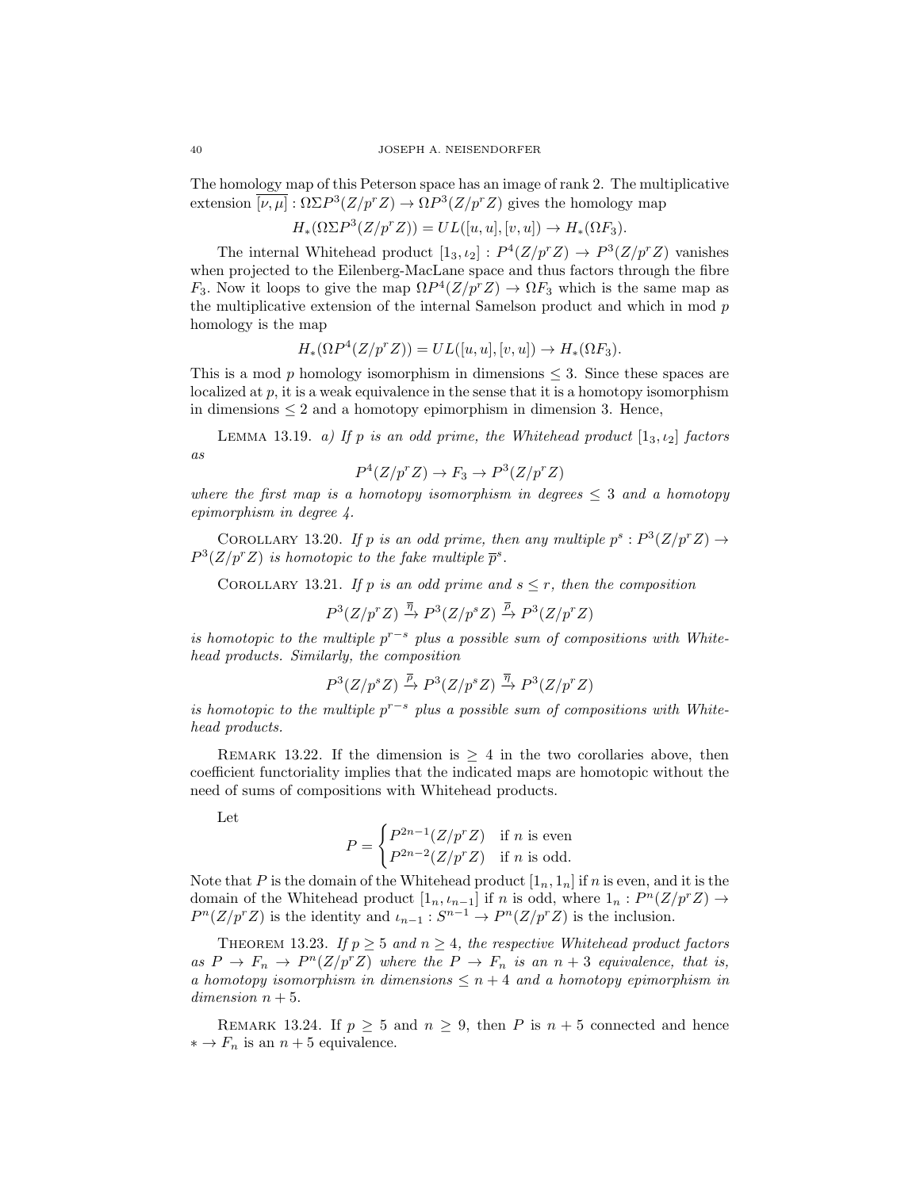The homology map of this Peterson space has an image of rank 2. The multiplicative extension  $\overline{[\nu,\mu]} : \Omega \Sigma P^3(Z/p^r Z) \to \Omega P^3(Z/p^r Z)$  gives the homology map

$$
H_*(\Omega \Sigma P^3(Z/p^r Z)) = UL([u, u], [v, u]) \to H_*(\Omega F_3).
$$

The internal Whitehead product  $[1_3, t_2] : P^4(Z/p^r Z) \to P^3(Z/p^r Z)$  vanishes when projected to the Eilenberg-MacLane space and thus factors through the fibre  $F_3$ . Now it loops to give the map  $\Omega P^4(Z/p^r Z) \to \Omega F_3$  which is the same map as the multiplicative extension of the internal Samelson product and which in mod p homology is the map

$$
H_*(\Omega P^4(Z/p^r Z)) = UL([u, u], [v, u]) \to H_*(\Omega F_3).
$$

This is a mod p homology isomorphism in dimensions  $\leq$  3. Since these spaces are localized at  $p$ , it is a weak equivalence in the sense that it is a homotopy isomorphism in dimensions  $\leq 2$  and a homotopy epimorphism in dimension 3. Hence,

LEMMA 13.19. a) If p is an odd prime, the Whitehead product  $[1_3, i_2]$  factors as

$$
P^4(Z/p^r Z) \to F_3 \to P^3(Z/p^r Z)
$$

where the first map is a homotopy isomorphism in degrees  $\leq 3$  and a homotopy epimorphism in degree 4.

COROLLARY 13.20. If p is an odd prime, then any multiple  $p^s : P^3(Z/p^r Z) \rightarrow$  $P^3(Z/p^rZ)$  is homotopic to the fake multiple  $\bar{p}^s$ .

COROLLARY 13.21. If p is an odd prime and  $s \leq r$ , then the composition

 $P^3(Z/p^rZ) \stackrel{\overline{\eta}}{\rightarrow} P^3(Z/p^sZ) \stackrel{\overline{\rho}}{\rightarrow} P^3(Z/p^rZ)$ 

is homotopic to the multiple  $p^{r-s}$  plus a possible sum of compositions with Whitehead products. Similarly, the composition

$$
P^3(Z/p^s Z) \xrightarrow{\overline{\rho}} P^3(Z/p^s Z) \xrightarrow{\overline{\eta}} P^3(Z/p^r Z)
$$

is homotopic to the multiple  $p^{r-s}$  plus a possible sum of compositions with Whitehead products.

REMARK 13.22. If the dimension is  $\geq 4$  in the two corollaries above, then coefficient functoriality implies that the indicated maps are homotopic without the need of sums of compositions with Whitehead products.

Let

$$
P = \begin{cases} P^{2n-1}(Z/p^r Z) & \text{if } n \text{ is even} \\ P^{2n-2}(Z/p^r Z) & \text{if } n \text{ is odd.} \end{cases}
$$

Note that P is the domain of the Whitehead product  $[1_n, 1_n]$  if n is even, and it is the domain of the Whitehead product  $[1_n, \iota_{n-1}]$  if n is odd, where  $1_n : P^n(Z/p^r Z) \to$  $P^{n}(Z/p^{r}Z)$  is the identity and  $\iota_{n-1}: S^{n-1} \to P^{n}(Z/p^{r}Z)$  is the inclusion.

THEOREM 13.23. If  $p \geq 5$  and  $n \geq 4$ , the respective Whitehead product factors as  $P \to F_n \to P^n(Z/p^r Z)$  where the  $P \to F_n$  is an  $n+3$  equivalence, that is, a homotopy isomorphism in dimensions  $\leq n+4$  and a homotopy epimorphism in dimension  $n + 5$ .

REMARK 13.24. If  $p \geq 5$  and  $n \geq 9$ , then P is  $n + 5$  connected and hence  $* \to F_n$  is an  $n + 5$  equivalence.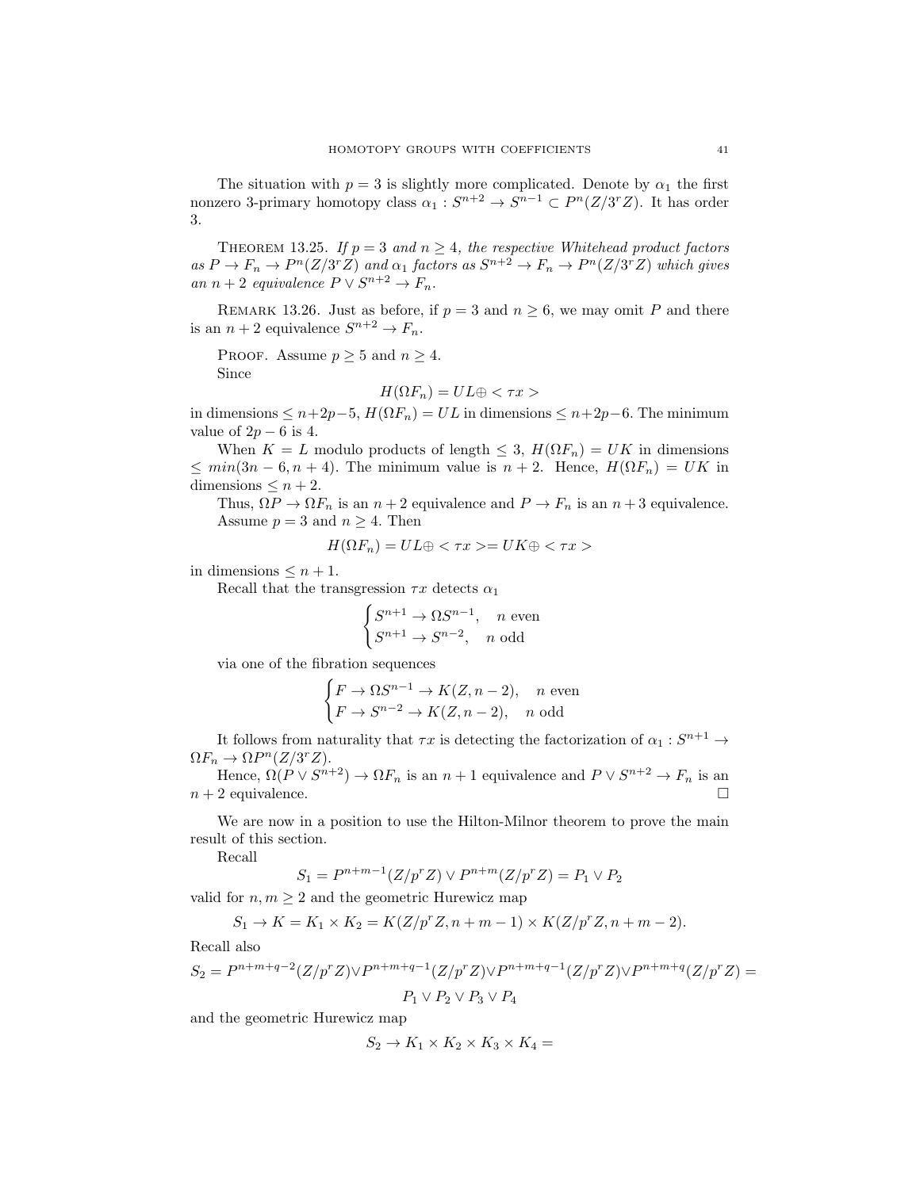The situation with  $p = 3$  is slightly more complicated. Denote by  $\alpha_1$  the first nonzero 3-primary homotopy class  $\alpha_1: S^{n+2} \to S^{n-1} \subset P^n(Z/3^rZ)$ . It has order 3.

THEOREM 13.25. If  $p = 3$  and  $n \geq 4$ , the respective Whitehead product factors as  $P \to F_n \to P^n(Z/3^r Z)$  and  $\alpha_1$  factors as  $S^{n+2} \to F_n \to P^n(Z/3^r Z)$  which gives an  $n+2$  equivalence  $P \vee S^{n+2} \to F_n$ .

REMARK 13.26. Just as before, if  $p = 3$  and  $n \ge 6$ , we may omit P and there is an  $n + 2$  equivalence  $S^{n+2} \to F_n$ .

PROOF. Assume  $p \geq 5$  and  $n \geq 4$ . Since

$$
H(\Omega F_n) = UL \oplus \langle \tau x \rangle
$$

in dimensions ≤  $n+2p-5$ ,  $H(\Omega F_n) = UL$  in dimensions ≤  $n+2p-6$ . The minimum value of  $2p - 6$  is 4.

When  $K = L$  modulo products of length  $\leq 3$ ,  $H(\Omega F_n) = UK$  in dimensions  $\leq min(3n-6, n+4)$ . The minimum value is  $n+2$ . Hence,  $H(\Omega F_n) = UK$  in dimensions  $\leq n+2$ .

Thus,  $\Omega P \to \Omega F_n$  is an  $n+2$  equivalence and  $P \to F_n$  is an  $n+3$  equivalence. Assume  $p = 3$  and  $n \geq 4$ . Then

$$
H(\Omega F_n) = UL \oplus \langle \tau x \rangle = UK \oplus \langle \tau x \rangle
$$

in dimensions  $\leq n+1$ .

Recall that the transgression  $\tau x$  detects  $\alpha_1$ 

$$
\begin{cases} S^{n+1} \to \Omega S^{n-1}, & n \text{ even} \\ S^{n+1} \to S^{n-2}, & n \text{ odd} \end{cases}
$$

via one of the fibration sequences

$$
\begin{cases}\nF \to \Omega S^{n-1} \to K(Z, n-2), & n \text{ even} \\
F \to S^{n-2} \to K(Z, n-2), & n \text{ odd}\n\end{cases}
$$

It follows from naturality that  $\tau x$  is detecting the factorization of  $\alpha_1 : S^{n+1} \to$  $\Omega F_n \to \Omega P^n(Z/3^r Z).$ 

Hence,  $\Omega(P \vee S^{n+2}) \to \Omega F_n$  is an  $n+1$  equivalence and  $P \vee S^{n+2} \to F_n$  is an  $n+2$  equivalence.

We are now in a position to use the Hilton-Milnor theorem to prove the main result of this section.

Recall

$$
S_1 = P^{n+m-1}(Z/p^r Z) \vee P^{n+m}(Z/p^r Z) = P_1 \vee P_2
$$

valid for  $n, m \geq 2$  and the geometric Hurewicz map

$$
S_1 \to K = K_1 \times K_2 = K(Z/p^r Z, n + m - 1) \times K(Z/p^r Z, n + m - 2).
$$

Recall also

$$
S_2 = P^{n+m+q-2}(Z/p^r Z) \vee P^{n+m+q-1}(Z/p^r Z) \vee P^{n+m+q-1}(Z/p^r Z) \vee P^{n+m+q}(Z/p^r Z) =
$$
  
 
$$
P_1 \vee P_2 \vee P_3 \vee P_4
$$

and the geometric Hurewicz map

$$
S_2 \to K_1 \times K_2 \times K_3 \times K_4 =
$$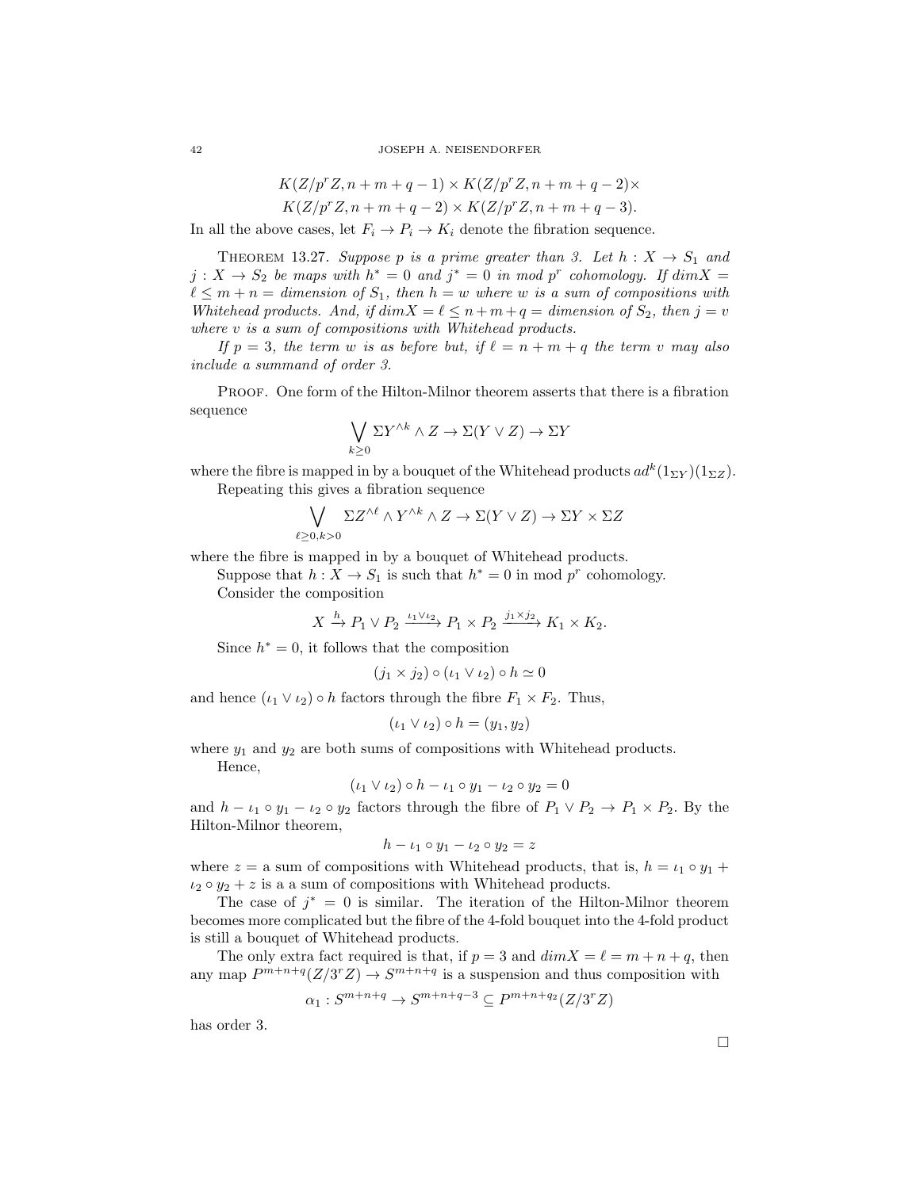$$
K(Z/p^r Z, n+m+q-1) \times K(Z/p^r Z, n+m+q-2) \times
$$

$$
K(Z/p^rZ, n+m+q-2) \times K(Z/p^rZ, n+m+q-3).
$$

In all the above cases, let  $F_i \to P_i \to K_i$  denote the fibration sequence.

THEOREM 13.27. Suppose p is a prime greater than 3. Let  $h: X \to S_1$  and  $j: X \to S_2$  be maps with  $h^* = 0$  and  $j^* = 0$  in mod p<sup>r</sup> cohomology. If  $dim X =$  $\ell \leq m + n =$  dimension of  $S_1$ , then  $h = w$  where w is a sum of compositions with Whitehead products. And, if  $dim X = \ell \leq n + m + q =$  dimension of  $S_2$ , then  $j = v$ where v is a sum of compositions with Whitehead products.

If  $p = 3$ , the term w is as before but, if  $\ell = n + m + q$  the term v may also include a summand of order 3.

Proof. One form of the Hilton-Milnor theorem asserts that there is a fibration sequence

$$
\bigvee_{k\geq 0} \Sigma Y^{\wedge k} \wedge Z \to \Sigma (Y \vee Z) \to \Sigma Y
$$

where the fibre is mapped in by a bouquet of the Whitehead products  $ad^k(1_{\Sigma Y})(1_{\Sigma Z})$ . Repeating this gives a fibration sequence

$$
\bigvee_{\ell \geq 0, k > 0} \Sigma Z^{\wedge \ell} \wedge Y^{\wedge k} \wedge Z \to \Sigma (Y \vee Z) \to \Sigma Y \times \Sigma Z
$$

where the fibre is mapped in by a bouquet of Whitehead products.

Suppose that  $h: X \to S_1$  is such that  $h^* = 0$  in mod  $p^r$  cohomology. Consider the composition

$$
X \xrightarrow{h} P_1 \vee P_2 \xrightarrow{\iota_1 \vee \iota_2} P_1 \times P_2 \xrightarrow{j_1 \times j_2} K_1 \times K_2.
$$

Since  $h^* = 0$ , it follows that the composition

$$
(j_1 \times j_2) \circ (\iota_1 \vee \iota_2) \circ h \simeq 0
$$

and hence  $(\iota_1 \vee \iota_2) \circ h$  factors through the fibre  $F_1 \times F_2$ . Thus,

$$
(\iota_1 \vee \iota_2) \circ h = (y_1, y_2)
$$

where  $y_1$  and  $y_2$  are both sums of compositions with Whitehead products.

Hence,

$$
(\iota_1 \vee \iota_2) \circ h - \iota_1 \circ y_1 - \iota_2 \circ y_2 = 0
$$

and  $h - \iota_1 \circ y_1 - \iota_2 \circ y_2$  factors through the fibre of  $P_1 \vee P_2 \rightarrow P_1 \times P_2$ . By the Hilton-Milnor theorem,

$$
h - \iota_1 \circ y_1 - \iota_2 \circ y_2 = z
$$

where  $z = a$  sum of compositions with Whitehead products, that is,  $h = \iota_1 \circ y_1 + \iota_2$  $i_2 \circ y_2 + z$  is a a sum of compositions with Whitehead products.

The case of  $j^* = 0$  is similar. The iteration of the Hilton-Milnor theorem becomes more complicated but the fibre of the 4-fold bouquet into the 4-fold product is still a bouquet of Whitehead products.

The only extra fact required is that, if  $p = 3$  and  $dim X = \ell = m + n + q$ , then any map  $P^{m+n+q}(Z/3^rZ) \to S^{m+n+q}$  is a suspension and thus composition with

$$
\alpha_1: S^{m+n+q} \to S^{m+n+q-3} \subseteq P^{m+n+q_2}(Z/3^r Z)
$$

has order 3.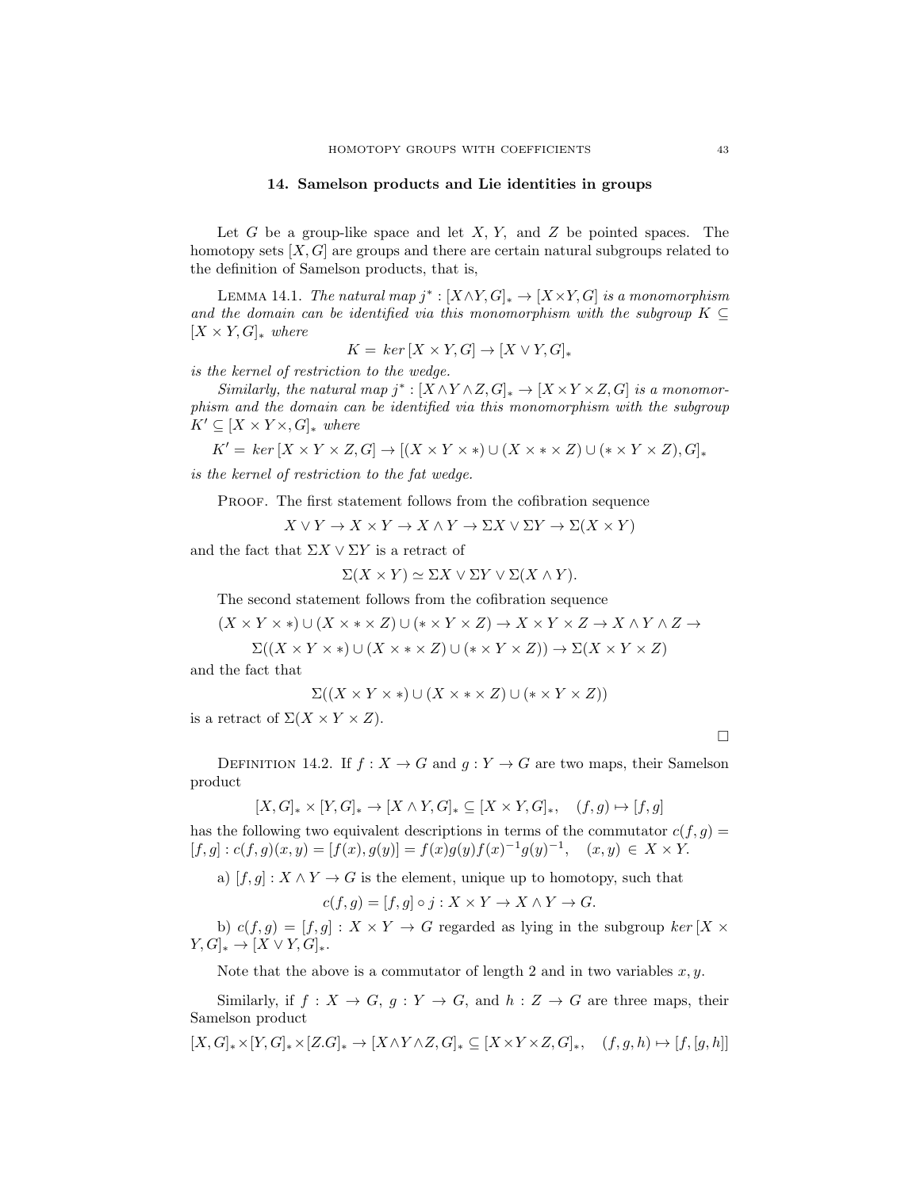### 14. Samelson products and Lie identities in groups

Let G be a group-like space and let  $X, Y$ , and  $Z$  be pointed spaces. The homotopy sets  $[X, G]$  are groups and there are certain natural subgroups related to the definition of Samelson products, that is,

LEMMA 14.1. The natural map  $j^* : [X \wedge Y, G]_* \to [X \times Y, G]$  is a monomorphism and the domain can be identified via this monomorphism with the subgroup  $K \subseteq$  $[X \times Y, G]_{\ast}$  where

$$
K = \ker [X \times Y, G] \to [X \vee Y, G]_*
$$

is the kernel of restriction to the wedge.

Similarly, the natural map  $j^* : [X \wedge Y \wedge Z, G]_* \to [X \times Y \times Z, G]$  is a monomorphism and the domain can be identified via this monomorphism with the subgroup  $K' \subseteq [X \times Y \times, G]_{*}$  where

$$
K' = \ker [X \times Y \times Z, G] \to [(X \times Y \times *) \cup (X \times * \times Z) \cup (* \times Y \times Z), G]_{*}
$$

is the kernel of restriction to the fat wedge.

PROOF. The first statement follows from the cofibration sequence

 $X \vee Y \to X \times Y \to X \wedge Y \to \Sigma X \vee \Sigma Y \to \Sigma (X \times Y)$ 

and the fact that  $\Sigma X \vee \Sigma Y$  is a retract of

 $\Sigma(X \times Y) \simeq \Sigma X \vee \Sigma Y \vee \Sigma (X \wedge Y).$ 

The second statement follows from the cofibration sequence

 $(X \times Y \times *) \cup (X \times * \times Z) \cup (* \times Y \times Z) \rightarrow X \times Y \times Z \rightarrow X \wedge Y \wedge Z \rightarrow$ 

$$
\Sigma((X \times Y \times *) \cup (X \times * \times Z) \cup (* \times Y \times Z)) \to \Sigma(X \times Y \times Z)
$$

and the fact that

$$
\Sigma((X \times Y \times *) \cup (X \times * \times Z) \cup (* \times Y \times Z))
$$

is a retract of  $\Sigma(X \times Y \times Z)$ .

 $\Box$ 

DEFINITION 14.2. If  $f: X \to G$  and  $g: Y \to G$  are two maps, their Samelson product

 $[X, G]_* \times [Y, G]_* \to [X \wedge Y, G]_* \subseteq [X \times Y, G]_*, \quad (f, g) \mapsto [f, g]$ has the following two equivalent descriptions in terms of the commutator  $c(f, g) =$  $[f,g]: c(f,g)(x,y) = [f(x), g(y)] = f(x)g(y)f(x)^{-1}g(y)^{-1}, (x,y) \in X \times Y.$ 

a)  $[f, g] : X \wedge Y \to G$  is the element, unique up to homotopy, such that

$$
c(f,g) = [f,g] \circ j : X \times Y \to X \wedge Y \to G.
$$

b)  $c(f,g) = [f,g] : X \times Y \to G$  regarded as lying in the subgroup  $ker[X \times G]$  $Y, G]_* \to [X \vee Y, G]_*$ .

Note that the above is a commutator of length 2 and in two variables  $x, y$ .

Similarly, if  $f: X \to G$ ,  $g: Y \to G$ , and  $h: Z \to G$  are three maps, their Samelson product

 $[X, G]_{*} \times [Y, G]_{*} \times [Z, G]_{*} \rightarrow [X \wedge Y \wedge Z, G]_{*} \subseteq [X \times Y \times Z, G]_{*}, \quad (f, g, h) \mapsto [f, [g, h]]$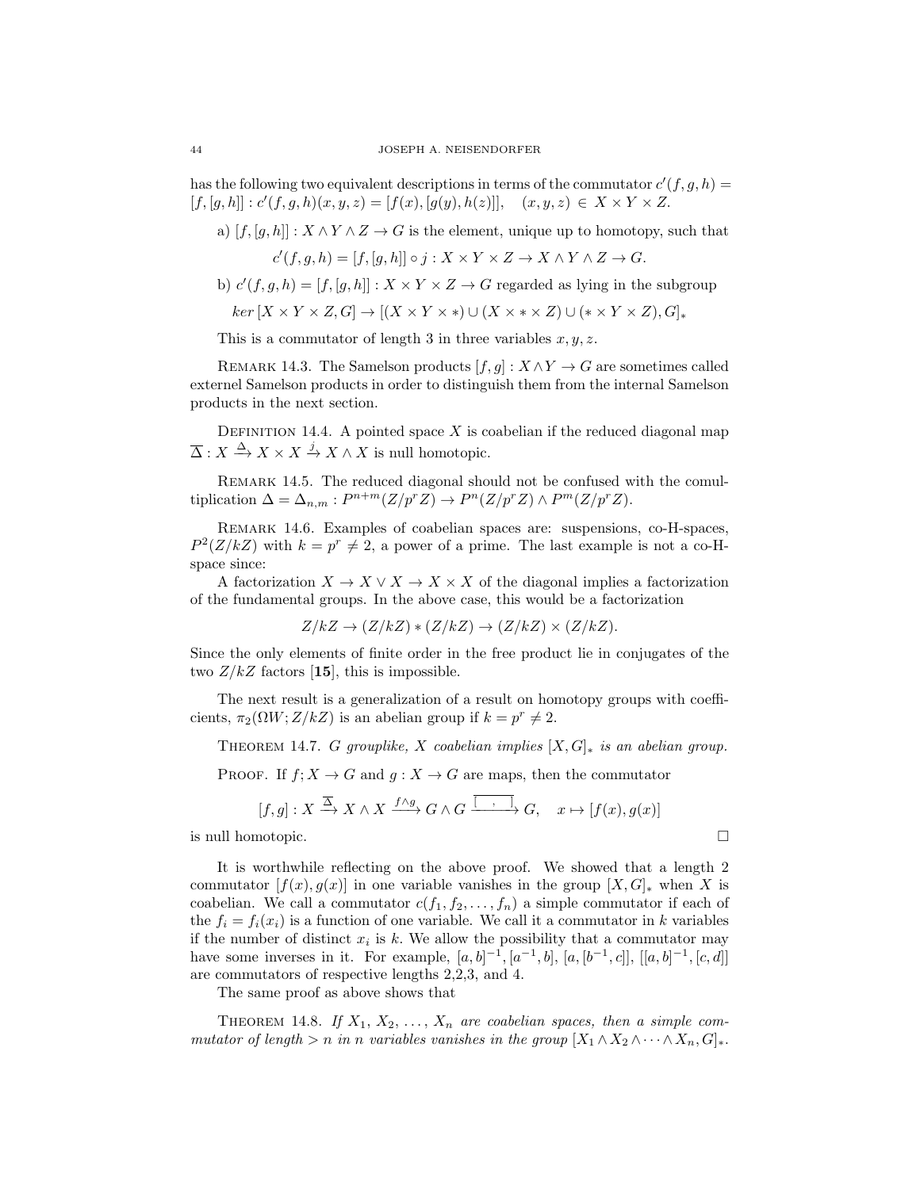has the following two equivalent descriptions in terms of the commutator  $c'(f, g, h) =$  $[f, [g, h]] : c'(f, g, h)(x, y, z) = [f(x), [g(y), h(z)]], (x, y, z) \in X \times Y \times Z.$ 

a)  $[f, [g, h]] : X \wedge Y \wedge Z \rightarrow G$  is the element, unique up to homotopy, such that

$$
c'(f, g, h) = [f, [g, h]] \circ j : X \times Y \times Z \to X \wedge Y \wedge Z \to G.
$$

- b)  $c'(f, g, h) = [f, [g, h]] : X \times Y \times Z \rightarrow G$  regarded as lying in the subgroup
	- $ker [X \times Y \times Z, G] \rightarrow [(X \times Y \times *) \cup (X \times * \times Z) \cup (* \times Y \times Z), G]_{*}$

This is a commutator of length 3 in three variables  $x, y, z$ .

REMARK 14.3. The Samelson products  $[f, g] : X \wedge Y \to G$  are sometimes called externel Samelson products in order to distinguish them from the internal Samelson products in the next section.

DEFINITION 14.4. A pointed space  $X$  is coabelian if the reduced diagonal map  $\overline{\Delta}: X \stackrel{\Delta}{\to} X \times X \stackrel{j}{\to} X \wedge X$  is null homotopic.

REMARK 14.5. The reduced diagonal should not be confused with the comultiplication  $\Delta = \Delta_{n,m} : P^{n+m}(Z/p^r Z) \to P^n(Z/p^r Z) \wedge P^m(Z/p^r Z).$ 

Remark 14.6. Examples of coabelian spaces are: suspensions, co-H-spaces,  $P^2(Z/kZ)$  with  $k = p^r \neq 2$ , a power of a prime. The last example is not a co-Hspace since:

A factorization  $X \to X \vee X \to X \times X$  of the diagonal implies a factorization of the fundamental groups. In the above case, this would be a factorization

$$
Z/kZ \to (Z/kZ) * (Z/kZ) \to (Z/kZ) \times (Z/kZ).
$$

Since the only elements of finite order in the free product lie in conjugates of the two  $Z/kZ$  factors [15], this is impossible.

The next result is a generalization of a result on homotopy groups with coefficients,  $\pi_2(\Omega W; Z/kZ)$  is an abelian group if  $k = p^r \neq 2$ .

THEOREM 14.7. G grouplike, X coabelian implies  $[X, G]_*$  is an abelian group.

PROOF. If  $f: X \to G$  and  $g: X \to G$  are maps, then the commutator

$$
[f,g]: X \xrightarrow{\overline{\Delta}} X \wedge X \xrightarrow{f \wedge g} G \wedge G \xrightarrow{\overline{[\quad , \quad ]}} G, \quad x \mapsto [f(x), g(x)]
$$

is null homotopic.

It is worthwhile reflecting on the above proof. We showed that a length 2 commutator  $[f(x), g(x)]$  in one variable vanishes in the group  $[X, G]_{*}$  when X is coabelian. We call a commutator  $c(f_1, f_2, \ldots, f_n)$  a simple commutator if each of the  $f_i = f_i(x_i)$  is a function of one variable. We call it a commutator in k variables if the number of distinct  $x_i$  is k. We allow the possibility that a commutator may have some inverses in it. For example,  $[a, b]^{-1}$ ,  $[a^{-1}, b]$ ,  $[a, [b^{-1}, c]]$ ,  $[[a, b]^{-1}$ ,  $[c, d]]$ are commutators of respective lengths 2,2,3, and 4.

The same proof as above shows that

THEOREM 14.8. If  $X_1, X_2, \ldots, X_n$  are coabelian spaces, then a simple commutator of length > n in n variables vanishes in the group  $[X_1 \wedge X_2 \wedge \cdots \wedge X_n, G]_*$ .

$$
\mathbf{r}^{\prime}
$$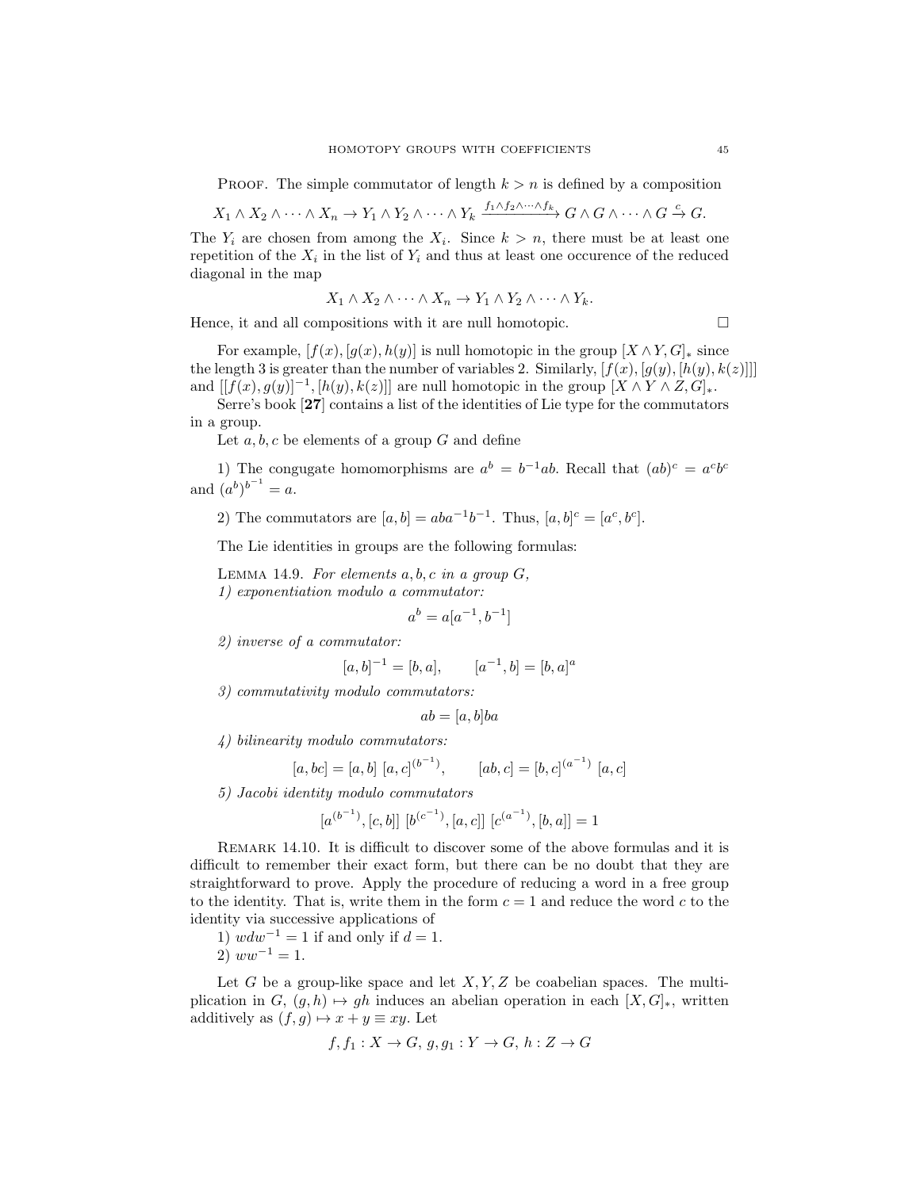PROOF. The simple commutator of length  $k > n$  is defined by a composition

$$
X_1 \wedge X_2 \wedge \cdots \wedge X_n \to Y_1 \wedge Y_2 \wedge \cdots \wedge Y_k \xrightarrow{f_1 \wedge f_2 \wedge \cdots \wedge f_k} G \wedge G \wedge \cdots \wedge G \xrightarrow{c} G.
$$

The  $Y_i$  are chosen from among the  $X_i$ . Since  $k > n$ , there must be at least one repetition of the  $X_i$  in the list of  $Y_i$  and thus at least one occurence of the reduced diagonal in the map

$$
X_1 \wedge X_2 \wedge \cdots \wedge X_n \to Y_1 \wedge Y_2 \wedge \cdots \wedge Y_k.
$$

Hence, it and all compositions with it are null homotopic.  $\Box$ 

For example,  $[f(x), [g(x), h(y)]$  is null homotopic in the group  $[X \wedge Y, G]_{*}$  since the length 3 is greater than the number of variables 2. Similarly,  $[f(x), [g(y), [h(y), k(z)]]]$ and  $[[f(x), g(y)]^{-1}, [h(y), k(z)]]$  are null homotopic in the group  $[X \wedge Y \wedge Z, G]_{*}$ .

Serre's book [27] contains a list of the identities of Lie type for the commutators in a group.

Let  $a, b, c$  be elements of a group  $G$  and define

1) The congugate homomorphisms are  $a^b = b^{-1}ab$ . Recall that  $(ab)^c = a^c b^c$ and  $(a^{b})^{b^{-1}} = a$ .

2) The commutators are  $[a, b] = aba^{-1}b^{-1}$ . Thus,  $[a, b]^{c} = [a^{c}, b^{c}]$ .

The Lie identities in groups are the following formulas:

LEMMA 14.9. For elements  $a, b, c$  in a group  $G$ , 1) exponentiation modulo a commutator:

$$
a^b = a[a^{-1}, b^{-1}]
$$

2) inverse of a commutator:

$$
[a, b]^{-1} = [b, a], \qquad [a^{-1}, b] = [b, a]^a
$$

3) commutativity modulo commutators:

$$
ab = [a, b]ba
$$

4) bilinearity modulo commutators:

$$
[a, bc] = [a, b] [a, c]^{(b^{-1})}
$$
,  $[ab, c] = [b, c]^{(a^{-1})} [a, c]$ 

5) Jacobi identity modulo commutators

$$
[a^{(b^{-1})}, [c, b]] [b^{(c^{-1})}, [a, c]] [c^{(a^{-1})}, [b, a]] = 1
$$

Remark 14.10. It is difficult to discover some of the above formulas and it is difficult to remember their exact form, but there can be no doubt that they are straightforward to prove. Apply the procedure of reducing a word in a free group to the identity. That is, write them in the form  $c = 1$  and reduce the word c to the identity via successive applications of

1)  $wdw^{-1} = 1$  if and only if  $d = 1$ . 2)  $ww^{-1} = 1$ .

Let G be a group-like space and let  $X, Y, Z$  be coabelian spaces. The multiplication in  $G, (g, h) \mapsto gh$  induces an abelian operation in each  $[X, G]_*,$  written additively as  $(f, g) \mapsto x + y \equiv xy$ . Let

$$
f, f_1: X \to G, g, g_1: Y \to G, h: Z \to G
$$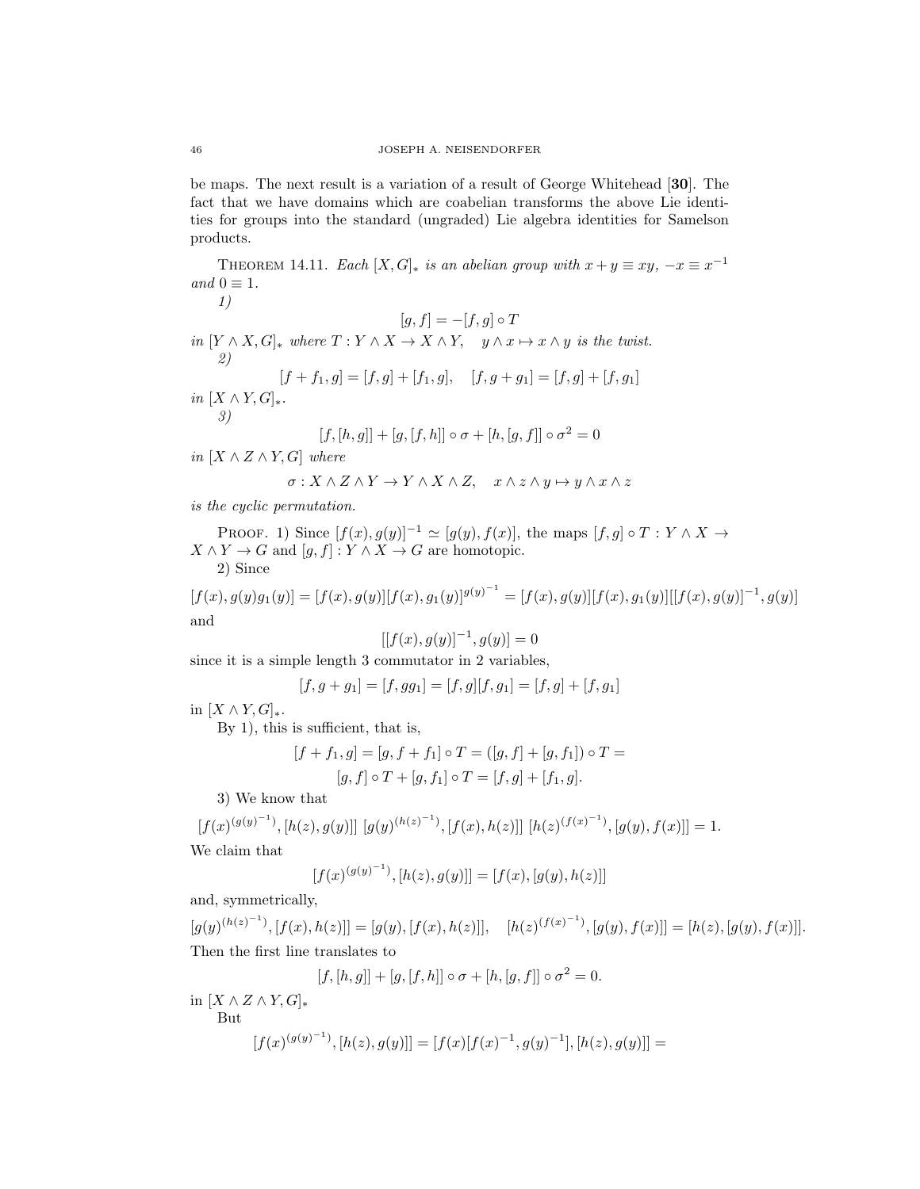be maps. The next result is a variation of a result of George Whitehead [30]. The fact that we have domains which are coabelian transforms the above Lie identities for groups into the standard (ungraded) Lie algebra identities for Samelson products.

THEOREM 14.11. Each  $[X, G]_{*}$  is an abelian group with  $x + y \equiv xy, -x \equiv x^{-1}$ and  $0 \equiv 1$ .

1)  $[g, f] = -[f, g] \circ T$ in  $[Y \wedge X, G]_*$  where  $T : Y \wedge X \to X \wedge Y$ ,  $y \wedge x \mapsto x \wedge y$  is the twist. 2)  $[f + f_1, g] = [f, g] + [f_1, g], \quad [f, g + g_1] = [f, g] + [f, g_1]$ in  $[X \wedge Y, G]_*$ . 3)

$$
[f,[h,g]]+[g,[f,h]]\circ\sigma+[h,[g,f]]\circ\sigma^2=0
$$

in  $[X \wedge Z \wedge Y, G]$  where

$$
\sigma: X\wedge Z\wedge Y\to Y\wedge X\wedge Z, \quad x\wedge z\wedge y\mapsto y\wedge x\wedge z
$$

is the cyclic permutation.

PROOF. 1) Since  $[f(x), g(y)]^{-1} \simeq [g(y), f(x)]$ , the maps  $[f, g] \circ T : Y \wedge X \rightarrow$  $X \wedge Y \to G$  and  $[g, f] : Y \wedge X \to G$  are homotopic. 2) Since

$$
[f(x), g(y)g_1(y)] = [f(x), g(y)][f(x), g_1(y)]^{g(y)^{-1}} = [f(x), g(y)][f(x), g_1(y)][[f(x), g(y)]^{-1}, g(y)]
$$
and

$$
[[f(x), g(y)]^{-1}, g(y)] = 0
$$

since it is a simple length 3 commutator in 2 variables,

$$
[f, g + g_1] = [f, gg_1] = [f, g][f, g_1] = [f, g] + [f, g_1]
$$

in  $[X \wedge Y, G]_*$ .

By 1), this is sufficient, that is,

$$
[f + f_1, g] = [g, f + f_1] \circ T = ([g, f] + [g, f_1]) \circ T = [g, f] \circ T + [g, f_1] \circ T = [f, g] + [f_1, g].
$$

3) We know that

$$
[f(x)^{(g(y)^{-1})}, [h(z), g(y)]] [g(y)^{(h(z)^{-1})}, [f(x), h(z)]] [h(z)^{(f(x)^{-1})}, [g(y), f(x)]] = 1.
$$

We claim that

$$
[f(x)^{(g(y)^{-1})}, [h(z), g(y)]] = [f(x), [g(y), h(z)]]
$$

and, symmetrically,

 $[g(y)^{(h(z)^{-1})}, [f(x), h(z)]] = [g(y), [f(x), h(z)]], \quad [h(z)^{(f(x)^{-1})}, [g(y), f(x)]] = [h(z), [g(y), f(x)]].$ Then the first line translates to

$$
[f, [h, g]] + [g, [f, h]] \circ \sigma + [h, [g, f]] \circ \sigma^2 = 0.
$$

in  $[X \wedge Z \wedge Y, G]_*$ But  $[f(x)^{(g(y)^{-1})}, [h(z), g(y)]] = [f(x)[f(x)^{-1}, g(y)^{-1}], [h(z), g(y)]] =$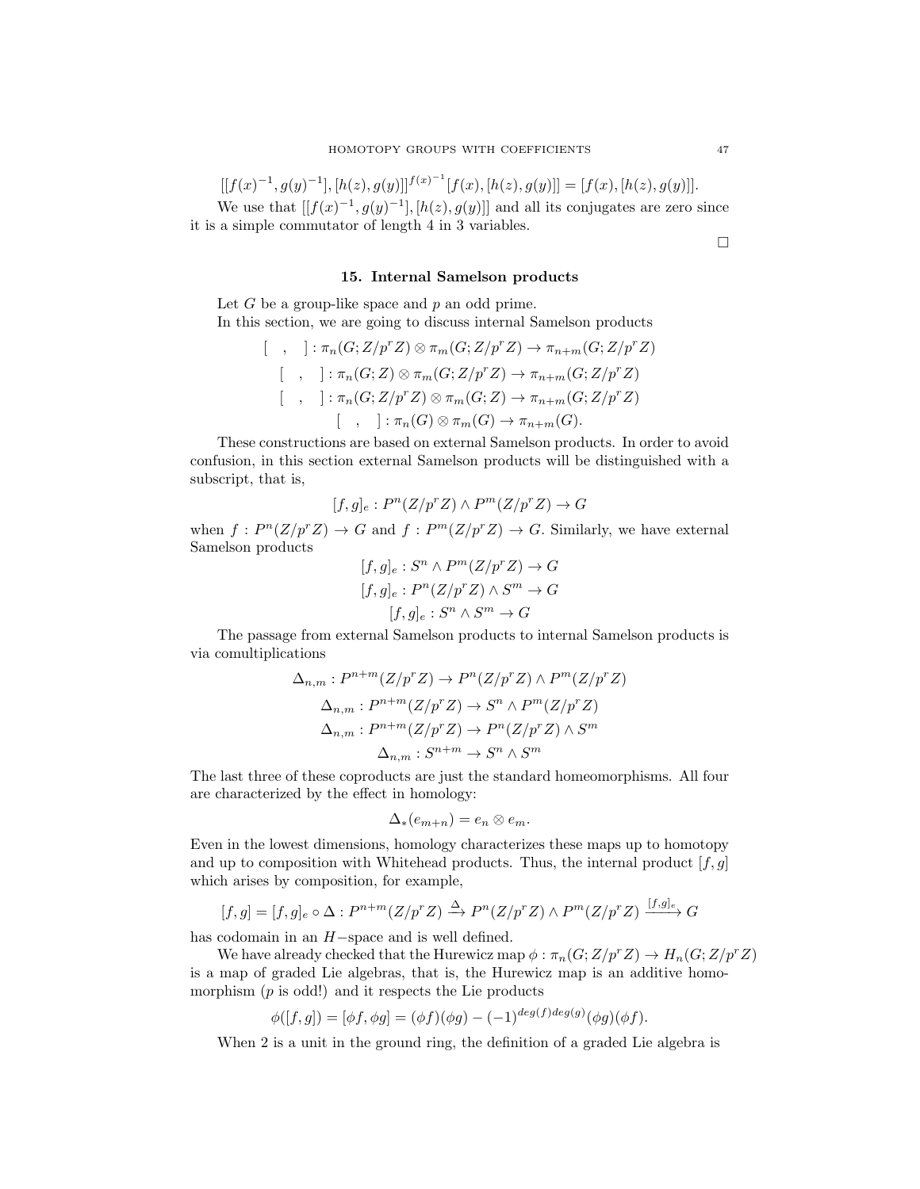$[[f(x)^{-1}, g(y)^{-1}], [h(z), g(y)]]^{f(x)^{-1}} [f(x), [h(z), g(y)]] = [f(x), [h(z), g(y)]]$ . We use that  $[[f(x)^{-1}, g(y)^{-1}], [h(z), g(y)]]$  and all its conjugates are zero since it is a simple commutator of length 4 in 3 variables.

 $\Box$ 

# 15. Internal Samelson products

Let  $G$  be a group-like space and  $p$  an odd prime. In this section, we are going to discuss internal Samelson products

$$
[\ , ]: \pi_n(G; Z/p^r Z) \otimes \pi_m(G; Z/p^r Z) \to \pi_{n+m}(G; Z/p^r Z)
$$
  

$$
[\ , ]: \pi_n(G; Z) \otimes \pi_m(G; Z/p^r Z) \to \pi_{n+m}(G; Z/p^r Z)
$$
  

$$
[\ , ]: \pi_n(G; Z/p^r Z) \otimes \pi_m(G; Z) \to \pi_{n+m}(G; Z/p^r Z)
$$
  

$$
[\ , ]: \pi_n(G) \otimes \pi_m(G) \to \pi_{n+m}(G).
$$

These constructions are based on external Samelson products. In order to avoid confusion, in this section external Samelson products will be distinguished with a subscript, that is,

$$
[f,g]_e: P^n(Z/p^rZ) \wedge P^m(Z/p^rZ) \to G
$$

when  $f: P^{n}(Z/p^{r}Z) \to G$  and  $f: P^{m}(Z/p^{r}Z) \to G$ . Similarly, we have external Samelson products

$$
[f,g]_e : S^n \wedge P^m(Z/p^r Z) \to G
$$

$$
[f,g]_e : P^n(Z/p^r Z) \wedge S^m \to G
$$

$$
[f,g]_e : S^n \wedge S^m \to G
$$

The passage from external Samelson products to internal Samelson products is via comultiplications

$$
\Delta_{n,m}: P^{n+m}(Z/p^r Z) \to P^n(Z/p^r Z) \land P^m(Z/p^r Z)
$$

$$
\Delta_{n,m}: P^{n+m}(Z/p^r Z) \to S^n \land P^m(Z/p^r Z)
$$

$$
\Delta_{n,m}: P^{n+m}(Z/p^r Z) \to P^n(Z/p^r Z) \land S^m
$$

$$
\Delta_{n,m}: S^{n+m} \to S^n \land S^m
$$

The last three of these coproducts are just the standard homeomorphisms. All four are characterized by the effect in homology:

$$
\Delta_{*}(e_{m+n})=e_n\otimes e_m.
$$

Even in the lowest dimensions, homology characterizes these maps up to homotopy and up to composition with Whitehead products. Thus, the internal product  $[f, g]$ which arises by composition, for example,

$$
[f,g] = [f,g]_e \circ \Delta : P^{n+m}(Z/p^r Z) \xrightarrow{\Delta} P^n(Z/p^r Z) \wedge P^m(Z/p^r Z) \xrightarrow{[f,g]_e} G
$$

has codomain in an H−space and is well defined.

We have already checked that the Hurewicz map  $\phi : \pi_n(G;Z/p^rZ) \to H_n(G;Z/p^rZ)$ is a map of graded Lie algebras, that is, the Hurewicz map is an additive homomorphism  $(p \text{ is odd!})$  and it respects the Lie products

$$
\phi([f,g]) = [\phi f, \phi g] = (\phi f)(\phi g) - (-1)^{deg(f)deg(g)}(\phi g)(\phi f).
$$

When 2 is a unit in the ground ring, the definition of a graded Lie algebra is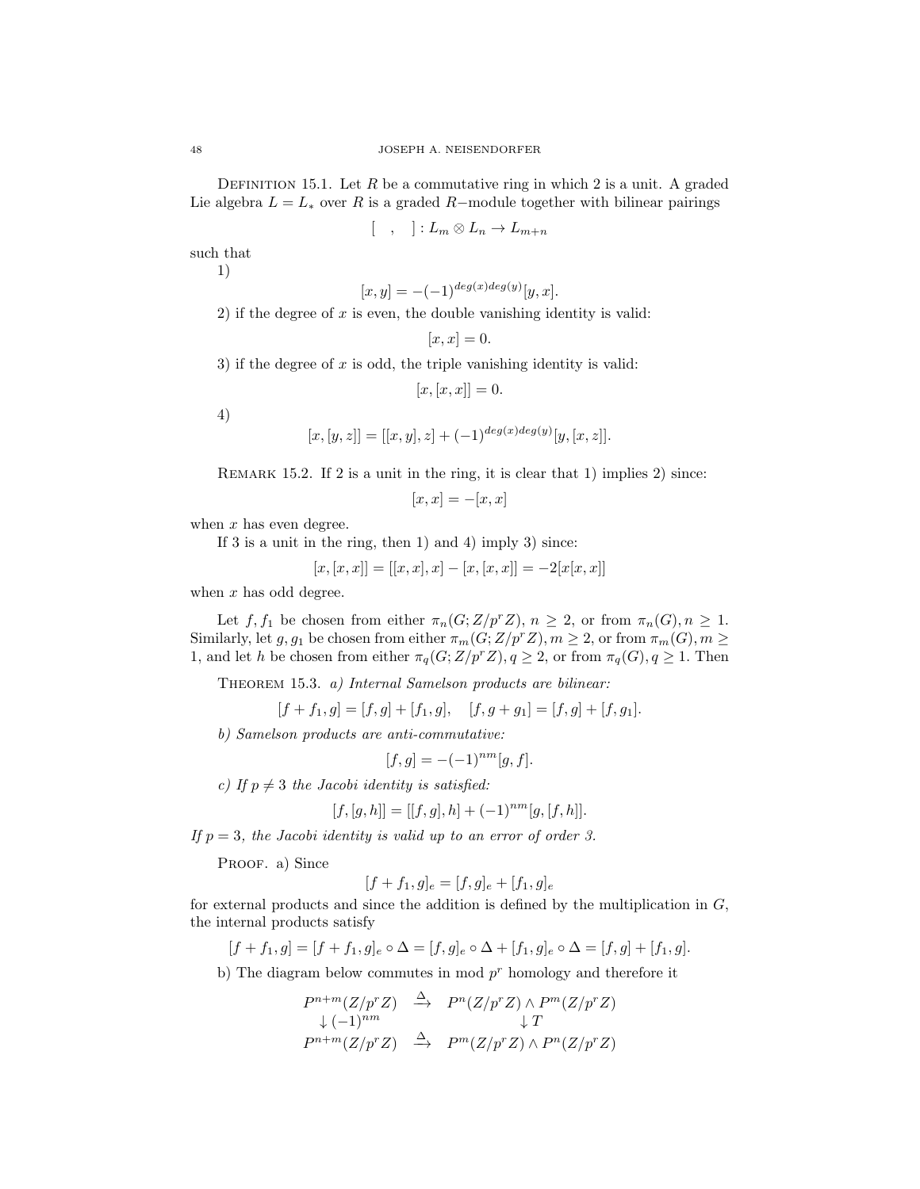DEFINITION 15.1. Let  $R$  be a commutative ring in which 2 is a unit. A graded Lie algebra  $L = L_*$  over R is a graded R-module together with bilinear pairings

$$
[ , ]: L_m \otimes L_n \to L_{m+n}
$$

such that

1)

$$
[x, y] = -(-1)^{\deg(x)\deg(y)}[y, x].
$$

2) if the degree of  $x$  is even, the double vanishing identity is valid:

$$
[x,x]=0.
$$

3) if the degree of x is odd, the triple vanishing identity is valid:

 $[x, [x, x]] = 0.$ 

4)

$$
[x,[y,z]] = [[x,y],z] + (-1)^{deg(x)deg(y)}[y,[x,z]].
$$

Remark 15.2. If 2 is a unit in the ring, it is clear that 1) implies 2) since:

$$
[x, x] = -[x, x]
$$

when  $x$  has even degree.

If  $3$  is a unit in the ring, then  $1)$  and  $4)$  imply  $3)$  since:

$$
[x,[x,x]] = [[x,x],x] - [x,[x,x]] = -2[x[x,x]]
$$

when  $x$  has odd degree.

Let f, f<sub>1</sub> be chosen from either  $\pi_n(G;Z/p^rZ)$ ,  $n \geq 2$ , or from  $\pi_n(G), n \geq 1$ . Similarly, let  $g, g_1$  be chosen from either  $\pi_m(G; Z/p^r Z), m \geq 2$ , or from  $\pi_m(G), m \geq 2$ 1, and let h be chosen from either  $\pi_q(G;Z/p^rZ), q \geq 2$ , or from  $\pi_q(G), q \geq 1$ . Then

THEOREM 15.3. a) Internal Samelson products are bilinear:

 $[f + f_1, g] = [f, g] + [f_1, g], \quad [f, g + g_1] = [f, g] + [f, g_1].$ 

b) Samelson products are anti-commutative:

$$
[f, g] = -(-1)^{nm} [g, f].
$$

c) If  $p \neq 3$  the Jacobi identity is satisfied:

$$
[f, [g, h]] = [[f, g], h] + (-1)^{nm} [g, [f, h]].
$$

If  $p = 3$ , the Jacobi identity is valid up to an error of order 3.

PROOF. a) Since

$$
[f + f_1, g]_e = [f, g]_e + [f_1, g]_e
$$

for external products and since the addition is defined by the multiplication in  $G$ , the internal products satisfy

 $[f + f_1, g] = [f + f_1, g]_e \circ \Delta = [f, g]_e \circ \Delta + [f_1, g]_e \circ \Delta = [f, g] + [f_1, g]$ .

b) The diagram below commutes in mod  $p<sup>r</sup>$  homology and therefore it

$$
P^{n+m}(Z/p^r Z) \stackrel{\Delta}{\longrightarrow} P^n(Z/p^r Z) \wedge P^m(Z/p^r Z)
$$
  
\n
$$
\downarrow (1)^{nm} \qquad \qquad \downarrow T
$$
  
\n
$$
P^{n+m}(Z/p^r Z) \stackrel{\Delta}{\longrightarrow} P^m(Z/p^r Z) \wedge P^n(Z/p^r Z)
$$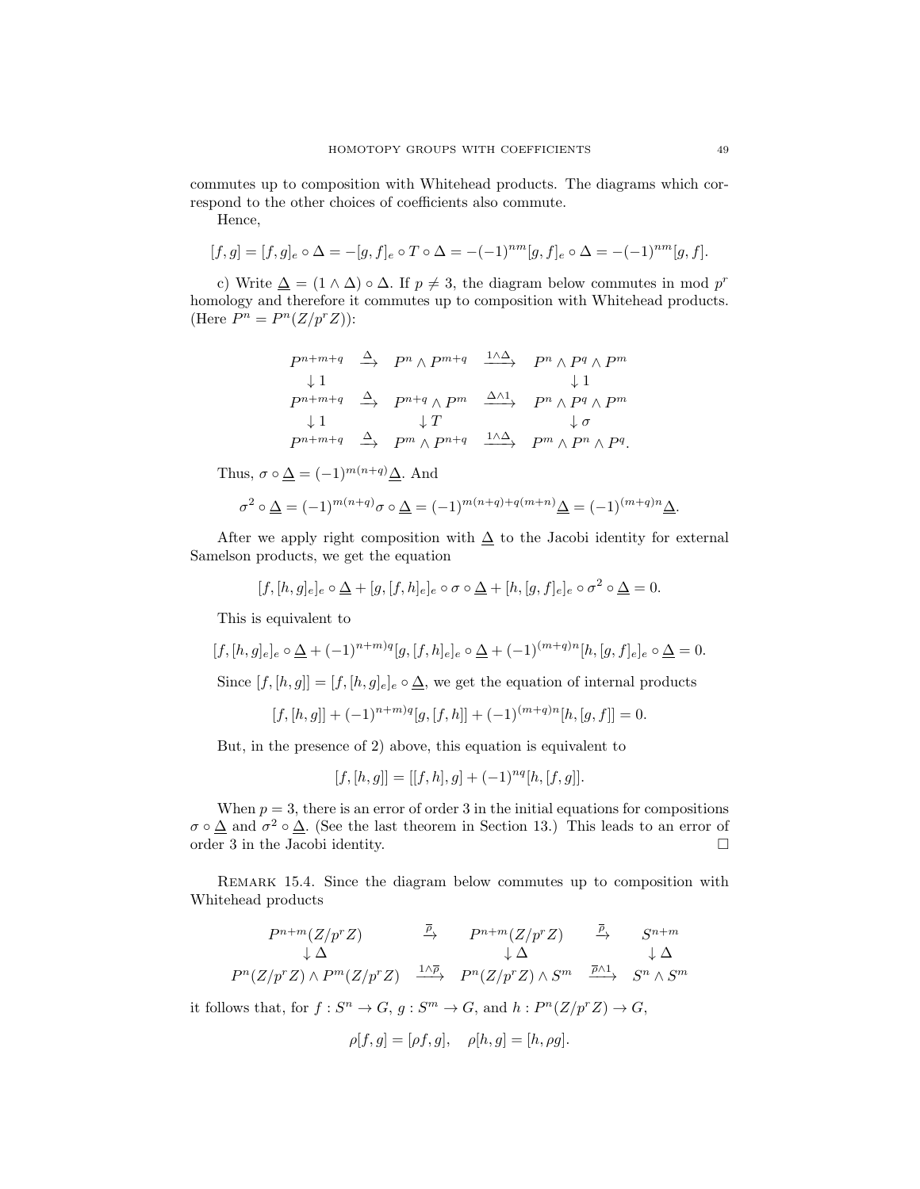commutes up to composition with Whitehead products. The diagrams which correspond to the other choices of coefficients also commute.

Hence,

$$
[f,g] = [f,g]_e \circ \Delta = -[g,f]_e \circ T \circ \Delta = -(-1)^{nm} [g,f]_e \circ \Delta = -(-1)^{nm} [g,f].
$$

c) Write  $\Delta = (1 \wedge \Delta) \circ \Delta$ . If  $p \neq 3$ , the diagram below commutes in mod  $p^r$ homology and therefore it commutes up to composition with Whitehead products. (Here  $P^n = P^n(Z/p^rZ)$ ):

$$
\begin{array}{ccccccccc}\nP^{n+m+q} & \xrightarrow{\Delta} & P^n \wedge P^{m+q} & \xrightarrow{1 \wedge \Delta} & P^n \wedge P^q \wedge P^m \\
\downarrow 1 & & & \downarrow 1 & & \\
P^{n+m+q} & \xrightarrow{\Delta} & P^{n+q} \wedge P^m & \xrightarrow{\Delta \wedge 1} & P^n \wedge P^q \wedge P^m \\
\downarrow 1 & & & \downarrow T & & \downarrow \sigma \\
P^{n+m+q} & \xrightarrow{\Delta} & P^m \wedge P^{n+q} & \xrightarrow{1 \wedge \Delta} & P^m \wedge P^n \wedge P^q.\n\end{array}
$$

Thus,  $\sigma \circ \underline{\Delta} = (-1)^{m(n+q)} \underline{\Delta}$ . And

$$
\sigma^2 \circ \underline{\Delta} = (-1)^{m(n+q)} \sigma \circ \underline{\Delta} = (-1)^{m(n+q)+q(m+n)} \underline{\Delta} = (-1)^{(m+q)n} \underline{\Delta}.
$$

After we apply right composition with  $\Delta$  to the Jacobi identity for external Samelson products, we get the equation

$$
[f,[h,g]_e]_e \circ \underline{\Delta} + [g,[f,h]_e]_e \circ \sigma \circ \underline{\Delta} + [h,[g,f]_e]_e \circ \sigma^2 \circ \underline{\Delta} = 0.
$$

This is equivalent to

$$
[f,[h,g]_e]_e \circ \underline{\Delta} + (-1)^{n+m)q} [g,[f,h]_e]_e \circ \underline{\Delta} + (-1)^{(m+q)n} [h,[g,f]_e]_e \circ \underline{\Delta} = 0.
$$

Since  $[f, [h, g]] = [f, [h, g]_e]_e \circ \underline{\Delta}$ , we get the equation of internal products

$$
[f, [h, g]] + (-1)^{n+m)q} [g, [f, h]] + (-1)^{(m+q)n} [h, [g, f]] = 0.
$$

But, in the presence of 2) above, this equation is equivalent to

$$
[f, [h, g]] = [[f, h], g] + (-1)^{nq} [h, [f, g]].
$$

When  $p = 3$ , there is an error of order 3 in the initial equations for compositions  $\sigma \circ \Delta$  and  $\sigma^2 \circ \Delta$ . (See the last theorem in Section 13.) This leads to an error of order 3 in the Jacobi identity.

Remark 15.4. Since the diagram below commutes up to composition with Whitehead products

$$
P^{n+m}(Z/p^r Z) \xrightarrow{\bar{P}} P^{n+m}(Z/p^r Z) \xrightarrow{\bar{P}} S^{n+m}
$$
  
\n
$$
\downarrow \Delta \qquad \qquad \downarrow \Delta \qquad \qquad \downarrow \Delta
$$
  
\n
$$
P^n(Z/p^r Z) \wedge P^m(Z/p^r Z) \xrightarrow{1 \wedge \bar{P}} P^n(Z/p^r Z) \wedge S^m \xrightarrow{\bar{P} \wedge 1} S^n \wedge S^m
$$

it follows that, for  $f: S^n \to G$ ,  $g: S^m \to G$ , and  $h: P^n(Z/p^rZ) \to G$ ,

$$
\rho[f,g] = [\rho f, g], \quad \rho[h,g] = [h, \rho g].
$$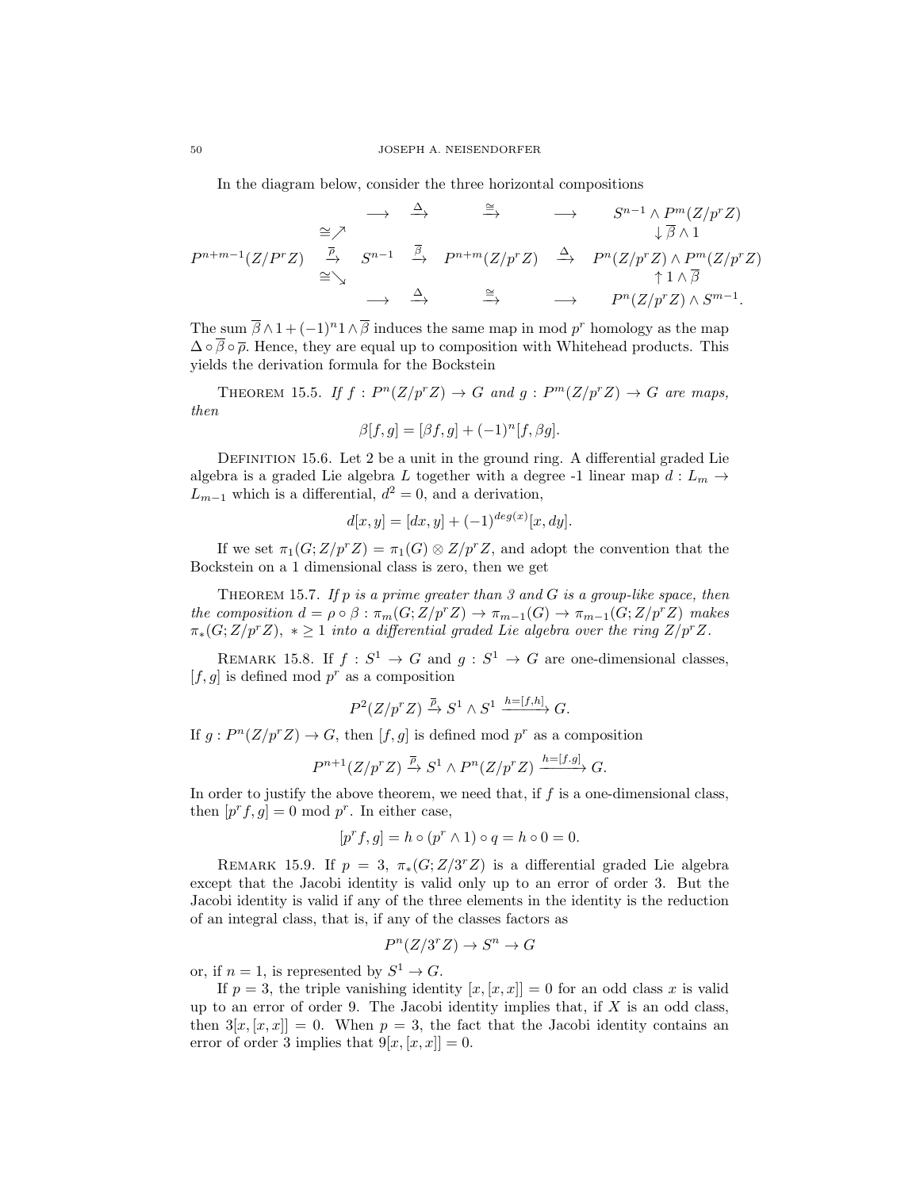In the diagram below, consider the three horizontal compositions

$$
P^{n+m-1}(Z/P^r Z) \xrightarrow{\cong} S^{n-1} \xrightarrow{\cong} S^{n-1} \wedge P^m(Z/p^r Z) \n P^{n+m-1}(Z/P^r Z) \xrightarrow{\overline{P}} S^{n-1} \xrightarrow{\overline{B}} P^{n+m}(Z/p^r Z) \xrightarrow{\Delta} P^n(Z/p^r Z) \wedge P^m(Z/p^r Z) \n \xrightarrow{\cong} \xrightarrow{\Delta} \xrightarrow{\cong} P^n(Z/p^r Z) \wedge S^{m-1}.
$$

The sum  $\bar{\beta} \wedge 1 + (-1)^n 1 \wedge \bar{\beta}$  induces the same map in mod  $p^r$  homology as the map  $\Delta \circ \overline{\beta} \circ \overline{\rho}$ . Hence, they are equal up to composition with Whitehead products. This yields the derivation formula for the Bockstein

THEOREM 15.5. If  $f: P^{n}(Z/p^{r}Z) \rightarrow G$  and  $g: P^{m}(Z/p^{r}Z) \rightarrow G$  are maps, then

$$
\beta[f,g] = [\beta f, g] + (-1)^n [f, \beta g].
$$

DEFINITION 15.6. Let 2 be a unit in the ground ring. A differential graded Lie algebra is a graded Lie algebra L together with a degree -1 linear map  $d: L_m \rightarrow$  $L_{m-1}$  which is a differential,  $d^2 = 0$ , and a derivation,

$$
d[x, y] = [dx, y] + (-1)^{deg(x)} [x, dy].
$$

If we set  $\pi_1(G;Z/p^rZ) = \pi_1(G) \otimes Z/p^rZ$ , and adopt the convention that the Bockstein on a 1 dimensional class is zero, then we get

THEOREM 15.7. If  $p$  is a prime greater than 3 and  $G$  is a group-like space, then the composition  $d = \rho \circ \beta : \pi_m(G; Z/p^r Z) \to \pi_{m-1}(G) \to \pi_{m-1}(G; Z/p^r Z)$  makes  $\pi_*(G;Z/p^rZ), * \geq 1$  into a differential graded Lie algebra over the ring  $Z/p^rZ$ .

REMARK 15.8. If  $f: S^1 \to G$  and  $g: S^1 \to G$  are one-dimensional classes,  $[f, g]$  is defined mod  $p^r$  as a composition

$$
P^2(Z/p^rZ) \xrightarrow{\overline{\rho}} S^1 \wedge S^1 \xrightarrow{h=[f,h]} G.
$$

If  $g: P^{n}(Z/p^{r}Z) \to G$ , then  $[f, g]$  is defined mod  $p^{r}$  as a composition

$$
P^{n+1}(Z/p^r Z) \xrightarrow{\overline{\rho}} S^1 \wedge P^n(Z/p^r Z) \xrightarrow{h=[f.g]} G.
$$

In order to justify the above theorem, we need that, if  $f$  is a one-dimensional class, then  $[p^r f, g] = 0 \text{ mod } p^r$ . In either case,

$$
[pr f, g] = h \circ (pr \wedge 1) \circ q = h \circ 0 = 0.
$$

REMARK 15.9. If  $p = 3$ ,  $\pi_*(G; Z/3^r Z)$  is a differential graded Lie algebra except that the Jacobi identity is valid only up to an error of order 3. But the Jacobi identity is valid if any of the three elements in the identity is the reduction of an integral class, that is, if any of the classes factors as

$$
P^n(Z/3^rZ) \to S^n \to G
$$

or, if  $n = 1$ , is represented by  $S^1 \to G$ .

If  $p = 3$ , the triple vanishing identity  $[x, [x, x]] = 0$  for an odd class x is valid up to an error of order 9. The Jacobi identity implies that, if  $X$  is an odd class, then  $3[x,[x,x]] = 0$ . When  $p = 3$ , the fact that the Jacobi identity contains an error of order 3 implies that  $9[x,[x,x]] = 0$ .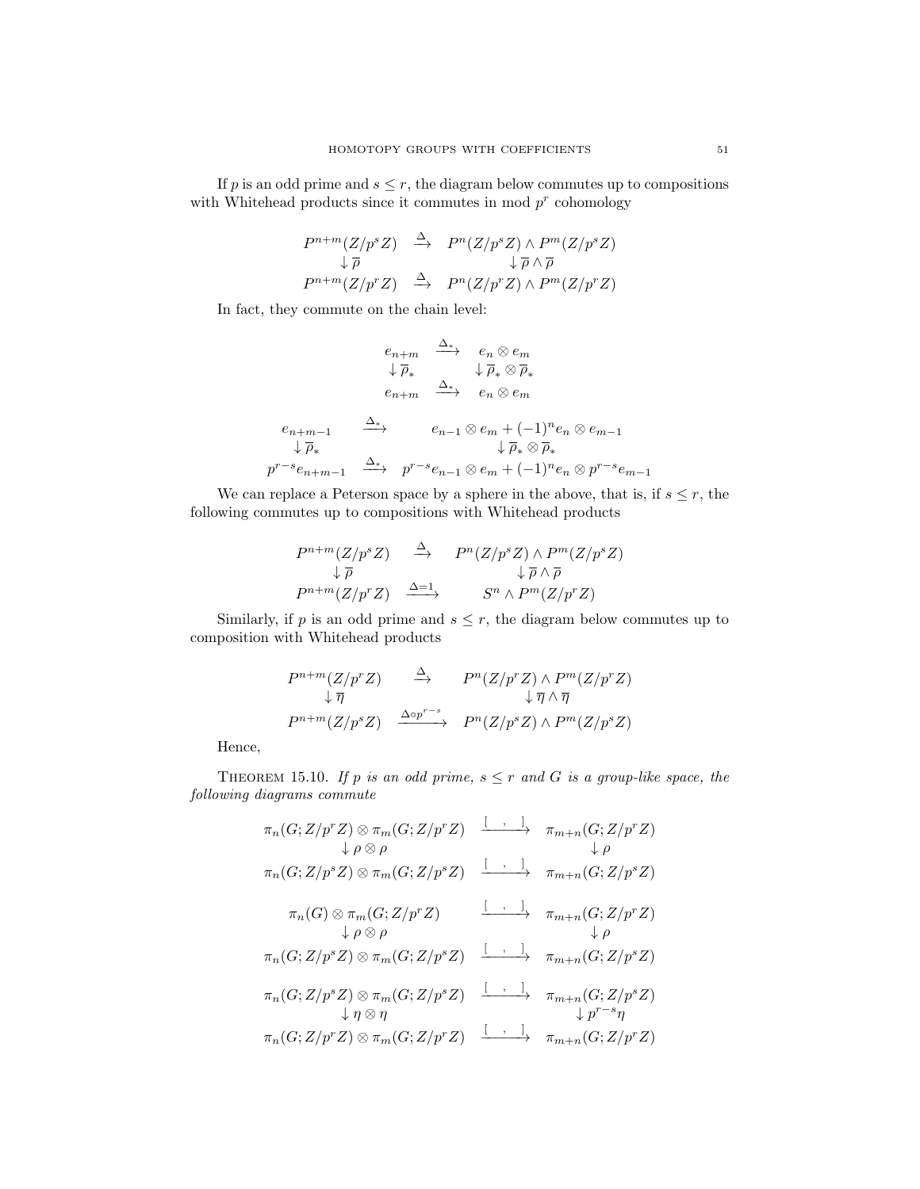If p is an odd prime and  $s \leq r$ , the diagram below commutes up to compositions with Whitehead products since it commutes in mod  $p<sup>r</sup>$  cohomology

$$
P^{n+m}(Z/p^s Z) \stackrel{\Delta}{\longrightarrow} P^n(Z/p^s Z) \wedge P^m(Z/p^s Z)
$$
  
\n
$$
\downarrow \overline{\rho} \qquad \downarrow \overline{\rho} \wedge \overline{\rho}
$$
  
\n
$$
P^{n+m}(Z/p^r Z) \stackrel{\Delta}{\longrightarrow} P^n(Z/p^r Z) \wedge P^m(Z/p^r Z)
$$

In fact, they commute on the chain level:

$$
\begin{array}{cccc}\n & e_{n+m} & \xrightarrow{\Delta_{*}} & e_{n} \otimes e_{m} \\
 & \downarrow \overline{\rho}_{*} & \downarrow \overline{\rho}_{*} \otimes \overline{\rho}_{*} \\
 & e_{n+m} & \xrightarrow{\Delta_{*}} & e_{n} \otimes e_{m} \\
 & & \downarrow \overline{\rho}_{*} & \downarrow \overline{\rho}_{*} \\
 & & \downarrow \overline{\rho}_{*} & \downarrow \overline{\rho}_{*} \otimes \overline{\rho}_{*} \\
 & & \downarrow \overline{\rho}_{*} & \downarrow \overline{\rho}_{*} \otimes \overline{\rho}_{*} \\
 & & p^{r-s}e_{n+m-1} & \xrightarrow{\Delta_{*}} & p^{r-s}e_{n-1} \otimes e_{m} + (-1)^{n}e_{n} \otimes p^{r-s}e_{m-1} \\
\end{array}
$$

We can replace a Peterson space by a sphere in the above, that is, if  $s \leq r$ , the following commutes up to compositions with Whitehead products

$$
P^{n+m}(Z/p^s Z) \xrightarrow{\Delta} P^n(Z/p^s Z) \wedge P^m(Z/p^s Z)
$$
  
\n
$$
\downarrow \overline{\rho} \qquad \qquad \downarrow \overline{\rho} \wedge \overline{\rho}
$$
  
\n
$$
P^{n+m}(Z/p^r Z) \xrightarrow{\Delta=1} S^n \wedge P^m(Z/p^r Z)
$$

Similarly, if p is an odd prime and  $s \leq r$ , the diagram below commutes up to composition with Whitehead products

$$
P^{n+m}(Z/p^r Z) \longrightarrow P^n(Z/p^r Z) \wedge P^m(Z/p^r Z)
$$
  
\n
$$
\downarrow \overline{\eta} \qquad \qquad \downarrow \overline{\eta} \wedge \overline{\eta}
$$
  
\n
$$
P^{n+m}(Z/p^s Z) \longrightarrow P^n(Z/p^s Z) \wedge P^m(Z/p^s Z)
$$

Hence,

THEOREM 15.10. If p is an odd prime,  $s \leq r$  and G is a group-like space, the following diagrams commute

$$
\pi_n(G; Z/p^r Z) \otimes \pi_m(G; Z/p^r Z) \xrightarrow{\begin{array}{c}\n\downarrow \quad \ \ \, \downarrow \quad \ \ \, \downarrow \quad \ \ \, \downarrow \quad \ \ \, \downarrow \quad \ \ \, \downarrow \quad \ \ \, \downarrow \quad \ \ \, \end{array}} \pi_{m+n}(G; Z/p^r Z) \xrightarrow{\begin{array}{c}\n\downarrow \quad \ \ \, \downarrow \quad \ \, \downarrow \quad \ \, \downarrow \quad \ \, \downarrow \quad \ \, \, \downarrow \quad \ \, \end{array}} \pi_n(G; Z/p^s Z) \otimes \pi_m(G; Z/p^s Z) \xrightarrow{\begin{array}{c}\n\downarrow \quad \ \ \, \downarrow \quad \ \, \cdots \quad \ \, \downarrow \quad \ \, \text{if} \quad \ \, \text{if} \quad \ \, \text{if} \quad \ \, \text{if} \quad \ \, \text{if} \quad \ \, \text{if} \quad \ \, \text{if} \quad \ \, \text{if} \quad \ \, \text{if} \quad \ \, \text{if} \quad \ \, \text{if} \quad \ \, \text{if} \quad \ \, \text{if} \quad \ \, \text{if} \quad \ \, \text{if} \quad \ \, \text{if} \quad \ \, \text{if} \quad \ \, \text{if} \quad \ \, \text{if} \quad \ \, \text{if} \quad \ \, \text{if} \quad \ \, \text{if} \quad \ \, \text{if} \quad \ \, \text{if} \quad \ \, \text{if} \quad \ \, \text{if} \quad \ \, \text{if} \quad \ \, \text{if} \quad \ \, \text{if} \quad \ \, \text{if} \quad \ \, \text{if} \quad \ \, \text{if} \quad \ \, \text{if} \quad \ \, \text{if} \quad \ \, \text{if} \quad \ \, \text{if} \quad \ \, \text{if} \quad \ \, \text{if} \quad \ \, \text{if} \quad \ \, \text{if} \quad \ \, \text{if} \quad \ \, \text{if} \quad \ \, \text{if} \quad \ \, \text{if} \quad
$$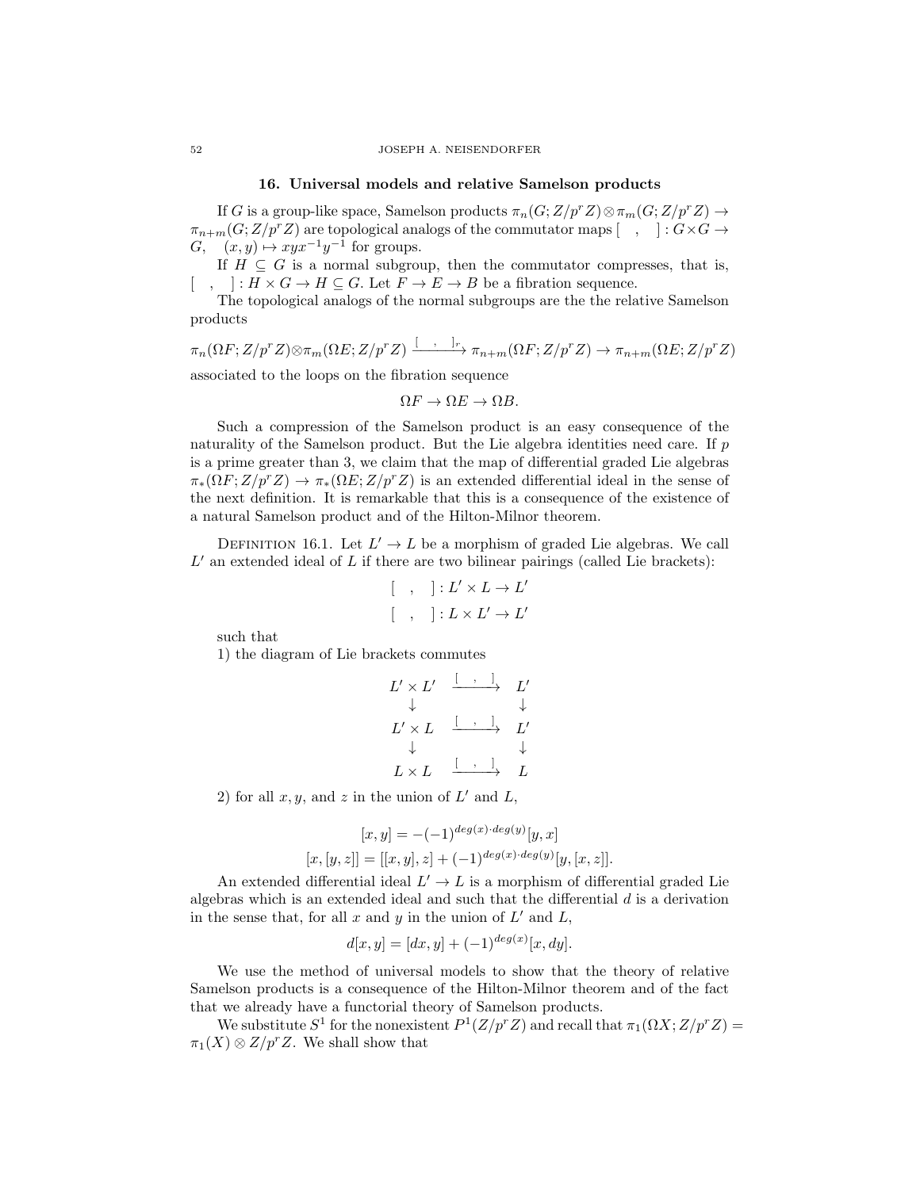#### 16. Universal models and relative Samelson products

If G is a group-like space, Samelson products  $\pi_n(G;Z/p^rZ)\otimes \pi_m(G;Z/p^rZ)\to$  $\pi_{n+m}(G;Z/p^rZ)$  are topological analogs of the commutator maps  $[ , ] : G \times G \rightarrow$  $G, (x, y) \mapsto xyx^{-1}y^{-1}$  for groups.

If  $H \subseteq G$  is a normal subgroup, then the commutator compresses, that is,  $\lceil , \rceil : H \times G \to H \subseteq G$ . Let  $F \to E \to B$  be a fibration sequence.

The topological analogs of the normal subgroups are the the relative Samelson products

$$
\pi_n(\Omega F; Z/p^r Z) \otimes \pi_m(\Omega E; Z/p^r Z) \xrightarrow{\left[\quad \right]_r} \pi_{n+m}(\Omega F; Z/p^r Z) \to \pi_{n+m}(\Omega E; Z/p^r Z)
$$

associated to the loops on the fibration sequence

$$
\Omega F \to \Omega E \to \Omega B.
$$

Such a compression of the Samelson product is an easy consequence of the naturality of the Samelson product. But the Lie algebra identities need care. If p is a prime greater than 3, we claim that the map of differential graded Lie algebras  $\pi_*(\Omega F;Z/p^rZ) \to \pi_*(\Omega E;Z/p^rZ)$  is an extended differential ideal in the sense of the next definition. It is remarkable that this is a consequence of the existence of a natural Samelson product and of the Hilton-Milnor theorem.

DEFINITION 16.1. Let  $L' \to L$  be a morphism of graded Lie algebras. We call  $L'$  an extended ideal of  $L$  if there are two bilinear pairings (called Lie brackets):

$$
\left[\begin{array}{cc} , & \vdots \\ \cdot & \vdots \end{array}\right] : L' \times L \to L'
$$

$$
\left[\begin{array}{cc} , & \vdots \end{array}\right] : L \times L' \to L'
$$

such that

1) the diagram of Lie brackets commutes

$$
\begin{array}{ccccccc}\nL' \times L' & \xrightarrow{\leftarrow} & \xrightarrow{\cdot} & L' \\
\downarrow & & & \downarrow & & \downarrow \\
L' \times L & \xrightarrow{\leftarrow} & \xrightarrow{\cdot} & L' \\
\downarrow & & & \downarrow & & \downarrow \\
L \times L & \xrightarrow{\leftarrow} & \xrightarrow{\cdot} & L\n\end{array}
$$

2) for all  $x, y$ , and  $z$  in the union of  $L'$  and  $L$ ,

$$
[x, y] = -(-1)^{deg(x) \cdot deg(y)}[y, x]
$$
  

$$
[x, [y, z]] = [[x, y], z] + (-1)^{deg(x) \cdot deg(y)}[y, [x, z]].
$$

An extended differential ideal  $L' \to L$  is a morphism of differential graded Lie algebras which is an extended ideal and such that the differential  $d$  is a derivation in the sense that, for all  $x$  and  $y$  in the union of  $L'$  and  $L$ ,

$$
d[x, y] = [dx, y] + (-1)^{deg(x)}[x, dy].
$$

We use the method of universal models to show that the theory of relative Samelson products is a consequence of the Hilton-Milnor theorem and of the fact that we already have a functorial theory of Samelson products.

We substitute  $S^1$  for the nonexistent  $P^1(Z/p^r Z)$  and recall that  $\pi_1(\Omega X; Z/p^r Z)$  =  $\pi_1(X) \otimes Z/p^rZ$ . We shall show that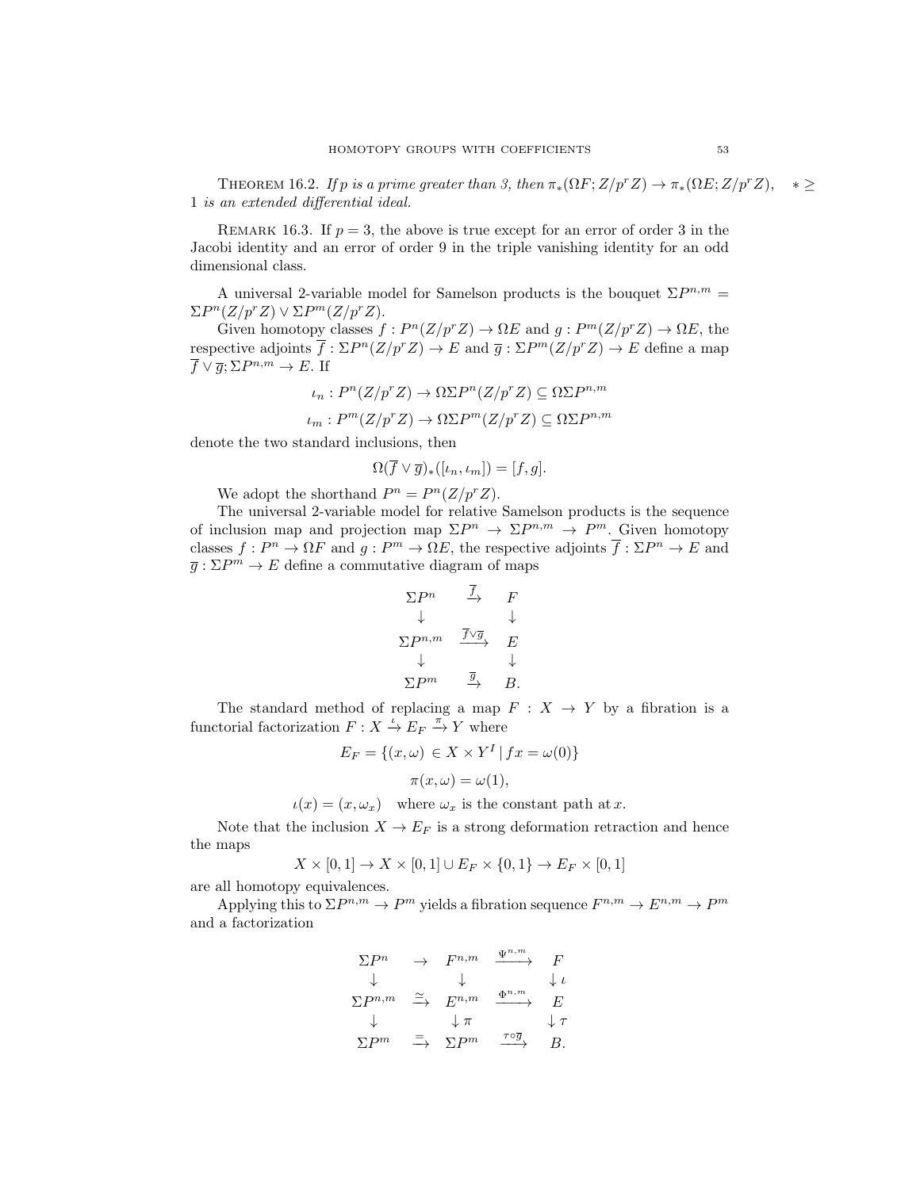THEOREM 16.2. If p is a prime greater than 3, then  $\pi_*(\Omega F; Z/p^r Z) \to \pi_*(\Omega E; Z/p^r Z), * \geq$ 1 is an extended differential ideal.

REMARK 16.3. If  $p = 3$ , the above is true except for an error of order 3 in the Jacobi identity and an error of order 9 in the triple vanishing identity for an odd dimensional class.

A universal 2-variable model for Samelson products is the bouquet  $\Sigma P^{n,m} =$  $\Sigma P^{n}(Z/p^{r}Z) \vee \Sigma P^{m}(Z/p^{r}Z).$ 

Given homotopy classes  $f: P^{n}(Z/p^{r}Z) \to \Omega E$  and  $g: P^{m}(Z/p^{r}Z) \to \Omega E$ , the respective adjoints  $\overline{f} : \Sigma P^{n}(Z/p^{r}Z) \to E$  and  $\overline{g} : \Sigma P^{m}(Z/p^{r}Z) \to E$  define a map  $\overline{f} \vee \overline{g}; \Sigma P^{n,m} \to E$ . If

$$
\iota_n: P^n(Z/p^r Z) \to \Omega \Sigma P^n(Z/p^r Z) \subseteq \Omega \Sigma P^{n,m}
$$

 $\iota_m : P^m(Z/p^r Z) \to \Omega \Sigma P^m(Z/p^r Z) \subseteq \Omega \Sigma P^{n,m}$ 

denote the two standard inclusions, then

$$
\Omega(\overline{f} \vee \overline{g})_*([t_n, t_m]) = [f, g].
$$

We adopt the shorthand  $P^n = P^n(Z/p^rZ)$ .

The universal 2-variable model for relative Samelson products is the sequence of inclusion map and projection map  $\Sigma P^n \to \Sigma P^{n,m} \to P^m$ . Given homotopy classes  $f: P^n \to \Omega F$  and  $g: P^m \to \Omega E$ , the respective adjoints  $\overline{f}: \Sigma P^n \to E$  and  $\overline{g} : \Sigma P^m \to E$  define a commutative diagram of maps

$$
\begin{array}{ccc}\n\Sigma P^n & \xrightarrow{f} & F \\
\downarrow & & \downarrow \\
\Sigma P^{n,m} & \xrightarrow{\overline{f} \vee \overline{g}} & E \\
\downarrow & & \downarrow \\
\Sigma P^m & \xrightarrow{\overline{g}} & B.\n\end{array}
$$

The standard method of replacing a map  $F : X \rightarrow Y$  by a fibration is a functorial factorization  $F: X \stackrel{\iota}{\to} E_F \stackrel{\pi}{\to} Y$  where

$$
E_F = \{(x,\omega) \in X \times Y^I | fx = \omega(0)\}\
$$

$$
\pi(x,\omega) = \omega(1),
$$

 $u(x) = (x, \omega_x)$  where  $\omega_x$  is the constant path at x.

Note that the inclusion  $X \to E_F$  is a strong deformation retraction and hence the maps

$$
X \times [0,1] \to X \times [0,1] \cup E_F \times \{0,1\} \to E_F \times [0,1]
$$

are all homotopy equivalences.

Applying this to  $\Sigma P^{n,m} \to P^m$  yields a fibration sequence  $F^{n,m} \to E^{n,m} \to P^m$ and a factorization

$$
\begin{array}{ccc}\n\Sigma P^n & \to & F^{n,m} & \xrightarrow{\Psi^{n,m}} & F \\
\downarrow & & \downarrow & & \downarrow \iota \\
\Sigma P^{n,m} & \xrightarrow{\simeq} & E^{n,m} & \xrightarrow{\Phi^{n,m}} & E \\
\downarrow & & \downarrow \pi & & \downarrow \tau \\
\Sigma P^m & \xrightarrow{\equiv} & \Sigma P^m & \xrightarrow{\tau \circ \overline{g}} & B.\n\end{array}
$$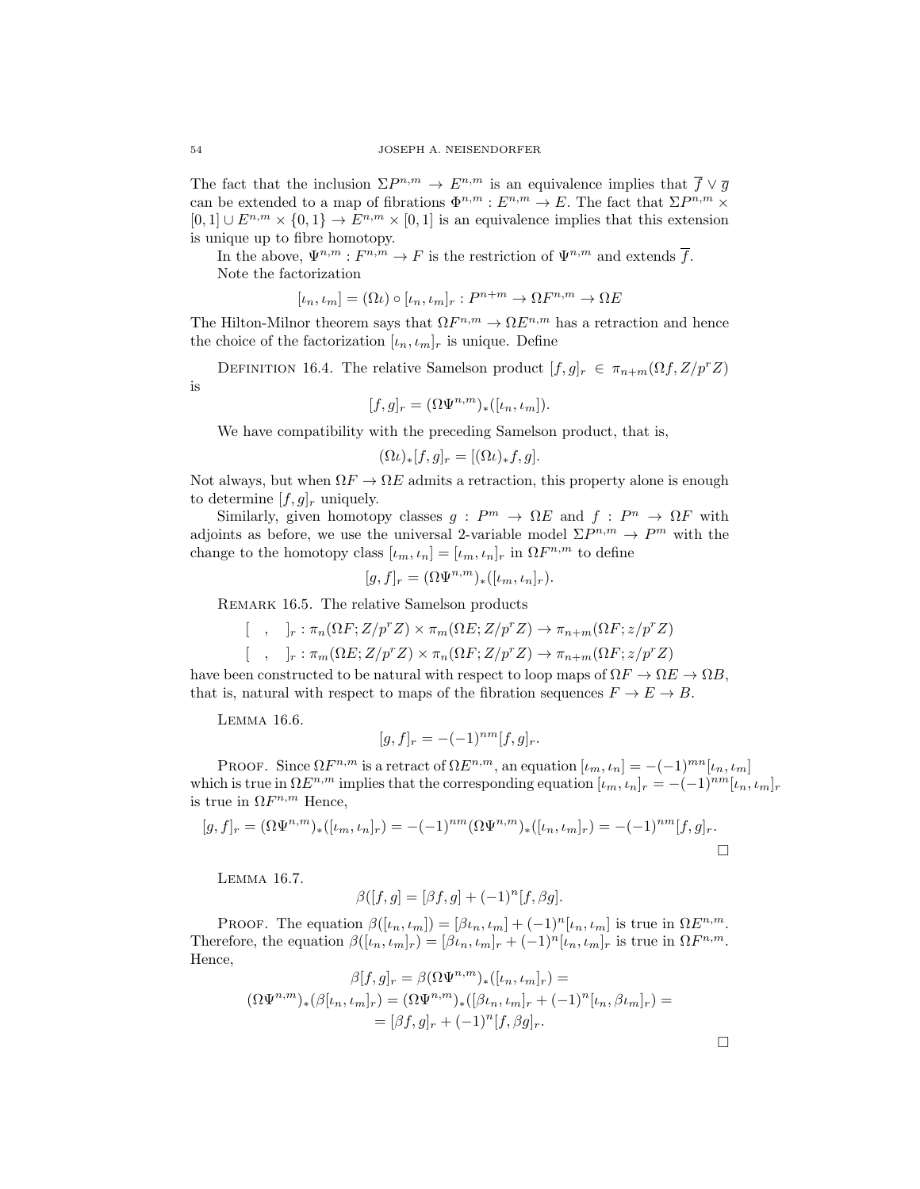The fact that the inclusion  $\Sigma P^{n,m} \to E^{n,m}$  is an equivalence implies that  $\overline{f} \vee \overline{g}$ can be extended to a map of fibrations  $\Phi^{n,m}: E^{n,m} \to E$ . The fact that  $\Sigma P^{n,m} \times$  $[0,1] \cup E^{n,m} \times \{0,1\} \to E^{n,m} \times [0,1]$  is an equivalence implies that this extension is unique up to fibre homotopy.

In the above,  $\Psi^{n,m}: F^{n,m} \to F$  is the restriction of  $\Psi^{n,m}$  and extends  $\overline{f}$ . Note the factorization

$$
[\iota_n, \iota_m] = (\Omega \iota) \circ [\iota_n, \iota_m]_r : P^{n+m} \to \Omega F^{n,m} \to \Omega E
$$

The Hilton-Milnor theorem says that  $\Omega F^{n,m} \to \Omega E^{n,m}$  has a retraction and hence the choice of the factorization  $[\iota_n, \iota_m]_r$  is unique. Define

DEFINITION 16.4. The relative Samelson product  $[f,g]_r \in \pi_{n+m}(\Omega f, Z/p^r Z)$ is

$$
[f,g]_r = (\Omega \Psi^{n,m})_*([{\iota}_n, {\iota}_m]).
$$

We have compatibility with the preceding Samelson product, that is,

$$
(\Omega \iota)_*[f,g]_r = [(\Omega \iota)_*f,g].
$$

Not always, but when  $\Omega F \to \Omega E$  admits a retraction, this property alone is enough to determine  $[f, g]_r$  uniquely.

Similarly, given homotopy classes  $g : P^m \to \Omega E$  and  $f : P^n \to \Omega F$  with adjoints as before, we use the universal 2-variable model  $\Sigma P^{n,m} \to P^m$  with the change to the homotopy class  $[\iota_m, \iota_n] = [\iota_m, \iota_n]_r$  in  $\Omega F^{n,m}$  to define

$$
[g,f]_r = (\Omega \Psi^{n,m})_*([\iota_m, \iota_n]_r).
$$

REMARK 16.5. The relative Samelson products

$$
[\ ,\ ]_r : \pi_n(\Omega F; Z/p^r Z) \times \pi_m(\Omega E; Z/p^r Z) \to \pi_{n+m}(\Omega F; z/p^r Z)
$$
  

$$
[\ ,\ ]_r : \pi_m(\Omega E; Z/p^r Z) \times \pi_n(\Omega F; Z/p^r Z) \to \pi_{n+m}(\Omega F; z/p^r Z)
$$

have been constructed to be natural with respect to loop maps of  $\Omega F \to \Omega E \to \Omega B$ , that is, natural with respect to maps of the fibration sequences  $F \to E \to B$ .

Lemma 16.6.

$$
[g, f]_r = -(-1)^{nm} [f, g]_r.
$$

PROOF. Since  $\Omega F^{n,m}$  is a retract of  $\Omega E^{n,m}$ , an equation  $[\iota_m, \iota_n] = -(-1)^{mn}[\iota_n, \iota_m]$ which is true in  $\Omega E^{n,m}$  implies that the corresponding equation  $[\iota_m, \iota_n]_r = -(-1)^{nm}[\iota_n, \iota_m]_r$ is true in  $\Omega F^{n,m}$  Hence,

$$
[g, f]_r = (\Omega \Psi^{n,m})_* ([\iota_m, \iota_n]_r) = -(-1)^{nm} (\Omega \Psi^{n,m})_* ([\iota_n, \iota_m]_r) = -(-1)^{nm} [f, g]_r.
$$

Lemma 16.7.

$$
\beta([f,g] = [\beta f,g] + (-1)^n[f,\beta g].
$$

PROOF. The equation  $\beta([i_n, i_m]) = [\beta i_n, i_m] + (-1)^n [i_n, i_m]$  is true in  $\Omega E^{n,m}$ . Therefore, the equation  $\beta([i_n, i_m]_r) = [\beta i_n, i_m]_r + (-1)^n [i_n, i_m]_r$  is true in  $\Omega F^{n,m}$ . Hence,

$$
\beta[f,g]_r = \beta(\Omega \Psi^{n,m})_*([{\iota}_n, {\iota}_m]_r) =
$$
  

$$
(\Omega \Psi^{n,m})_* (\beta[{\iota}_n, {\iota}_m]_r) = (\Omega \Psi^{n,m})_* ([\beta {\iota}_n, {\iota}_m]_r + (-1)^n[{\iota}_n, \beta {\iota}_m]_r) =
$$
  

$$
= [\beta f, g]_r + (-1)^n[f, \beta g]_r.
$$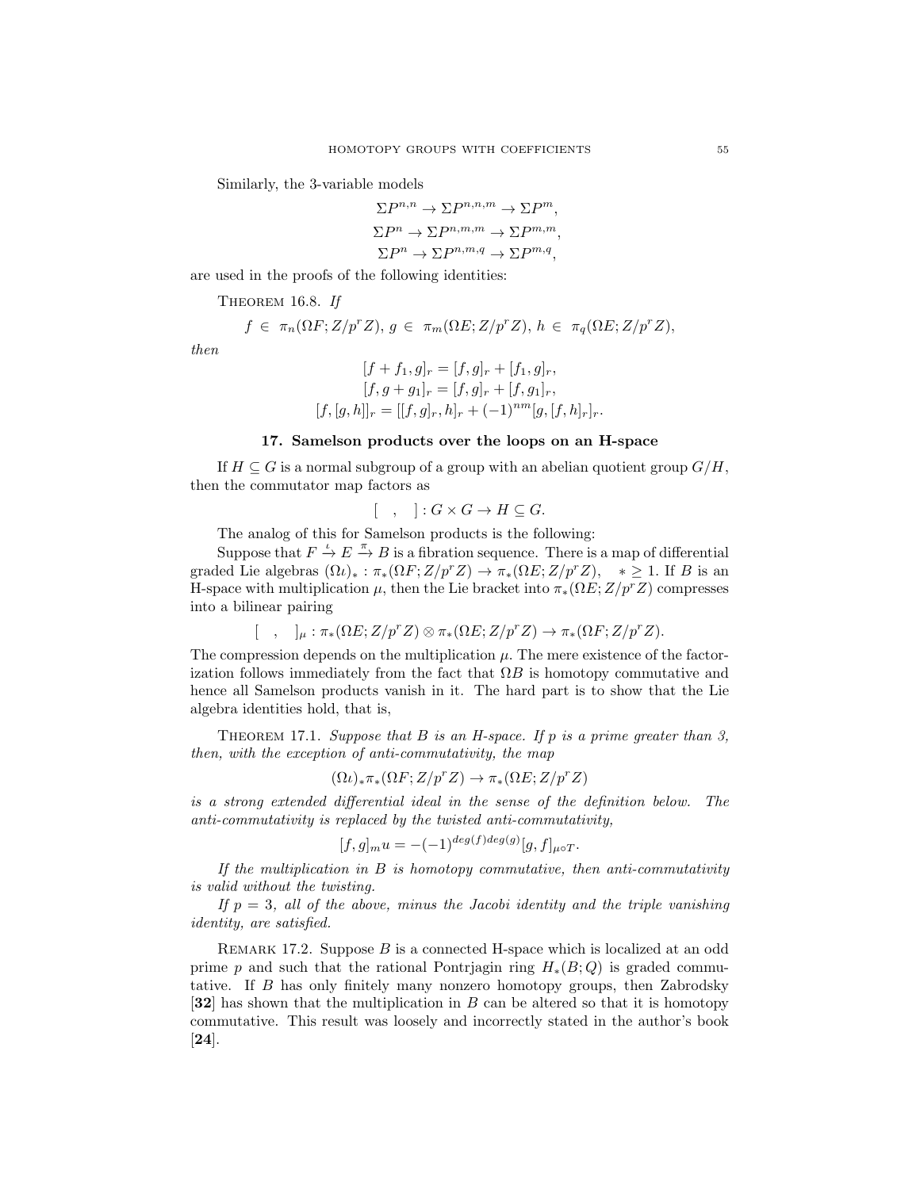Similarly, the 3-variable models

$$
\Sigma P^{n,n} \to \Sigma P^{n,n,m} \to \Sigma P^m,
$$
  
\n
$$
\Sigma P^n \to \Sigma P^{n,m,m} \to \Sigma P^{m,m},
$$
  
\n
$$
\Sigma P^n \to \Sigma P^{n,m,q} \to \Sigma P^{m,q},
$$

are used in the proofs of the following identities:

THEOREM 16.8. If

$$
f \in \pi_n(\Omega F; Z/p^r Z), g \in \pi_m(\Omega E; Z/p^r Z), h \in \pi_q(\Omega E; Z/p^r Z),
$$

then

$$
[f + f_1, g]_r = [f, g]_r + [f_1, g]_r,
$$
  
\n
$$
[f, g + g_1]_r = [f, g]_r + [f, g_1]_r,
$$
  
\n
$$
[f, [g, h]]_r = [[f, g]_r, h]_r + (-1)^{nm} [g, [f, h]_r]_r.
$$

## 17. Samelson products over the loops on an H-space

If  $H \subseteq G$  is a normal subgroup of a group with an abelian quotient group  $G/H$ , then the commutator map factors as

$$
[\quad,\quad]:G\times G\to H\subseteq G.
$$

The analog of this for Samelson products is the following:

Suppose that  $F \stackrel{\iota}{\to} E \stackrel{\pi}{\to} B$  is a fibration sequence. There is a map of differential graded Lie algebras  $(\Omega \iota)_*: \pi_*(\Omega F; Z/p^r Z) \to \pi_*(\Omega E; Z/p^r Z), * \geq 1$ . If B is an H-space with multiplication  $\mu$ , then the Lie bracket into  $\pi_*(\Omega E; Z/p^rZ)$  compresses into a bilinear pairing

$$
[\quad , \quad]_\mu : \pi_*(\Omega E; Z/p^r Z) \otimes \pi_*(\Omega E; Z/p^r Z) \to \pi_*(\Omega F; Z/p^r Z).
$$

The compression depends on the multiplication  $\mu$ . The mere existence of the factorization follows immediately from the fact that  $\Omega B$  is homotopy commutative and hence all Samelson products vanish in it. The hard part is to show that the Lie algebra identities hold, that is,

THEOREM 17.1. Suppose that  $B$  is an H-space. If  $p$  is a prime greater than 3, then, with the exception of anti-commutativity, the map

$$
(\Omega \iota)_*\pi_*(\Omega F; Z/p^r Z) \to \pi_*(\Omega E; Z/p^r Z)
$$

is a strong extended differential ideal in the sense of the definition below. The anti-commutativity is replaced by the twisted anti-commutativity,

$$
[f,g]_{m}u = -(-1)^{deg(f)deg(g)}[g,f]_{\mu\circ T}.
$$

If the multiplication in  $B$  is homotopy commutative, then anti-commutativity is valid without the twisting.

If  $p = 3$ , all of the above, minus the Jacobi identity and the triple vanishing identity, are satisfied.

REMARK 17.2. Suppose  $B$  is a connected H-space which is localized at an odd prime p and such that the rational Pontrjagin ring  $H_*(B; Q)$  is graded commutative. If B has only finitely many nonzero homotopy groups, then Zabrodsky [32] has shown that the multiplication in B can be altered so that it is homotopy commutative. This result was loosely and incorrectly stated in the author's book [24].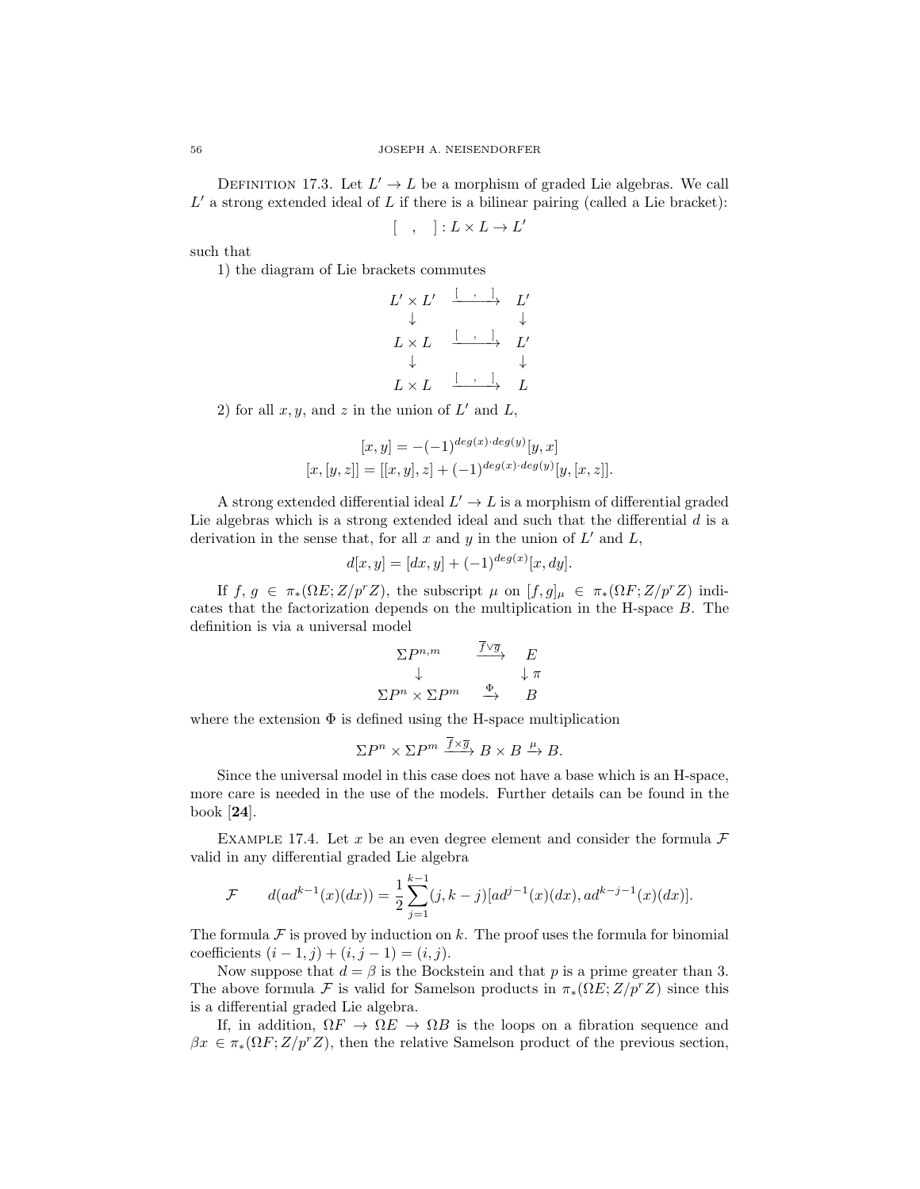DEFINITION 17.3. Let  $L' \to L$  be a morphism of graded Lie algebras. We call  $L'$  a strong extended ideal of  $L$  if there is a bilinear pairing (called a Lie bracket):

 $[ , ] : L \times L \rightarrow L'$ 

such that

1) the diagram of Lie brackets commutes

$$
\begin{array}{ccc}\nL' \times L' & \xrightarrow{\begin{array}{ccc} \cdot & \cdot & \cdot & \cdot \\ \cdot & \downarrow & & \downarrow \end{array}} & L' \\
L \times L & \xrightarrow{\begin{array}{ccc} \cdot & \cdot & \cdot & \cdot \\ \cdot & \downarrow & & \downarrow \end{array}} & L' \\
L \times L & \xrightarrow{\begin{array}{ccc} \cdot & \cdot & \cdot & \cdot \\ \cdot & \cdot & \downarrow & & \downarrow \end{array}} & L\n\end{array}
$$

2) for all  $x, y$ , and  $z$  in the union of  $L'$  and  $L$ ,

$$
[x, y] = -(-1)^{deg(x) \cdot deg(y)} [y, x]
$$
  

$$
[x, [y, z]] = [[x, y], z] + (-1)^{deg(x) \cdot deg(y)} [y, [x, z]].
$$

A strong extended differential ideal  $L' \to L$  is a morphism of differential graded Lie algebras which is a strong extended ideal and such that the differential  $d$  is a derivation in the sense that, for all x and y in the union of  $L'$  and  $L$ ,

$$
d[x, y] = [dx, y] + (-1)^{deg(x)} [x, dy].
$$

If  $f, g \in \pi_*(\Omega E; Z/p^r Z)$ , the subscript  $\mu$  on  $[f, g]_\mu \in \pi_*(\Omega F; Z/p^r Z)$  indicates that the factorization depends on the multiplication in the H-space B. The definition is via a universal model

$$
\Sigma P^{n,m} \xrightarrow{f\vee \overline{g}} E
$$
  

$$
\downarrow \pi
$$
  

$$
\Sigma P^n \times \Sigma P^m \xrightarrow{\Phi} B
$$

where the extension  $\Phi$  is defined using the H-space multiplication

$$
\Sigma P^n \times \Sigma P^m \xrightarrow{f \times \overline{g}} B \times B \xrightarrow{\mu} B.
$$

Since the universal model in this case does not have a base which is an H-space, more care is needed in the use of the models. Further details can be found in the book [24].

EXAMPLE 17.4. Let x be an even degree element and consider the formula  $\mathcal F$ valid in any differential graded Lie algebra

$$
\mathcal{F} \qquad d(ad^{k-1}(x)(dx)) = \frac{1}{2} \sum_{j=1}^{k-1} (j, k-j)[ad^{j-1}(x)(dx), ad^{k-j-1}(x)(dx)].
$$

The formula  $\mathcal F$  is proved by induction on k. The proof uses the formula for binomial coefficients  $(i - 1, j) + (i, j - 1) = (i, j).$ 

Now suppose that  $d = \beta$  is the Bockstein and that p is a prime greater than 3. The above formula F is valid for Samelson products in  $\pi_*(\Omega E; Z/p^rZ)$  since this is a differential graded Lie algebra.

If, in addition,  $\Omega F \to \Omega E \to \Omega B$  is the loops on a fibration sequence and  $\beta x \in \pi_*(\Omega F; Z/p^r Z)$ , then the relative Samelson product of the previous section,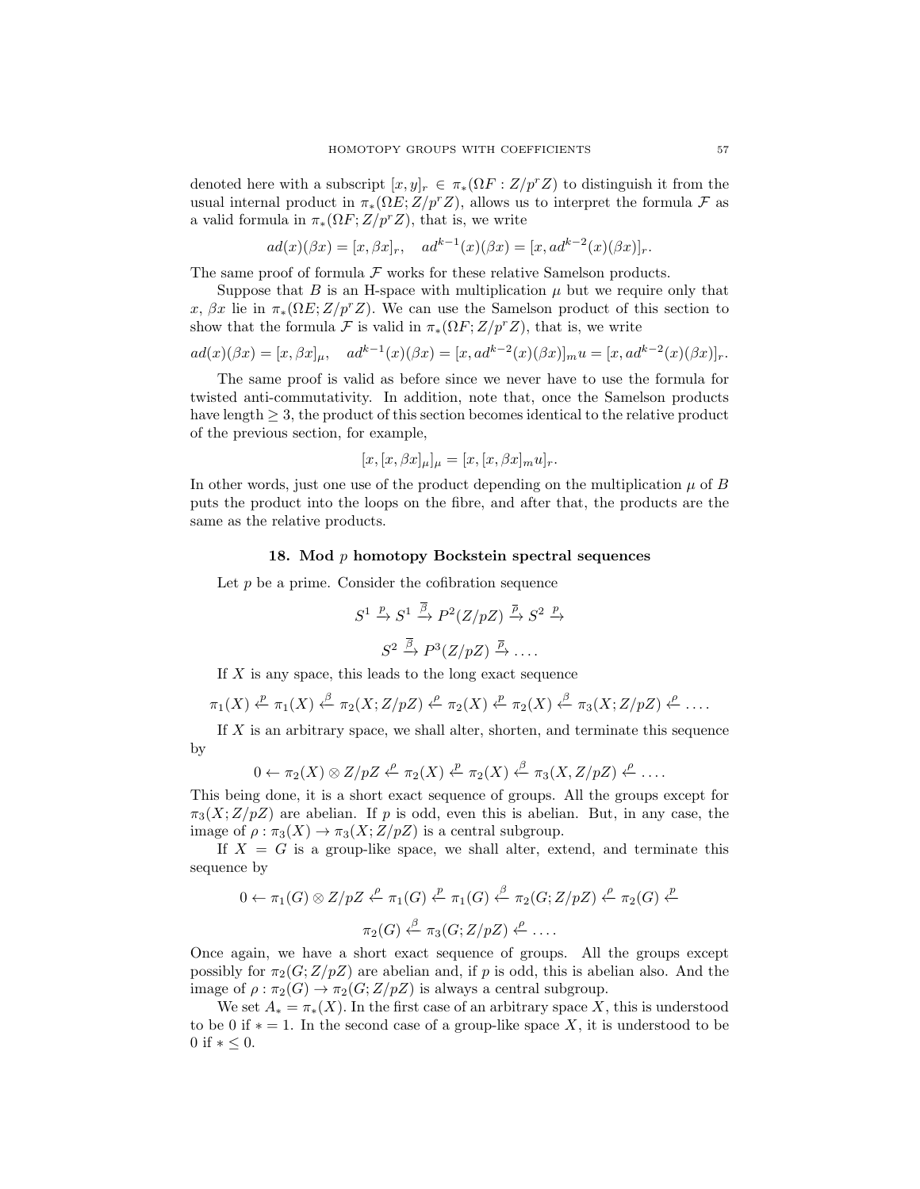denoted here with a subscript  $[x, y]_r \in \pi_*(\Omega F : Z/p^r Z)$  to distinguish it from the usual internal product in  $\pi_*(\Omega E; Z/p^r Z)$ , allows us to interpret the formula F as a valid formula in  $\pi_*(\Omega F; Z/p^rZ)$ , that is, we write

$$
ad(x)(\beta x) = [x, \beta x]_r
$$
,  $ad^{k-1}(x)(\beta x) = [x, ad^{k-2}(x)(\beta x)]_r$ .

The same proof of formula  $\mathcal F$  works for these relative Samelson products.

Suppose that B is an H-space with multiplication  $\mu$  but we require only that x,  $\beta x$  lie in  $\pi_*(\Omega E; Z/p^rZ)$ . We can use the Samelson product of this section to show that the formula F is valid in  $\pi_*(\Omega F;Z/p^rZ)$ , that is, we write

$$
ad(x)(\beta x) = [x, \beta x]_{\mu}, \quad ad^{k-1}(x)(\beta x) = [x, ad^{k-2}(x)(\beta x)]_{m} u = [x, ad^{k-2}(x)(\beta x)]_{r}.
$$

The same proof is valid as before since we never have to use the formula for twisted anti-commutativity. In addition, note that, once the Samelson products have length  $\geq$  3, the product of this section becomes identical to the relative product of the previous section, for example,

$$
[x,[x,\beta x]_{\mu}]_{\mu} = [x,[x,\beta x]_{m}u]_{r}.
$$

In other words, just one use of the product depending on the multiplication  $\mu$  of B puts the product into the loops on the fibre, and after that, the products are the same as the relative products.

## 18. Mod  $p$  homotopy Bockstein spectral sequences

Let  $p$  be a prime. Consider the cofibration sequence

$$
S^1 \xrightarrow{p} S^1 \xrightarrow{\overline{\beta}} P^2(Z/pZ) \xrightarrow{\overline{\rho}} S^2 \xrightarrow{p}
$$

$$
S^2 \xrightarrow{\overline{\beta}} P^3(Z/pZ) \xrightarrow{\overline{\rho}} \dots
$$

If  $X$  is any space, this leads to the long exact sequence

$$
\pi_1(X) \xleftarrow{p} \pi_1(X) \xleftarrow{\beta} \pi_2(X; Z/pZ) \xleftarrow{\rho} \pi_2(X) \xleftarrow{p} \pi_2(X) \xleftarrow{\beta} \pi_3(X; Z/pZ) \xleftarrow{\rho} \dots
$$

If X is an arbitrary space, we shall alter, shorten, and terminate this sequence by

$$
0 \leftarrow \pi_2(X) \otimes Z/pZ \xleftarrow{\rho} \pi_2(X) \xleftarrow{\mathcal{P}} \pi_2(X) \xleftarrow{\beta} \pi_3(X, Z/pZ) \xleftarrow{\rho} \dots
$$

This being done, it is a short exact sequence of groups. All the groups except for  $\pi_3(X;Z/pZ)$  are abelian. If p is odd, even this is abelian. But, in any case, the image of  $\rho : \pi_3(X) \to \pi_3(X; Z/pZ)$  is a central subgroup.

If  $X = G$  is a group-like space, we shall alter, extend, and terminate this sequence by

$$
0 \leftarrow \pi_1(G) \otimes Z/pZ \xleftarrow{\rho} \pi_1(G) \xleftarrow{p} \pi_1(G) \xleftarrow{\beta} \pi_2(G; Z/pZ) \xleftarrow{\rho} \pi_2(G) \xleftarrow{p} \pi_2(G) \xleftarrow{\rho} \pi_3(G; Z/pZ) \xleftarrow{\rho} \dots
$$

Once again, we have a short exact sequence of groups. All the groups except possibly for  $\pi_2(G;Z/pZ)$  are abelian and, if p is odd, this is abelian also. And the image of  $\rho : \pi_2(G) \to \pi_2(G; Z/pZ)$  is always a central subgroup.

We set  $A_* = \pi_*(X)$ . In the first case of an arbitrary space X, this is understood to be 0 if  $* = 1$ . In the second case of a group-like space X, it is understood to be 0 if  $* < 0$ .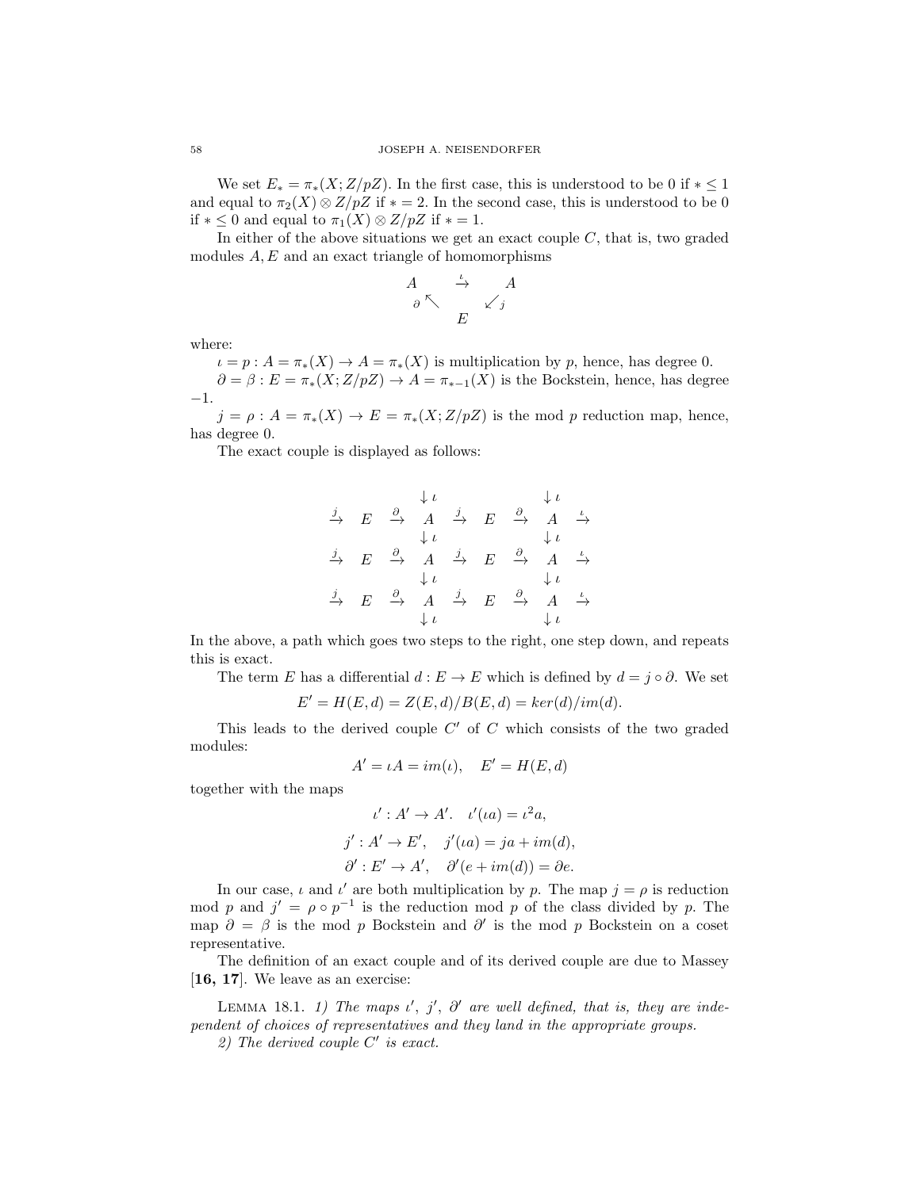We set  $E_* = \pi_*(X; Z/pZ)$ . In the first case, this is understood to be 0 if  $* \leq 1$ and equal to  $\pi_2(X) \otimes Z/pZ$  if  $* = 2$ . In the second case, this is understood to be 0 if  $* \leq 0$  and equal to  $\pi_1(X) \otimes Z/pZ$  if  $* = 1$ .

In either of the above situations we get an exact couple  $C$ , that is, two graded modules  $A, E$  and an exact triangle of homomorphisms

$$
\begin{array}{ccc}\nA & \xrightarrow{\iota} & A \\
\circ \nwarrow & & \swarrow j \\
E & & \n\end{array}
$$

where:

 $\iota = p : A = \pi_*(X) \to A = \pi_*(X)$  is multiplication by p, hence, has degree 0.  $\partial = \beta : E = \pi_*(X; Z/pZ) \rightarrow A = \pi_{*-1}(X)$  is the Bockstein, hence, has degree −1.

 $j = \rho : A = \pi_*(X) \to E = \pi_*(X; Z/pZ)$  is the mod p reduction map, hence, has degree 0.

The exact couple is displayed as follows:

$$
\begin{array}{ccccccc}\n\downarrow & & & \downarrow & & & \downarrow & & & \\
\frac{j}{\rightarrow} & E & \xrightarrow{\partial} & A & \xrightarrow{j} & E & \xrightarrow{\partial} & A & \xrightarrow{\iota} \\
& & \downarrow & & & & \downarrow & & & \\
\frac{j}{\rightarrow} & E & \xrightarrow{\partial} & A & \xrightarrow{j} & E & \xrightarrow{\partial} & A & \xrightarrow{\iota} \\
& & \downarrow & & & & \downarrow & & & \\
\frac{j}{\rightarrow} & E & \xrightarrow{\partial} & A & \xrightarrow{j} & E & \xrightarrow{\partial} & A & \xrightarrow{\iota} \\
& & \downarrow & & & \downarrow & & & \downarrow \\
& & & \downarrow & & & \downarrow & & & \\
\end{array}
$$

In the above, a path which goes two steps to the right, one step down, and repeats this is exact.

The term E has a differential  $d : E \to E$  which is defined by  $d = j \circ \partial$ . We set

$$
E' = H(E, d) = Z(E, d)/B(E, d) = ker(d)/im(d).
$$

This leads to the derived couple  $C'$  of  $C$  which consists of the two graded modules:

$$
A' = \iota A = im(\iota), \quad E' = H(E, d)
$$

together with the maps

$$
\iota' : A' \to A'. \quad \iota'(ia) = \iota^2 a,
$$
  

$$
j' : A' \to E', \quad j'(ia) = ja + im(d),
$$
  

$$
\partial' : E' \to A', \quad \partial'(e + im(d)) = \partial e.
$$

In our case,  $\iota$  and  $\iota'$  are both multiplication by p. The map  $j = \rho$  is reduction mod p and  $j' = \rho \circ p^{-1}$  is the reduction mod p of the class divided by p. The map  $\partial = \beta$  is the mod p Bockstein and  $\partial'$  is the mod p Bockstein on a coset representative.

The definition of an exact couple and of its derived couple are due to Massey [16, 17]. We leave as an exercise:

LEMMA 18.1. 1) The maps  $\iota'$ ,  $j'$ ,  $\partial'$  are well defined, that is, they are independent of choices of representatives and they land in the appropriate groups.

2) The derived couple  $C'$  is exact.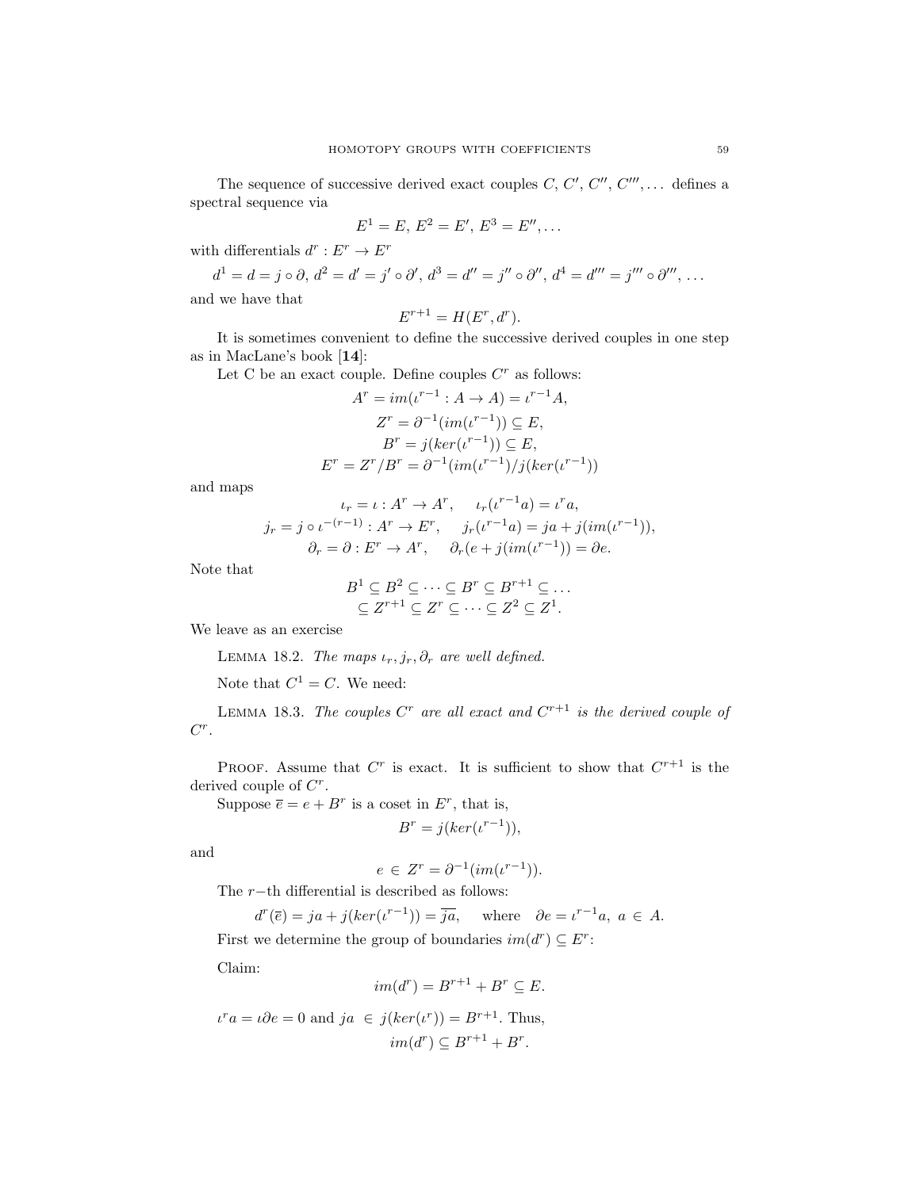The sequence of successive derived exact couples  $C, C', C'', C'''', \ldots$  defines a spectral sequence via

$$
E^1 = E, E^2 = E', E^3 = E'', \dots
$$

with differentials  $d^r: E^r \to E^r$ 

$$
d^{1} = d = j \circ \partial, d^{2} = d' = j' \circ \partial', d^{3} = d'' = j'' \circ \partial'', d^{4} = d''' = j''' \circ \partial''', \dots
$$

and we have that

$$
E^{r+1} = H(E^r, d^r).
$$

It is sometimes convenient to define the successive derived couples in one step as in MacLane's book [14]:

Let C be an exact couple. Define couples  $C<sup>r</sup>$  as follows:

$$
Ar = im(\iota^{r-1} : A \to A) = \iota^{r-1} A,
$$
  
\n
$$
Zr = \partial^{-1}(im(\iota^{r-1})) \subseteq E,
$$
  
\n
$$
Br = j(ker(\iota^{r-1})) \subseteq E,
$$
  
\n
$$
Er = Zr/Br = \partial^{-1}(im(\iota^{r-1})/j(ker(\iota^{r-1}))
$$

and maps

$$
\iota_r = \iota : A^r \to A^r, \qquad \iota_r(\iota^{r-1}a) = \iota^r a,
$$
  
\n
$$
j_r = j \circ \iota^{-(r-1)} : A^r \to E^r, \qquad j_r(\iota^{r-1}a) = ja + j(im(\iota^{r-1})),
$$
  
\n
$$
\partial_r = \partial : E^r \to A^r, \qquad \partial_r(e + j(im(\iota^{r-1})) = \partial e.
$$

Note that

$$
B^1 \subseteq B^2 \subseteq \cdots \subseteq B^r \subseteq B^{r+1} \subseteq \cdots
$$
  

$$
\subseteq Z^{r+1} \subseteq Z^r \subseteq \cdots \subseteq Z^2 \subseteq Z^1.
$$

We leave as an exercise

LEMMA 18.2. The maps  $\iota_r, j_r, \partial_r$  are well defined.

Note that  $C^1 = C$ . We need:

LEMMA 18.3. The couples C<sup>r</sup> are all exact and  $C^{r+1}$  is the derived couple of  $C^r$ .

PROOF. Assume that  $C^r$  is exact. It is sufficient to show that  $C^{r+1}$  is the derived couple of  $C^r$ .

Suppose  $\overline{e} = e + B^r$  is a coset in  $E^r$ , that is,

$$
B^r = j(\ker(\iota^{r-1})),
$$

and

$$
e \in Z^r = \partial^{-1}(im(\iota^{r-1})).
$$

The  $r$ −th differential is described as follows:

 $d^r(\overline{e}) = ja + j(ker(\iota^{r-1})) = \overline{ja}$ , where  $\partial e = \iota^{r-1}a, \ a \in A$ .

First we determine the group of boundaries  $im(d^r) \subseteq E^r$ :

Claim:

$$
im(d^r) = B^{r+1} + B^r \subseteq E.
$$

 $\iota^r a = \iota \partial e = 0$  and  $ja \in j(ker(\iota^r)) = B^{r+1}$ . Thus,  $im(d^r) \subseteq B^{r+1} + B^r.$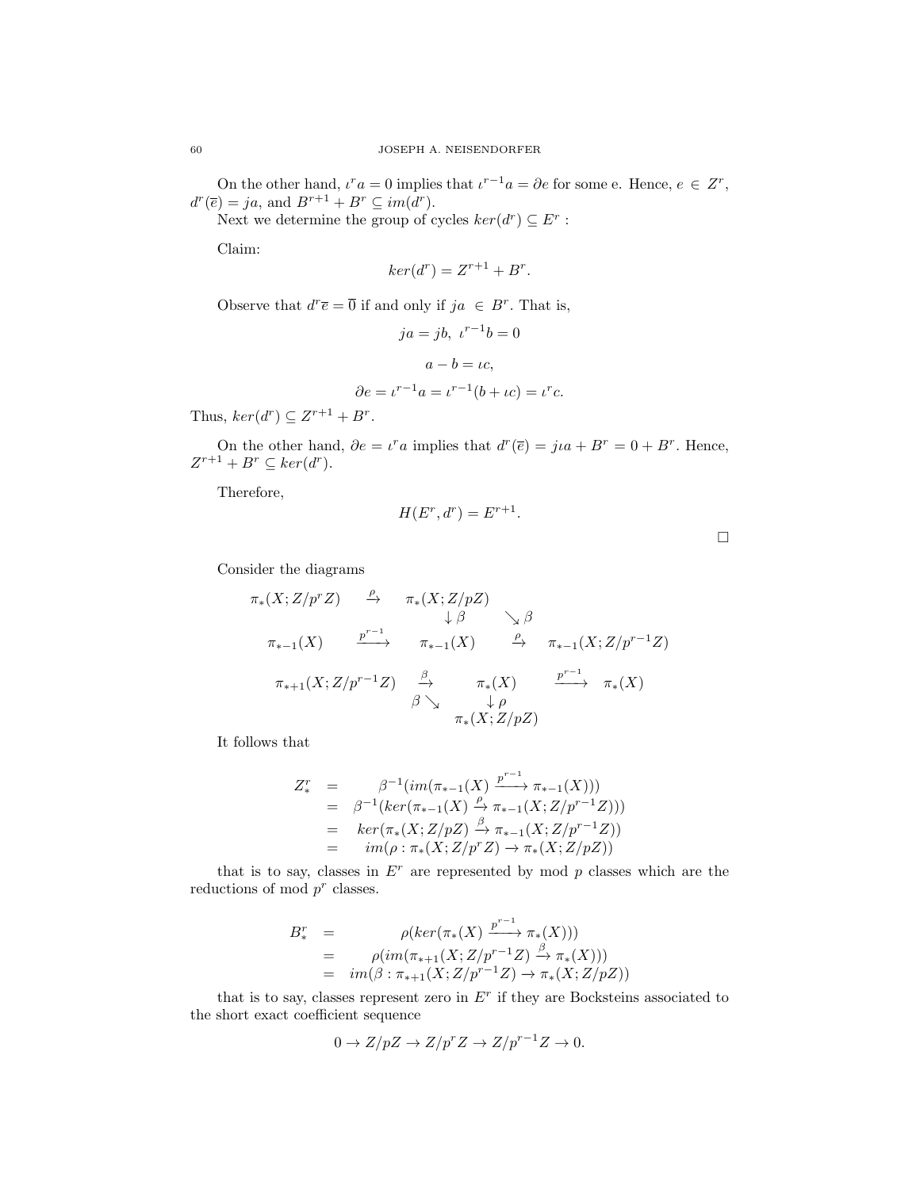On the other hand,  $\iota^r a = 0$  implies that  $\iota^{r-1} a = \partial e$  for some e. Hence,  $e \in Z^r$ ,  $d^r(\overline{e}) = ja$ , and  $B^{r+1} + B^r \subseteq im(d^r)$ .

Next we determine the group of cycles  $ker(d^r) \subseteq E^r$ :

Claim:

$$
ker(d^r) = Z^{r+1} + B^r.
$$

Observe that  $d^r \overline{e} = \overline{0}$  if and only if  $ja \in B^r$ . That is,

$$
ja = jb, \ \iota^{r-1}b = 0
$$

$$
a - b = \iota c,
$$

$$
\partial e = \iota^{r-1}a = \iota^{r-1}(b + \iota c) = \iota^r c.
$$

Thus,  $ker(d^r) \subseteq Z^{r+1} + B^r$ .

On the other hand,  $\partial e = v^r a$  implies that  $d^r(\overline{e}) = j u^r + B^r = 0 + B^r$ . Hence,  $Z^{r+1} + B^r \subseteq \text{ker}(d^r).$ 

Therefore,

$$
H(E^r, d^r) = E^{r+1}.
$$

 $\Box$ 

Consider the diagrams

$$
\pi_*(X; Z/p^r Z) \xrightarrow{\rho} \pi_*(X; Z/pZ) \n\downarrow \beta \searrow \beta \n\pi_{*-1}(X) \xrightarrow{p^{r-1}} \pi_{*-1}(X) \xrightarrow{\rho} \pi_{*-1}(X; Z/p^{r-1}Z) \n\pi_{*+1}(X; Z/p^{r-1}Z) \xrightarrow{\beta} \pi_*(X) \xrightarrow{p^{r-1}} \pi_*(X) \n\beta \searrow \pi_*(X; Z/pZ) \n\pi_*(X; Z/pZ)
$$

It follows that

$$
Z_{*}^{r} = \beta^{-1}(im(\pi_{*-1}(X) \xrightarrow{p^{r-1}} \pi_{*-1}(X)))
$$
  
=  $\beta^{-1}(ker(\pi_{*-1}(X) \xrightarrow{\beta} \pi_{*-1}(X; Z/p^{r-1}Z)))$   
=  $ker(\pi_{*}(X; Z/pZ) \xrightarrow{\beta} \pi_{*-1}(X; Z/p^{r-1}Z))$   
=  $im(\rho : \pi_{*}(X; Z/p^{r}Z) \rightarrow \pi_{*}(X; Z/pZ))$ 

that is to say, classes in  $E^r$  are represented by mod p classes which are the reductions of mod  $p^r$  classes.

$$
B_*^r = \rho(ker(\pi_*(X) \xrightarrow{p^{r-1}} \pi_*(X)))
$$
  
= 
$$
\rho(im(\pi_{*+1}(X; Z/p^{r-1}Z) \xrightarrow{\beta} \pi_*(X)))
$$
  
= 
$$
im(\beta : \pi_{*+1}(X; Z/p^{r-1}Z) \to \pi_*(X; Z/pZ))
$$

that is to say, classes represent zero in  $E<sup>r</sup>$  if they are Bocksteins associated to the short exact coefficient sequence

$$
0 \to Z/pZ \to Z/p^rZ \to Z/p^{r-1}Z \to 0.
$$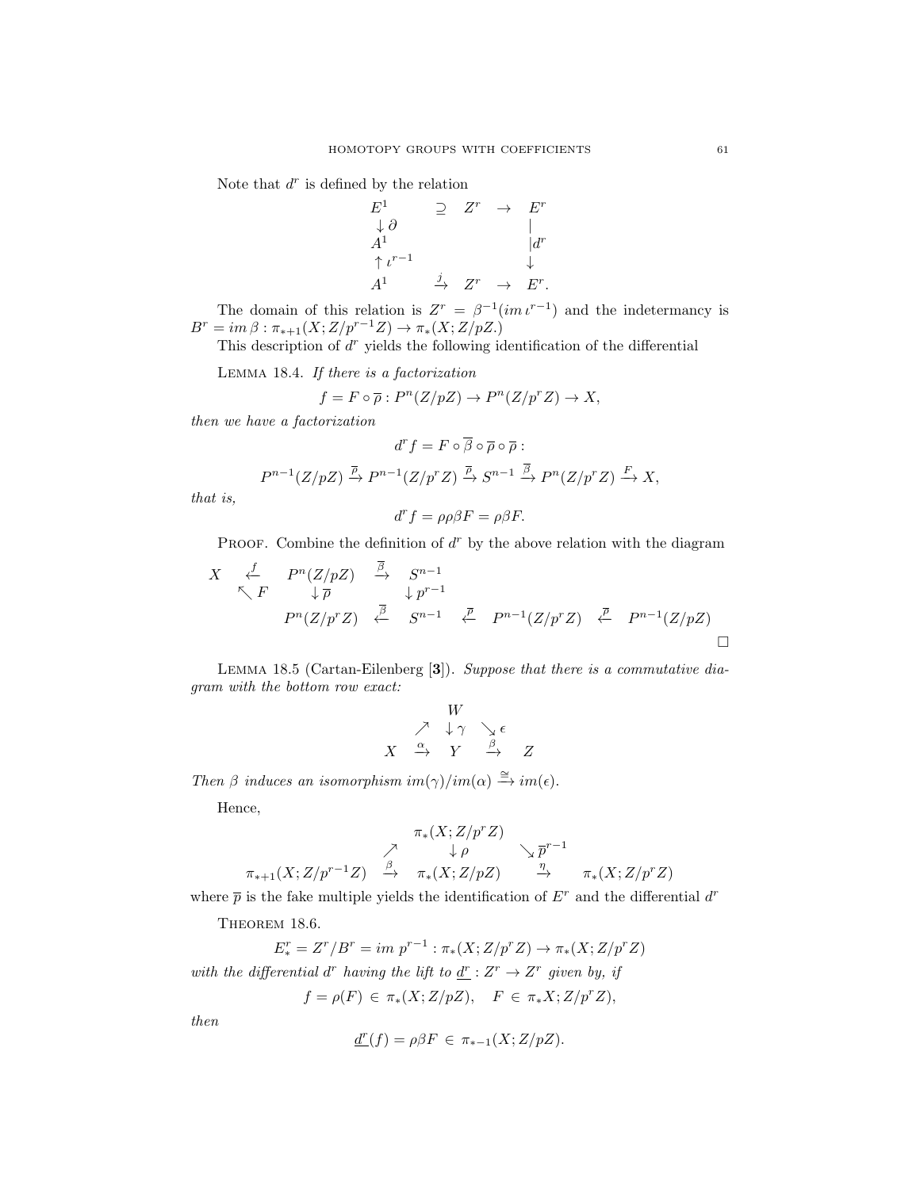Note that  $d^r$  is defined by the relation

 $E^1$   $\supseteq Z^r$   $\rightarrow$   $E^r$  $\downarrow \partial$  |  $A^1$   $|d^r$  $\uparrow \iota^{r-1}$   $\downarrow$  $A^1 \qquad \qquad \stackrel{j}{\rightarrow} \quad Z^r \quad \rightarrow \quad E^r.$ 

The domain of this relation is  $Z^r = \beta^{-1}(\operatorname{im} t^{r-1})$  and the indetermancy is  $B^r = im \,\beta : \pi_{*+1}(X; Z/p^{r-1}Z) \to \pi_*(X; Z/pZ.)$ 

This description of  $d^r$  yields the following identification of the differential

Lemma 18.4. If there is a factorization

$$
f=F\circ \overline{\rho}:P^n(Z/pZ)\to P^n(Z/p^rZ)\to X,
$$

then we have a factorization

$$
d^r f = F \circ \overline{\beta} \circ \overline{\rho} \circ \overline{\rho} :
$$
  

$$
P^{n-1}(Z/pZ) \xrightarrow{\overline{P}} P^{n-1}(Z/p^r Z) \xrightarrow{\overline{P}} S^{n-1} \xrightarrow{\overline{\beta}} P^n(Z/p^r Z) \xrightarrow{F} X,
$$

that is,

$$
d^r f = \rho \rho \beta F = \rho \beta F.
$$

PROOF. Combine the definition of  $d^r$  by the above relation with the diagram

$$
X \xleftarrow{\text{f}} P^n(Z/pZ) \xrightarrow{\beta} S^{n-1} \downarrow p^{r-1}
$$
  
\n
$$
P^n(Z/p^rZ) \xleftarrow{\overline{\beta}} S^{n-1} \xleftarrow{\overline{\rho}} P^{n-1}(Z/p^rZ) \xleftarrow{\overline{\rho}} P^{n-1}(Z/pZ)
$$

LEMMA 18.5 (Cartan-Eilenberg [3]). Suppose that there is a commutative diagram with the bottom row exact:

$$
\begin{array}{c}\nW \\
\nearrow \quad \downarrow \gamma \quad \searrow \epsilon \\
X \quad \xrightarrow{\alpha} \quad Y \quad \xrightarrow{\beta} \quad Z\n\end{array}
$$

Then  $\beta$  induces an isomorphism im( $\gamma$ )/im( $\alpha$ )  $\stackrel{\cong}{\rightarrow}$  im( $\epsilon$ ).

Hence,

$$
\begin{array}{ccccc}\n& & \pi_*(X; Z/p^r Z) & & \\
& \nearrow & & \downarrow \rho & & \searrow \overline{p}^{r-1} \\
\pi_{*+1}(X; Z/p^{r-1} Z) & \xrightarrow{\beta} & & \pi_*(X; Z/pZ) & \xrightarrow{\eta} & & \pi_*(X; Z/p^r Z)\n\end{array}
$$

where  $\bar{p}$  is the fake multiple yields the identification of  $E<sup>r</sup>$  and the differential  $d<sup>r</sup>$ 

THEOREM 18.6.

$$
E^r_* = Z^r/B^r = im \ p^{r-1} : \pi_*(X; Z/p^r Z) \to \pi_*(X; Z/p^r Z)
$$
  
with the differential  $d^r$  having the lift to  $\underline{d}^r : Z^r \to Z^r$  given by, if

$$
f = \rho(F) \in \pi_*(X; Z/pZ), \quad F \in \pi_*X; Z/p^rZ),
$$

then

$$
\underline{d}^r(f) = \rho \beta F \in \pi_{*-1}(X; Z/pZ).
$$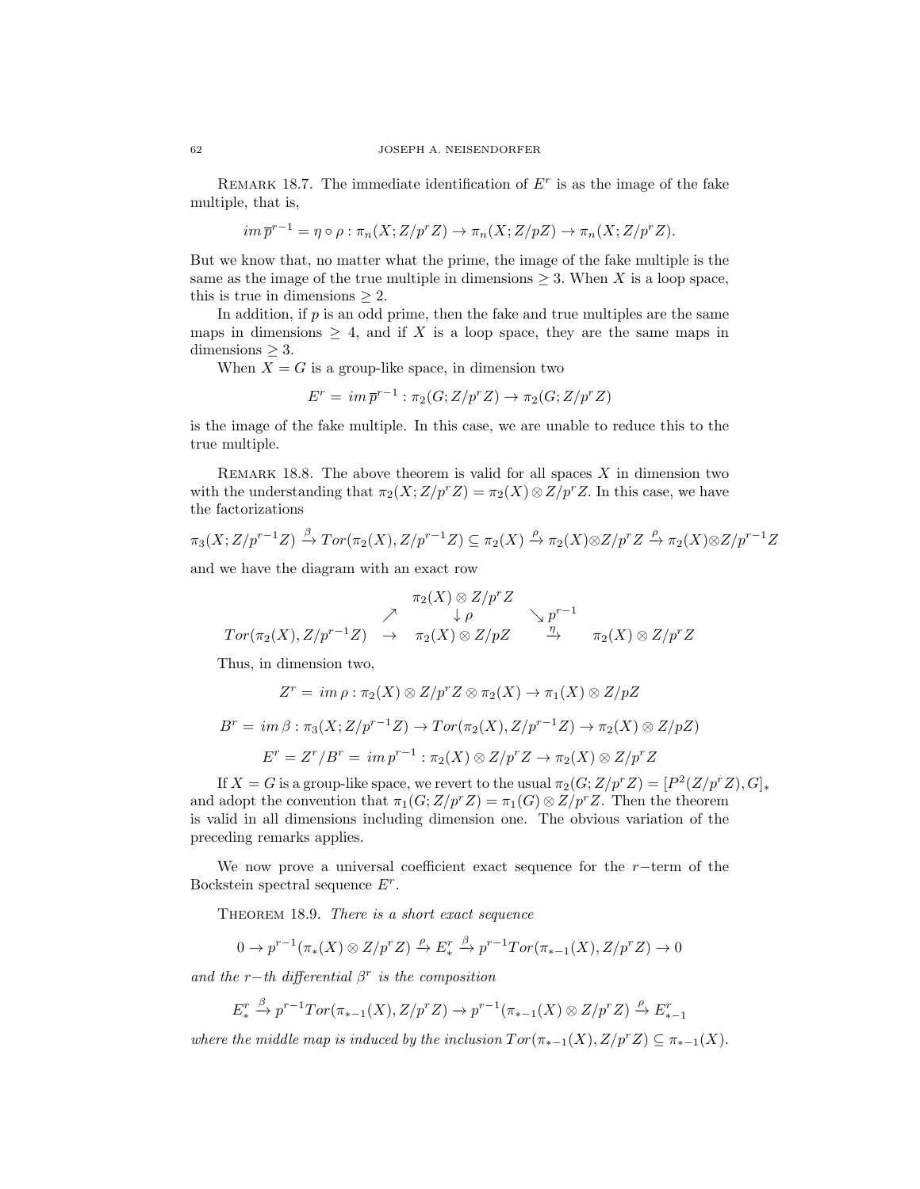REMARK 18.7. The immediate identification of  $E<sup>r</sup>$  is as the image of the fake multiple, that is,

$$
im \overline{p}^{r-1} = \eta \circ \rho : \pi_n(X; Z/p^r Z) \to \pi_n(X; Z/pZ) \to \pi_n(X; Z/p^r Z).
$$

But we know that, no matter what the prime, the image of the fake multiple is the same as the image of the true multiple in dimensions  $\geq 3$ . When X is a loop space, this is true in dimensions  $\geq 2$ .

In addition, if  $p$  is an odd prime, then the fake and true multiples are the same maps in dimensions  $\geq 4$ , and if X is a loop space, they are the same maps in  $dimensions > 3$ .

When  $X = G$  is a group-like space, in dimension two

$$
E^r = im \overline{p}^{r-1} : \pi_2(G; Z/p^r Z) \to \pi_2(G; Z/p^r Z)
$$

is the image of the fake multiple. In this case, we are unable to reduce this to the true multiple.

REMARK 18.8. The above theorem is valid for all spaces  $X$  in dimension two with the understanding that  $\pi_2(X;Z/p^rZ) = \pi_2(X) \otimes Z/p^rZ$ . In this case, we have the factorizations

$$
\pi_3(X; Z/p^{r-1}Z) \xrightarrow{\beta} \operatorname{Tor}(\pi_2(X), Z/p^{r-1}Z) \subseteq \pi_2(X) \xrightarrow{\rho} \pi_2(X) \otimes Z/p^rZ \xrightarrow{\rho} \pi_2(X) \otimes Z/p^{r-1}Z
$$

and we have the diagram with an exact row

$$
\begin{array}{ccccc}\n&\pi_2(X)\otimes Z/p^rZ&\\ \nearrow&\downarrow\rho&\searrow p^{r-1}\\ \nTor(\pi_2(X),Z/p^{r-1}Z)&\to&\pi_2(X)\otimes Z/pZ&\stackrel{\eta}{\to}&\pi_2(X)\otimes Z/p^rZ\end{array}
$$

Thus, in dimension two,

$$
Z^r = im \rho : \pi_2(X) \otimes Z/p^r Z \otimes \pi_2(X) \to \pi_1(X) \otimes Z/pZ
$$
  

$$
B^r = im \beta : \pi_3(X; Z/p^{r-1}Z) \to Tor(\pi_2(X), Z/p^{r-1}Z) \to \pi_2(X) \otimes Z/pZ)
$$
  

$$
E^r = Z^r/B^r = im p^{r-1} : \pi_2(X) \otimes Z/p^r Z \to \pi_2(X) \otimes Z/p^r Z
$$

If  $X = G$  is a group-like space, we revert to the usual  $\pi_2(G; Z/p^r Z) = [P^2(Z/p^r Z), G]_*$ and adopt the convention that  $\pi_1(G;Z/p^rZ) = \pi_1(G) \otimes Z/p^rZ$ . Then the theorem is valid in all dimensions including dimension one. The obvious variation of the preceding remarks applies.

We now prove a universal coefficient exact sequence for the  $r$ −term of the Bockstein spectral sequence  $E^r$ .

THEOREM 18.9. There is a short exact sequence

$$
0 \to p^{r-1}(\pi_*(X) \otimes Z/p^r Z) \xrightarrow{\rho} E^r_* \xrightarrow{\beta} p^{r-1} Tor(\pi_{*-1}(X), Z/p^r Z) \to 0
$$

and the r-th differential  $\beta^r$  is the composition

$$
E_{*}^{r} \xrightarrow{\beta} p^{r-1}Tor(\pi_{*-1}(X), Z/p^{r}Z) \rightarrow p^{r-1}(\pi_{*-1}(X) \otimes Z/p^{r}Z) \xrightarrow{\rho} E_{*-1}^{r}
$$

where the middle map is induced by the inclusion  $Tor(\pi_{*-1}(X), Z/p^r Z) \subseteq \pi_{*-1}(X)$ .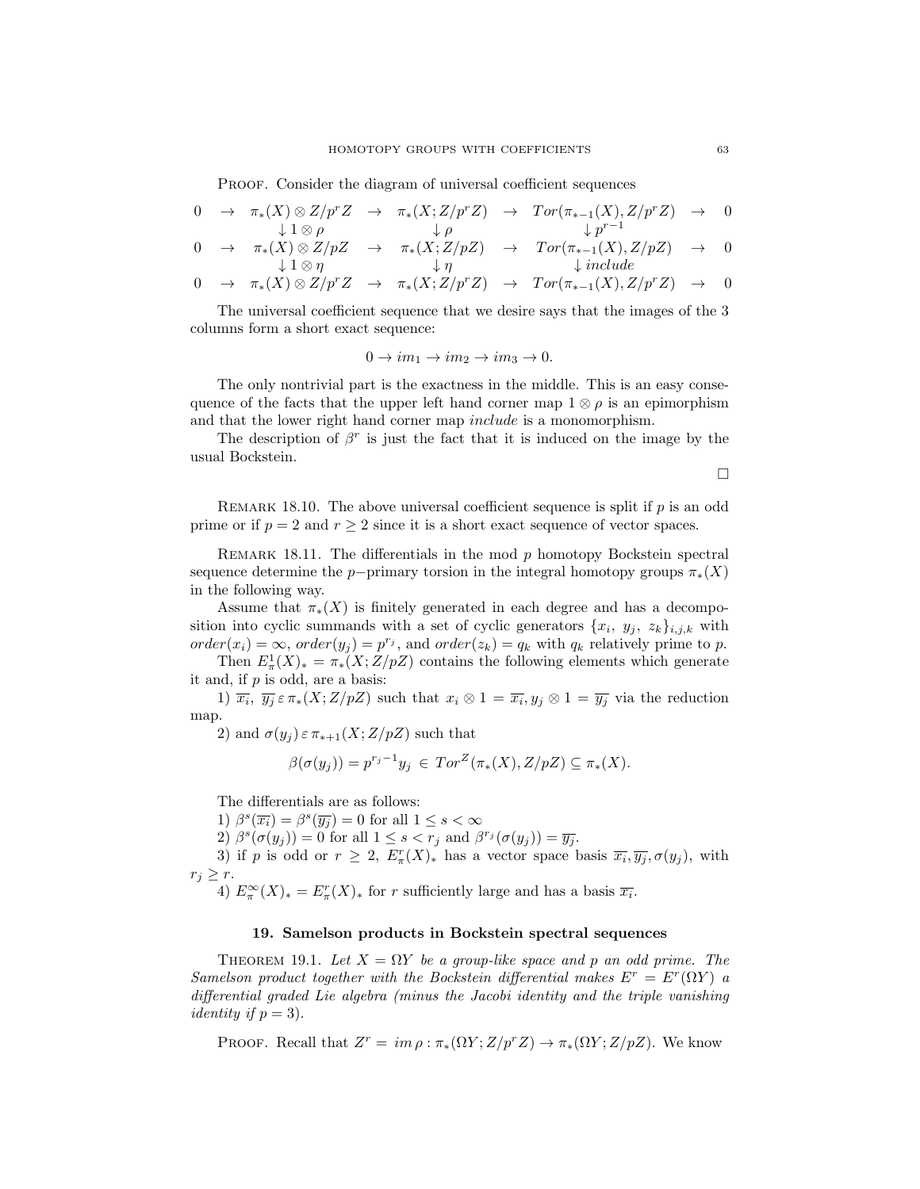PROOF. Consider the diagram of universal coefficient sequences

$$
0 \rightarrow \pi_*(X) \otimes Z/p^r Z \rightarrow \pi_*(X; Z/p^r Z) \rightarrow Tor(\pi_{*-1}(X), Z/p^r Z) \rightarrow 0
$$
  
\n
$$
\downarrow 1 \otimes \rho \qquad \qquad \downarrow \rho \qquad \qquad \downarrow p^{r-1}
$$

$$
0 \rightarrow \pi_*(X) \otimes Z/pZ \rightarrow \pi_*(X; Z/pZ) \rightarrow Tor(\pi_{*-1}(X), Z/pZ) \rightarrow 0
$$
  
\n
$$
\downarrow 1 \otimes \eta \qquad \qquad \downarrow \eta \qquad \qquad \downarrow include
$$

$$
0 \rightarrow \pi_*(X) \otimes Z/p^r Z \rightarrow \pi_*(X; Z/p^r Z) \rightarrow Tor(\pi_{*-1}(X), Z/p^r Z) \rightarrow 0
$$

The universal coefficient sequence that we desire says that the images of the 3 columns form a short exact sequence:

$$
0 \to im_1 \to im_2 \to im_3 \to 0.
$$

The only nontrivial part is the exactness in the middle. This is an easy consequence of the facts that the upper left hand corner map  $1 \otimes \rho$  is an epimorphism and that the lower right hand corner map include is a monomorphism.

The description of  $\beta^r$  is just the fact that it is induced on the image by the usual Bockstein.

 $\Box$ 

REMARK 18.10. The above universal coefficient sequence is split if  $p$  is an odd prime or if  $p = 2$  and  $r \geq 2$  since it is a short exact sequence of vector spaces.

REMARK 18.11. The differentials in the mod  $p$  homotopy Bockstein spectral sequence determine the p−primary torsion in the integral homotopy groups  $\pi_*(X)$ in the following way.

Assume that  $\pi_*(X)$  is finitely generated in each degree and has a decomposition into cyclic summands with a set of cyclic generators  $\{x_i, y_j, z_k\}_{i,j,k}$  with  $order(x_i) = \infty, order(y_j) = p^{r_j}$ , and  $order(z_k) = q_k$  with  $q_k$  relatively prime to p.

Then  $E^1_\pi(X)_* = \pi_*(X; Z/pZ)$  contains the following elements which generate it and, if  $p$  is odd, are a basis:

1)  $\overline{x_i}$ ,  $\overline{y_j} \in \pi_*(X;Z/pZ)$  such that  $x_i \otimes 1 = \overline{x_i}$ ,  $y_j \otimes 1 = \overline{y_j}$  via the reduction map.

2) and  $\sigma(y_i) \in \pi_{*+1}(X; Z/pZ)$  such that

$$
\beta(\sigma(y_j)) = p^{r_j - 1} y_j \in Tor^Z(\pi_*(X), Z/pZ) \subseteq \pi_*(X).
$$

The differentials are as follows:

1)  $\beta^s(\overline{x_i}) = \beta^s(\overline{y_j}) = 0$  for all  $1 \leq s < \infty$ 

2)  $\beta^s(\sigma(y_j)) = 0$  for all  $1 \leq s < r_j$  and  $\beta^{r_j}(\sigma(y_j)) = \overline{y_j}$ .

3) if p is odd or  $r \geq 2$ ,  $E_{\pi}^r(X)_*$  has a vector space basis  $\overline{x_i}, \overline{y_j}, \sigma(y_j)$ , with  $r_j \geq r$ .

4)  $E_{\pi}^{\infty}(X)_{*} = E_{\pi}^{r}(X)_{*}$  for r sufficiently large and has a basis  $\overline{x_{i}}$ .

## 19. Samelson products in Bockstein spectral sequences

THEOREM 19.1. Let  $X = \Omega Y$  be a group-like space and p an odd prime. The Samelson product together with the Bockstein differential makes  $E^r = E^r(\Omega Y)$  a differential graded Lie algebra (minus the Jacobi identity and the triple vanishing *identity if*  $p = 3$ *)*.

PROOF. Recall that  $Z^r = im \rho : \pi_*(\Omega Y; Z/p^r Z) \to \pi_*(\Omega Y; Z/pZ)$ . We know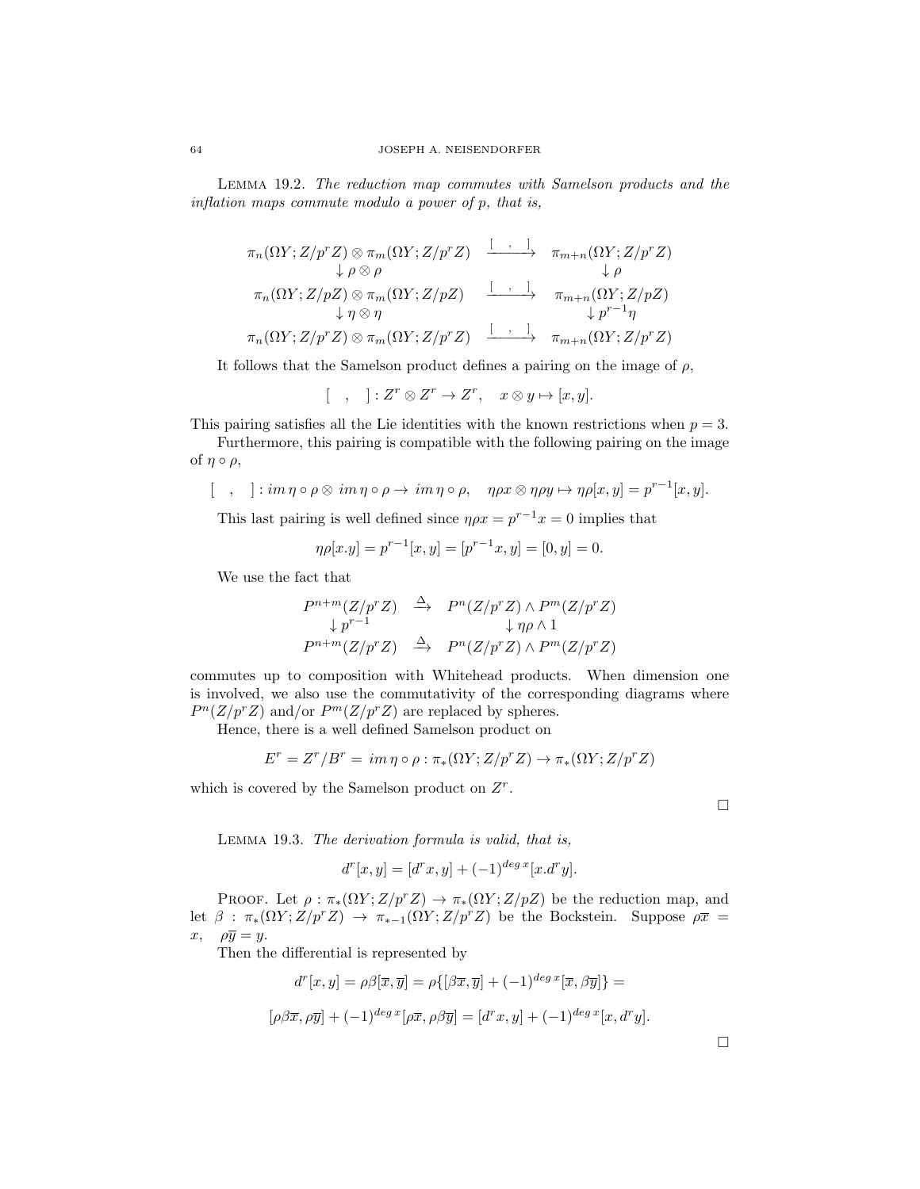Lemma 19.2. The reduction map commutes with Samelson products and the inflation maps commute modulo a power of p, that is,

πn(ΩY ;Z/prZ) ⊗ πm(ΩY ;Z/prZ) [ , ] −−−−−→ πm+n(ΩY ;Z/prZ) ↓ ρ ⊗ ρ ↓ ρ πn(ΩY ;Z/pZ) ⊗ πm(ΩY ;Z/pZ) [ , ] −−−−−→ πm+n(ΩY ;Z/pZ) ↓ η ⊗ η ↓ p <sup>r</sup>−1η πn(ΩY ;Z/prZ) ⊗ πm(ΩY ;Z/prZ) [ , ] −−−−−→ πm+n(ΩY ;Z/prZ)

It follows that the Samelson product defines a pairing on the image of  $\rho$ ,

$$
[ , ] : Z^r \otimes Z^r \to Z^r, \quad x \otimes y \mapsto [x, y].
$$

This pairing satisfies all the Lie identities with the known restrictions when  $p = 3$ .

Furthermore, this pairing is compatible with the following pairing on the image of  $\eta \circ \rho$ ,

$$
[\quad,\quad]:im\,\eta\circ\rho\otimes im\,\eta\circ\rho\to im\,\eta\circ\rho,\quad\eta\rho x\otimes\eta\rho y\mapsto\eta\rho[x,y]=p^{r-1}[x,y].
$$

This last pairing is well defined since  $\eta \rho x = p^{r-1} x = 0$  implies that

$$
\eta \rho[x.y] = p^{r-1}[x,y] = [p^{r-1}x,y] = [0,y] = 0.
$$

We use the fact that

$$
P^{n+m}(Z/p^r Z) \stackrel{\Delta}{\longrightarrow} P^n(Z/p^r Z) \wedge P^m(Z/p^r Z)
$$
  
\n
$$
\downarrow p^{r-1} \qquad \qquad \downarrow \eta \rho \wedge 1
$$
  
\n
$$
P^{n+m}(Z/p^r Z) \stackrel{\Delta}{\longrightarrow} P^n(Z/p^r Z) \wedge P^m(Z/p^r Z)
$$

commutes up to composition with Whitehead products. When dimension one is involved, we also use the commutativity of the corresponding diagrams where  $P^{n}(Z/p^{r}Z)$  and/or  $P^{m}(Z/p^{r}Z)$  are replaced by spheres.

Hence, there is a well defined Samelson product on

$$
E^r = Z^r / B^r = im \eta \circ \rho : \pi_*(\Omega Y; Z/p^r Z) \to \pi_*(\Omega Y; Z/p^r Z)
$$

which is covered by the Samelson product on  $Z<sup>r</sup>$ .

Lemma 19.3. The derivation formula is valid, that is,

$$
d^{r}[x, y] = [d^{r}x, y] + (-1)^{deg x} [x.d^{r}y].
$$

PROOF. Let  $\rho : \pi_*(\Omega Y; Z/p^r Z) \to \pi_*(\Omega Y; Z/pZ)$  be the reduction map, and let  $\beta : \pi_*(\Omega Y; Z/p^r Z) \to \pi_{*-1}(\Omega Y; Z/p^r Z)$  be the Bockstein. Suppose  $\rho \bar{x}$  =  $x, \quad \rho \overline{y} = y.$ 

Then the differential is represented by

$$
d^{r}[x, y] = \rho\beta[\overline{x}, \overline{y}] = \rho\{[\beta\overline{x}, \overline{y}] + (-1)^{deg \,x}[\overline{x}, \beta\overline{y}]\} =
$$

$$
[\rho\beta\overline{x}, \rho\overline{y}] + (-1)^{deg \,x}[\rho\overline{x}, \rho\beta\overline{y}] = [d^{r}x, y] + (-1)^{deg \,x}[x, d^{r}y].
$$

 $\Box$ 

 $\Box$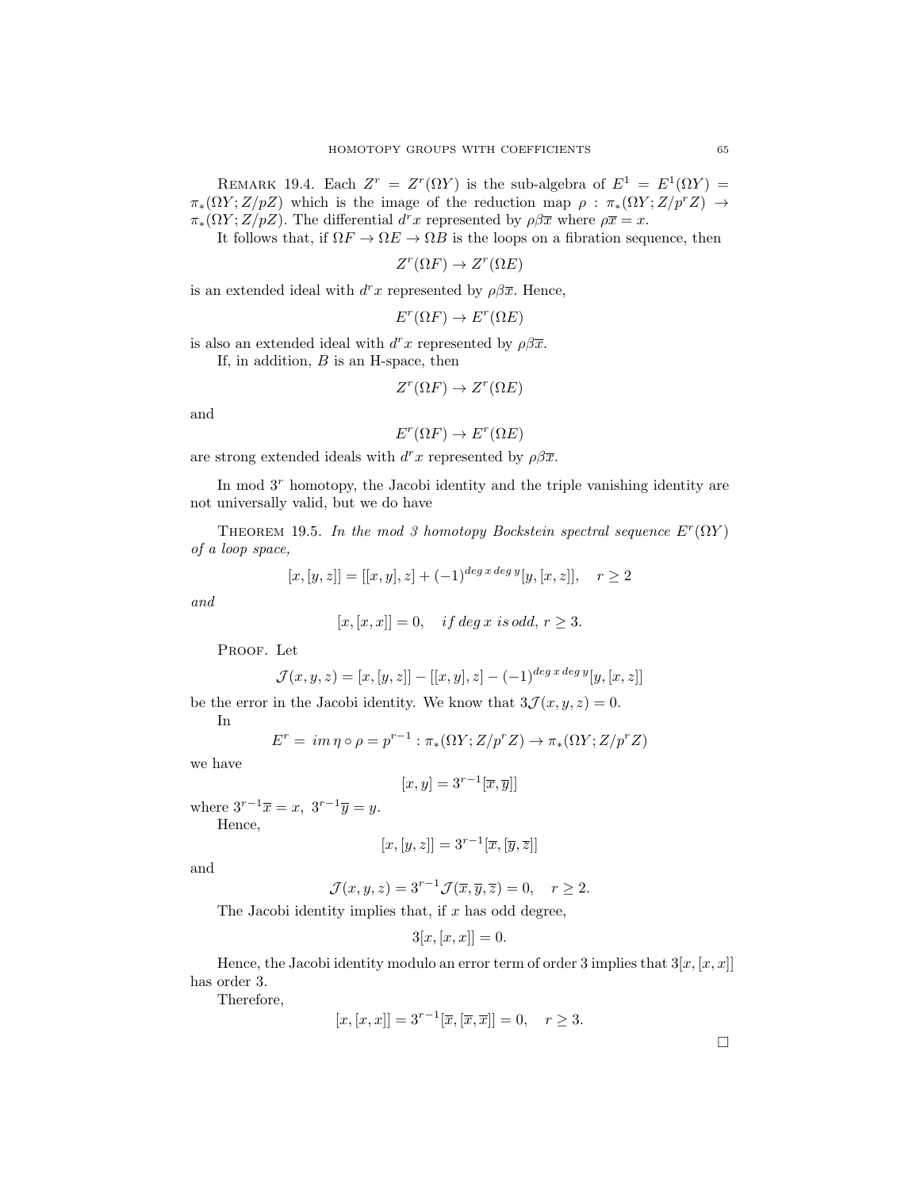REMARK 19.4. Each  $Z^r = Z^r(\Omega Y)$  is the sub-algebra of  $E^1 = E^1(\Omega Y) =$  $\pi_*(\Omega Y;Z/pZ)$  which is the image of the reduction map  $\rho : \pi_*(\Omega Y;Z/p^rZ) \rightarrow$  $\pi_*(\Omega Y; Z/pZ)$ . The differential  $d^r x$  represented by  $\rho \beta \bar{x}$  where  $\rho \bar{x} = x$ .

It follows that, if  $\Omega F \to \Omega E \to \Omega B$  is the loops on a fibration sequence, then

 $Z^r(\Omega F) \to Z^r(\Omega E)$ 

is an extended ideal with  $d^r x$  represented by  $\rho \beta \bar{x}$ . Hence,

$$
E^r(\Omega F) \to E^r(\Omega E)
$$

is also an extended ideal with  $d^r x$  represented by  $\rho \beta \overline{x}$ .

If, in addition,  $B$  is an H-space, then

$$
Z^r(\Omega F) \to Z^r(\Omega E)
$$

and

$$
E^r(\Omega F) \to E^r(\Omega E)
$$

are strong extended ideals with  $d^r x$  represented by  $\rho \beta \overline{x}$ .

In mod  $3<sup>r</sup>$  homotopy, the Jacobi identity and the triple vanishing identity are not universally valid, but we do have

THEOREM 19.5. In the mod 3 homotopy Bockstein spectral sequence  $E^r(\Omega Y)$ of a loop space,

$$
[x, [y, z]] = [[x, y], z] + (-1)^{\deg x \deg y} [y, [x, z]], \quad r \ge 2
$$

and

$$
[x,[x,x]] = 0, \quad \text{if } deg\ x \text{ is odd, } r \ge 3.
$$

PROOF. Let

$$
\mathcal{J}(x, y, z) = [x, [y, z]] - [[x, y], z] - (-1)^{\deg x \deg y} [y, [x, z]]
$$

be the error in the Jacobi identity. We know that  $3\mathcal{J}(x, y, z) = 0$ .

In

$$
E^r = im \eta \circ \rho = p^{r-1} : \pi_*(\Omega Y; Z/p^r Z) \to \pi_*(\Omega Y; Z/p^r Z)
$$

we have

$$
[x, y] = 3^{r-1}[\overline{x}, \overline{y}]]
$$

where  $3^{r-1}\overline{x} = x$ ,  $3^{r-1}\overline{y} = y$ .

Hence,

$$
[x,[y,z]] = 3^{r-1}[\overline{x},[\overline{y},\overline{z}]]
$$

and

$$
\mathcal{J}(x, y, z) = 3^{r-1} \mathcal{J}(\overline{x}, \overline{y}, \overline{z}) = 0, \quad r \ge 2.
$$

The Jacobi identity implies that, if  $x$  has odd degree,

$$
3[x,[x,x]] = 0.
$$

Hence, the Jacobi identity modulo an error term of order 3 implies that  $3[x,[x,x]]$ has order 3.

Therefore,

$$
[x,[x,x]] = 3^{r-1}[\overline{x}, [\overline{x}, \overline{x}]] = 0, \quad r \ge 3.
$$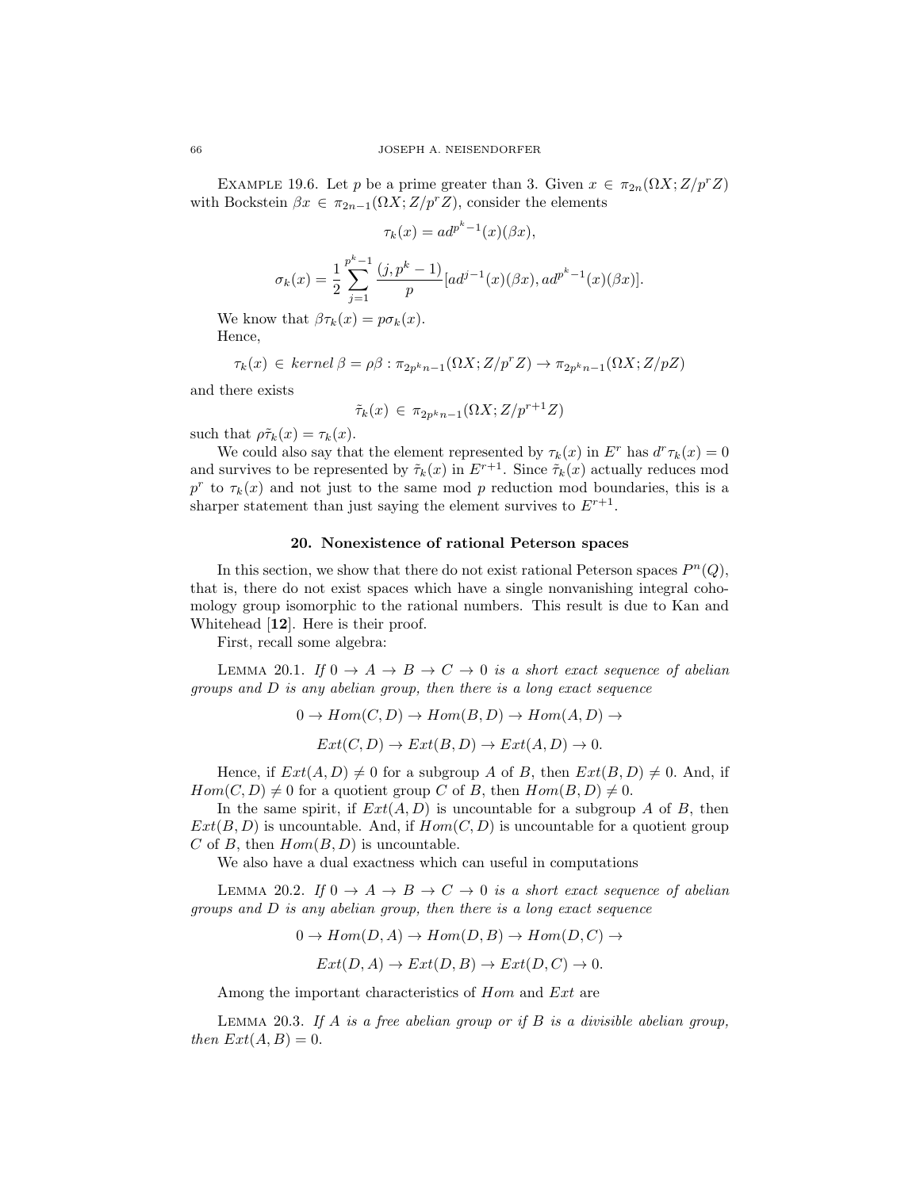EXAMPLE 19.6. Let p be a prime greater than 3. Given  $x \in \pi_{2n}(\Omega X; Z/p^r Z)$ with Bockstein  $\beta x \in \pi_{2n-1}(\Omega X; Z/p^r Z)$ , consider the elements

$$
\tau_k(x) = ad^{p^k - 1}(x)(\beta x),
$$

$$
\sigma_k(x) = \frac{1}{2} \sum_{j=1}^{p^k - 1} \frac{(j, p^k - 1)}{p} [ad^{j-1}(x)(\beta x), ad^{p^k - 1}(x)(\beta x)].
$$

We know that  $\beta \tau_k(x) = p \sigma_k(x)$ . Hence,

$$
\tau_k(x)\, \in\, \textit{kernel}\, \beta = \rho \beta: \pi_{2p^kn-1}(\Omega X; Z/p^r Z) \to \pi_{2p^kn-1}(\Omega X; Z/pZ)
$$

and there exists

$$
\tilde{\tau}_k(x) \in \pi_{2p^kn-1}(\Omega X; Z/p^{r+1}Z)
$$

such that  $\rho \tilde{\tau}_k(x) = \tau_k(x)$ .

We could also say that the element represented by  $\tau_k(x)$  in  $E^r$  has  $d^r \tau_k(x) = 0$ and survives to be represented by  $\tilde{\tau}_k(x)$  in  $E^{r+1}$ . Since  $\tilde{\tau}_k(x)$  actually reduces mod  $p^r$  to  $\tau_k(x)$  and not just to the same mod p reduction mod boundaries, this is a sharper statement than just saying the element survives to  $E^{r+1}$ .

## 20. Nonexistence of rational Peterson spaces

In this section, we show that there do not exist rational Peterson spaces  $P<sup>n</sup>(Q)$ , that is, there do not exist spaces which have a single nonvanishing integral cohomology group isomorphic to the rational numbers. This result is due to Kan and Whitehead [12]. Here is their proof.

First, recall some algebra:

LEMMA 20.1. If  $0 \to A \to B \to C \to 0$  is a short exact sequence of abelian groups and  $D$  is any abelian group, then there is a long exact sequence

$$
0 \to Hom(C, D) \to Hom(B, D) \to Hom(A, D) \to
$$
  

$$
Ext(C, D) \to Ext(B, D) \to Ext(A, D) \to 0.
$$

Hence, if  $Ext(A, D) \neq 0$  for a subgroup A of B, then  $Ext(B, D) \neq 0$ . And, if  $Hom(C, D) \neq 0$  for a quotient group C of B, then  $Hom(B, D) \neq 0$ .

In the same spirit, if  $Ext(A, D)$  is uncountable for a subgroup A of B, then  $Ext(B, D)$  is uncountable. And, if  $Hom(C, D)$  is uncountable for a quotient group C of B, then  $Hom(B, D)$  is uncountable.

We also have a dual exactness which can useful in computations

LEMMA 20.2. If  $0 \to A \to B \to C \to 0$  is a short exact sequence of abelian groups and  $D$  is any abelian group, then there is a long exact sequence

$$
0 \to Hom(D, A) \to Hom(D, B) \to Hom(D, C) \to
$$

$$
Ext(D, A) \to Ext(D, B) \to Ext(D, C) \to 0.
$$

Among the important characteristics of Hom and Ext are

LEMMA 20.3. If A is a free abelian group or if B is a divisible abelian group, then  $Ext(A, B) = 0$ .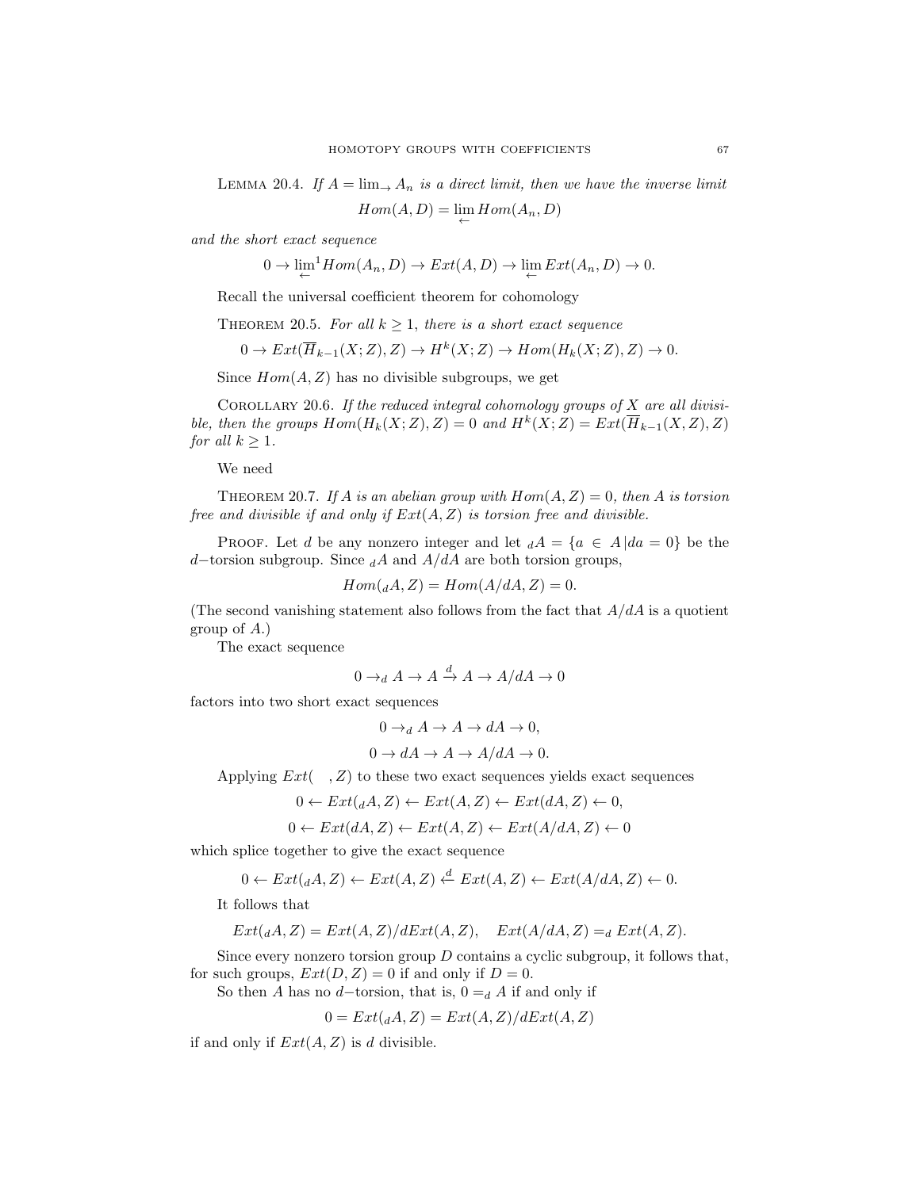LEMMA 20.4. If  $A = \lim_{n \to \infty} A_n$  is a direct limit, then we have the inverse limit

 $Hom(A, D) = \lim_{\leftarrow} Hom(A_n, D)$ 

and the short exact sequence

 $0 \to \lim_{\leftarrow}^1 Hom(A_n, D) \to Ext(A, D) \to \lim_{\leftarrow} Ext(A_n, D) \to 0.$ 

Recall the universal coefficient theorem for cohomology

THEOREM 20.5. For all  $k \geq 1$ , there is a short exact sequence

$$
0 \to Ext(\overline{H}_{k-1}(X;Z), Z) \to H^k(X;Z) \to Hom(H_k(X;Z), Z) \to 0.
$$

Since  $Hom(A, Z)$  has no divisible subgroups, we get

COROLLARY 20.6. If the reduced integral cohomology groups of  $X$  are all divisible, then the groups  $Hom(H_k(X; Z), Z) = 0$  and  $H^k(X; Z) = Ext(\overline{H}_{k-1}(X, Z), Z)$ for all  $k \geq 1$ .

We need

THEOREM 20.7. If A is an abelian group with  $Hom(A, Z) = 0$ , then A is torsion free and divisible if and only if  $Ext(A, Z)$  is torsion free and divisible.

**PROOF.** Let d be any nonzero integer and let  $dA = \{a \in A | da = 0\}$  be the d–torsion subgroup. Since  $_dA$  and  $A/dA$  are both torsion groups,

$$
Hom(_{d}A, Z) = Hom(A/dA, Z) = 0.
$$

(The second vanishing statement also follows from the fact that  $A/dA$  is a quotient group of A.)

The exact sequence

$$
0 \to_d A \to A \xrightarrow{d} A \to A/dA \to 0
$$

factors into two short exact sequences

$$
0 \to_d A \to A \to dA \to 0,
$$

$$
0 \to dA \to A \to A/dA \to 0.
$$

Applying  $Ext( , Z)$  to these two exact sequences yields exact sequences

$$
0 \leftarrow Ext(_{d}A, Z) \leftarrow Ext(A, Z) \leftarrow Ext(dA, Z) \leftarrow 0,
$$

$$
0 \leftarrow Ext(dA, Z) \leftarrow Ext(A, Z) \leftarrow Ext(A/dA, Z) \leftarrow 0
$$

which splice together to give the exact sequence

$$
0 \leftarrow Ext(_{d}A, Z) \leftarrow Ext(A, Z) \xleftarrow{d} Ext(A, Z) \leftarrow Ext(A/dA, Z) \leftarrow 0.
$$

It follows that

$$
Ext(_{d}A,Z) = Ext(A,Z)/dExt(A,Z), \quad Ext(A/dA,Z) =_d Ext(A,Z).
$$

Since every nonzero torsion group  $D$  contains a cyclic subgroup, it follows that, for such groups,  $Ext(D, Z) = 0$  if and only if  $D = 0$ .

So then A has no d–torsion, that is,  $0 = d$  A if and only if

$$
0 = Ext(_{d}A, Z) = Ext(A, Z)/dExt(A, Z)
$$

if and only if  $Ext(A, Z)$  is d divisible.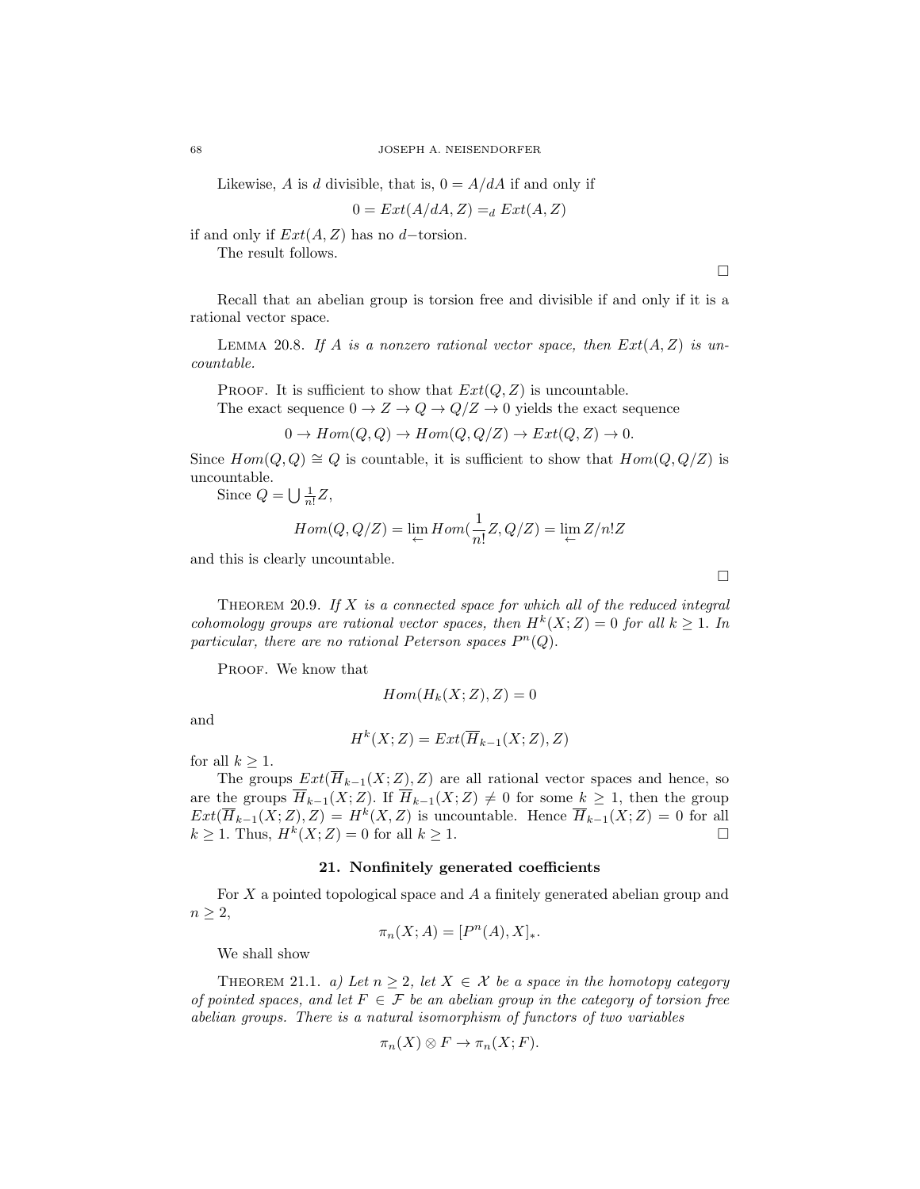Likewise, A is d divisible, that is,  $0 = A/dA$  if and only if

$$
0 = Ext(A/dA, Z) =_d Ext(A, Z)
$$

if and only if  $Ext(A, Z)$  has no d–torsion.

The result follows.

 $\Box$ 

Recall that an abelian group is torsion free and divisible if and only if it is a rational vector space.

LEMMA 20.8. If A is a nonzero rational vector space, then  $Ext(A, Z)$  is uncountable.

PROOF. It is sufficient to show that  $Ext(Q, Z)$  is uncountable.

The exact sequence  $0 \to Z \to Q \to Q/Z \to 0$  yields the exact sequence

$$
0 \to Hom(Q, Q) \to Hom(Q, Q/Z) \to Ext(Q, Z) \to 0.
$$

Since  $Hom(Q, Q) \cong Q$  is countable, it is sufficient to show that  $Hom(Q, Q/Z)$  is uncountable.

Since  $Q = \bigcup \frac{1}{n!} Z$ ,

$$
Hom(Q, Q/Z) = \lim_{\leftarrow} Hom(\frac{1}{n!}Z, Q/Z) = \lim_{\leftarrow} Z/n!Z
$$

and this is clearly uncountable.

THEOREM 20.9. If  $X$  is a connected space for which all of the reduced integral cohomology groups are rational vector spaces, then  $H^k(X;Z) = 0$  for all  $k \geq 1$ . In particular, there are no rational Peterson spaces  $P^{n}(Q)$ .

PROOF. We know that

$$
Hom(H_k(X;Z),Z)=0
$$

and

$$
H^k(X;Z) = Ext(\overline{H}_{k-1}(X;Z),Z)
$$

for all  $k > 1$ .

The groups  $Ext(\overline{H}_{k-1}(X;Z), Z)$  are all rational vector spaces and hence, so are the groups  $\overline{H}_{k-1}(X;Z)$ . If  $\overline{H}_{k-1}(X;Z) \neq 0$  for some  $k \geq 1$ , then the group  $Ext(\overline{H}_{k-1}(X;Z),Z) = H^k(X,Z)$  is uncountable. Hence  $\overline{H}_{k-1}(X;Z) = 0$  for all  $k \geq 1$ . Thus,  $H^k(X; Z) = 0$  for all  $k \geq 1$ .

# 21. Nonfinitely generated coefficients

For X a pointed topological space and A a finitely generated abelian group and  $n \geq 2$ ,

$$
\pi_n(X; A) = [P^n(A), X]_*
$$

We shall show

THEOREM 21.1. a) Let  $n \geq 2$ , let  $X \in \mathcal{X}$  be a space in the homotopy category of pointed spaces, and let  $F \in \mathcal{F}$  be an abelian group in the category of torsion free abelian groups. There is a natural isomorphism of functors of two variables

$$
\pi_n(X) \otimes F \to \pi_n(X;F).
$$

 $\Box$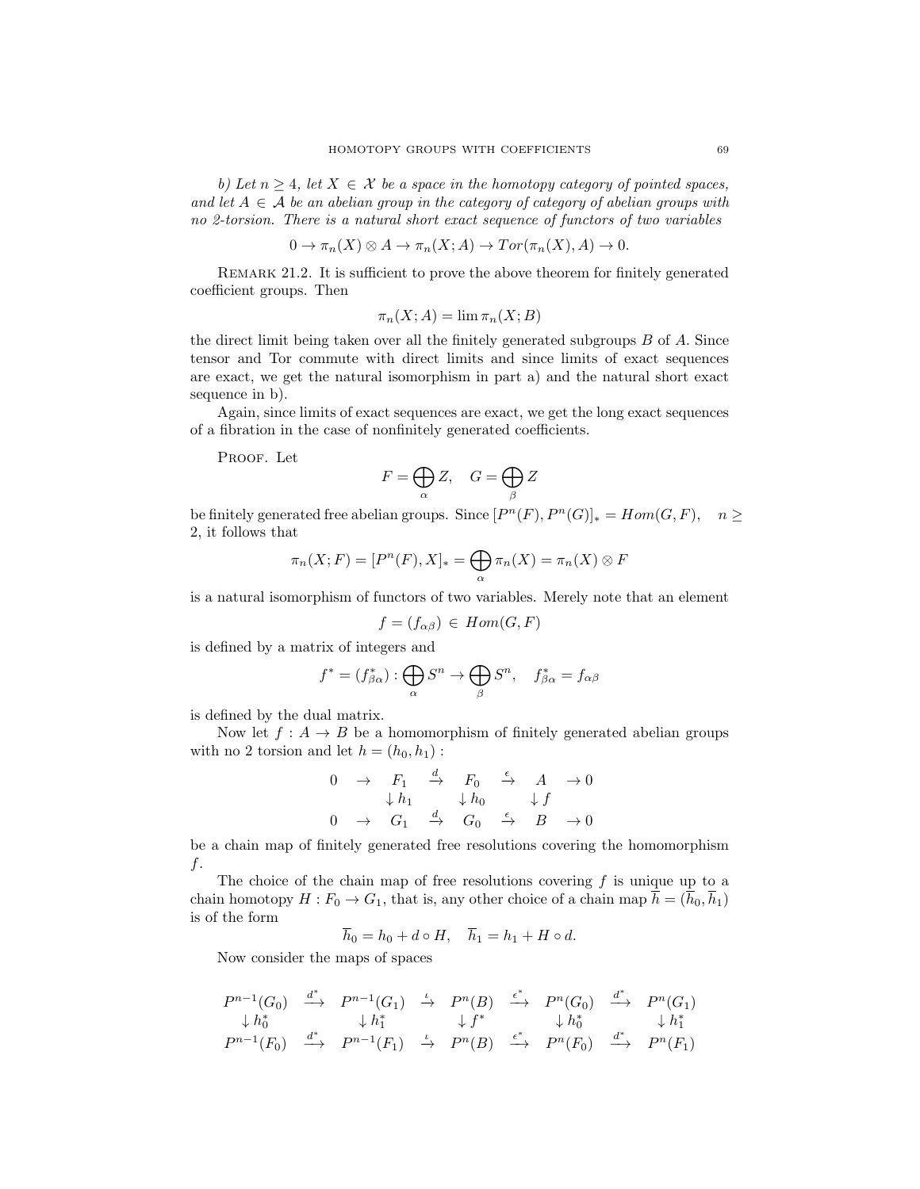b) Let  $n \geq 4$ , let  $X \in \mathcal{X}$  be a space in the homotopy category of pointed spaces, and let  $A \in \mathcal{A}$  be an abelian group in the category of category of abelian groups with no 2-torsion. There is a natural short exact sequence of functors of two variables

$$
0 \to \pi_n(X) \otimes A \to \pi_n(X; A) \to Tor(\pi_n(X), A) \to 0.
$$

REMARK 21.2. It is sufficient to prove the above theorem for finitely generated coefficient groups. Then

$$
\pi_n(X;A) = \lim \pi_n(X;B)
$$

the direct limit being taken over all the finitely generated subgroups B of A. Since tensor and Tor commute with direct limits and since limits of exact sequences are exact, we get the natural isomorphism in part a) and the natural short exact sequence in b).

Again, since limits of exact sequences are exact, we get the long exact sequences of a fibration in the case of nonfinitely generated coefficients.

PROOF. Let

$$
F=\bigoplus_{\alpha}Z,\quad G=\bigoplus_{\beta}Z
$$

be finitely generated free abelian groups. Since  $[P<sup>n</sup>(F), P<sup>n</sup>(G)]_* = Hom(G, F), n \ge$ 2, it follows that

$$
\pi_n(X;F) = [P^n(F), X]_* = \bigoplus_{\alpha} \pi_n(X) = \pi_n(X) \otimes F
$$

is a natural isomorphism of functors of two variables. Merely note that an element

$$
f = (f_{\alpha\beta}) \in Hom(G, F)
$$

is defined by a matrix of integers and

$$
f^* = (f_{\beta\alpha}^*) : \bigoplus_{\alpha} S^n \to \bigoplus_{\beta} S^n, \quad f_{\beta\alpha}^* = f_{\alpha\beta}
$$

is defined by the dual matrix.

Now let  $f: A \rightarrow B$  be a homomorphism of finitely generated abelian groups with no 2 torsion and let  $h = (h_0, h_1)$ :

$$
\begin{array}{ccccccc}\n0 & \rightarrow & F_1 & \xrightarrow{d} & F_0 & \xrightarrow{\epsilon} & A & \rightarrow 0 \\
& \downarrow h_1 & & \downarrow h_0 & & \downarrow f \\
0 & \rightarrow & G_1 & \xrightarrow{d} & G_0 & \xrightarrow{\epsilon} & B & \rightarrow 0\n\end{array}
$$

be a chain map of finitely generated free resolutions covering the homomorphism f.

The choice of the chain map of free resolutions covering  $f$  is unique up to a chain homotopy  $H : F_0 \to G_1$ , that is, any other choice of a chain map  $\overline{h} = (\overline{h}_0, \overline{h}_1)$ is of the form

$$
\overline{h}_0 = h_0 + d \circ H, \quad \overline{h}_1 = h_1 + H \circ d.
$$

Now consider the maps of spaces

$$
\begin{array}{ccccccccc}\nP^{n-1}(G_0)&\xrightarrow{d^*}&P^{n-1}(G_1)&\xrightarrow{\iota}&P^n(B)&\xrightarrow{\epsilon^*}&P^n(G_0)&\xrightarrow{d^*}&P^n(G_1)\\
\downarrow h_0^*&\downarrow h_1^*&\downarrow f^*&\downarrow h_0^*&\downarrow h_1^*\\
P^{n-1}(F_0)&\xrightarrow{d^*}&P^{n-1}(F_1)&\xrightarrow{\iota}&P^n(B)&\xrightarrow{\epsilon^*}&P^n(F_0)&\xrightarrow{d^*}&P^n(F_1)\n\end{array}
$$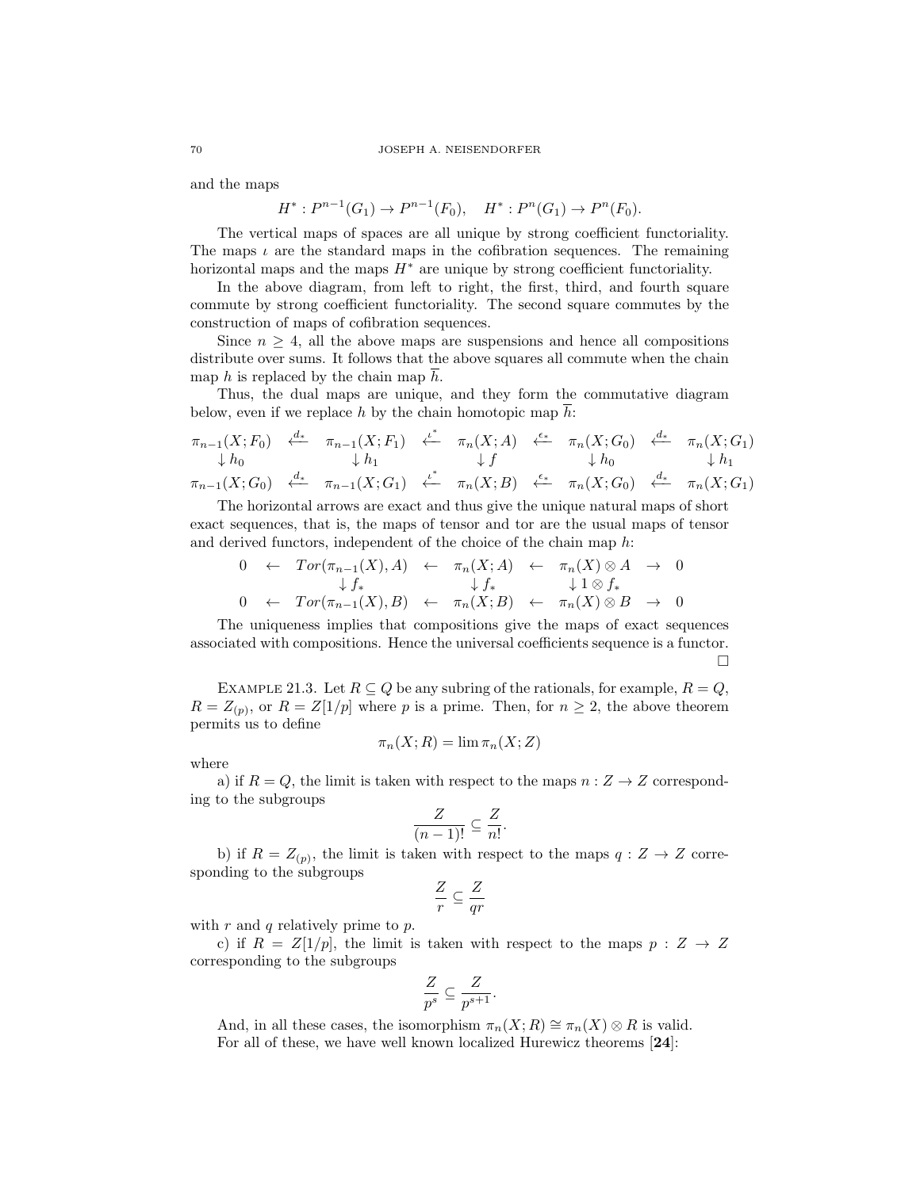#### 70 JOSEPH A. NEISENDORFER

and the maps

$$
H^*: P^{n-1}(G_1) \to P^{n-1}(F_0), \quad H^*: P^n(G_1) \to P^n(F_0).
$$

The vertical maps of spaces are all unique by strong coefficient functoriality. The maps  $\iota$  are the standard maps in the cofibration sequences. The remaining horizontal maps and the maps  $H^*$  are unique by strong coefficient functoriality.

In the above diagram, from left to right, the first, third, and fourth square commute by strong coefficient functoriality. The second square commutes by the construction of maps of cofibration sequences.

Since  $n \geq 4$ , all the above maps are suspensions and hence all compositions distribute over sums. It follows that the above squares all commute when the chain map  $h$  is replaced by the chain map  $h$ .

Thus, the dual maps are unique, and they form the commutative diagram below, even if we replace  $h$  by the chain homotopic map  $h$ :

$$
\begin{array}{ccccccccc}\n\pi_{n-1}(X;F_0) & \xleftarrow{d_*} & \pi_{n-1}(X;F_1) & \xleftarrow{t^*} & \pi_n(X;A) & \xleftarrow{\epsilon_*} & \pi_n(X;G_0) & \xleftarrow{d_*} & \pi_n(X;G_1) \\
\downarrow h_0 & \downarrow h_1 & \downarrow f & \downarrow h_0 & \downarrow h_1 \\
\pi_{n-1}(X;G_0) & \xleftarrow{d_*} & \pi_{n-1}(X;G_1) & \xleftarrow{t^*} & \pi_n(X;B) & \xleftarrow{\epsilon_*} & \pi_n(X;G_0) & \xleftarrow{d_*} & \pi_n(X;G_1)\n\end{array}
$$

The horizontal arrows are exact and thus give the unique natural maps of short exact sequences, that is, the maps of tensor and tor are the usual maps of tensor and derived functors, independent of the choice of the chain map h:

$$
0 \leftarrow Tor(\pi_{n-1}(X), A) \leftarrow \pi_n(X; A) \leftarrow \pi_n(X) \otimes A \rightarrow 0
$$
  
\n
$$
\downarrow f_* \qquad \qquad \downarrow f_* \qquad \qquad \downarrow 1 \otimes f_*
$$
  
\n
$$
0 \leftarrow Tor(\pi_{n-1}(X), B) \leftarrow \pi_n(X; B) \leftarrow \pi_n(X) \otimes B \rightarrow 0
$$

The uniqueness implies that compositions give the maps of exact sequences associated with compositions. Hence the universal coefficients sequence is a functor.  $\Box$ 

EXAMPLE 21.3. Let  $R \subseteq Q$  be any subring of the rationals, for example,  $R = Q$ ,  $R = Z_{(p)}$ , or  $R = Z[1/p]$  where p is a prime. Then, for  $n \geq 2$ , the above theorem permits us to define

$$
\pi_n(X;R) = \lim \pi_n(X;Z)
$$

where

a) if  $R = Q$ , the limit is taken with respect to the maps  $n: Z \rightarrow Z$  corresponding to the subgroups

$$
\frac{Z}{(n-1)!} \subseteq \frac{Z}{n!}.
$$

b) if  $R = Z_{(p)}$ , the limit is taken with respect to the maps  $q: Z \to Z$  corresponding to the subgroups

$$
\frac{Z}{r} \subseteq \frac{Z}{qr}
$$

with  $r$  and  $q$  relatively prime to  $p$ .

c) if  $R = Z[1/p]$ , the limit is taken with respect to the maps  $p : Z \rightarrow Z$ corresponding to the subgroups

$$
\frac{Z}{p^s} \subseteq \frac{Z}{p^{s+1}}.
$$

And, in all these cases, the isomorphism  $\pi_n(X; R) \cong \pi_n(X) \otimes R$  is valid. For all of these, we have well known localized Hurewicz theorems [24]: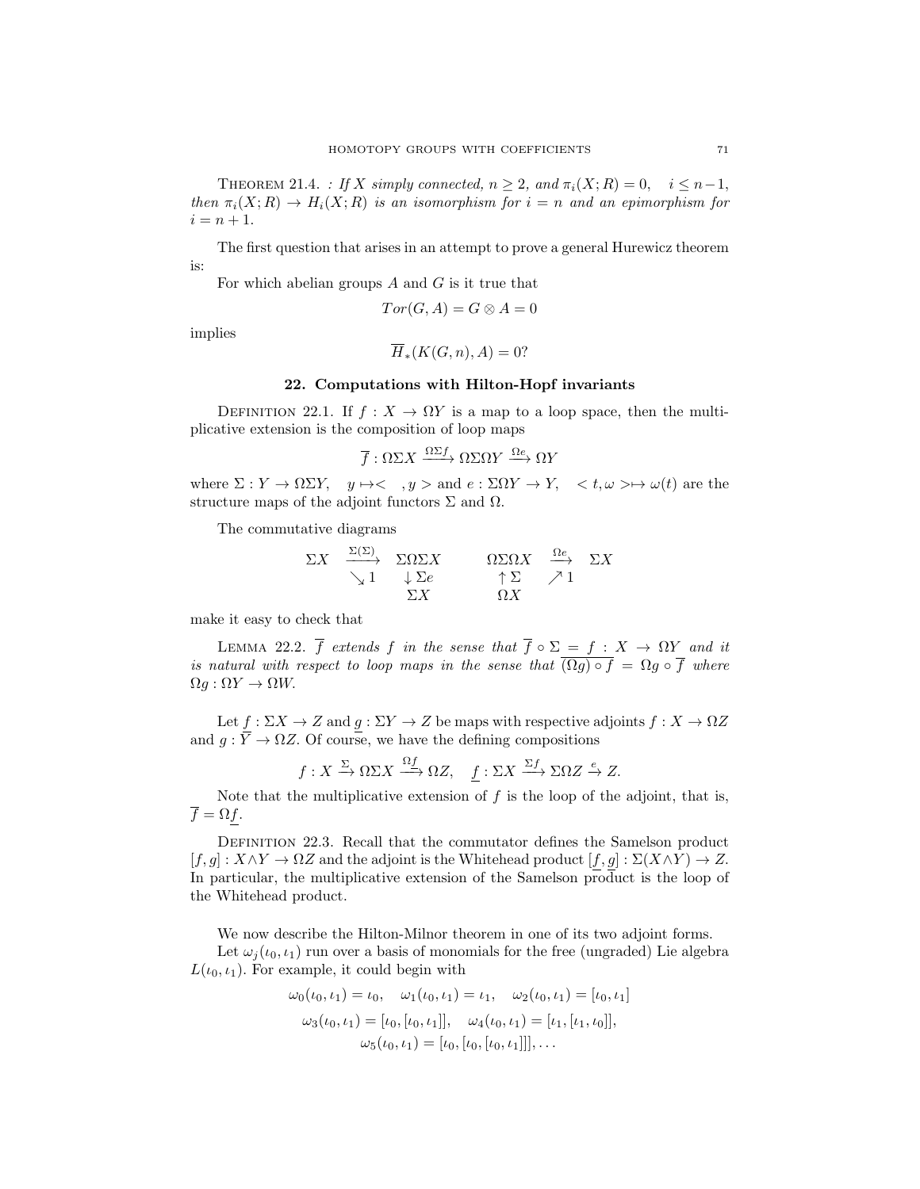THEOREM 21.4. : If X simply connected,  $n \geq 2$ , and  $\pi_i(X; R) = 0$ ,  $i \leq n-1$ , then  $\pi_i(X; R) \to H_i(X; R)$  is an isomorphism for  $i = n$  and an epimorphism for  $i = n + 1.$ 

The first question that arises in an attempt to prove a general Hurewicz theorem is:

For which abelian groups  $A$  and  $G$  is it true that

$$
Tor(G, A) = G \otimes A = 0
$$

implies

$$
\overline{H}_*(K(G,n),A) = 0?
$$

## 22. Computations with Hilton-Hopf invariants

DEFINITION 22.1. If  $f: X \to \Omega Y$  is a map to a loop space, then the multiplicative extension is the composition of loop maps

$$
\overline{f}: \Omega \Sigma X \xrightarrow{\Omega \Sigma f} \Omega \Sigma \Omega Y \xrightarrow{\Omega e} \Omega Y
$$

where  $\Sigma : Y \to \Omega \Sigma Y$ ,  $y \mapsto \langle y, y \rangle$  and  $e : \Sigma \Omega Y \to Y$ ,  $\langle t, \omega \rangle \to \omega(t)$  are the structure maps of the adjoint functors  $\Sigma$  and  $\Omega$ .

The commutative diagrams

$$
\Sigma X \xrightarrow{\Sigma(\Sigma)} \Sigma \Omega \Sigma X \xrightarrow{\Omega \Sigma \Omega X} \frac{\Omega e}{\uparrow \Sigma} \Sigma X
$$
  

$$
\Sigma X \xrightarrow{\Sigma X} \Omega X
$$

make it easy to check that

LEMMA 22.2.  $\overline{f}$  extends f in the sense that  $\overline{f} \circ \Sigma = f : X \to \Omega Y$  and it is natural with respect to loop maps in the sense that  $\overline{(Qg) \circ f} = \Omega g \circ \overline{f}$  where  $\Omega g : \Omega Y \to \Omega W$ .

Let  $f : \Sigma X \to Z$  and  $g : \Sigma Y \to Z$  be maps with respective adjoints  $f : X \to \Omega Z$ and  $g: \overline{Y} \to \Omega Z$ . Of course, we have the defining compositions

$$
f: X \xrightarrow{\Sigma} \Omega \Sigma X \xrightarrow{\Omega f} \Omega Z, \quad \underline{f}: \Sigma X \xrightarrow{\Sigma f} \Sigma \Omega Z \xrightarrow{e} Z.
$$

Note that the multiplicative extension of  $f$  is the loop of the adjoint, that is,  $\overline{f} = \Omega f$ .

DEFINITION 22.3. Recall that the commutator defines the Samelson product  $[f, g] : X \wedge Y \to \Omega Z$  and the adjoint is the Whitehead product  $[f, g] : \Sigma(X \wedge Y) \to Z$ . In particular, the multiplicative extension of the Samelson product is the loop of the Whitehead product.

We now describe the Hilton-Milnor theorem in one of its two adjoint forms.

Let  $\omega_i(\iota_0, \iota_1)$  run over a basis of monomials for the free (ungraded) Lie algebra  $L(\iota_0, \iota_1)$ . For example, it could begin with

$$
\omega_0(\iota_0, \iota_1) = \iota_0, \quad \omega_1(\iota_0, \iota_1) = \iota_1, \quad \omega_2(\iota_0, \iota_1) = [\iota_0, \iota_1]
$$

$$
\omega_3(\iota_0, \iota_1) = [\iota_0, [\iota_0, \iota_1]], \quad \omega_4(\iota_0, \iota_1) = [\iota_1, [\iota_1, \iota_0]],
$$

$$
\omega_5(\iota_0, \iota_1) = [\iota_0, [\iota_0, [\iota_0, \iota_1]]], \dots
$$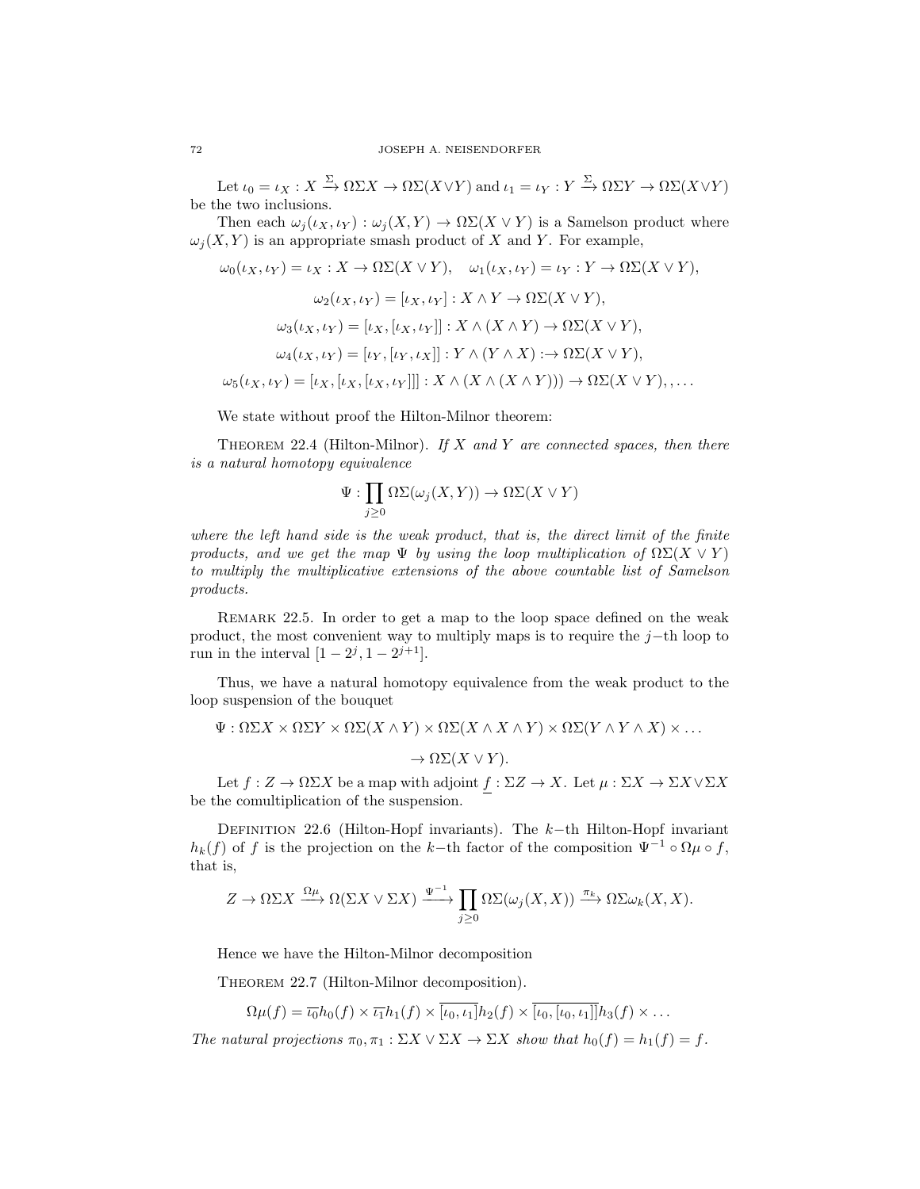Let  $\iota_0 = \iota_X : X \xrightarrow{\Sigma} \Omega \Sigma X \to \Omega \Sigma (X \vee Y)$  and  $\iota_1 = \iota_Y : Y \xrightarrow{\Sigma} \Omega \Sigma Y \to \Omega \Sigma (X \vee Y)$ be the two inclusions.

Then each  $\omega_j(\iota_X, \iota_Y) : \omega_j(X, Y) \to \Omega\Sigma(X \vee Y)$  is a Samelson product where  $\omega_i(X, Y)$  is an appropriate smash product of X and Y. For example,

$$
\omega_0(\iota_X, \iota_Y) = \iota_X : X \to \Omega\Sigma(X \vee Y), \quad \omega_1(\iota_X, \iota_Y) = \iota_Y : Y \to \Omega\Sigma(X \vee Y),
$$

$$
\omega_2(\iota_X, \iota_Y) = [\iota_X, \iota_Y] : X \wedge Y \to \Omega\Sigma(X \vee Y),
$$

$$
\omega_3(\iota_X, \iota_Y) = [\iota_X, [\iota_X, \iota_Y]] : X \wedge (X \wedge Y) \to \Omega\Sigma(X \vee Y),
$$

$$
\omega_4(\iota_X, \iota_Y) = [\iota_Y, [\iota_Y, \iota_X]] : Y \wedge (Y \wedge X) : \to \Omega\Sigma(X \vee Y),
$$

$$
\omega_5(\iota_X, \iota_Y) = [\iota_X, [\iota_X, [\iota_X, \iota_Y]]] : X \wedge (X \wedge (X \wedge Y))) \to \Omega\Sigma(X \vee Y),
$$

We state without proof the Hilton-Milnor theorem:

THEOREM 22.4 (Hilton-Milnor). If  $X$  and  $Y$  are connected spaces, then there is a natural homotopy equivalence

$$
\Psi: \prod_{j\geq 0} \Omega \Sigma(\omega_j(X, Y)) \to \Omega \Sigma(X \vee Y)
$$

where the left hand side is the weak product, that is, the direct limit of the finite products, and we get the map  $\Psi$  by using the loop multiplication of  $\Omega\Sigma(X \vee Y)$ to multiply the multiplicative extensions of the above countable list of Samelson products.

Remark 22.5. In order to get a map to the loop space defined on the weak product, the most convenient way to multiply maps is to require the j–th loop to run in the interval  $[1 - 2^{j}, 1 - 2^{j+1}]$ .

Thus, we have a natural homotopy equivalence from the weak product to the loop suspension of the bouquet

$$
\Psi : \Omega \Sigma X \times \Omega \Sigma Y \times \Omega \Sigma (X \wedge Y) \times \Omega \Sigma (X \wedge X \wedge Y) \times \Omega \Sigma (Y \wedge Y \wedge X) \times \dots
$$

 $\to \Omega\Sigma(X \vee Y).$ 

Let  $f: Z \to \Omega \Sigma X$  be a map with adjoint  $f: \Sigma Z \to X$ . Let  $\mu: \Sigma X \to \Sigma X \vee \Sigma X$ be the comultiplication of the suspension.

DEFINITION 22.6 (Hilton-Hopf invariants). The k-th Hilton-Hopf invariant  $h_k(f)$  of f is the projection on the k–th factor of the composition  $\Psi^{-1} \circ \Omega \mu \circ f$ , that is,

$$
Z \to \Omega \Sigma X \xrightarrow{\Omega \mu} \Omega(\Sigma X \vee \Sigma X) \xrightarrow{\Psi^{-1}} \prod_{j \geq 0} \Omega \Sigma(\omega_j(X, X)) \xrightarrow{\pi_k} \Omega \Sigma \omega_k(X, X).
$$

Hence we have the Hilton-Milnor decomposition

THEOREM 22.7 (Hilton-Milnor decomposition).

 $\Omega\mu(f) = \overline{\iota_0}h_0(f) \times \overline{\iota_1}h_1(f) \times \overline{[\iota_0, \iota_1]}h_2(f) \times \overline{[\iota_0, [\iota_0, \iota_1]]}h_3(f) \times \dots$ 

The natural projections  $\pi_0, \pi_1 : \Sigma X \vee \Sigma X \to \Sigma X$  show that  $h_0(f) = h_1(f) = f$ .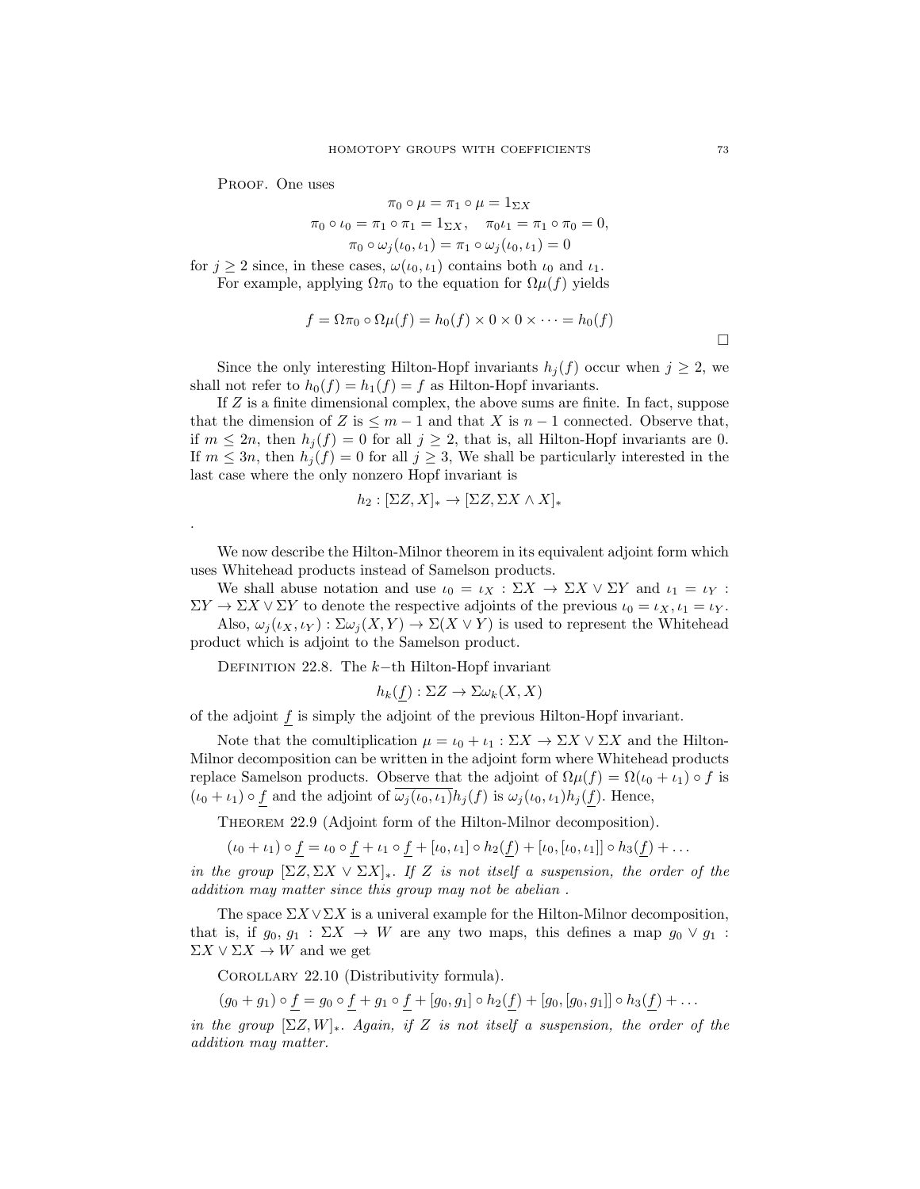PROOF. One uses

.

$$
\pi_0 \circ \mu = \pi_1 \circ \mu = 1_{\Sigma X}
$$
  
\n
$$
\pi_0 \circ \iota_0 = \pi_1 \circ \pi_1 = 1_{\Sigma X}, \quad \pi_0 \iota_1 = \pi_1 \circ \pi_0 = 0,
$$
  
\n
$$
\pi_0 \circ \omega_j(\iota_0, \iota_1) = \pi_1 \circ \omega_j(\iota_0, \iota_1) = 0
$$

for  $j \geq 2$  since, in these cases,  $\omega(\iota_0, \iota_1)$  contains both  $\iota_0$  and  $\iota_1$ . For example, applying  $\Omega \pi_0$  to the equation for  $\Omega \mu(f)$  yields

$$
f = \Omega \pi_0 \circ \Omega \mu(f) = h_0(f) \times 0 \times 0 \times \dots = h_0(f)
$$

Since the only interesting Hilton-Hopf invariants  $h_j(f)$  occur when  $j \geq 2$ , we shall not refer to  $h_0(f) = h_1(f) = f$  as Hilton-Hopf invariants.

If Z is a finite dimensional complex, the above sums are finite. In fact, suppose that the dimension of Z is  $\leq m-1$  and that X is  $n-1$  connected. Observe that, if  $m \leq 2n$ , then  $h_i(f) = 0$  for all  $j \geq 2$ , that is, all Hilton-Hopf invariants are 0. If  $m \leq 3n$ , then  $h_i(f) = 0$  for all  $j \geq 3$ , We shall be particularly interested in the last case where the only nonzero Hopf invariant is

$$
h_2: [\Sigma Z, X]_* \to [\Sigma Z, \Sigma X \wedge X]_*
$$

We now describe the Hilton-Milnor theorem in its equivalent adjoint form which uses Whitehead products instead of Samelson products.

We shall abuse notation and use  $\iota_0 = \iota_X : \Sigma X \to \Sigma X \vee \Sigma Y$  and  $\iota_1 = \iota_Y :$  $\Sigma Y \to \Sigma X \vee \Sigma Y$  to denote the respective adjoints of the previous  $\iota_0 = \iota_X, \iota_1 = \iota_Y$ .

Also,  $\omega_i(\iota_X, \iota_Y) : \Sigma \omega_i(X, Y) \to \Sigma(X \vee Y)$  is used to represent the Whitehead product which is adjoint to the Samelson product.

DEFINITION 22.8. The  $k$ −th Hilton-Hopf invariant

$$
h_k(f): \Sigma Z \to \Sigma \omega_k(X, X)
$$

of the adjoint  $f$  is simply the adjoint of the previous Hilton-Hopf invariant.

Note that the comultiplication  $\mu = \iota_0 + \iota_1 : \Sigma X \to \Sigma X \vee \Sigma X$  and the Hilton-Milnor decomposition can be written in the adjoint form where Whitehead products replace Samelson products. Observe that the adjoint of  $\Omega \mu(f) = \Omega(\iota_0 + \iota_1) \circ f$  is  $(\iota_0 + \iota_1) \circ f$  and the adjoint of  $\omega_j(\iota_0, \iota_1)h_j(f)$  is  $\omega_j(\iota_0, \iota_1)h_j(f)$ . Hence,

Theorem 22.9 (Adjoint form of the Hilton-Milnor decomposition).

 $(\iota_0 + \iota_1) \circ f = \iota_0 \circ f + \iota_1 \circ f + [\iota_0, \iota_1] \circ h_2(f) + [\iota_0, [\iota_0, \iota_1]] \circ h_3(f) + \dots$ 

in the group  $[\Sigma Z, \Sigma X \vee \Sigma X]_{\ast}$ . If Z is not itself a suspension, the order of the addition may matter since this group may not be abelian .

The space  $\Sigma X \vee \Sigma X$  is a univeral example for the Hilton-Milnor decomposition, that is, if  $g_0, g_1 : \Sigma X \to W$  are any two maps, this defines a map  $g_0 \vee g_1$ :  $\Sigma X \vee \Sigma X \rightarrow W$  and we get

COROLLARY 22.10 (Distributivity formula).

 $(g_0 + g_1) \circ f = g_0 \circ f + g_1 \circ f + [g_0, g_1] \circ h_2(f) + [g_0, [g_0, g_1]] \circ h_3(f) + \ldots$ 

in the group  $[\Sigma Z, W]_*$ . Again, if Z is not itself a suspension, the order of the addition may matter.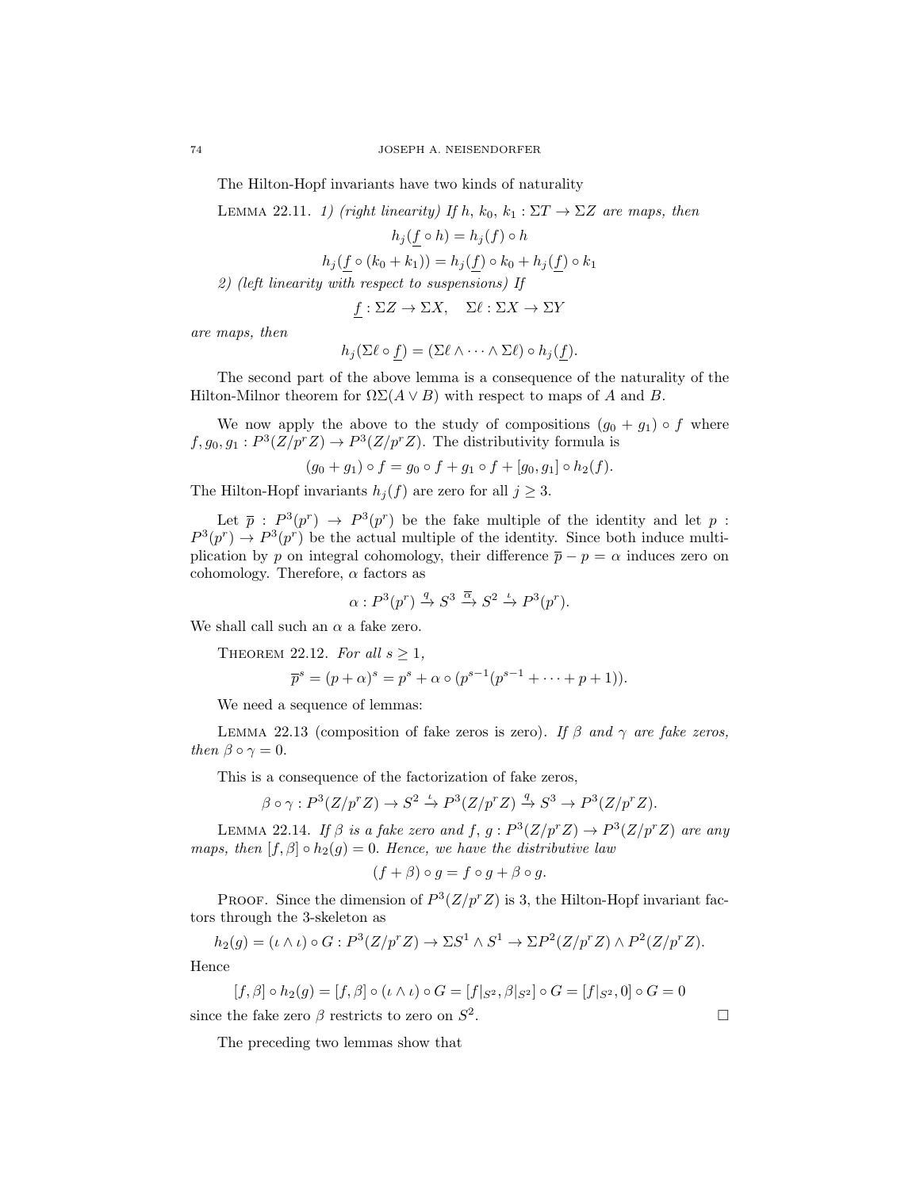The Hilton-Hopf invariants have two kinds of naturality

LEMMA 22.11. 1) (right linearity) If h,  $k_0$ ,  $k_1 : \Sigma T \to \Sigma Z$  are maps, then

$$
h_j(f \circ h) = h_j(f) \circ h
$$

$$
h_j(f \circ (k_0 + k_1)) = h_j(f) \circ k_0 + h_j(f) \circ k_1
$$

2) (left linearity with respect to suspensions) If

$$
f: \Sigma Z \to \Sigma X, \quad \Sigma \ell : \Sigma X \to \Sigma Y
$$

are maps, then

$$
h_j(\Sigma \ell \circ f) = (\Sigma \ell \wedge \cdots \wedge \Sigma \ell) \circ h_j(f).
$$

The second part of the above lemma is a consequence of the naturality of the Hilton-Milnor theorem for  $\Omega\Sigma(A \vee B)$  with respect to maps of A and B.

We now apply the above to the study of compositions  $(g_0 + g_1) \circ f$  where  $f, g_0, g_1 : P^3(Z/p^r Z) \to P^3(Z/p^r Z)$ . The distributivity formula is

$$
(g_0 + g_1) \circ f = g_0 \circ f + g_1 \circ f + [g_0, g_1] \circ h_2(f).
$$

The Hilton-Hopf invariants  $h_j(f)$  are zero for all  $j \geq 3$ .

Let  $\bar{p}$ :  $P^3(p^r) \rightarrow P^3(p^r)$  be the fake multiple of the identity and let p:  $P^3(p^r) \to P^3(p^r)$  be the actual multiple of the identity. Since both induce multiplication by p on integral cohomology, their difference  $\bar{p} - p = \alpha$  induces zero on cohomology. Therefore,  $\alpha$  factors as

$$
\alpha: P^3(p^r) \xrightarrow{q} S^3 \xrightarrow{\overline{\alpha}} S^2 \xrightarrow{\iota} P^3(p^r).
$$

We shall call such an  $\alpha$  a fake zero.

THEOREM 22.12. For all  $s \geq 1$ ,

$$
\overline{p}^s = (p + \alpha)^s = p^s + \alpha \circ (p^{s-1}(p^{s-1} + \dots + p + 1)).
$$

We need a sequence of lemmas:

LEMMA 22.13 (composition of fake zeros is zero). If  $\beta$  and  $\gamma$  are fake zeros, then  $\beta \circ \gamma = 0$ .

This is a consequence of the factorization of fake zeros,

$$
\beta \circ \gamma: P^3(Z/p^r Z) \to S^2 \xrightarrow{\iota} P^3(Z/p^r Z) \xrightarrow{q} S^3 \to P^3(Z/p^r Z).
$$

LEMMA 22.14. If  $\beta$  is a fake zero and f,  $g: P^3(Z/p^r Z) \to P^3(Z/p^r Z)$  are any maps, then  $[f, \beta] \circ h_2(g) = 0$ . Hence, we have the distributive law

$$
(f + \beta) \circ g = f \circ g + \beta \circ g.
$$

PROOF. Since the dimension of  $P^3(Z/p^rZ)$  is 3, the Hilton-Hopf invariant factors through the 3-skeleton as

$$
h_2(g) = (\iota \wedge \iota) \circ G : P^3(Z/p^r Z) \to \Sigma S^1 \wedge S^1 \to \Sigma P^2(Z/p^r Z) \wedge P^2(Z/p^r Z).
$$
  
For

Hence

$$
[f, \beta] \circ h_2(g) = [f, \beta] \circ (\iota \wedge \iota) \circ G = [f|_{S^2}, \beta|_{S^2}] \circ G = [f|_{S^2}, 0] \circ G = 0
$$
  
since the fake zero  $\beta$  restricts to zero on  $S^2$ .

The preceding two lemmas show that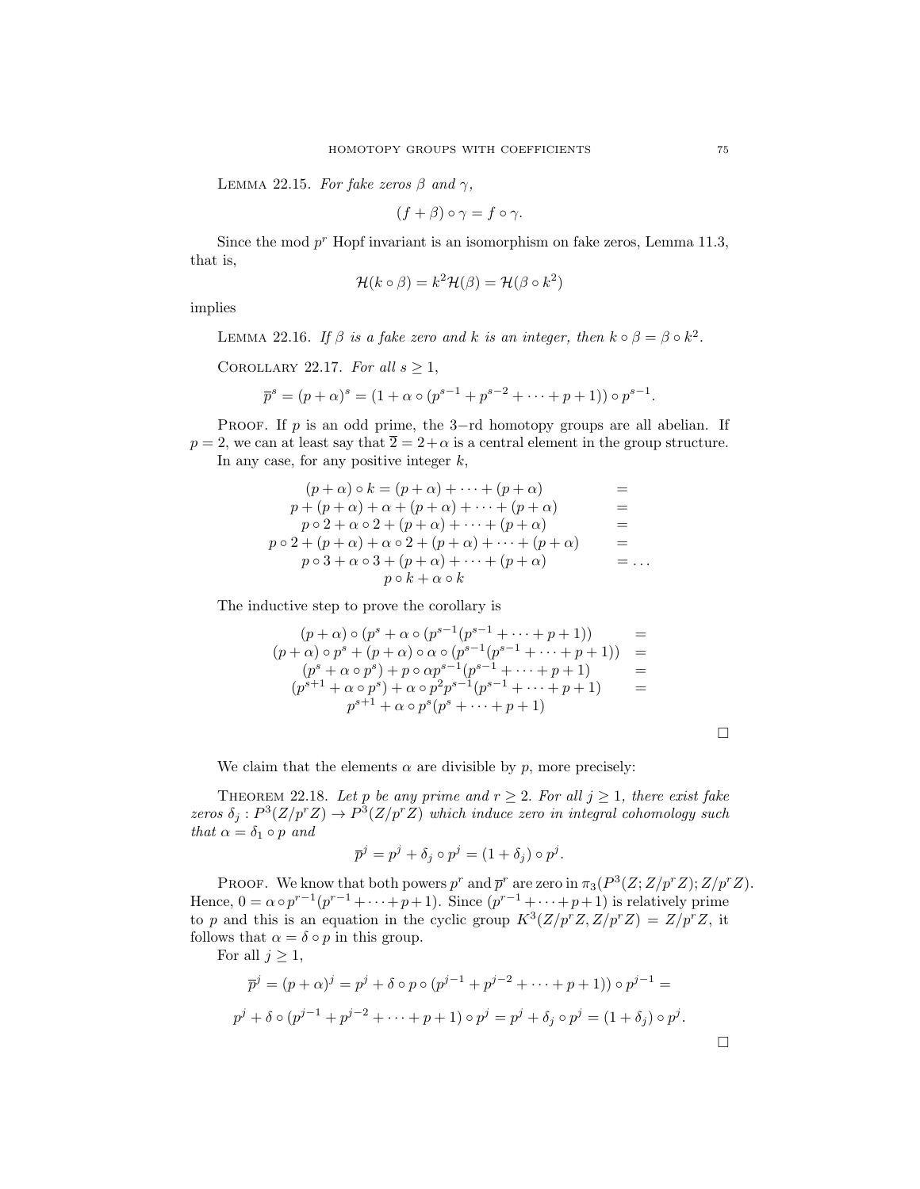LEMMA 22.15. For fake zeros  $\beta$  and  $\gamma$ ,

$$
(f+\beta)\circ\gamma=f\circ\gamma.
$$

Since the mod  $p^r$  Hopf invariant is an isomorphism on fake zeros, Lemma 11.3, that is,

$$
\mathcal{H}(k \circ \beta) = k^2 \mathcal{H}(\beta) = \mathcal{H}(\beta \circ k^2)
$$

implies

LEMMA 22.16. If  $\beta$  is a fake zero and k is an integer, then  $k \circ \beta = \beta \circ k^2$ .

COROLLARY 22.17. For all  $s \geq 1$ ,

$$
\overline{p}^s = (p+\alpha)^s = (1+\alpha \circ (p^{s-1} + p^{s-2} + \dots + p + 1)) \circ p^{s-1}.
$$

PROOF. If  $p$  is an odd prime, the 3-rd homotopy groups are all abelian. If  $p = 2$ , we can at least say that  $\overline{2} = 2 + \alpha$  is a central element in the group structure. In any case, for any positive integer  $k$ ,

$$
(p+\alpha) \circ k = (p+\alpha) + \cdots + (p+\alpha) =
$$
  
\n
$$
p + (p+\alpha) + \alpha + (p+\alpha) + \cdots + (p+\alpha) =
$$
  
\n
$$
p \circ 2 + \alpha \circ 2 + (p+\alpha) + \cdots + (p+\alpha) =
$$
  
\n
$$
p \circ 2 + (p+\alpha) + \alpha \circ 2 + (p+\alpha) + \cdots + (p+\alpha) =
$$
  
\n
$$
p \circ 3 + \alpha \circ 3 + (p+\alpha) + \cdots + (p+\alpha) =
$$
  
\n
$$
p \circ k + \alpha \circ k =
$$

The inductive step to prove the corollary is

$$
(p+\alpha) \circ (p^{s} + \alpha \circ (p^{s-1}(p^{s-1} + \cdots + p+1)) =
$$
  
\n
$$
(p+\alpha) \circ p^{s} + (p+\alpha) \circ \alpha \circ (p^{s-1}(p^{s-1} + \cdots + p+1)) =
$$
  
\n
$$
(p^{s} + \alpha \circ p^{s}) + p \circ \alpha p^{s-1}(p^{s-1} + \cdots + p+1) =
$$
  
\n
$$
(p^{s+1} + \alpha \circ p^{s}) + \alpha \circ p^{2}p^{s-1}(p^{s-1} + \cdots + p+1) =
$$
  
\n
$$
p^{s+1} + \alpha \circ p^{s}(p^{s} + \cdots + p+1)
$$

We claim that the elements  $\alpha$  are divisible by p, more precisely:

THEOREM 22.18. Let p be any prime and  $r \geq 2$ . For all  $j \geq 1$ , there exist fake zeros  $\delta_j: P^3(Z/p^rZ) \to P^3(Z/p^rZ)$  which induce zero in integral cohomology such that  $\alpha = \delta_1 \circ p$  and

$$
\overline{p}^j = p^j + \delta_j \circ p^j = (1 + \delta_j) \circ p^j.
$$

PROOF. We know that both powers  $p^r$  and  $\bar{p}^r$  are zero in  $\pi_3(P^3(Z; Z/p^r Z); Z/p^r Z)$ . Hence,  $0 = \alpha \circ p^{r-1}(p^{r-1} + \cdots + p+1)$ . Since  $(p^{r-1} + \cdots + p+1)$  is relatively prime to p and this is an equation in the cyclic group  $K^3(Z/p^rZ, Z/p^rZ) = Z/p^rZ$ , it follows that  $\alpha = \delta \circ p$  in this group.

For all  $j \geq 1$ ,

$$
\overline{p}^j = (p + \alpha)^j = p^j + \delta \circ p \circ (p^{j-1} + p^{j-2} + \dots + p + 1)) \circ p^{j-1} =
$$
  

$$
p^j + \delta \circ (p^{j-1} + p^{j-2} + \dots + p + 1) \circ p^j = p^j + \delta_j \circ p^j = (1 + \delta_j) \circ p^j.
$$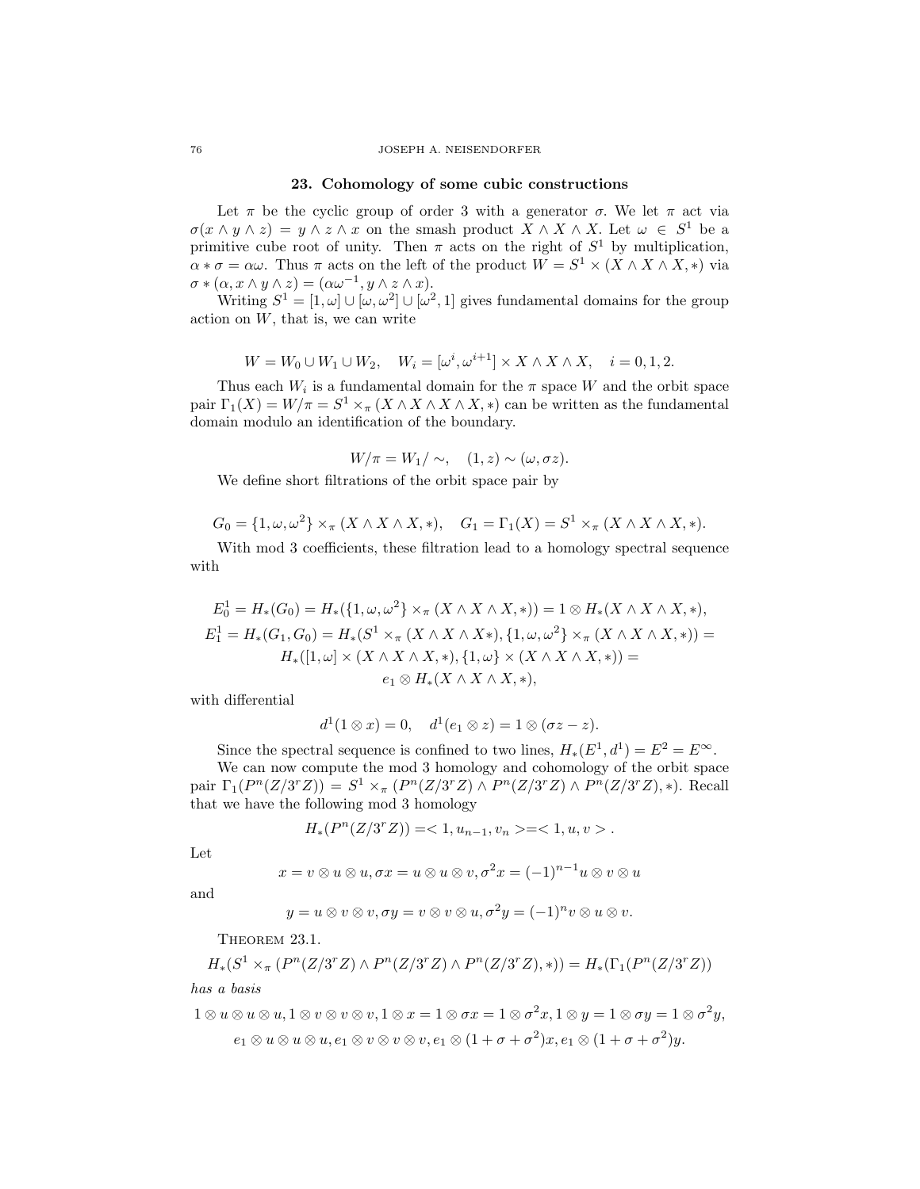#### 76 JOSEPH A. NEISENDORFER

#### 23. Cohomology of some cubic constructions

Let  $\pi$  be the cyclic group of order 3 with a generator  $\sigma$ . We let  $\pi$  act via  $\sigma(x \wedge y \wedge z) = y \wedge z \wedge x$  on the smash product  $X \wedge X \wedge X$ . Let  $\omega \in S^1$  be a primitive cube root of unity. Then  $\pi$  acts on the right of  $S^1$  by multiplication,  $\alpha * \sigma = \alpha \omega$ . Thus  $\pi$  acts on the left of the product  $W = S^1 \times (X \wedge X \wedge X, *)$  via  $\sigma * (\alpha, x \wedge y \wedge z) = (\alpha \omega^{-1}, y \wedge z \wedge x).$ 

Writing  $S^1 = [1, \omega] \cup [\omega, \omega^2] \cup [\omega^2, 1]$  gives fundamental domains for the group action on  $W$ , that is, we can write

$$
W = W_0 \cup W_1 \cup W_2, \quad W_i = [\omega^i, \omega^{i+1}] \times X \wedge X \wedge X, \quad i = 0, 1, 2.
$$

Thus each  $W_i$  is a fundamental domain for the  $\pi$  space W and the orbit space pair  $\Gamma_1(X) = W/\pi = S^1 \times_{\pi} (X \wedge X \wedge X \wedge X, *)$  can be written as the fundamental domain modulo an identification of the boundary.

$$
W/\pi = W_1/\sim, \quad (1, z) \sim (\omega, \sigma z).
$$

We define short filtrations of the orbit space pair by

$$
G_0 = \{1, \omega, \omega^2\} \times_{\pi} (X \wedge X \wedge X, *), \quad G_1 = \Gamma_1(X) = S^1 \times_{\pi} (X \wedge X \wedge X, *).
$$

With mod 3 coefficients, these filtration lead to a homology spectral sequence with

$$
E_0^1 = H_*(G_0) = H_*(\{1, \omega, \omega^2\} \times_\pi (X \wedge X \wedge X, *) ) = 1 \otimes H_*(X \wedge X \wedge X, *) ,
$$
  
\n
$$
E_1^1 = H_*(G_1, G_0) = H_*(S^1 \times_\pi (X \wedge X \wedge X*), \{1, \omega, \omega^2\} \times_\pi (X \wedge X \wedge X, *) ) =
$$
  
\n
$$
H_*([1, \omega] \times (X \wedge X \wedge X, *) , \{1, \omega\} \times (X \wedge X \wedge X, *) ) =
$$
  
\n
$$
e_1 \otimes H_*(X \wedge X \wedge X, *) ,
$$

with differential

$$
d1(1 \otimes x) = 0, \quad d1(e1 \otimes z) = 1 \otimes (\sigma z - z).
$$

Since the spectral sequence is confined to two lines,  $H_*(E^1, d^1) = E^2 = E^{\infty}$ . We can now compute the mod 3 homology and cohomology of the orbit space pair  $\Gamma_1(P^n(Z/3^rZ)) = S^1 \times_{\pi} (P^n(Z/3^rZ) \wedge P^n(Z/3^rZ) \wedge P^n(Z/3^rZ), *)$ . Recall that we have the following mod 3 homology

$$
H_*(P^n(Z/3^rZ))=<1,u_{n-1},v_n>=<1,u,v>.
$$

Let

$$
x = v \otimes u \otimes u, \sigma x = u \otimes u \otimes v, \sigma^2 x = (-1)^{n-1} u \otimes v \otimes u
$$

and

$$
y=u\otimes v\otimes v, \sigma y=v\otimes v\otimes u, \sigma^2 y=(-1)^n v\otimes u\otimes v.
$$

THEOREM 23.1.

$$
H_*(S^1 \times_{\pi} (P^n(Z/3^r Z) \wedge P^n(Z/3^r Z) \wedge P^n(Z/3^r Z),*)) = H_*(\Gamma_1(P^n(Z/3^r Z))
$$

has a basis

 $1\otimes u\otimes u\otimes u, 1\otimes v\otimes v\otimes v, 1\otimes x=1\otimes \sigma x=1\otimes \sigma^2 x, 1\otimes y=1\otimes \sigma y=1\otimes \sigma^2 y,$  $e_1 \otimes u \otimes u \otimes u, e_1 \otimes v \otimes v \otimes v, e_1 \otimes (1 + \sigma + \sigma^2)x, e_1 \otimes (1 + \sigma + \sigma^2)y.$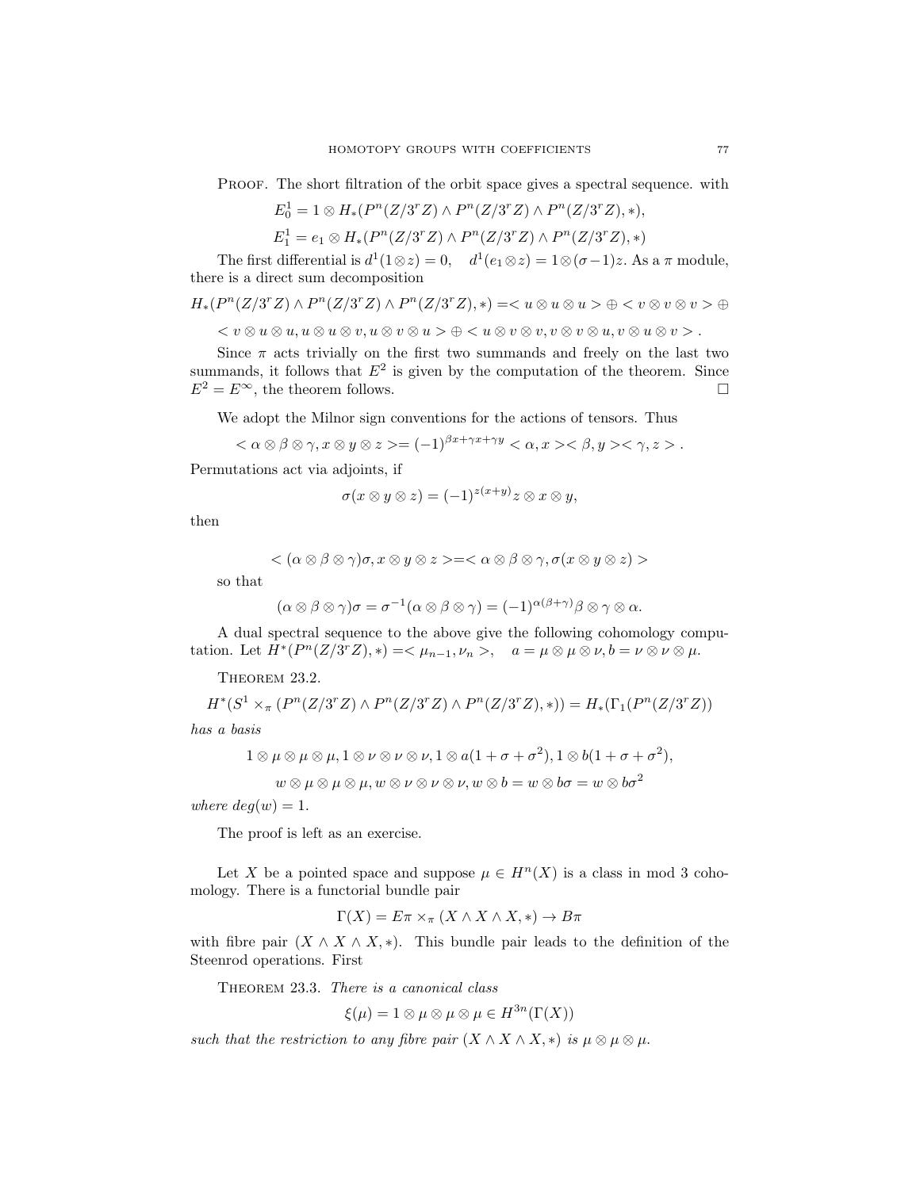PROOF. The short filtration of the orbit space gives a spectral sequence. with

$$
E_0^1 = 1 \otimes H_*(P^n(Z/3^r Z) \wedge P^n(Z/3^r Z) \wedge P^n(Z/3^r Z), *),
$$

$$
E_1^1 = e_1 \otimes H_*(P^n(Z/3^rZ) \wedge P^n(Z/3^rZ) \wedge P^n(Z/3^rZ), *)
$$

The first differential is  $d^1(1\otimes z) = 0$ ,  $d^1(e_1\otimes z) = 1\otimes (\sigma - 1)z$ . As a  $\pi$  module, there is a direct sum decomposition

$$
H_*(P^n(Z/3^rZ) \wedge P^n(Z/3^rZ) \wedge P^n(Z/3^rZ), *) = \otimes u \otimes u > \oplus  \oplus
$$

 $v \leq v \otimes u \otimes u, u \otimes u \otimes v, u \otimes v \otimes u > \oplus \leq u \otimes v \otimes v, v \otimes v \otimes u, v \otimes u \otimes v > 0$ 

Since  $\pi$  acts trivially on the first two summands and freely on the last two summands, it follows that  $E^2$  is given by the computation of the theorem. Since  $E^2 = E^{\infty}$ , the theorem follows.

We adopt the Milnor sign conventions for the actions of tensors. Thus

$$
\langle \alpha \otimes \beta \otimes \gamma, x \otimes y \otimes z \rangle = (-1)^{\beta x + \gamma x + \gamma y} \langle \alpha, x \rangle \langle \beta, y \rangle \langle \gamma, z \rangle.
$$

Permutations act via adjoints, if

$$
\sigma(x\otimes y\otimes z)=(-1)^{z(x+y)}z\otimes x\otimes y,
$$

then

$$
<(\alpha\otimes\beta\otimes\gamma)\sigma,x\otimes y\otimes z>=<\alpha\otimes\beta\otimes\gamma,\sigma(x\otimes y\otimes z)>
$$

so that

$$
(\alpha \otimes \beta \otimes \gamma)\sigma = \sigma^{-1}(\alpha \otimes \beta \otimes \gamma) = (-1)^{\alpha(\beta + \gamma)}\beta \otimes \gamma \otimes \alpha.
$$

A dual spectral sequence to the above give the following cohomology computation. Let  $H^*(P^n(Z/3^rZ),*) = \langle \mu_{n-1}, \nu_n \rangle, \quad a = \mu \otimes \mu \otimes \nu, b = \nu \otimes \nu \otimes \mu.$ 

THEOREM 23.2.

$$
H^*(S^1 \times_{\pi} (P^n(Z/3^r Z) \wedge P^n(Z/3^r Z) \wedge P^n(Z/3^r Z),*)) = H_*(\Gamma_1(P^n(Z/3^r Z))
$$

has a basis

$$
1 \otimes \mu \otimes \mu \otimes \mu, 1 \otimes \nu \otimes \nu \otimes \nu, 1 \otimes a(1 + \sigma + \sigma^2), 1 \otimes b(1 + \sigma + \sigma^2),
$$

 $w \otimes \mu \otimes \mu \otimes \mu$ ,  $w \otimes \nu \otimes \nu \otimes \nu$ ,  $w \otimes b = w \otimes b \sigma = w \otimes b \sigma^2$ 

where  $deg(w) = 1$ .

The proof is left as an exercise.

Let X be a pointed space and suppose  $\mu \in H^{n}(X)$  is a class in mod 3 cohomology. There is a functorial bundle pair

$$
\Gamma(X) = E\pi \times_{\pi} (X \wedge X \wedge X, *) \to B\pi
$$

with fibre pair  $(X \wedge X \wedge X, *)$ . This bundle pair leads to the definition of the Steenrod operations. First

THEOREM 23.3. There is a canonical class

$$
\xi(\mu) = 1 \otimes \mu \otimes \mu \otimes \mu \in H^{3n}(\Gamma(X))
$$

such that the restriction to any fibre pair  $(X \wedge X \wedge X, *)$  is  $\mu \otimes \mu \otimes \mu$ .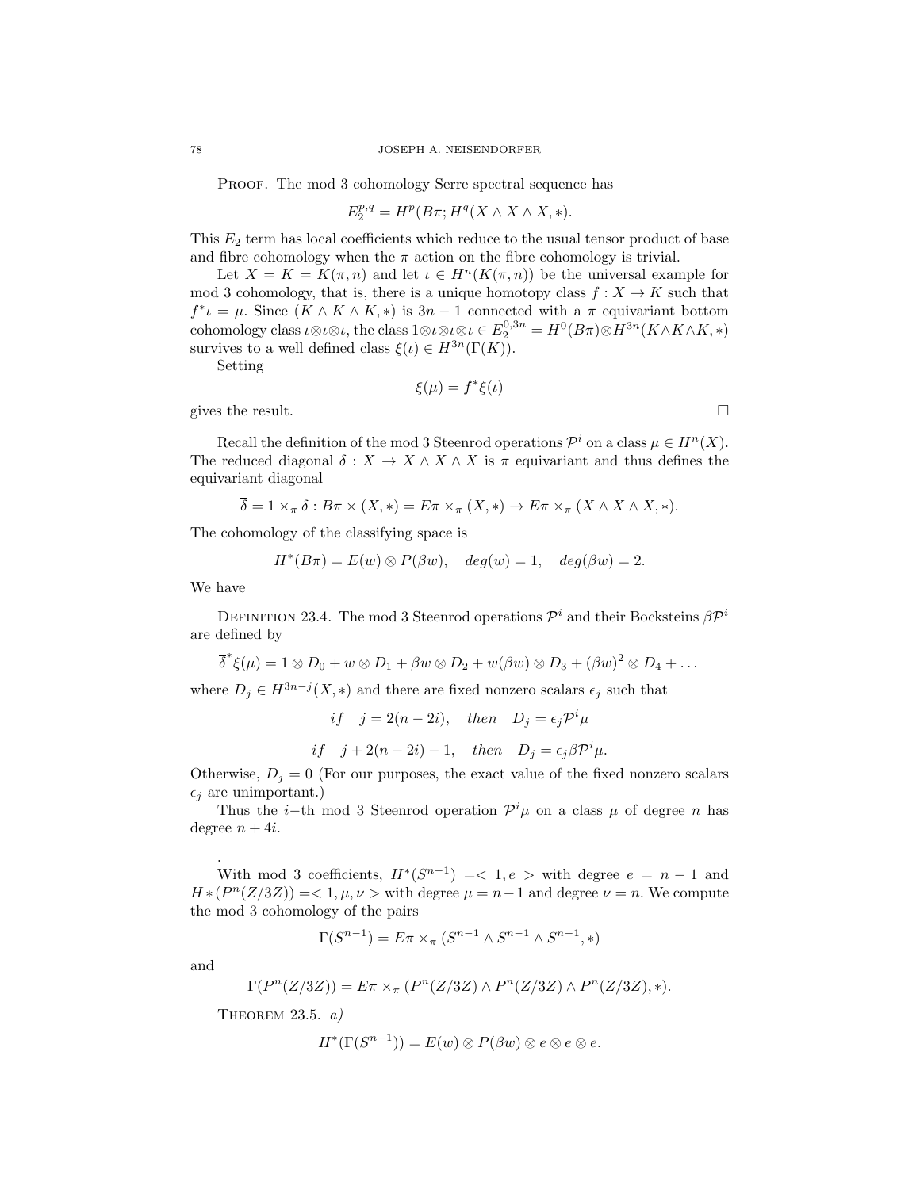PROOF. The mod 3 cohomology Serre spectral sequence has

$$
E_2^{p,q}=H^p(B\pi;H^q(X\wedge X\wedge X,*).
$$

This  $E_2$  term has local coefficients which reduce to the usual tensor product of base and fibre cohomology when the  $\pi$  action on the fibre cohomology is trivial.

Let  $X = K = K(\pi, n)$  and let  $\iota \in H^{n}(K(\pi, n))$  be the universal example for mod 3 cohomology, that is, there is a unique homotopy class  $f: X \to K$  such that  $f^* \iota = \mu$ . Since  $(K \wedge K \wedge K, *)$  is  $3n - 1$  connected with a  $\pi$  equivariant bottom cohomology class  $\iota \otimes \iota \otimes \iota$ , the class  $1 \otimes \iota \otimes \iota \otimes \iota \in E_2^{0,3n} = H^0(B\pi) \otimes H^{3n}(K \wedge K \wedge K, *)$ survives to a well defined class  $\xi(\iota) \in H^{3n}(\Gamma(K))$ .

Setting

$$
\xi(\mu) = f^*\xi(\iota)
$$

gives the result.  $\Box$ 

Recall the definition of the mod 3 Steenrod operations  $\mathcal{P}^i$  on a class  $\mu \in H^n(X)$ . The reduced diagonal  $\delta: X \to X \wedge X \wedge X$  is  $\pi$  equivariant and thus defines the equivariant diagonal

$$
\overline{\delta} = 1 \times_{\pi} \delta : B\pi \times (X, *) = E\pi \times_{\pi} (X, *) \to E\pi \times_{\pi} (X \wedge X \wedge X, *).
$$

The cohomology of the classifying space is

$$
H^*(B\pi) = E(w) \otimes P(\beta w), \quad deg(w) = 1, \quad deg(\beta w) = 2.
$$

We have

DEFINITION 23.4. The mod 3 Steenrod operations  $\mathcal{P}^i$  and their Bocksteins  $\beta \mathcal{P}^i$ are defined by

$$
\overline{\delta}^*\xi(\mu) = 1 \otimes D_0 + w \otimes D_1 + \beta w \otimes D_2 + w(\beta w) \otimes D_3 + (\beta w)^2 \otimes D_4 + \dots
$$

where  $D_j \in H^{3n-j}(X, *)$  and there are fixed nonzero scalars  $\epsilon_j$  such that

if  $j = 2(n - 2i)$ , then  $D_j = \epsilon_j \mathcal{P}^i \mu$ if  $j + 2(n - 2i) - 1$ , then  $D_j = \epsilon_j \beta \mathcal{P}^i \mu$ .

Otherwise,  $D_j = 0$  (For our purposes, the exact value of the fixed nonzero scalars  $\epsilon_i$  are unimportant.)

Thus the *i*-th mod 3 Steenrod operation  $\mathcal{P}^i\mu$  on a class  $\mu$  of degree *n* has degree  $n + 4i$ .

With mod 3 coefficients,  $H^*(S^{n-1}) = \langle 1, e \rangle$  with degree  $e = n-1$  and  $H * (P<sup>n</sup>(Z/3Z)) = < 1, \mu, \nu >$  with degree  $\mu = n-1$  and degree  $\nu = n$ . We compute the mod 3 cohomology of the pairs

$$
\Gamma(S^{n-1}) = E\pi \times_{\pi} (S^{n-1} \wedge S^{n-1} \wedge S^{n-1}, *)
$$

and

.

$$
P(P^n(Z/3Z)) = E\pi \times_{\pi} (P^n(Z/3Z) \wedge P^n(Z/3Z) \wedge P^n(Z/3Z), *).
$$

THEOREM  $23.5. a)$ 

 $\Gamma$ 

$$
H^*(\Gamma(S^{n-1})) = E(w) \otimes P(\beta w) \otimes e \otimes e \otimes e.
$$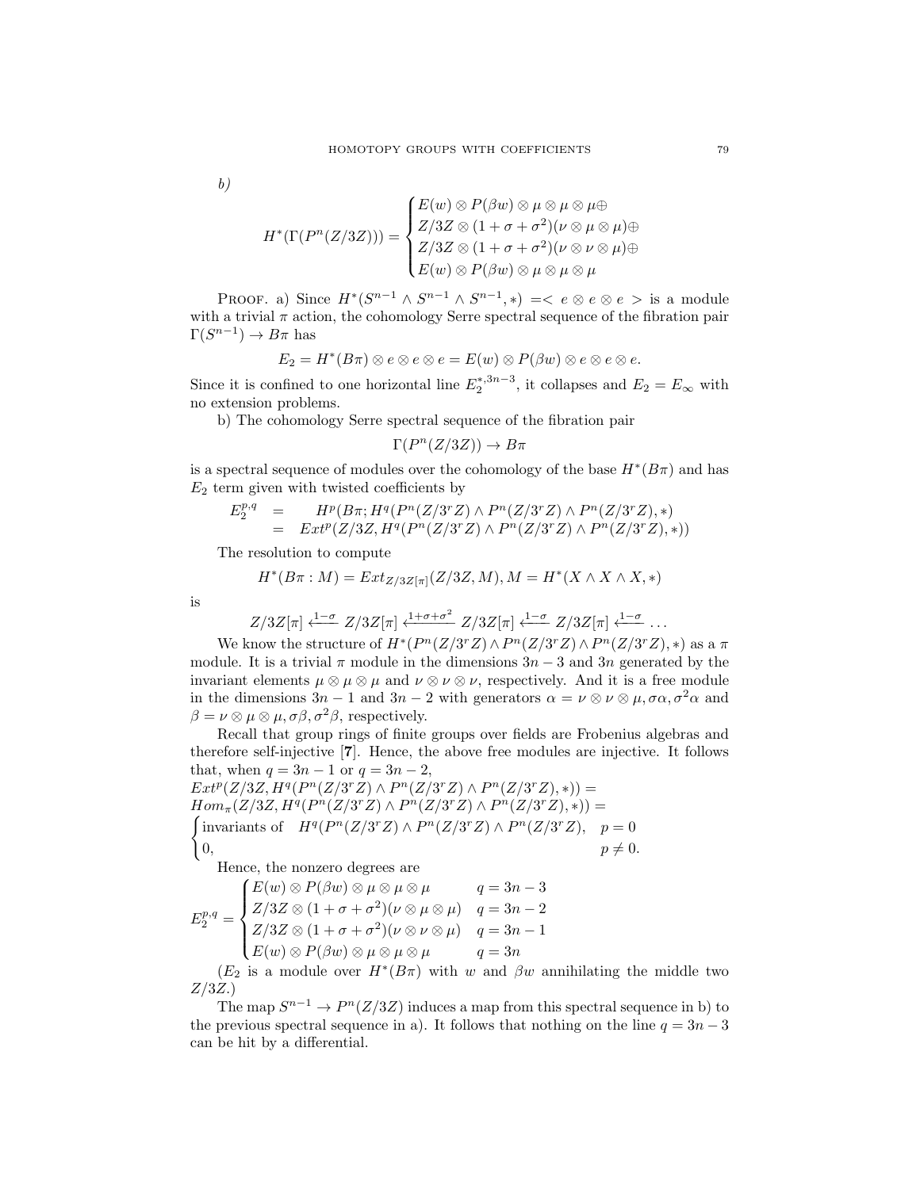b)

$$
H^*(\Gamma(P^n(Z/3Z))) = \begin{cases} E(w) \otimes P(\beta w) \otimes \mu \otimes \mu \otimes \mu \oplus \\ Z/3Z \otimes (1 + \sigma + \sigma^2)(\nu \otimes \mu \otimes \mu) \oplus \\ Z/3Z \otimes (1 + \sigma + \sigma^2)(\nu \otimes \nu \otimes \mu) \oplus \\ E(w) \otimes P(\beta w) \otimes \mu \otimes \mu \otimes \mu \end{cases}
$$

PROOF. a) Since  $H^*(S^{n-1} \wedge S^{n-1} \wedge S^{n-1}, *) = *e* \otimes *e* \otimes *e* > is a module$ with a trivial  $\pi$  action, the cohomology Serre spectral sequence of the fibration pair  $\Gamma(S^{n-1}) \to B\pi$  has

$$
E_2 = H^*(B\pi) \otimes e \otimes e \otimes e = E(w) \otimes P(\beta w) \otimes e \otimes e \otimes e.
$$

Since it is confined to one horizontal line  $E_2^{*,3n-3}$ , it collapses and  $E_2 = E_{\infty}$  with no extension problems.

b) The cohomology Serre spectral sequence of the fibration pair

$$
\Gamma(P^n(Z/3Z)) \to B\pi
$$

is a spectral sequence of modules over the cohomology of the base  $H^*(B\pi)$  and has  $E_2$  term given with twisted coefficients by

$$
E_2^{p,q} = H^p(B\pi; H^q(P^n(Z/3^rZ) \wedge P^n(Z/3^rZ) \wedge P^n(Z/3^rZ), *)
$$
  
=  $Ext^p(Z/3Z, H^q(P^n(Z/3^rZ) \wedge P^n(Z/3^rZ) \wedge P^n(Z/3^rZ), *)$ 

The resolution to compute

$$
H^*(B\pi : M) = Ext_{Z/3Z[\pi]}(Z/3Z, M), M = H^*(X \wedge X \wedge X, *)
$$

is

$$
Z/3Z[\pi] \xleftarrow{1-\sigma} Z/3Z[\pi] \xleftarrow{1+\sigma+\sigma^2} Z/3Z[\pi] \xleftarrow{1-\sigma} Z/3Z[\pi] \xleftarrow{1-\sigma} \dots
$$

We know the structure of  $H^*(P^n(Z/3^rZ) \wedge P^n(Z/3^rZ) \wedge P^n(Z/3^rZ), *)$  as a  $\pi$ module. It is a trivial  $\pi$  module in the dimensions  $3n-3$  and  $3n$  generated by the invariant elements  $\mu \otimes \mu \otimes \mu$  and  $\nu \otimes \nu \otimes \nu$ , respectively. And it is a free module in the dimensions  $3n-1$  and  $3n-2$  with generators  $\alpha = \nu \otimes \nu \otimes \mu$ ,  $\sigma \alpha$ ,  $\sigma^2 \alpha$  and  $\beta = \nu \otimes \mu \otimes \mu$ ,  $\sigma \beta$ ,  $\sigma^2 \beta$ , respectively.

Recall that group rings of finite groups over fields are Frobenius algebras and therefore self-injective [7]. Hence, the above free modules are injective. It follows that, when  $q = 3n - 1$  or  $q = 3n - 2$ ,

 $Ext^p(Z/3Z, H^q(P^n(Z/3^rZ) \wedge P^n(Z/3^rZ) \wedge P^n(Z/3^rZ),*))$  =  $Hom_{\pi}(Z/3Z, H^q(P^n(Z/3^rZ) \wedge P^n(Z/3^rZ) \wedge P^n(Z/3^rZ),*))$  =  $\int$ invariants of  $H^q(P^n(Z/3^rZ) \wedge P^n(Z/3^rZ) \wedge P^n(Z/3^rZ), p = 0$  $p \neq 0.$ 

Hence, the nonzero degrees are

$$
E_2^{p,q} = \begin{cases} E(w) \otimes P(\beta w) \otimes \mu \otimes \mu \otimes \mu & q = 3n - 3 \\ Z/3Z \otimes (1 + \sigma + \sigma^2)(\nu \otimes \mu \otimes \mu) & q = 3n - 2 \\ Z/3Z \otimes (1 + \sigma + \sigma^2)(\nu \otimes \nu \otimes \mu) & q = 3n - 1 \\ E(w) \otimes P(\beta w) \otimes \mu \otimes \mu \otimes \mu & q = 3n \end{cases}
$$

 $(E_2$  is a module over  $H^*(B\pi)$  with w and  $\beta w$  annihilating the middle two  $Z/3Z.$ 

The map  $S^{n-1} \to P^{n}(Z/3Z)$  induces a map from this spectral sequence in b) to the previous spectral sequence in a). It follows that nothing on the line  $q = 3n - 3$ can be hit by a differential.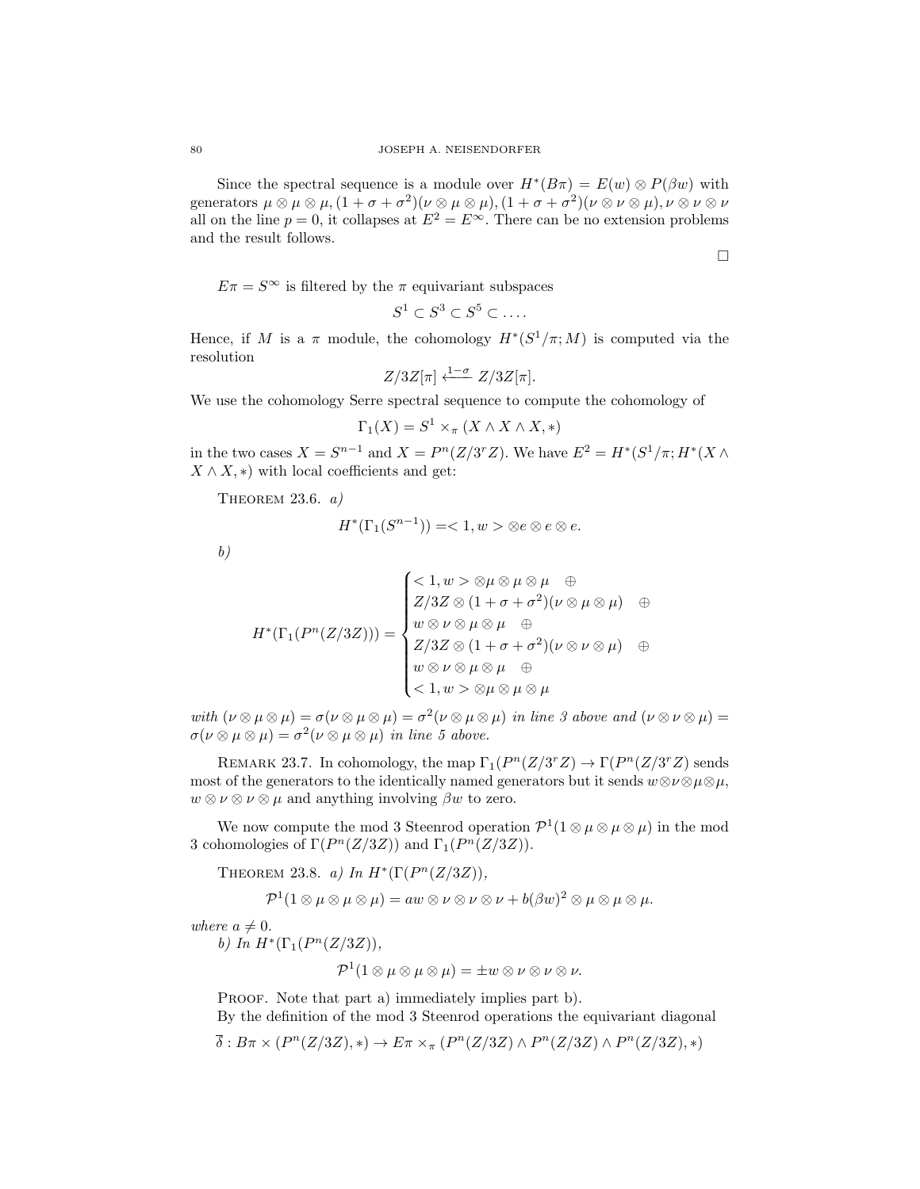Since the spectral sequence is a module over  $H^*(B\pi) = E(w) \otimes P(\beta w)$  with generators  $\mu \otimes \mu \otimes \mu$ ,  $(1 + \sigma + \sigma^2)(\nu \otimes \mu \otimes \mu)$ ,  $(1 + \sigma + \sigma^2)(\nu \otimes \nu \otimes \mu)$ ,  $\nu \otimes \nu \otimes \nu$ all on the line  $p = 0$ , it collapses at  $E^2 = E^{\infty}$ . There can be no extension problems and the result follows.

 $E\pi = S^{\infty}$  is filtered by the  $\pi$  equivariant subspaces

$$
S^1 \subset S^3 \subset S^5 \subset \dots.
$$

Hence, if M is a  $\pi$  module, the cohomology  $H^*(S^1/\pi; M)$  is computed via the resolution

$$
Z/3Z[\pi] \xleftarrow{1-\sigma} Z/3Z[\pi].
$$

We use the cohomology Serre spectral sequence to compute the cohomology of

$$
\Gamma_1(X) = S^1 \times_{\pi} (X \wedge X \wedge X, *)
$$

in the two cases  $X = S^{n-1}$  and  $X = P^{n}(Z/3^{r}Z)$ . We have  $E^{2} = H^{*}(S^{1}/\pi; H^{*}(X \wedge$  $X \wedge X$ , \*) with local coefficients and get:

THEOREM 23.6.  $a)$ 

$$
H^*(\Gamma_1(S^{n-1}))=<1, w>\otimes e\otimes e\otimes e.
$$

b)

$$
H^*(\Gamma_1(P^n(Z/3Z))) = \begin{cases} <1, w > \otimes \mu \otimes \mu \otimes \mu & \oplus \\ Z/3Z \otimes (1 + \sigma + \sigma^2)(\nu \otimes \mu \otimes \mu) & \oplus \\ w \otimes \nu \otimes \mu \otimes \mu & \oplus \\ Z/3Z \otimes (1 + \sigma + \sigma^2)(\nu \otimes \nu \otimes \mu) & \oplus \\ w \otimes \nu \otimes \mu \otimes \mu & \oplus \\ <1, w > \otimes \mu \otimes \mu \otimes \mu \end{cases}
$$

with  $(\nu \otimes \mu \otimes \mu) = \sigma(\nu \otimes \mu \otimes \mu) = \sigma^2(\nu \otimes \mu \otimes \mu)$  in line 3 above and  $(\nu \otimes \nu \otimes \mu) =$  $\sigma(\nu\otimes\mu\otimes\mu)=\sigma^2(\nu\otimes\mu\otimes\mu)$  in line 5 above.

REMARK 23.7. In cohomology, the map  $\Gamma_1(P^n(Z/3^rZ) \to \Gamma(P^n(Z/3^rZ))$  sends most of the generators to the identically named generators but it sends  $w \otimes \nu \otimes \mu \otimes \mu$ ,  $w \otimes \nu \otimes \nu \otimes \mu$  and anything involving  $\beta w$  to zero.

We now compute the mod 3 Steenrod operation  $\mathcal{P}^1(1 \otimes \mu \otimes \mu)$  in the mod 3 cohomologies of  $\Gamma(P^n(Z/3Z))$  and  $\Gamma_1(P^n(Z/3Z)).$ 

THEOREM 23.8. a) In  $H^*(\Gamma(P^n(Z/3Z)),$ 

$$
\mathcal{P}^{1}(1\otimes \mu \otimes \mu \otimes \mu) = aw \otimes \nu \otimes \nu \otimes \nu + b(\beta w)^{2} \otimes \mu \otimes \mu \otimes \mu.
$$

where  $a \neq 0$ .

b) In  $H^*(\Gamma_1(P^n(Z/3Z)),$ 

$$
\mathcal{P}^{1}(1\otimes\mu\otimes\mu\otimes\mu)=\pm w\otimes\nu\otimes\nu\otimes\nu.
$$

PROOF. Note that part a) immediately implies part b). By the definition of the mod 3 Steenrod operations the equivariant diagonal

 $\overline{\delta}: B\pi \times (P^n(Z/3Z), *) \to E\pi \times_{\pi} (P^n(Z/3Z) \wedge P^n(Z/3Z) \wedge P^n(Z/3Z), *)$ 

 $\Box$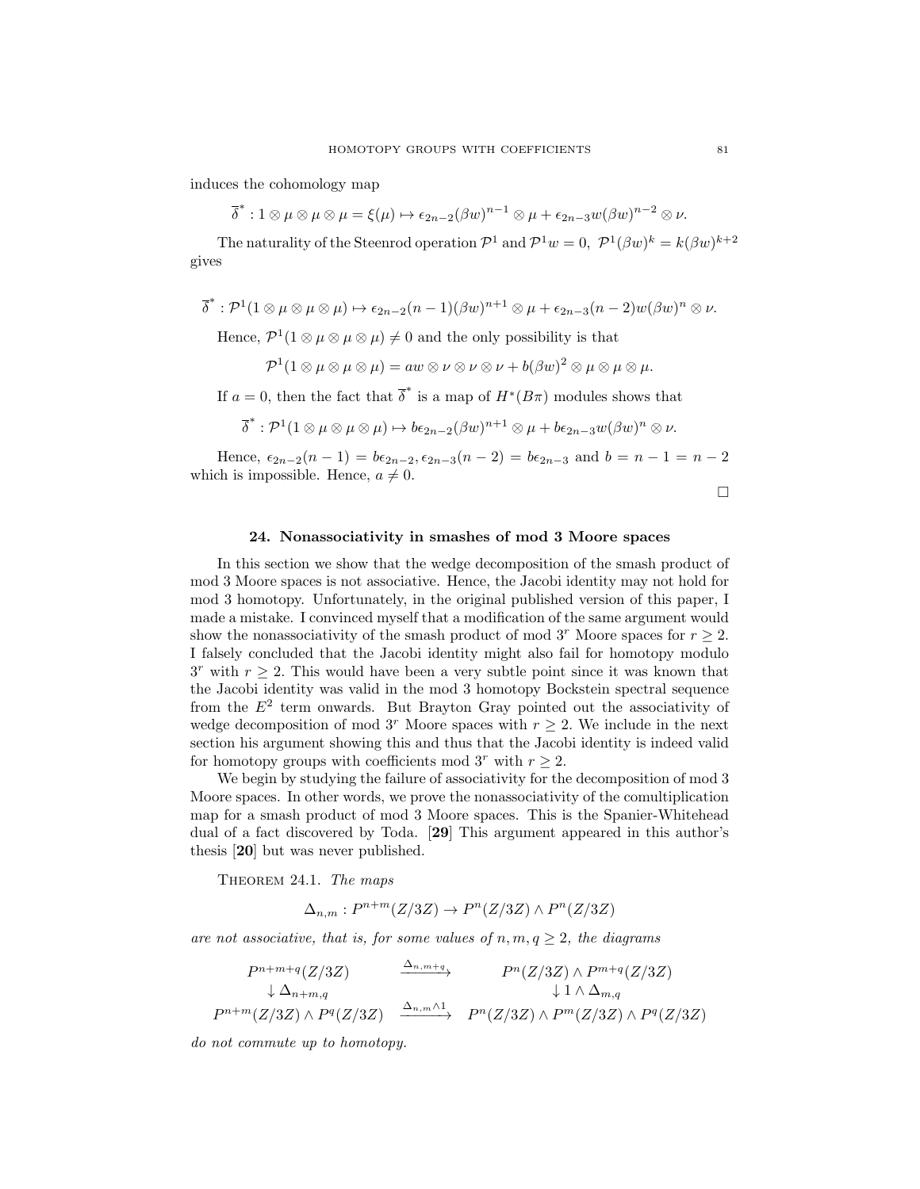induces the cohomology map

 $\overline{\delta}^* : 1 \otimes \mu \otimes \mu \otimes \mu = \xi(\mu) \mapsto \epsilon_{2n-2} (\beta w)^{n-1} \otimes \mu + \epsilon_{2n-3} w (\beta w)^{n-2} \otimes \nu.$ 

The naturality of the Steenrod operation  $\mathcal{P}^1$  and  $\mathcal{P}^1 w = 0$ ,  $\mathcal{P}^1(\beta w)^k = k(\beta w)^{k+2}$ gives

$$
\overline{\delta}^* : \mathcal{P}^1(1 \otimes \mu \otimes \mu \otimes \mu) \mapsto \epsilon_{2n-2}(n-1)(\beta w)^{n+1} \otimes \mu + \epsilon_{2n-3}(n-2)w(\beta w)^n \otimes \nu.
$$

Hence,  $\mathcal{P}^1(1 \otimes \mu \otimes \mu) \neq 0$  and the only possibility is that

$$
\mathcal{P}^{1}(1\otimes \mu \otimes \mu \otimes \mu) = aw \otimes \nu \otimes \nu \otimes \nu + b(\beta w)^{2} \otimes \mu \otimes \mu \otimes \mu.
$$

If  $a = 0$ , then the fact that  $\overline{\delta}^*$  is a map of  $H^*(B_{\pi})$  modules shows that

$$
\overline{\delta}^* : \mathcal{P}^1(1 \otimes \mu \otimes \mu \otimes \mu) \mapsto b\epsilon_{2n-2}(\beta w)^{n+1} \otimes \mu + b\epsilon_{2n-3}w(\beta w)^n \otimes \nu.
$$

Hence,  $\epsilon_{2n-2}(n-1) = b\epsilon_{2n-2}, \epsilon_{2n-3}(n-2) = b\epsilon_{2n-3}$  and  $b = n-1 = n-2$ which is impossible. Hence,  $a \neq 0$ .

 $\Box$ 

# 24. Nonassociativity in smashes of mod 3 Moore spaces

In this section we show that the wedge decomposition of the smash product of mod 3 Moore spaces is not associative. Hence, the Jacobi identity may not hold for mod 3 homotopy. Unfortunately, in the original published version of this paper, I made a mistake. I convinced myself that a modification of the same argument would show the nonassociativity of the smash product of mod 3<sup>r</sup> Moore spaces for  $r \geq 2$ . I falsely concluded that the Jacobi identity might also fail for homotopy modulo  $3<sup>r</sup>$  with  $r \geq 2$ . This would have been a very subtle point since it was known that the Jacobi identity was valid in the mod 3 homotopy Bockstein spectral sequence from the  $E^2$  term onwards. But Brayton Gray pointed out the associativity of wedge decomposition of mod 3<sup>r</sup> Moore spaces with  $r \geq 2$ . We include in the next section his argument showing this and thus that the Jacobi identity is indeed valid for homotopy groups with coefficients mod  $3^r$  with  $r \geq 2$ .

We begin by studying the failure of associativity for the decomposition of mod 3 Moore spaces. In other words, we prove the nonassociativity of the comultiplication map for a smash product of mod 3 Moore spaces. This is the Spanier-Whitehead dual of a fact discovered by Toda. [29] This argument appeared in this author's thesis [20] but was never published.

THEOREM 24.1. The maps

$$
\Delta_{n,m}: P^{n+m}(Z/3Z) \to P^n(Z/3Z) \wedge P^n(Z/3Z)
$$

are not associative, that is, for some values of  $n, m, q \geq 2$ , the diagrams

$$
P^{n+m+q}(Z/3Z) \longrightarrow \Delta_{n+m,q} P^{n}(Z/3Z) \wedge P^{m+q}(Z/3Z)
$$
  
\n
$$
\downarrow \Delta_{n+m,q} \qquad \qquad \downarrow 1 \wedge \Delta_{m,q}
$$
  
\n
$$
P^{n+m}(Z/3Z) \wedge P^{q}(Z/3Z) \longrightarrow P^{n}(Z/3Z) \wedge P^{m}(Z/3Z) \wedge P^{q}(Z/3Z)
$$

do not commute up to homotopy.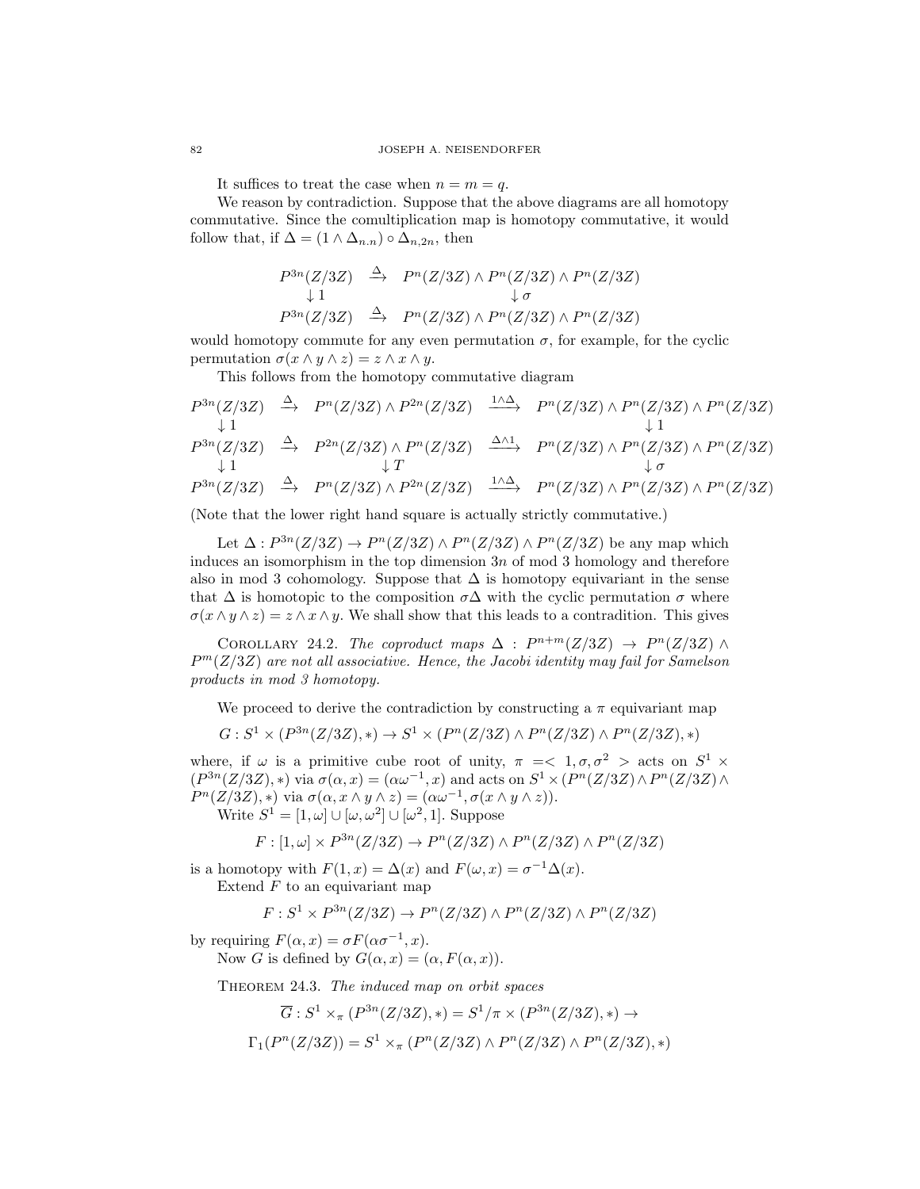It suffices to treat the case when  $n = m = q$ .

We reason by contradiction. Suppose that the above diagrams are all homotopy commutative. Since the comultiplication map is homotopy commutative, it would follow that, if  $\Delta = (1 \wedge \Delta_{n,n}) \circ \Delta_{n,2n}$ , then

$$
P^{3n}(Z/3Z) \stackrel{\Delta}{\rightarrow} P^n(Z/3Z) \wedge P^n(Z/3Z) \wedge P^n(Z/3Z)
$$
  
\n
$$
\downarrow 1 \qquad \qquad \downarrow \sigma
$$
  
\n
$$
P^{3n}(Z/3Z) \stackrel{\Delta}{\rightarrow} P^n(Z/3Z) \wedge P^n(Z/3Z) \wedge P^n(Z/3Z)
$$

would homotopy commute for any even permutation  $\sigma$ , for example, for the cyclic permutation  $\sigma(x \wedge y \wedge z) = z \wedge x \wedge y$ .

This follows from the homotopy commutative diagram

$$
P^{3n}(Z/3Z) \xrightarrow{\Delta} P^{n}(Z/3Z) \wedge P^{2n}(Z/3Z) \xrightarrow{1/\Delta} P^{n}(Z/3Z) \wedge P^{n}(Z/3Z) \wedge P^{n}(Z/3Z)
$$
  
\n
$$
\downarrow 1
$$
  
\n
$$
P^{3n}(Z/3Z) \xrightarrow{\Delta} P^{2n}(Z/3Z) \wedge P^{n}(Z/3Z) \xrightarrow{\Delta \wedge 1} P^{n}(Z/3Z) \wedge P^{n}(Z/3Z) \wedge P^{n}(Z/3Z)
$$
  
\n
$$
\downarrow 1
$$
  
\n
$$
P^{3n}(Z/3Z) \xrightarrow{\Delta} P^{n}(Z/3Z) \wedge P^{2n}(Z/3Z) \xrightarrow{1/\Delta} P^{n}(Z/3Z) \wedge P^{n}(Z/3Z) \wedge P^{n}(Z/3Z)
$$

(Note that the lower right hand square is actually strictly commutative.)

Let  $\Delta: P^{3n}(Z/3Z) \to P^{n}(Z/3Z) \wedge P^{n}(Z/3Z) \wedge P^{n}(Z/3Z)$  be any map which induces an isomorphism in the top dimension  $3n$  of mod 3 homology and therefore also in mod 3 cohomology. Suppose that  $\Delta$  is homotopy equivariant in the sense that  $\Delta$  is homotopic to the composition  $\sigma\Delta$  with the cyclic permutation  $\sigma$  where  $\sigma(x \wedge y \wedge z) = z \wedge x \wedge y$ . We shall show that this leads to a contradition. This gives

COROLLARY 24.2. The coproduct maps  $\Delta$  :  $P^{n+m}(Z/3Z) \rightarrow P^{n}(Z/3Z) \wedge$  $P<sup>m</sup>(Z/3Z)$  are not all associative. Hence, the Jacobi identity may fail for Samelson products in mod 3 homotopy.

We proceed to derive the contradiction by constructing a  $\pi$  equivariant map

$$
G:S^1\times (P^{3n}(Z/3Z),*)\to S^1\times (P^n(Z/3Z)\wedge P^n(Z/3Z)\wedge P^n(Z/3Z),*)
$$

where, if  $\omega$  is a primitive cube root of unity,  $\pi = 1, \sigma, \sigma^2 > \text{acts on } S^1 \times$  $(P^{3n}(Z/3Z),*)$  via  $\sigma(\alpha, x) = (\alpha \omega^{-1}, x)$  and acts on  $S^1 \times (P^n(Z/3Z) \wedge P^n(Z/3Z) \wedge P^n(Z/3Z))$  $P^{n}(Z/3Z),*)$  via  $\sigma(\alpha, x \wedge y \wedge z) = (\alpha \omega^{-1}, \sigma(x \wedge y \wedge z)).$ Write  $S^1 = [1, \omega] \cup [\omega, \omega^2] \cup [\omega^2, 1]$ . Suppose

 $F: [1, \omega] \times P^{3n}(Z/3Z) \rightarrow P^{n}(Z/3Z) \wedge P^{n}(Z/3Z) \wedge P^{n}(Z/3Z)$ 

is a homotopy with  $F(1, x) = \Delta(x)$  and  $F(\omega, x) = \sigma^{-1} \Delta(x)$ .

Extend  $F$  to an equivariant map

$$
F: S^1 \times P^{3n}(Z/3Z) \to P^n(Z/3Z) \wedge P^n(Z/3Z) \wedge P^n(Z/3Z)
$$

by requiring  $F(\alpha, x) = \sigma F(\alpha \sigma^{-1}, x)$ .

Now G is defined by  $G(\alpha, x) = (\alpha, F(\alpha, x)).$ 

THEOREM 24.3. The induced map on orbit spaces

$$
\overline{G}: S^1 \times_{\pi} (P^{3n}(Z/3Z), *) = S^1/\pi \times (P^{3n}(Z/3Z), *) \rightarrow
$$
  

$$
\Gamma_1(P^n(Z/3Z)) = S^1 \times_{\pi} (P^n(Z/3Z) \wedge P^n(Z/3Z) \wedge P^n(Z/3Z), *)
$$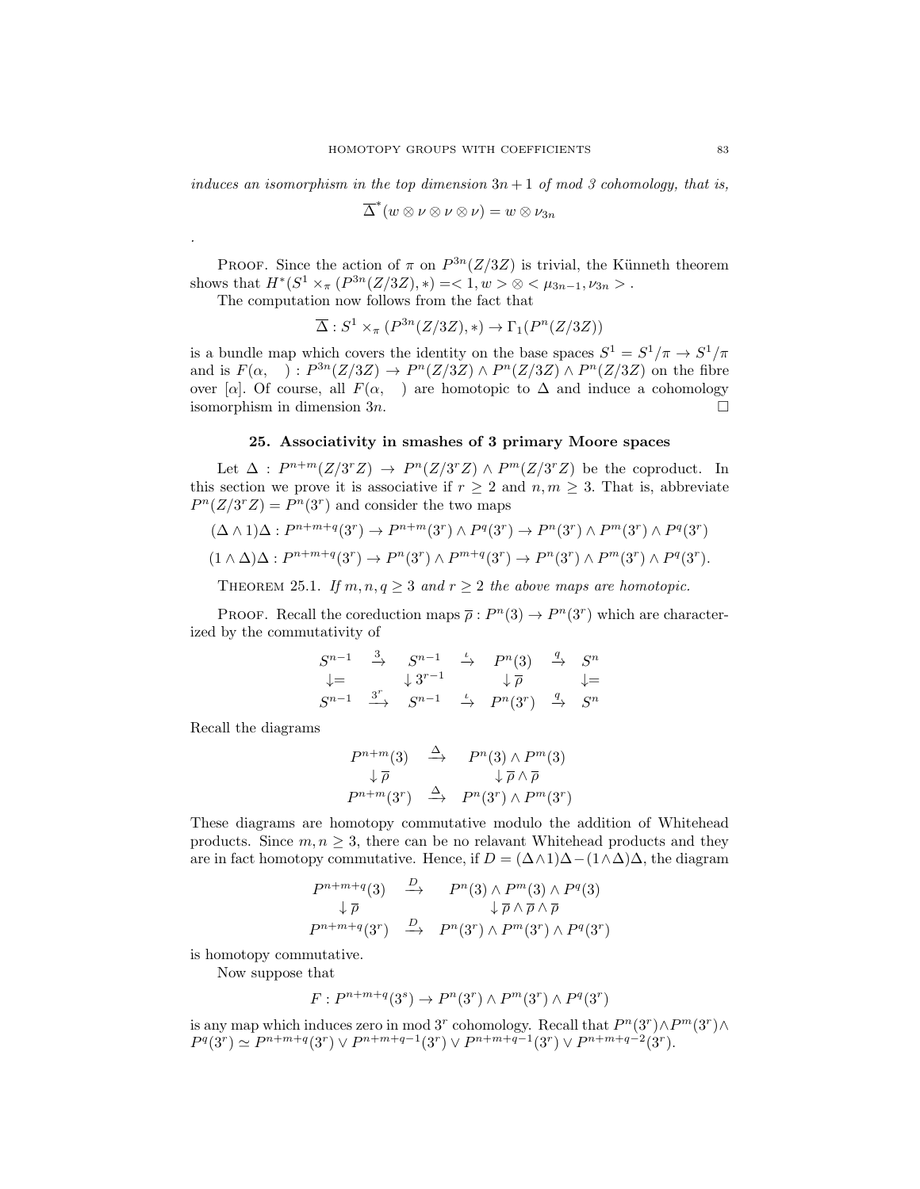induces an isomorphism in the top dimension  $3n + 1$  of mod 3 cohomology, that is,

$$
\overline{\Delta}^*(w \otimes \nu \otimes \nu \otimes \nu) = w \otimes \nu_{3n}
$$

PROOF. Since the action of  $\pi$  on  $P^{3n}(Z/3Z)$  is trivial, the Künneth theorem shows that  $H^*(S^1 \times_{\pi} (P^{3n}(Z/3Z), *) = <1, w > \otimes <\mu_{3n-1}, \nu_{3n}>$ .

The computation now follows from the fact that

$$
\overline{\Delta}: S^1 \times_{\pi} (P^{3n}(Z/3Z), *) \to \Gamma_1(P^n(Z/3Z))
$$

is a bundle map which covers the identity on the base spaces  $S^1 = S^1/\pi \rightarrow S^1/\pi$ and is  $F(\alpha, \cdot): P^{3n}(Z/3Z) \to P^{n}(Z/3Z) \wedge P^{n}(Z/3Z) \wedge P^{n}(Z/3Z)$  on the fibre over [a]. Of course, all  $F(\alpha, \cdot)$  are homotopic to  $\Delta$  and induce a cohomology isomorphism in dimension  $3n$ .

# 25. Associativity in smashes of 3 primary Moore spaces

Let  $\Delta$ :  $P^{n+m}(Z/3^rZ) \rightarrow P^n(Z/3^rZ) \wedge P^m(Z/3^rZ)$  be the coproduct. In this section we prove it is associative if  $r \geq 2$  and  $n, m \geq 3$ . That is, abbreviate  $P^{n}(Z/3^{r}Z) = P^{n}(3^{r})$  and consider the two maps

$$
(\Delta \wedge 1)\Delta : P^{n+m+q}(3^r) \to P^{n+m}(3^r) \wedge P^q(3^r) \to P^n(3^r) \wedge P^m(3^r) \wedge P^q(3^r)
$$
  

$$
(1 \wedge \Delta)\Delta : P^{n+m+q}(3^r) \to P^n(3^r) \wedge P^{m+q}(3^r) \to P^n(3^r) \wedge P^m(3^r) \wedge P^q(3^r).
$$

THEOREM 25.1. If  $m, n, q \geq 3$  and  $r \geq 2$  the above maps are homotopic.

PROOF. Recall the coreduction maps  $\bar{\rho}: P^{n}(3) \to P^{n}(3^{r})$  which are characterized by the commutativity of

$$
\begin{array}{ccccc} S^{n-1} & \stackrel{3}{\rightarrow} & S^{n-1} & \stackrel{\iota}{\rightarrow} & P^n(3) & \stackrel{q}{\rightarrow} & S^n \\ \downarrow = & & \downarrow 3^{r-1} & & \downarrow \overline{\rho} & & \downarrow = \\ S^{n-1} & \stackrel{3^r}{\rightarrow} & S^{n-1} & \stackrel{\iota}{\rightarrow} & P^n(3^r) & \stackrel{q}{\rightarrow} & S^n \end{array}
$$

Recall the diagrams

.

$$
P^{n+m}(3) \xrightarrow{\Delta} P^{n}(3) \wedge P^{m}(3)
$$
  

$$
\downarrow \overline{\rho} \qquad \downarrow \overline{\rho} \wedge \overline{\rho}
$$
  

$$
P^{n+m}(3^{r}) \xrightarrow{\Delta} P^{n}(3^{r}) \wedge P^{m}(3^{r})
$$

These diagrams are homotopy commutative modulo the addition of Whitehead products. Since  $m, n \geq 3$ , there can be no relavant Whitehead products and they are in fact homotopy commutative. Hence, if  $D = (\Delta \wedge 1)\Delta - (1 \wedge \Delta)\Delta$ , the diagram

$$
P^{n+m+q}(3) \xrightarrow{D} P^{n}(3) \wedge P^{m}(3) \wedge P^{q}(3)
$$
  
\n
$$
\downarrow \overline{\rho} \qquad \qquad \downarrow \overline{\rho} \wedge \overline{\rho} \wedge \overline{\rho}
$$
  
\n
$$
P^{n+m+q}(3^{r}) \xrightarrow{D} P^{n}(3^{r}) \wedge P^{m}(3^{r}) \wedge P^{q}(3^{r})
$$

is homotopy commutative.

Now suppose that

$$
F: P^{n+m+q}(3^s) \to P^n(3^r) \wedge P^m(3^r) \wedge P^q(3^r)
$$

is any map which induces zero in mod 3<sup>r</sup> cohomology. Recall that  $P^{n}(3^{r}) \wedge P^{m}(3^{r}) \wedge$  $P^q(3^r) \simeq P^{n+m+q}(3^r) \vee P^{n+m+q-1}(3^r) \vee P^{n+m+q-1}(3^r) \vee P^{n+m+q-2}(3^r).$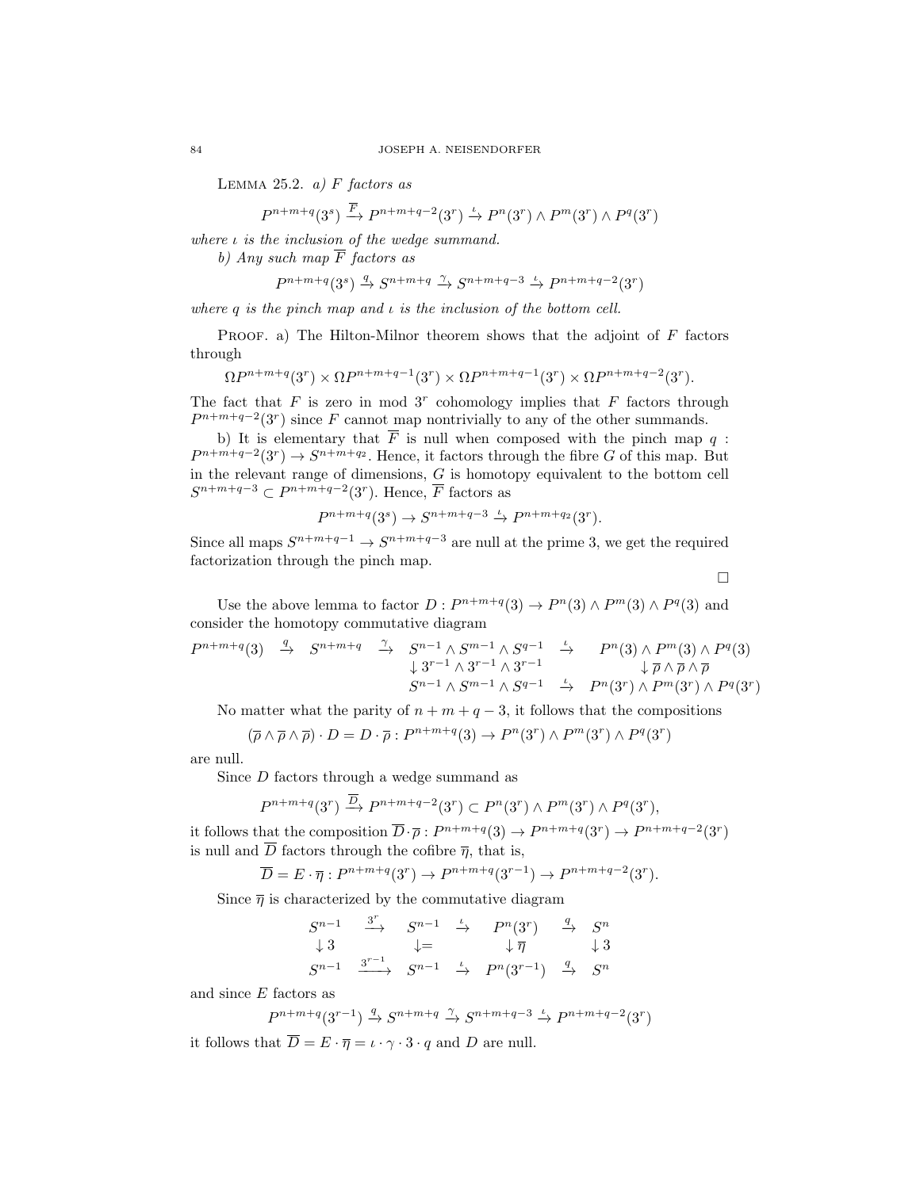LEMMA 25.2.  $a)$  F factors as

$$
P^{n+m+q}(3^s) \xrightarrow{\overline{F}} P^{n+m+q-2}(3^r) \xrightarrow{\iota} P^n(3^r) \wedge P^m(3^r) \wedge P^q(3^r)
$$

where  $\iota$  is the inclusion of the wedge summand.

b) Any such map  $\overline{F}$  factors as

$$
P^{n+m+q}(3^s) \xrightarrow{q} S^{n+m+q} \xrightarrow{\gamma} S^{n+m+q-3} \xrightarrow{\iota} P^{n+m+q-2}(3^r)
$$

where q is the pinch map and  $\iota$  is the inclusion of the bottom cell.

PROOF. a) The Hilton-Milnor theorem shows that the adjoint of  $F$  factors through

$$
\Omega P^{n+m+q}(3^r) \times \Omega P^{n+m+q-1}(3^r) \times \Omega P^{n+m+q-1}(3^r) \times \Omega P^{n+m+q-2}(3^r).
$$

The fact that  $F$  is zero in mod  $3<sup>r</sup>$  cohomology implies that  $F$  factors through  $P^{n+m+q-2}(3<sup>r</sup>)$  since F cannot map nontrivially to any of the other summands.

b) It is elementary that  $\overline{F}$  is null when composed with the pinch map q:  $P^{n+m+q-2}(3<sup>r</sup>) \to S^{n+m+q_2}$ . Hence, it factors through the fibre G of this map. But in the relevant range of dimensions, G is homotopy equivalent to the bottom cell  $S^{n+m+q-3} \subset P^{n+m+q-2}(3^r)$ . Hence,  $\overline{F}$  factors as

$$
P^{n+m+q}(3^s) \to S^{n+m+q-3} \xrightarrow{\iota} P^{n+m+q_2}(3^r).
$$

Since all maps  $S^{n+m+q-1} \to S^{n+m+q-3}$  are null at the prime 3, we get the required factorization through the pinch map.

 $\Box$ 

Use the above lemma to factor  $D: P^{n+m+q}(3) \to P^{n}(3) \wedge P^{m}(3) \wedge P^{q}(3)$  and consider the homotopy commutative diagram

$$
P^{n+m+q}(3) \stackrel{q}{\rightarrow} S^{n+m+q} \stackrel{\gamma}{\rightarrow} S^{n-1} \wedge S^{m-1} \wedge S^{q-1} \stackrel{\iota}{\rightarrow} P^n(3) \wedge P^m(3) \wedge P^q(3) \downarrow \bar{\rho} \wedge \bar{\rho} \wedge \bar{\rho} S^{n-1} \wedge S^{m-1} \wedge S^{q-1} \stackrel{\iota}{\rightarrow} P^n(3^r) \wedge P^m(3^r) \wedge P^q(3^r)
$$

No matter what the parity of  $n + m + q - 3$ , it follows that the compositions

$$
(\overline{\rho} \wedge \overline{\rho} \wedge \overline{\rho}) \cdot D = D \cdot \overline{\rho} : P^{n+m+q}(3) \to P^n(3^r) \wedge P^m(3^r) \wedge P^q(3^r)
$$

are null.

Since D factors through a wedge summand as

$$
P^{n+m+q}(3^r) \xrightarrow{\overline{D}} P^{n+m+q-2}(3^r) \subset P^n(3^r) \wedge P^m(3^r) \wedge P^q(3^r),
$$

it follows that the composition  $\overline{D}\cdot\overline{\rho}: P^{n+m+q}(3) \to P^{n+m+q}(3^r) \to P^{n+m+q-2}(3^r)$ is null and  $\overline{D}$  factors through the cofibre  $\overline{\eta}$ , that is,

$$
\overline{D} = E \cdot \overline{\eta} : P^{n+m+q}(3^r) \to P^{n+m+q}(3^{r-1}) \to P^{n+m+q-2}(3^r).
$$

Since  $\bar{\eta}$  is characterized by the commutative diagram

$$
\begin{array}{ccccccccc}\nS^{n-1} & \stackrel{3^r}{\longrightarrow} & S^{n-1} & \stackrel{\iota}{\rightarrow} & P^n(3^r) & \stackrel{q}{\rightarrow} & S^n \\
\downarrow 3 & & \downarrow = & & \downarrow \overline{\eta} & & \downarrow 3 \\
S^{n-1} & \stackrel{3^{r-1}}{\longrightarrow} & S^{n-1} & \stackrel{\iota}{\rightarrow} & P^n(3^{r-1}) & \stackrel{q}{\rightarrow} & S^n\n\end{array}
$$

and since E factors as

$$
P^{n+m+q}(3^{r-1}) \xrightarrow{q} S^{n+m+q} \xrightarrow{\gamma} S^{n+m+q-3} \xrightarrow{\iota} P^{n+m+q-2}(3^r)
$$

it follows that  $\overline{D} = E \cdot \overline{\eta} = \iota \cdot \gamma \cdot 3 \cdot q$  and D are null.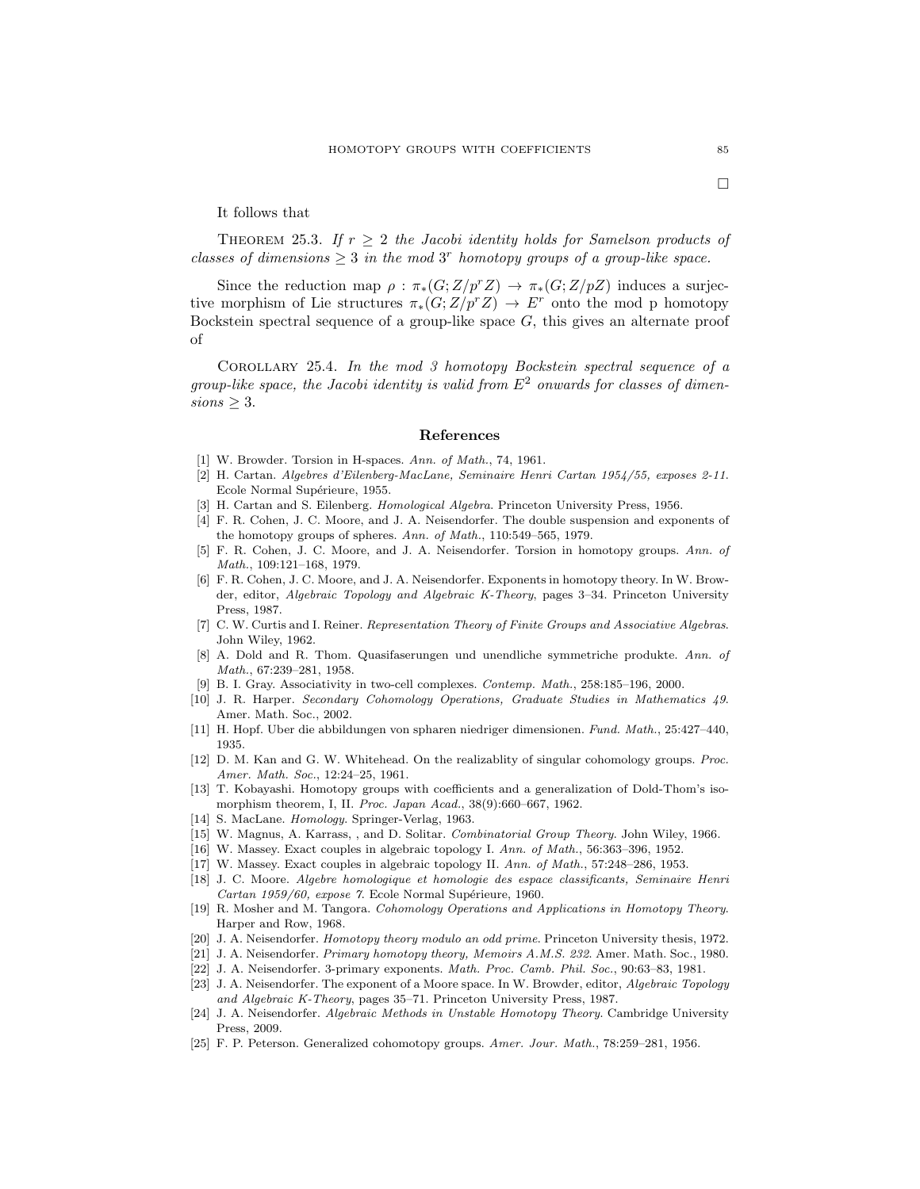THEOREM 25.3. If  $r \geq 2$  the Jacobi identity holds for Samelson products of classes of dimensions  $\geq 3$  in the mod 3<sup>r</sup> homotopy groups of a group-like space.

Since the reduction map  $\rho : \pi_*(G;Z/p^rZ) \to \pi_*(G;Z/pZ)$  induces a surjective morphism of Lie structures  $\pi_*(G;Z/p^rZ) \to E^r$  onto the mod p homotopy Bockstein spectral sequence of a group-like space  $G$ , this gives an alternate proof of

Corollary 25.4. In the mod 3 homotopy Bockstein spectral sequence of a group-like space, the Jacobi identity is valid from  $E<sup>2</sup>$  onwards for classes of dimen $sions > 3$ .

### References

- [1] W. Browder. Torsion in H-spaces. Ann. of Math., 74, 1961.
- [2] H. Cartan. Algebres d'Eilenberg-MacLane, Seminaire Henri Cartan 1954/55, exposes 2-11. Ecole Normal Supérieure, 1955.
- [3] H. Cartan and S. Eilenberg. Homological Algebra. Princeton University Press, 1956.
- [4] F. R. Cohen, J. C. Moore, and J. A. Neisendorfer. The double suspension and exponents of the homotopy groups of spheres. Ann. of Math., 110:549–565, 1979.
- [5] F. R. Cohen, J. C. Moore, and J. A. Neisendorfer. Torsion in homotopy groups. Ann. of Math., 109:121–168, 1979.
- [6] F. R. Cohen, J. C. Moore, and J. A. Neisendorfer. Exponents in homotopy theory. In W. Browder, editor, Algebraic Topology and Algebraic K-Theory, pages 3–34. Princeton University Press, 1987.
- [7] C. W. Curtis and I. Reiner. Representation Theory of Finite Groups and Associative Algebras. John Wiley, 1962.
- [8] A. Dold and R. Thom. Quasifaserungen und unendliche symmetriche produkte. Ann. of Math., 67:239–281, 1958.
- [9] B. I. Gray. Associativity in two-cell complexes. Contemp. Math., 258:185–196, 2000.
- [10] J. R. Harper. Secondary Cohomology Operations, Graduate Studies in Mathematics 49. Amer. Math. Soc., 2002.
- [11] H. Hopf. Uber die abbildungen von spharen niedriger dimensionen. Fund. Math., 25:427–440, 1935.
- [12] D. M. Kan and G. W. Whitehead. On the realizablity of singular cohomology groups. Proc. Amer. Math. Soc., 12:24–25, 1961.
- [13] T. Kobayashi. Homotopy groups with coefficients and a generalization of Dold-Thom's isomorphism theorem, I, II. Proc. Japan Acad., 38(9):660–667, 1962.
- [14] S. MacLane. Homology. Springer-Verlag, 1963.
- [15] W. Magnus, A. Karrass, , and D. Solitar. Combinatorial Group Theory. John Wiley, 1966.
- [16] W. Massey. Exact couples in algebraic topology I. Ann. of Math., 56:363–396, 1952.
- [17] W. Massey. Exact couples in algebraic topology II. Ann. of Math., 57:248–286, 1953.
- [18] J. C. Moore. Algebre homologique et homologie des espace classificants, Seminaire Henri Cartan 1959/60, expose 7. Ecole Normal Supérieure, 1960.
- [19] R. Mosher and M. Tangora. Cohomology Operations and Applications in Homotopy Theory. Harper and Row, 1968.
- [20] J. A. Neisendorfer. Homotopy theory modulo an odd prime. Princeton University thesis, 1972.
- [21] J. A. Neisendorfer. Primary homotopy theory, Memoirs A.M.S. 232. Amer. Math. Soc., 1980.
- [22] J. A. Neisendorfer. 3-primary exponents. Math. Proc. Camb. Phil. Soc., 90:63–83, 1981.
- [23] J. A. Neisendorfer. The exponent of a Moore space. In W. Browder, editor, Algebraic Topology and Algebraic K-Theory, pages 35–71. Princeton University Press, 1987.
- [24] J. A. Neisendorfer. Algebraic Methods in Unstable Homotopy Theory. Cambridge University Press, 2009.
- [25] F. P. Peterson. Generalized cohomotopy groups. Amer. Jour. Math., 78:259–281, 1956.

 $\Box$